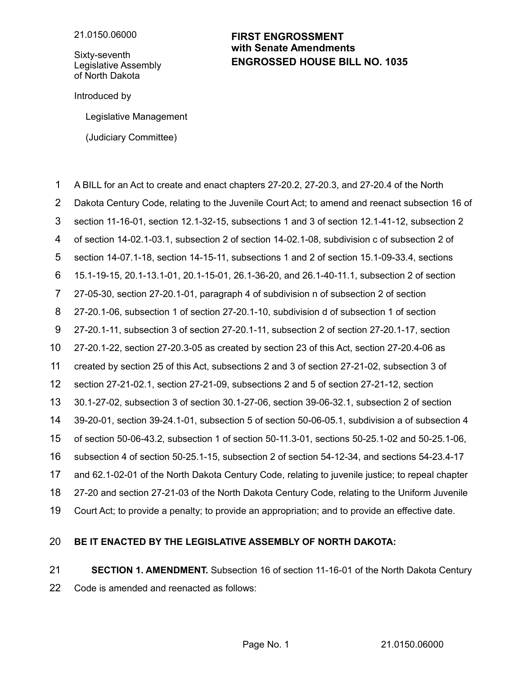Sixty-seventh Legislative Assembly of North Dakota

## **ENGROSSED HOUSE BILL NO. 1035 FIRST ENGROSSMENT with Senate Amendments**

Introduced by

Legislative Management

(Judiciary Committee)

A BILL for an Act to create and enact chapters 27-20.2, 27-20.3, and 27-20.4 of the North 1

Dakota Century Code, relating to the Juvenile Court Act; to amend and reenact subsection 16 of 2

section 11-16-01, section 12.1-32-15, subsections 1 and 3 of section 12.1-41-12, subsection 2 3

of section 14-02.1-03.1, subsection 2 of section 14-02.1-08, subdivision c of subsection 2 of 4

section 14-07.1-18, section 14-15-11, subsections 1 and 2 of section 15.1-09-33.4, sections 5

15.1-19-15, 20.1-13.1-01, 20.1-15-01, 26.1-36-20, and 26.1-40-11.1, subsection 2 of section 6

27-05-30, section 27-20.1-01, paragraph 4 of subdivision n of subsection 2 of section 7

27-20.1-06, subsection 1 of section 27-20.1-10, subdivision d of subsection 1 of section 8

27-20.1-11, subsection 3 of section 27-20.1-11, subsection 2 of section 27-20.1-17, section 9

27-20.1-22, section 27-20.3-05 as created by section 23 of this Act, section 27-20.4-06 as 10

created by section 25 of this Act, subsections 2 and 3 of section 27-21-02, subsection 3 of 11

section 27-21-02.1, section 27-21-09, subsections 2 and 5 of section 27-21-12, section 12

30.1-27-02, subsection 3 of section 30.1-27-06, section 39-06-32.1, subsection 2 of section 13

39-20-01, section 39-24.1-01, subsection 5 of section 50-06-05.1, subdivision a of subsection 4 14

of section 50-06-43.2, subsection 1 of section 50-11.3-01, sections 50-25.1-02 and 50-25.1-06, 15

subsection 4 of section 50-25.1-15, subsection 2 of section 54-12-34, and sections 54-23.4-17 16

and 62.1-02-01 of the North Dakota Century Code, relating to juvenile justice; to repeal chapter 17

27-20 and section 27-21-03 of the North Dakota Century Code, relating to the Uniform Juvenile 18

Court Act; to provide a penalty; to provide an appropriation; and to provide an effective date. 19

## **BE IT ENACTED BY THE LEGISLATIVE ASSEMBLY OF NORTH DAKOTA:** 20

**SECTION 1. AMENDMENT.** Subsection 16 of section 11-16-01 of the North Dakota Century Code is amended and reenacted as follows: 21 22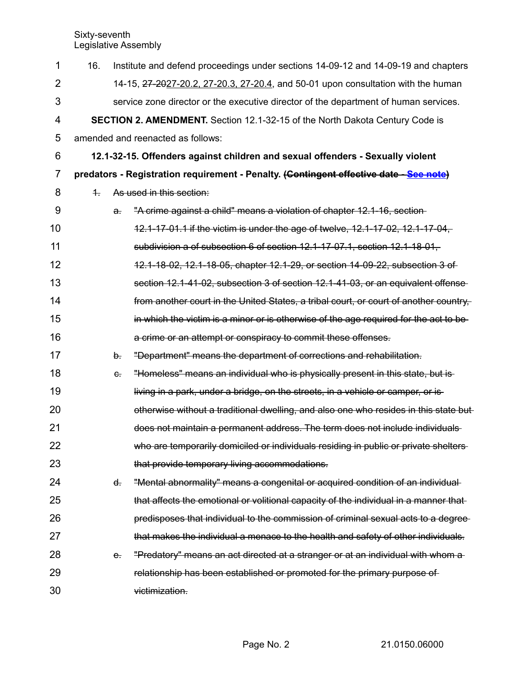| 1              | 16.        |              | Institute and defend proceedings under sections 14-09-12 and 14-09-19 and chapters     |
|----------------|------------|--------------|----------------------------------------------------------------------------------------|
| $\overline{2}$ |            |              | 14-15, 27-2027-20.2, 27-20.3, 27-20.4, and 50-01 upon consultation with the human      |
| 3              |            |              | service zone director or the executive director of the department of human services.   |
| $\overline{4}$ |            |              | SECTION 2. AMENDMENT. Section 12.1-32-15 of the North Dakota Century Code is           |
| 5              |            |              | amended and reenacted as follows:                                                      |
| 6              |            |              | 12.1-32-15. Offenders against children and sexual offenders - Sexually violent         |
| $\overline{7}$ |            |              | predators - Registration requirement - Penalty. (Contingent effective date - See note) |
| 8              | $\ddagger$ |              | As used in this section:                                                               |
| 9              |            | $\partial$ . | "A crime against a child" means a violation of chapter 12.1-16, section-               |
| 10             |            |              | 12.1-17-01.1 if the victim is under the age of twelve, 12.1-17-02, 12.1-17-04,         |
| 11             |            |              | subdivision a of subsection 6 of section 12.1-17-07.1, section 12.1-18-01,             |
| 12             |            |              | 12.1-18-02, 12.1-18-05, chapter 12.1-29, or section 14-09-22, subsection 3 of          |
| 13             |            |              | section 12.1-41-02, subsection 3 of section 12.1-41-03, or an equivalent offense-      |
| 14             |            |              | from another court in the United States, a tribal court, or court of another country,  |
| 15             |            |              | in which the victim is a minor or is otherwise of the age required for the act to be   |
| 16             |            |              | a crime or an attempt or conspiracy to commit these offenses.                          |
| 17             |            | b.           | "Department" means the department of corrections and rehabilitation.                   |
| 18             |            | $\epsilon$ . | "Homeless" means an individual who is physically present in this state, but is-        |
| 19             |            |              | living in a park, under a bridge, on the streets, in a vehicle or camper, or is-       |
| 20             |            |              | otherwise without a traditional dwelling, and also one who resides in this state but   |
| 21             |            |              | does not maintain a permanent address. The term does not include individuals-          |
| 22             |            |              | who are temporarily domiciled or individuals residing in public or private shelters-   |
| 23             |            |              | that provide temporary living accommodations.                                          |
| 24             |            | ď.           | "Mental abnormality" means a congenital or acquired condition of an individual         |
| 25             |            |              | that affects the emotional or volitional capacity of the individual in a manner that   |
| 26             |            |              | predisposes that individual to the commission of criminal sexual acts to a degree-     |
| 27             |            |              | that makes the individual a menace to the health and safety of other individuals.      |
| 28             |            | $e$ .        | "Predatory" means an act directed at a stranger or at an individual with whom a        |
| 29             |            |              | relationship has been established or promoted for the primary purpose of               |
| 30             |            |              | victimization.                                                                         |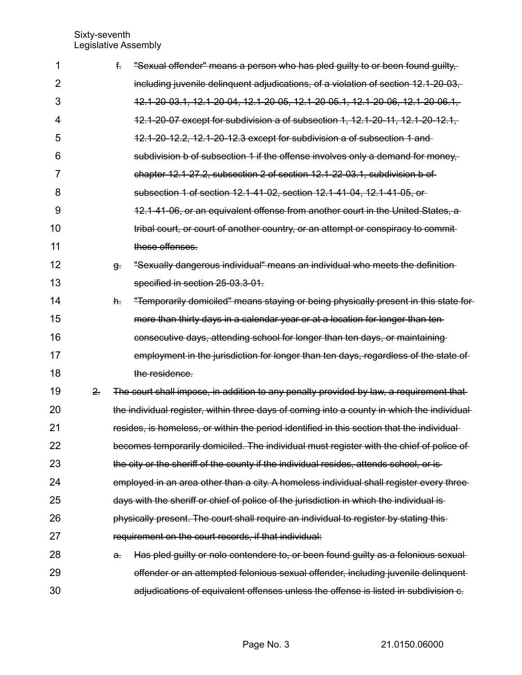| 1              |    | f.           | "Sexual offender" means a person who has pled guilty to or been found guilty,               |
|----------------|----|--------------|---------------------------------------------------------------------------------------------|
| 2              |    |              | including juvenile delinguent adjudications, of a violation of section 12.1-20-03,          |
| 3              |    |              | 12.1-20-03.1, 12.1-20-04, 12.1-20-05, 12.1-20-05.1, 12.1-20-06, 12.1-20-06.1,               |
| $\overline{4}$ |    |              | 12.1-20-07 except for subdivision a of subsection 1, 12.1-20-11, 12.1-20-12.1,              |
| 5              |    |              | 12.1-20-12.2, 12.1-20-12.3 except for subdivision a of subsection 1 and                     |
| 6              |    |              | subdivision b of subsection 1 if the offense involves only a demand for money.              |
| 7              |    |              | chapter 12.1-27.2, subsection 2 of section 12.1-22-03.1, subdivision b of                   |
| 8              |    |              | subsection 1 of section 12.1-41-02, section 12.1-41-04, 12.1-41-05, or                      |
| 9              |    |              | 12.1-41-06, or an equivalent offense from another court in the United States, a             |
| 10             |    |              | tribal court, or court of another country, or an attempt or conspiracy to commit-           |
| 11             |    |              | these offenses.                                                                             |
| 12             |    | g.           | "Sexually dangerous individual" means an individual who meets the definition-               |
| 13             |    |              | specified in section 25-03.3-01.                                                            |
| 14             |    | h.           | "Temporarily domiciled" means staying or being physically present in this state for         |
| 15             |    |              | more than thirty days in a calendar year or at a location for longer than ten-              |
| 16             |    |              | consecutive days, attending school for longer than ten days, or maintaining                 |
| 17             |    |              | employment in the jurisdiction for longer than ten days, regardless of the state of         |
| 18             |    |              | the residence.                                                                              |
| 19             | 2. |              | The court shall impose, in addition to any penalty provided by law, a requirement that      |
| 20             |    |              | the individual register, within three days of coming into a county in which the individual- |
| 21             |    |              | resides, is homeless, or within the period identified in this section that the individual   |
| 22             |    |              | becomes temporarily domiciled. The individual must register with the chief of police of     |
| 23             |    |              | the city or the sheriff of the county if the individual resides, attends school, or is-     |
| 24             |    |              | employed in an area other than a city. A homeless individual shall register every three-    |
| 25             |    |              | days with the sheriff or chief of police of the jurisdiction in which the individual is-    |
| 26             |    |              | physically present. The court shall require an individual to register by stating this-      |
| 27             |    |              | requirement on the court records, if that individual:                                       |
| 28             |    | $\partial$ . | Has pled guilty or nolo contendere to, or been found guilty as a felonious sexual-          |
| 29             |    |              | offender or an attempted felonious sexual offender, including juvenile delinquent           |
| 30             |    |              | adjudications of equivalent offenses unless the offense is listed in subdivision c.         |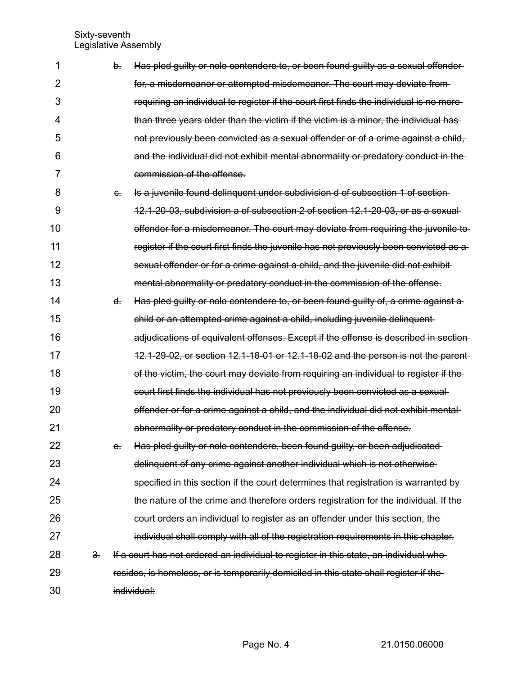| 1              |    | b.      | Has pled guilty or nolo contendere to, or been found guilty as a sexual offender-       |
|----------------|----|---------|-----------------------------------------------------------------------------------------|
| $\overline{2}$ |    |         | for, a misdemeanor or attempted misdemeanor. The court may deviate from-                |
| 3              |    |         | requiring an individual to register if the court first finds the individual is no more- |
| 4              |    |         | than three years older than the victim if the victim is a minor, the individual has-    |
| 5              |    |         | not previously been convicted as a sexual offender or of a crime against a child,       |
| 6              |    |         | and the individual did not exhibit mental abnormality or predatory conduct in the       |
| 7              |    |         | commission of the offense.                                                              |
| 8              |    | $e_{i}$ | Is a juvenile found delinquent under subdivision d of subsection 1 of section-          |
| 9              |    |         | 12.1-20-03, subdivision a of subsection 2 of section 12.1-20-03, or as a sexual-        |
| 10             |    |         | offender for a misdemeanor. The court may deviate from requiring the juvenile to        |
| 11             |    |         | register if the court first finds the juvenile has not previously been convicted as a   |
| 12             |    |         | sexual offender or for a crime against a child, and the juvenile did not exhibit        |
| 13             |    |         | mental abnormality or predatory conduct in the commission of the offense.               |
| 14             |    | ď.      | Has pled guilty or nolo contendere to, or been found guilty of, a crime against a       |
| 15             |    |         | child or an attempted crime against a child, including juvenile delinquent-             |
| 16             |    |         | adjudications of equivalent offenses. Except if the offense is described in section     |
| 17             |    |         | 12.1-29-02, or section 12.1-18-01 or 12.1-18-02 and the person is not the parent        |
| 18             |    |         | of the victim, the court may deviate from requiring an individual to register if the    |
| 19             |    |         | court first finds the individual has not previously been convicted as a sexual-         |
| 20             |    |         | offender or for a crime against a child, and the individual did not exhibit mental-     |
| 21             |    |         | abnormality or predatory conduct in the commission of the offense.                      |
| 22             |    | e.      | Has pled guilty or nolo contendere, been found guilty, or been adjudicated-             |
| 23             |    |         | delinquent of any crime against another individual which is not otherwise               |
| 24             |    |         | specified in this section if the court determines that registration is warranted by     |
| 25             |    |         | the nature of the crime and therefore orders registration for the individual. If the    |
| 26             |    |         | court orders an individual to register as an offender under this section, the           |
| 27             |    |         | individual shall comply with all of the registration requirements in this chapter.      |
| 28             | 3. |         | If a court has not ordered an individual to register in this state, an individual who-  |
| 29             |    |         | resides, is homeless, or is temporarily domiciled in this state shall register if the   |
| 30             |    |         | individual:                                                                             |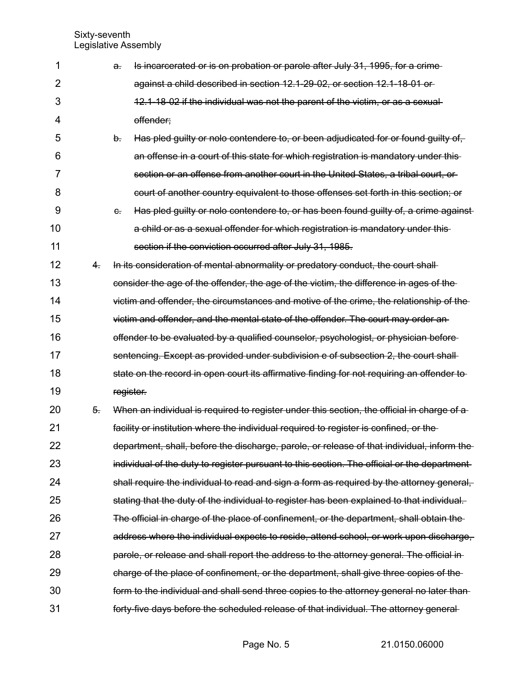| 1              |    | $\mathbf{a}$ | Is incarcerated or is on probation or parole after July 31, 1995, for a crime-              |
|----------------|----|--------------|---------------------------------------------------------------------------------------------|
| $\overline{2}$ |    |              | against a child described in section 12.1-29-02, or section 12.1-18-01 or-                  |
| 3              |    |              | 12.1-18-02 if the individual was not the parent of the victim, or as a sexual-              |
| 4              |    |              | offender;                                                                                   |
| 5              |    | b.           | Has pled guilty or nolo contendere to, or been adjudicated for or found guilty of,          |
| 6              |    |              | an offense in a court of this state for which registration is mandatory under this-         |
| 7              |    |              | section or an offense from another court in the United States, a tribal court, or           |
| 8              |    |              | court of another country equivalent to those offenses set forth in this section; or         |
| 9              |    | $e$ .        | Has pled guilty or nolo contendere to, or has been found guilty of, a crime against         |
| 10             |    |              | a child or as a sexual offender for which registration is mandatory under this-             |
| 11             |    |              | section if the conviction occurred after July 31, 1985.                                     |
| 12             | 4. |              | In its consideration of mental abnormality or predatory conduct, the court shall-           |
| 13             |    |              | consider the age of the offender, the age of the victim, the difference in ages of the      |
| 14             |    |              | victim and offender, the circumstances and motive of the crime, the relationship of the     |
| 15             |    |              | victim and offender, and the mental state of the offender. The court may order an-          |
| 16             |    |              | offender to be evaluated by a qualified counselor, psychologist, or physician before-       |
| 17             |    |              | sentencing. Except as provided under subdivision e of subsection 2, the court shall-        |
| 18             |    |              | state on the record in open court its affirmative finding for not requiring an offender to  |
| 19             |    |              | register.                                                                                   |
| 20             | 5. |              | When an individual is required to register under this section, the official in charge of a  |
| 21             |    |              | facility or institution where the individual required to register is confined, or the       |
| 22             |    |              | department, shall, before the discharge, parole, or release of that individual, inform the  |
| 23             |    |              | individual of the duty to register pursuant to this section. The official or the department |
| 24             |    |              | shall require the individual to read and sign a form as required by the attorney general,   |
| 25             |    |              | stating that the duty of the individual to register has been explained to that individual.  |
| 26             |    |              | The official in charge of the place of confinement, or the department, shall obtain the     |
| 27             |    |              | address where the individual expects to reside, attend school, or work upon discharge,      |
| 28             |    |              | parole, or release and shall report the address to the attorney general. The official in    |
| 29             |    |              | charge of the place of confinement, or the department, shall give three copies of the       |
| 30             |    |              | form to the individual and shall send three copies to the attorney general no later than    |
| 31             |    |              | forty-five days before the scheduled release of that individual. The attorney general-      |
|                |    |              |                                                                                             |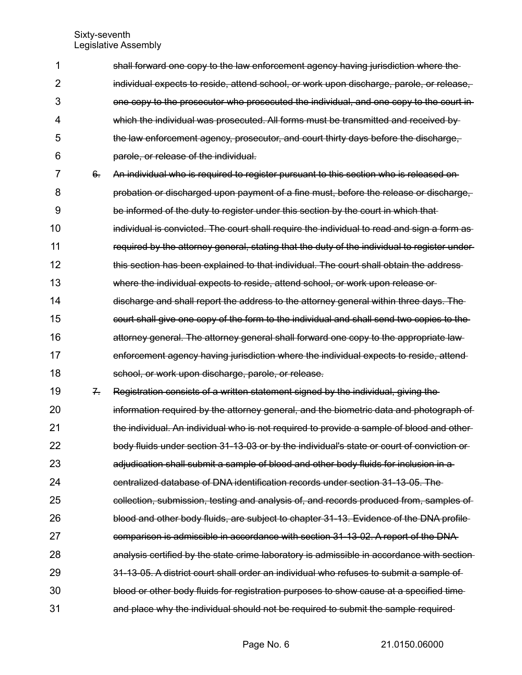| 1              |                             | shall forward one copy to the law enforcement agency having jurisdiction where the           |
|----------------|-----------------------------|----------------------------------------------------------------------------------------------|
| $\overline{2}$ |                             | individual expects to reside, attend school, or work upon discharge, parole, or release,     |
| 3              |                             | one copy to the prosecutor who prosecuted the individual, and one copy to the court in-      |
| 4              |                             | which the individual was prosecuted. All forms must be transmitted and received by           |
| 5              |                             | the law enforcement agency, prosecutor, and court thirty days before the discharge,          |
| 6              |                             | parole, or release of the individual.                                                        |
| 7              | $6 -$                       | An individual who is required to register pursuant to this section who is released on-       |
| 8              |                             | probation or discharged upon payment of a fine must, before the release or discharge,        |
| 9              |                             | be informed of the duty to register under this section by the court in which that            |
| 10             |                             | individual is convicted. The court shall require the individual to read and sign a form as-  |
| 11             |                             | required by the attorney general, stating that the duty of the individual to register under- |
| 12             |                             | this section has been explained to that individual. The court shall obtain the address-      |
| 13             |                             | where the individual expects to reside, attend school, or work upon release or               |
| 14             |                             | discharge and shall report the address to the attorney general within three days. The        |
| 15             |                             | court shall give one copy of the form to the individual and shall send two copies to the     |
| 16             |                             | attorney general. The attorney general shall forward one copy to the appropriate law-        |
| 17             |                             | enforcement agency having jurisdiction where the individual expects to reside, attend-       |
| 18             |                             | school, or work upon discharge, parole, or release.                                          |
| 19             | $\mathcal{F}_{\mathcal{F}}$ | Registration consists of a written statement signed by the individual, giving the            |
| 20             |                             | information required by the attorney general, and the biometric data and photograph of       |
| 21             |                             | the individual. An individual who is not required to provide a sample of blood and other-    |
| 22             |                             | body fluids under section 31-13-03 or by the individual's state or court of conviction or-   |
| 23             |                             | adjudication shall submit a sample of blood and other body fluids for inclusion in a         |
| 24             |                             | centralized database of DNA identification records under section 31-13-05. The               |
| 25             |                             | collection, submission, testing and analysis of, and records produced from, samples of       |
| 26             |                             | blood and other body fluids, are subject to chapter 31-13. Evidence of the DNA profile-      |
| 27             |                             | comparison is admissible in accordance with section 31-13-02. A report of the DNA            |
| 28             |                             | analysis certified by the state crime laboratory is admissible in accordance with section-   |
| 29             |                             | 31-13-05. A district court shall order an individual who refuses to submit a sample of       |
| 30             |                             | blood or other body fluids for registration purposes to show cause at a specified time       |
| 31             |                             | and place why the individual should not be required to submit the sample required-           |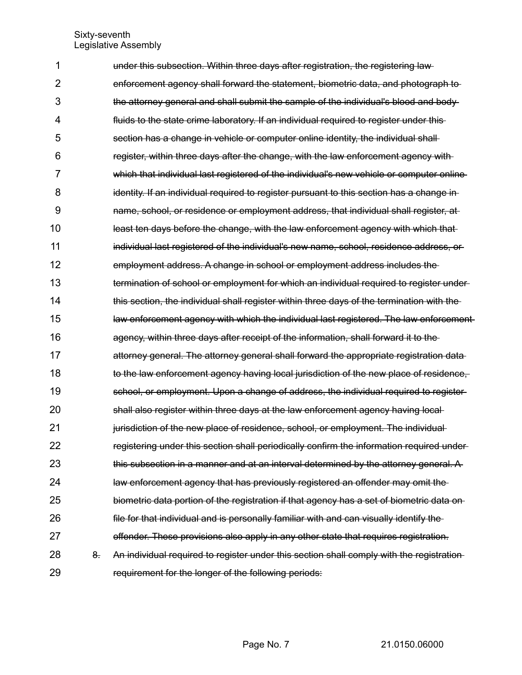| 1              |    | under this subsection. Within three days after registration, the registering law-         |
|----------------|----|-------------------------------------------------------------------------------------------|
| $\overline{2}$ |    | enforcement agency shall forward the statement, biometric data, and photograph to         |
| 3              |    | the attorney general and shall submit the sample of the individual's blood and body-      |
| 4              |    | fluids to the state crime laboratory. If an individual required to register under this-   |
| 5              |    | section has a change in vehicle or computer online identity, the individual shall-        |
| 6              |    | register, within three days after the change, with the law enforcement agency with        |
| 7              |    | which that individual last registered of the individual's new vehicle or computer online  |
| 8              |    | identity. If an individual required to register pursuant to this section has a change in  |
| 9              |    | name, school, or residence or employment address, that individual shall register, at      |
| 10             |    | least ten days before the change, with the law enforcement agency with which that         |
| 11             |    | individual last registered of the individual's new name, school, residence address, or    |
| 12             |    | employment address. A change in school or employment address includes the                 |
| 13             |    | termination of school or employment for which an individual required to register under-   |
| 14             |    | this section, the individual shall register within three days of the termination with the |
| 15             |    | law enforcement agency with which the individual last registered. The law enforcement     |
| 16             |    | agency, within three days after receipt of the information, shall forward it to the       |
| 17             |    | attorney general. The attorney general shall forward the appropriate registration data    |
| 18             |    | to the law enforcement agency having local jurisdiction of the new place of residence,    |
| 19             |    | school, or employment. Upon a change of address, the individual required to register-     |
| 20             |    | shall also register within three days at the law enforcement agency having local-         |
| 21             |    | jurisdiction of the new place of residence, school, or employment. The individual-        |
| 22             |    | registering under this section shall periodically confirm the information required under- |
| 23             |    | this subsection in a manner and at an interval determined by the attorney general. A      |
| 24             |    | law enforcement agency that has previously registered an offender may omit the            |
| 25             |    | biometric data portion of the registration if that agency has a set of biometric data on- |
| 26             |    | file for that individual and is personally familiar with and can visually identify the    |
| 27             |    | offender. These provisions also apply in any other state that requires registration.      |
| 28             | 8. | An individual required to register under this section shall comply with the registration- |
| 29             |    | requirement for the longer of the following periods:                                      |
|                |    |                                                                                           |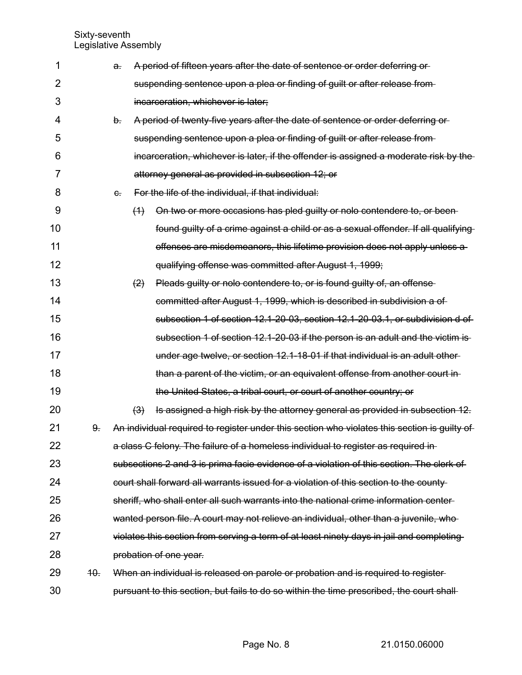| 1  |     | a. |     | A period of fifteen years after the date of sentence or order deferring or-                  |
|----|-----|----|-----|----------------------------------------------------------------------------------------------|
| 2  |     |    |     | suspending sentence upon a plea or finding of guilt or after release from-                   |
| 3  |     |    |     | incarceration, whichever is later;                                                           |
| 4  |     | b. |     | A period of twenty-five years after the date of sentence or order deferring or-              |
| 5  |     |    |     | suspending sentence upon a plea or finding of guilt or after release from-                   |
| 6  |     |    |     | incarceration, whichever is later, if the offender is assigned a moderate risk by the        |
| 7  |     |    |     | attorney general as provided in subsection 12; or                                            |
| 8  |     | e. |     | For the life of the individual, if that individual:                                          |
| 9  |     |    | (4) | On two or more occasions has pled guilty or nolo contendere to, or been-                     |
| 10 |     |    |     | found guilty of a crime against a child or as a sexual offender. If all qualifying           |
| 11 |     |    |     | offenses are misdemeanors, this lifetime provision does not apply unless a                   |
| 12 |     |    |     | qualifying offense was committed after August 1, 1999;                                       |
| 13 |     |    | (2) | Pleads guilty or nolo contendere to, or is found guilty of, an offense                       |
| 14 |     |    |     | committed after August 1, 1999, which is described in subdivision a of-                      |
| 15 |     |    |     | subsection 1 of section 12.1-20-03, section 12.1-20-03.1, or subdivision d of                |
| 16 |     |    |     | subsection 1 of section 12.1-20-03 if the person is an adult and the victim is-              |
| 17 |     |    |     | under age twelve, or section 12.1-18-01 if that individual is an adult other-                |
| 18 |     |    |     | than a parent of the victim, or an equivalent offense from another court in-                 |
| 19 |     |    |     | the United States, a tribal court, or court of another country; or                           |
| 20 |     |    | (3) | Is assigned a high risk by the attorney general as provided in subsection 12.                |
| 21 | 9.  |    |     | An individual required to register under this section who violates this section is guilty of |
| 22 |     |    |     | a class C felony. The failure of a homeless individual to register as required in-           |
| 23 |     |    |     | subsections 2 and 3 is prima facie evidence of a violation of this section. The clerk of     |
| 24 |     |    |     | court shall forward all warrants issued for a violation of this section to the county-       |
| 25 |     |    |     | sheriff, who shall enter all such warrants into the national crime information center-       |
| 26 |     |    |     | wanted person file. A court may not relieve an individual, other than a juvenile, who-       |
| 27 |     |    |     | violates this section from serving a term of at least ninety days in jail and completing     |
| 28 |     |    |     | probation of one year.                                                                       |
| 29 | 40. |    |     | When an individual is released on parole or probation and is required to register-           |
| 30 |     |    |     | pursuant to this section, but fails to do so within the time prescribed, the court shall-    |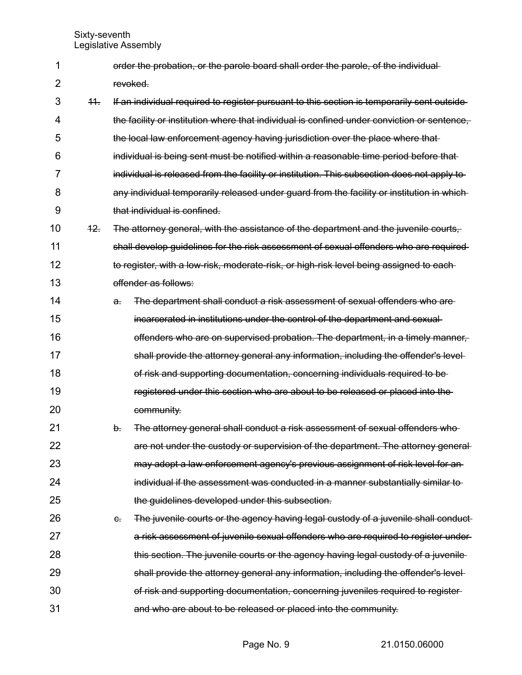order the probation, or the parole board shall order the parole, of the individual revoked. 1 2

11. If an individual required to register pursuant to this section is temporarily sent outside the facility or institution where that individual is confined under conviction or sentence, the local law enforcement agency having jurisdiction over the place where that individual is being sent must be notified within a reasonable time period before that individual is released from the facility or institution. This subsection does not apply to any individual temporarily released under guard from the facility or institution in whichthat individual is confined. 3 4 5 6 7 8 9

- 12. The attorney general, with the assistance of the department and the juvenile courts, shall develop guidelines for the risk assessment of sexual offenders who are required to register, with a low-risk, moderate-risk, or high-risk level being assigned to each offender as follows: 10 11 12 13
- a. The department shall conduct a risk assessment of sexual offenders who are incarcerated in institutions under the control of the department and sexual offenders who are on supervised probation. The department, in a timely manner, shall provide the attorney general any information, including the offender's level of risk and supporting documentation, concerning individuals required to be registered under this section who are about to be released or placed into the community. 14 15 16 17 18 19 20
- b. The attorney general shall conduct a risk assessment of sexual offenders who are not under the custody or supervision of the department. The attorney general may adopt a law enforcement agency's previous assignment of risk level for an individual if the assessment was conducted in a manner substantially similar to the guidelines developed under this subsection. 21 22 23 24 25
- c. The juvenile courts or the agency having legal custody of a juvenile shall conduct a risk assessment of juvenile sexual offenders who are required to register under this section. The juvenile courts or the agency having legal custody of a juvenile shall provide the attorney general any information, including the offender's level of risk and supporting documentation, concerning juveniles required to register and who are about to be released or placed into the community. 26 27 28 29 30 31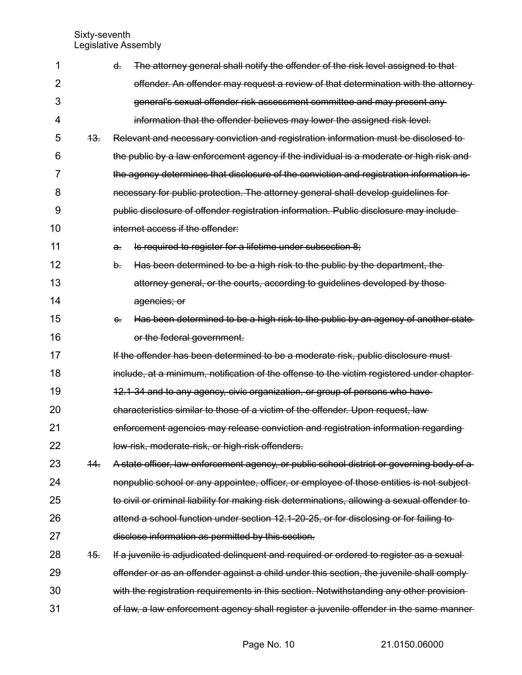| 1  |     | The attorney general shall notify the offender of the risk level assigned to that<br>ď             |
|----|-----|----------------------------------------------------------------------------------------------------|
| 2  |     | offender. An offender may request a review of that determination with the attorney                 |
| 3  |     | general's sexual offender risk assessment committee and may present any-                           |
| 4  |     | information that the offender believes may lower the assigned risk level.                          |
| 5  | 43. | Relevant and necessary conviction and registration information must be disclosed to-               |
| 6  |     | the public by a law enforcement agency if the individual is a moderate or high risk and-           |
| 7  |     | the agency determines that disclosure of the conviction and registration information is-           |
| 8  |     | necessary for public protection. The attorney general shall develop guidelines for                 |
| 9  |     | public disclosure of offender registration information. Public disclosure may include              |
| 10 |     | internet access if the offender:                                                                   |
| 11 |     | Is required to register for a lifetime under subsection 8;<br><del>a.</del>                        |
| 12 |     | b.<br>Has been determined to be a high risk to the public by the department, the                   |
| 13 |     | attorney general, or the courts, according to guidelines developed by those                        |
| 14 |     | agencies; or                                                                                       |
| 15 |     | Has been determined to be a high risk to the public by an agency of another state-<br>$\epsilon$ . |
| 16 |     | or the federal government.                                                                         |
| 17 |     | If the offender has been determined to be a moderate risk, public disclosure must                  |
| 18 |     | include, at a minimum, notification of the offense to the victim registered under chapter-         |
| 19 |     | 12.1-34 and to any agency, civic organization, or group of persons who have                        |
| 20 |     | characteristics similar to those of a victim of the offender. Upon request, law-                   |
| 21 |     | enforcement agencies may release conviction and registration information regarding                 |
| 22 |     | low-risk, moderate-risk, or high-risk offenders.                                                   |
| 23 | 44. | A state officer, law enforcement agency, or public school district or governing body of a          |
| 24 |     | nonpublic school or any appointee, officer, or employee of those entities is not subject-          |
| 25 |     | to civil or criminal liability for making risk determinations, allowing a sexual offender to       |
| 26 |     | attend a school function under section 12.1-20-25, or for disclosing or for failing to             |
| 27 |     | disclose information as permitted by this section.                                                 |
| 28 | 45. | If a juvenile is adjudicated delinguent and required or ordered to register as a sexual-           |
| 29 |     | offender or as an offender against a child under this section, the juvenile shall comply-          |
| 30 |     | with the registration requirements in this section. Notwithstanding any other provision-           |
| 31 |     | of law, a law enforcement agency shall register a juvenile offender in the same manner-            |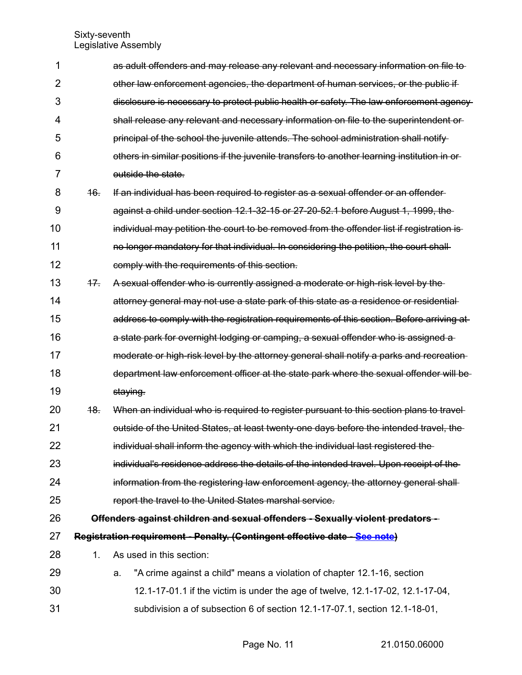| 1              |       | as adult offenders and may release any relevant and necessary information on file to         |  |  |  |
|----------------|-------|----------------------------------------------------------------------------------------------|--|--|--|
| 2              |       | other law enforcement agencies, the department of human services, or the public if           |  |  |  |
| 3              |       | disclosure is necessary to protect public health or safety. The law enforcement agency-      |  |  |  |
| 4              |       | shall release any relevant and necessary information on file to the superintendent or-       |  |  |  |
| 5              |       | principal of the school the juvenile attends. The school administration shall notify-        |  |  |  |
| 6              |       | others in similar positions if the juvenile transfers to another learning institution in or- |  |  |  |
| $\overline{7}$ |       | outside the state.                                                                           |  |  |  |
| 8              | 46.   | If an individual has been required to register as a sexual offender or an offender           |  |  |  |
| 9              |       | against a child under section 12.1-32-15 or 27-20-52.1 before August 1, 1999, the            |  |  |  |
| 10             |       | individual may petition the court to be removed from the offender list if registration is-   |  |  |  |
| 11             |       | no longer mandatory for that individual. In considering the petition, the court shall-       |  |  |  |
| 12             |       | comply with the requirements of this section.                                                |  |  |  |
| 13             | $+7.$ | A sexual offender who is currently assigned a moderate or high-risk level by the             |  |  |  |
| 14             |       | attorney general may not use a state park of this state as a residence or residential        |  |  |  |
| 15             |       | address to comply with the registration requirements of this section. Before arriving at     |  |  |  |
| 16             |       | a state park for overnight lodging or camping, a sexual offender who is assigned a           |  |  |  |
| 17             |       | moderate or high-risk level by the attorney general shall notify a parks and recreation-     |  |  |  |
| 18             |       | department law enforcement officer at the state park where the sexual offender will be-      |  |  |  |
| 19             |       | staying.                                                                                     |  |  |  |
| 20             | 48.   | When an individual who is required to register pursuant to this section plans to travel-     |  |  |  |
| 21             |       | outside of the United States, at least twenty-one days before the intended travel, the       |  |  |  |
| 22             |       | individual shall inform the agency with which the individual last registered the             |  |  |  |
| 23             |       | individual's residence address the details of the intended travel. Upon receipt of the-      |  |  |  |
| 24             |       | information from the registering law enforcement agency, the attorney general shall-         |  |  |  |
| 25             |       | report the travel to the United States marshal service.                                      |  |  |  |
| 26             |       | Offenders against children and sexual offenders - Sexually violent predators --              |  |  |  |
| 27             |       | Registration requirement - Penalty. (Contingent effective date - See note)                   |  |  |  |
| 28             | 1.    | As used in this section:                                                                     |  |  |  |
| 29             |       | "A crime against a child" means a violation of chapter 12.1-16, section<br>a.                |  |  |  |
| 30             |       | 12.1-17-01.1 if the victim is under the age of twelve, 12.1-17-02, 12.1-17-04,               |  |  |  |
| 31             |       | subdivision a of subsection 6 of section 12.1-17-07.1, section 12.1-18-01,                   |  |  |  |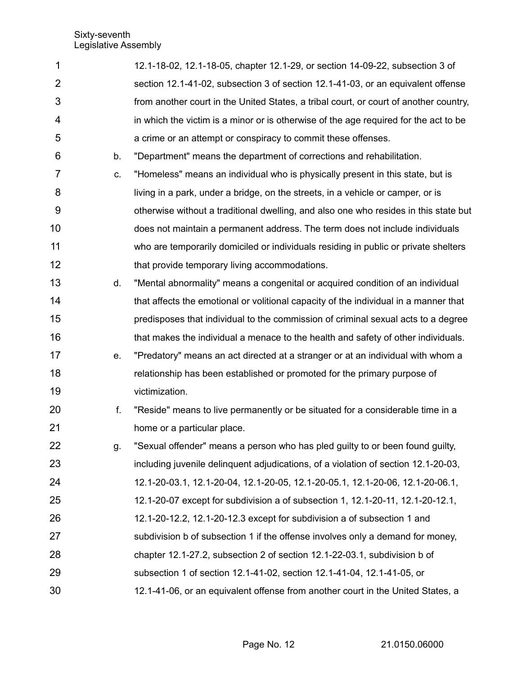| 1              |    | 12.1-18-02, 12.1-18-05, chapter 12.1-29, or section 14-09-22, subsection 3 of         |
|----------------|----|---------------------------------------------------------------------------------------|
| $\overline{2}$ |    | section 12.1-41-02, subsection 3 of section 12.1-41-03, or an equivalent offense      |
| 3              |    | from another court in the United States, a tribal court, or court of another country, |
| 4              |    | in which the victim is a minor or is otherwise of the age required for the act to be  |
| 5              |    | a crime or an attempt or conspiracy to commit these offenses.                         |
| 6              | b. | "Department" means the department of corrections and rehabilitation.                  |
| 7              | C. | "Homeless" means an individual who is physically present in this state, but is        |
| 8              |    | living in a park, under a bridge, on the streets, in a vehicle or camper, or is       |
| 9              |    | otherwise without a traditional dwelling, and also one who resides in this state but  |
| 10             |    | does not maintain a permanent address. The term does not include individuals          |
| 11             |    | who are temporarily domiciled or individuals residing in public or private shelters   |
| 12             |    | that provide temporary living accommodations.                                         |
| 13             | d. | "Mental abnormality" means a congenital or acquired condition of an individual        |
| 14             |    | that affects the emotional or volitional capacity of the individual in a manner that  |
| 15             |    | predisposes that individual to the commission of criminal sexual acts to a degree     |
| 16             |    | that makes the individual a menace to the health and safety of other individuals.     |
| 17             | e. | "Predatory" means an act directed at a stranger or at an individual with whom a       |
| 18             |    | relationship has been established or promoted for the primary purpose of              |
| 19             |    | victimization.                                                                        |
| 20             | f. | "Reside" means to live permanently or be situated for a considerable time in a        |
| 21             |    | home or a particular place.                                                           |
| 22             | g. | "Sexual offender" means a person who has pled guilty to or been found guilty,         |
| 23             |    | including juvenile delinguent adjudications, of a violation of section 12.1-20-03,    |
| 24             |    | 12.1-20-03.1, 12.1-20-04, 12.1-20-05, 12.1-20-05.1, 12.1-20-06, 12.1-20-06.1,         |
| 25             |    | 12.1-20-07 except for subdivision a of subsection 1, 12.1-20-11, 12.1-20-12.1,        |
| 26             |    | 12.1-20-12.2, 12.1-20-12.3 except for subdivision a of subsection 1 and               |
| 27             |    | subdivision b of subsection 1 if the offense involves only a demand for money,        |
| 28             |    | chapter 12.1-27.2, subsection 2 of section 12.1-22-03.1, subdivision b of             |
| 29             |    | subsection 1 of section 12.1-41-02, section 12.1-41-04, 12.1-41-05, or                |
| 30             |    | 12.1-41-06, or an equivalent offense from another court in the United States, a       |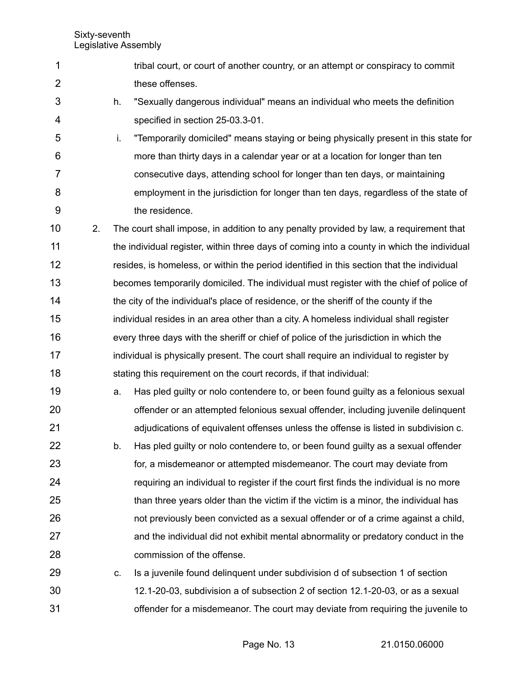- tribal court, or court of another country, or an attempt or conspiracy to commit these offenses. 1 2
- h. "Sexually dangerous individual" means an individual who meets the definition specified in section 25-03.3-01. 3 4
- i. "Temporarily domiciled" means staying or being physically present in this state for more than thirty days in a calendar year or at a location for longer than ten consecutive days, attending school for longer than ten days, or maintaining employment in the jurisdiction for longer than ten days, regardless of the state of the residence. 5 6 7 8 9
- 2. The court shall impose, in addition to any penalty provided by law, a requirement that the individual register, within three days of coming into a county in which the individual resides, is homeless, or within the period identified in this section that the individual becomes temporarily domiciled. The individual must register with the chief of police of the city of the individual's place of residence, or the sheriff of the county if the individual resides in an area other than a city. A homeless individual shall register every three days with the sheriff or chief of police of the jurisdiction in which the individual is physically present. The court shall require an individual to register by stating this requirement on the court records, if that individual: 10 11 12 13 14 15 16 17 18
- a. Has pled guilty or nolo contendere to, or been found guilty as a felonious sexual offender or an attempted felonious sexual offender, including juvenile delinquent adjudications of equivalent offenses unless the offense is listed in subdivision c. 19 20 21
- b. Has pled guilty or nolo contendere to, or been found guilty as a sexual offender for, a misdemeanor or attempted misdemeanor. The court may deviate from requiring an individual to register if the court first finds the individual is no more than three years older than the victim if the victim is a minor, the individual has not previously been convicted as a sexual offender or of a crime against a child, and the individual did not exhibit mental abnormality or predatory conduct in the commission of the offense. 22 23 24 25 26 27 28
- c. Is a juvenile found delinquent under subdivision d of subsection 1 of section 12.1-20-03, subdivision a of subsection 2 of section 12.1-20-03, or as a sexual offender for a misdemeanor. The court may deviate from requiring the juvenile to 29 30 31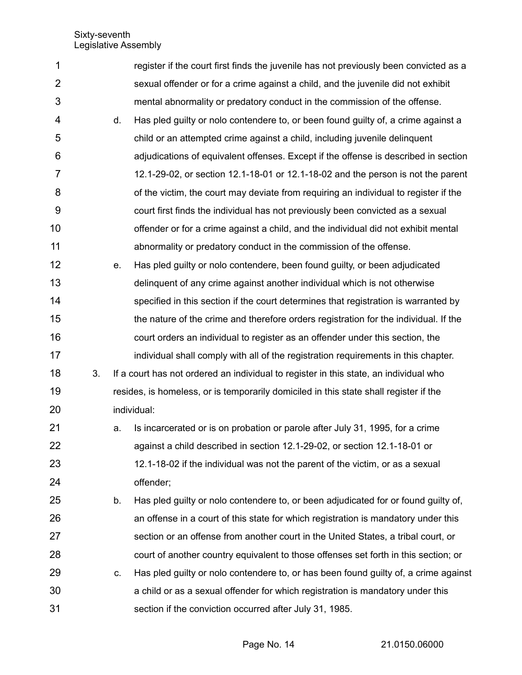| 1              |    |    | register if the court first finds the juvenile has not previously been convicted as a |
|----------------|----|----|---------------------------------------------------------------------------------------|
| $\overline{2}$ |    |    | sexual offender or for a crime against a child, and the juvenile did not exhibit      |
| 3              |    |    | mental abnormality or predatory conduct in the commission of the offense.             |
| 4              |    | d. | Has pled guilty or nolo contendere to, or been found guilty of, a crime against a     |
| 5              |    |    | child or an attempted crime against a child, including juvenile delinquent            |
| 6              |    |    | adjudications of equivalent offenses. Except if the offense is described in section   |
| 7              |    |    | 12.1-29-02, or section 12.1-18-01 or 12.1-18-02 and the person is not the parent      |
| 8              |    |    | of the victim, the court may deviate from requiring an individual to register if the  |
| 9              |    |    | court first finds the individual has not previously been convicted as a sexual        |
| 10             |    |    | offender or for a crime against a child, and the individual did not exhibit mental    |
| 11             |    |    | abnormality or predatory conduct in the commission of the offense.                    |
| 12             |    | е. | Has pled guilty or nolo contendere, been found guilty, or been adjudicated            |
| 13             |    |    | delinquent of any crime against another individual which is not otherwise             |
| 14             |    |    | specified in this section if the court determines that registration is warranted by   |
| 15             |    |    | the nature of the crime and therefore orders registration for the individual. If the  |
| 16             |    |    | court orders an individual to register as an offender under this section, the         |
| 17             |    |    | individual shall comply with all of the registration requirements in this chapter.    |
| 18             | 3. |    | If a court has not ordered an individual to register in this state, an individual who |
| 19             |    |    | resides, is homeless, or is temporarily domiciled in this state shall register if the |
| 20             |    |    | individual:                                                                           |
| 21             |    | a. | Is incarcerated or is on probation or parole after July 31, 1995, for a crime         |
| 22             |    |    | against a child described in section 12.1-29-02, or section 12.1-18-01 or             |
| 23             |    |    | 12.1-18-02 if the individual was not the parent of the victim, or as a sexual         |
| 24             |    |    | offender;                                                                             |
| 25             |    | b. | Has pled guilty or nolo contendere to, or been adjudicated for or found guilty of,    |
| 26             |    |    | an offense in a court of this state for which registration is mandatory under this    |
| 27             |    |    | section or an offense from another court in the United States, a tribal court, or     |
| 28             |    |    | court of another country equivalent to those offenses set forth in this section; or   |
| 29             |    | c. | Has pled guilty or nolo contendere to, or has been found guilty of, a crime against   |
| 30             |    |    | a child or as a sexual offender for which registration is mandatory under this        |
| 31             |    |    | section if the conviction occurred after July 31, 1985.                               |

Page No. 14 21.0150.06000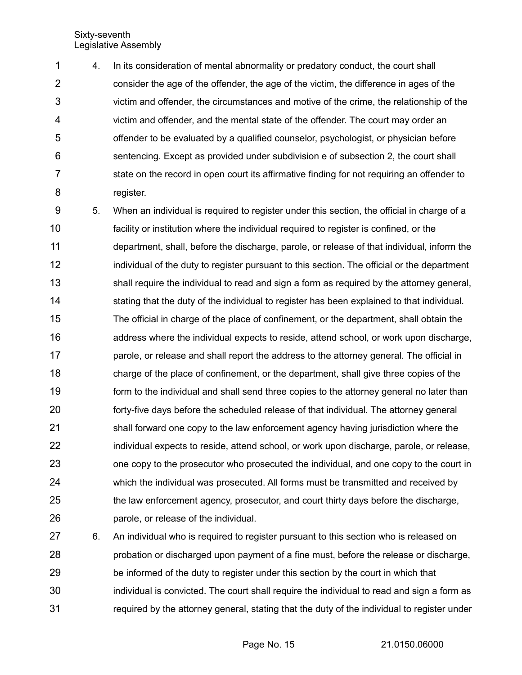4. In its consideration of mental abnormality or predatory conduct, the court shall consider the age of the offender, the age of the victim, the difference in ages of the victim and offender, the circumstances and motive of the crime, the relationship of the victim and offender, and the mental state of the offender. The court may order an offender to be evaluated by a qualified counselor, psychologist, or physician before sentencing. Except as provided under subdivision e of subsection 2, the court shall state on the record in open court its affirmative finding for not requiring an offender to register. 1 2 3 4 5 6 7 8

5. When an individual is required to register under this section, the official in charge of a facility or institution where the individual required to register is confined, or the department, shall, before the discharge, parole, or release of that individual, inform the individual of the duty to register pursuant to this section. The official or the department shall require the individual to read and sign a form as required by the attorney general, stating that the duty of the individual to register has been explained to that individual. The official in charge of the place of confinement, or the department, shall obtain the address where the individual expects to reside, attend school, or work upon discharge, parole, or release and shall report the address to the attorney general. The official in charge of the place of confinement, or the department, shall give three copies of the form to the individual and shall send three copies to the attorney general no later than forty-five days before the scheduled release of that individual. The attorney general shall forward one copy to the law enforcement agency having jurisdiction where the individual expects to reside, attend school, or work upon discharge, parole, or release, one copy to the prosecutor who prosecuted the individual, and one copy to the court in which the individual was prosecuted. All forms must be transmitted and received by the law enforcement agency, prosecutor, and court thirty days before the discharge, parole, or release of the individual. 9 10 11 12 13 14 15 16 17 18 19 20 21 22 23 24 25 26

6. An individual who is required to register pursuant to this section who is released on probation or discharged upon payment of a fine must, before the release or discharge, be informed of the duty to register under this section by the court in which that individual is convicted. The court shall require the individual to read and sign a form as required by the attorney general, stating that the duty of the individual to register under 27 28 29 30 31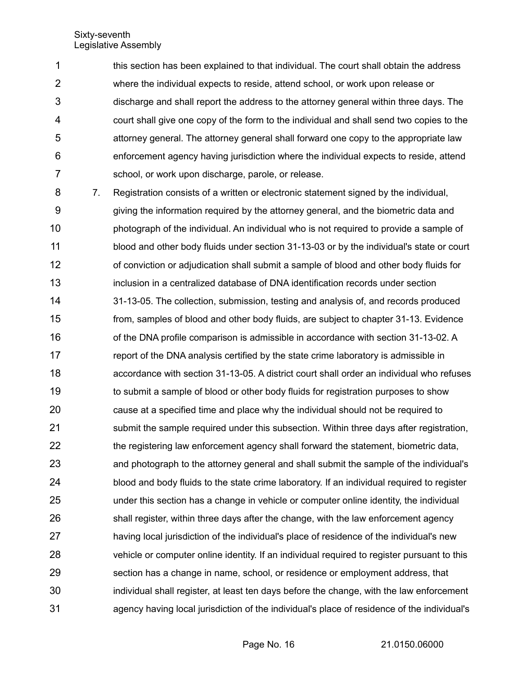this section has been explained to that individual. The court shall obtain the address where the individual expects to reside, attend school, or work upon release or discharge and shall report the address to the attorney general within three days. The court shall give one copy of the form to the individual and shall send two copies to the attorney general. The attorney general shall forward one copy to the appropriate law enforcement agency having jurisdiction where the individual expects to reside, attend school, or work upon discharge, parole, or release. 1 2 3 4 5 6 7

7. Registration consists of a written or electronic statement signed by the individual, giving the information required by the attorney general, and the biometric data and photograph of the individual. An individual who is not required to provide a sample of blood and other body fluids under section 31-13-03 or by the individual's state or court of conviction or adjudication shall submit a sample of blood and other body fluids for inclusion in a centralized database of DNA identification records under section 31-13-05. The collection, submission, testing and analysis of, and records produced from, samples of blood and other body fluids, are subject to chapter 31-13. Evidence of the DNA profile comparison is admissible in accordance with section 31-13-02. A report of the DNA analysis certified by the state crime laboratory is admissible in accordance with section 31-13-05. A district court shall order an individual who refuses to submit a sample of blood or other body fluids for registration purposes to show cause at a specified time and place why the individual should not be required to submit the sample required under this subsection. Within three days after registration, the registering law enforcement agency shall forward the statement, biometric data, and photograph to the attorney general and shall submit the sample of the individual's blood and body fluids to the state crime laboratory. If an individual required to register under this section has a change in vehicle or computer online identity, the individual shall register, within three days after the change, with the law enforcement agency having local jurisdiction of the individual's place of residence of the individual's new vehicle or computer online identity. If an individual required to register pursuant to this section has a change in name, school, or residence or employment address, that individual shall register, at least ten days before the change, with the law enforcement agency having local jurisdiction of the individual's place of residence of the individual's 8 9 10 11 12 13 14 15 16 17 18 19 20 21 22 23 24 25 26 27 28 29 30 31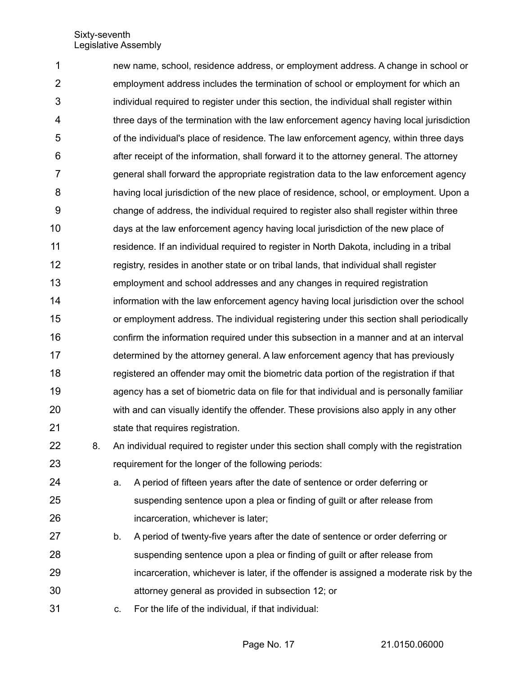new name, school, residence address, or employment address. A change in school or employment address includes the termination of school or employment for which an individual required to register under this section, the individual shall register within three days of the termination with the law enforcement agency having local jurisdiction of the individual's place of residence. The law enforcement agency, within three days after receipt of the information, shall forward it to the attorney general. The attorney general shall forward the appropriate registration data to the law enforcement agency having local jurisdiction of the new place of residence, school, or employment. Upon a change of address, the individual required to register also shall register within three days at the law enforcement agency having local jurisdiction of the new place of residence. If an individual required to register in North Dakota, including in a tribal registry, resides in another state or on tribal lands, that individual shall register employment and school addresses and any changes in required registration information with the law enforcement agency having local jurisdiction over the school or employment address. The individual registering under this section shall periodically confirm the information required under this subsection in a manner and at an interval determined by the attorney general. A law enforcement agency that has previously registered an offender may omit the biometric data portion of the registration if that agency has a set of biometric data on file for that individual and is personally familiar with and can visually identify the offender. These provisions also apply in any other state that requires registration. 1 2 3 4 5 6 7 8 9 10 11 12 13 14 15 16 17 18 19 20 21

- 8. An individual required to register under this section shall comply with the registration requirement for the longer of the following periods: 22 23
- a. A period of fifteen years after the date of sentence or order deferring or suspending sentence upon a plea or finding of guilt or after release from incarceration, whichever is later; 24 25 26
- b. A period of twenty-five years after the date of sentence or order deferring or suspending sentence upon a plea or finding of guilt or after release from incarceration, whichever is later, if the offender is assigned a moderate risk by the attorney general as provided in subsection 12; or 27 28 29 30
- c. For the life of the individual, if that individual: 31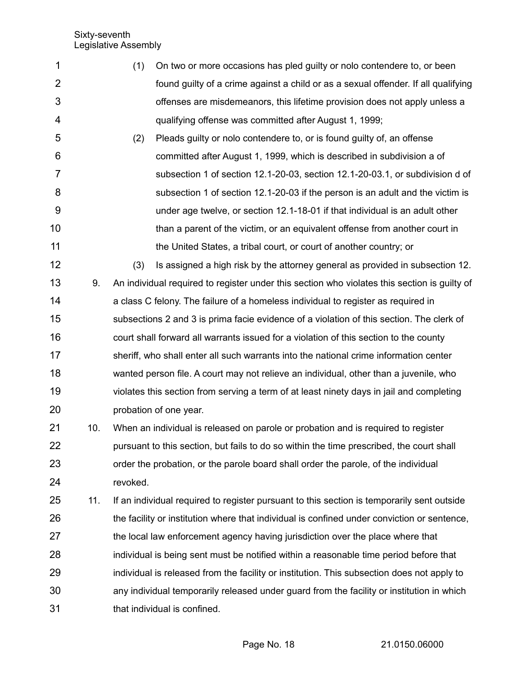- (1) On two or more occasions has pled guilty or nolo contendere to, or been found guilty of a crime against a child or as a sexual offender. If all qualifying offenses are misdemeanors, this lifetime provision does not apply unless a qualifying offense was committed after August 1, 1999; 1 2 3 4
- (2) Pleads guilty or nolo contendere to, or is found guilty of, an offense committed after August 1, 1999, which is described in subdivision a of subsection 1 of section 12.1-20-03, section 12.1-20-03.1, or subdivision d of subsection 1 of section 12.1-20-03 if the person is an adult and the victim is under age twelve, or section 12.1-18-01 if that individual is an adult other than a parent of the victim, or an equivalent offense from another court in the United States, a tribal court, or court of another country; or 5 6 7 8 9 10 11
- (3) Is assigned a high risk by the attorney general as provided in subsection 12. 9. An individual required to register under this section who violates this section is guilty of a class C felony. The failure of a homeless individual to register as required in subsections 2 and 3 is prima facie evidence of a violation of this section. The clerk of court shall forward all warrants issued for a violation of this section to the county sheriff, who shall enter all such warrants into the national crime information center wanted person file. A court may not relieve an individual, other than a juvenile, who violates this section from serving a term of at least ninety days in jail and completing probation of one year. 12 13 14 15 16 17 18 19 20
- 10. When an individual is released on parole or probation and is required to register pursuant to this section, but fails to do so within the time prescribed, the court shall order the probation, or the parole board shall order the parole, of the individual revoked. 21 22 23 24
- 11. If an individual required to register pursuant to this section is temporarily sent outside the facility or institution where that individual is confined under conviction or sentence, the local law enforcement agency having jurisdiction over the place where that individual is being sent must be notified within a reasonable time period before that individual is released from the facility or institution. This subsection does not apply to any individual temporarily released under guard from the facility or institution in which that individual is confined. 25 26 27 28 29 30 31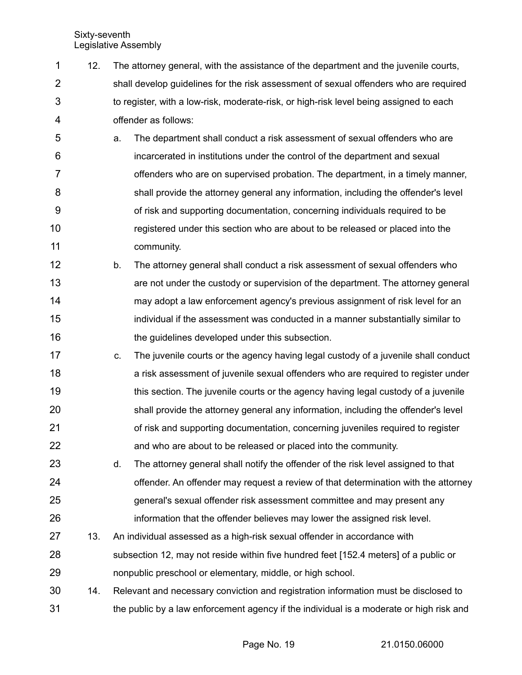- 12. The attorney general, with the assistance of the department and the juvenile courts, shall develop guidelines for the risk assessment of sexual offenders who are required to register, with a low-risk, moderate-risk, or high-risk level being assigned to each offender as follows: 1 2 3 4
- a. The department shall conduct a risk assessment of sexual offenders who are incarcerated in institutions under the control of the department and sexual offenders who are on supervised probation. The department, in a timely manner, shall provide the attorney general any information, including the offender's level of risk and supporting documentation, concerning individuals required to be registered under this section who are about to be released or placed into the community. 5 6 7 8 9 10 11
- b. The attorney general shall conduct a risk assessment of sexual offenders who are not under the custody or supervision of the department. The attorney general may adopt a law enforcement agency's previous assignment of risk level for an individual if the assessment was conducted in a manner substantially similar to the guidelines developed under this subsection. 12 13 14 15 16
- c. The juvenile courts or the agency having legal custody of a juvenile shall conduct a risk assessment of juvenile sexual offenders who are required to register under this section. The juvenile courts or the agency having legal custody of a juvenile shall provide the attorney general any information, including the offender's level of risk and supporting documentation, concerning juveniles required to register and who are about to be released or placed into the community. 17 18 19 20 21 22
- d. The attorney general shall notify the offender of the risk level assigned to that offender. An offender may request a review of that determination with the attorney general's sexual offender risk assessment committee and may present any information that the offender believes may lower the assigned risk level. 23 24 25 26
- 13. An individual assessed as a high-risk sexual offender in accordance with subsection 12, may not reside within five hundred feet [152.4 meters] of a public or nonpublic preschool or elementary, middle, or high school. 27 28 29
- 14. Relevant and necessary conviction and registration information must be disclosed to the public by a law enforcement agency if the individual is a moderate or high risk and 30 31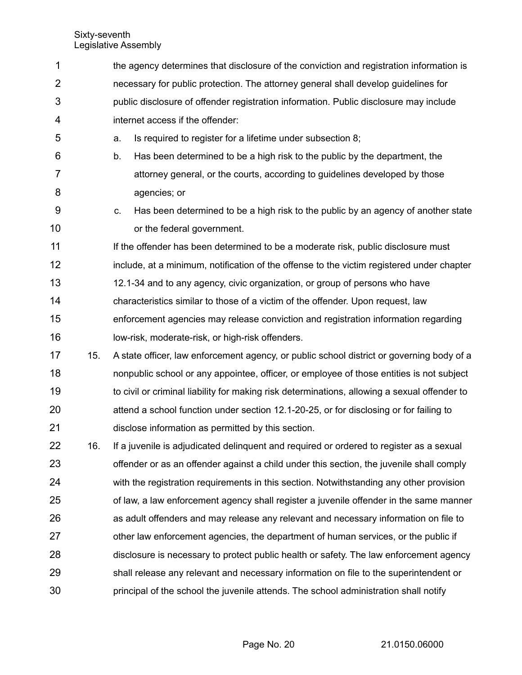the agency determines that disclosure of the conviction and registration information is necessary for public protection. The attorney general shall develop guidelines for public disclosure of offender registration information. Public disclosure may include internet access if the offender: a. Is required to register for a lifetime under subsection 8; b. Has been determined to be a high risk to the public by the department, the attorney general, or the courts, according to guidelines developed by those agencies; or c. Has been determined to be a high risk to the public by an agency of another state or the federal government. If the offender has been determined to be a moderate risk, public disclosure must include, at a minimum, notification of the offense to the victim registered under chapter 12.1-34 and to any agency, civic organization, or group of persons who have characteristics similar to those of a victim of the offender. Upon request, law enforcement agencies may release conviction and registration information regarding low-risk, moderate-risk, or high-risk offenders. 15. A state officer, law enforcement agency, or public school district or governing body of a nonpublic school or any appointee, officer, or employee of those entities is not subject to civil or criminal liability for making risk determinations, allowing a sexual offender to attend a school function under section 12.1-20-25, or for disclosing or for failing to disclose information as permitted by this section. 16. If a juvenile is adjudicated delinquent and required or ordered to register as a sexual offender or as an offender against a child under this section, the juvenile shall comply with the registration requirements in this section. Notwithstanding any other provision of law, a law enforcement agency shall register a juvenile offender in the same manner as adult offenders and may release any relevant and necessary information on file to other law enforcement agencies, the department of human services, or the public if disclosure is necessary to protect public health or safety. The law enforcement agency shall release any relevant and necessary information on file to the superintendent or principal of the school the juvenile attends. The school administration shall notify 1 2 3 4 5 6 7 8 9 10 11 12 13 14 15 16 17 18 19 20 21 22 23 24 25 26 27 28 29 30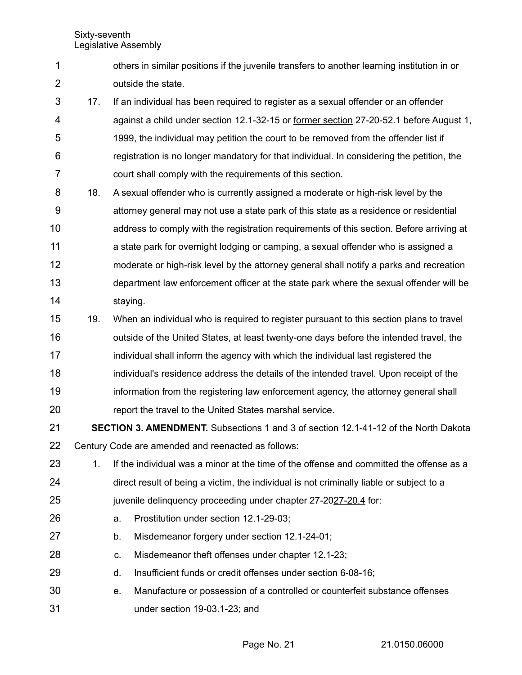- others in similar positions if the juvenile transfers to another learning institution in or outside the state. 1 2
- 17. If an individual has been required to register as a sexual offender or an offender against a child under section 12.1-32-15 or former section 27-20-52.1 before August 1, 1999, the individual may petition the court to be removed from the offender list if registration is no longer mandatory for that individual. In considering the petition, the court shall comply with the requirements of this section. 3 4 5 6 7
- 18. A sexual offender who is currently assigned a moderate or high-risk level by the attorney general may not use a state park of this state as a residence or residential address to comply with the registration requirements of this section. Before arriving at a state park for overnight lodging or camping, a sexual offender who is assigned a moderate or high-risk level by the attorney general shall notify a parks and recreation department law enforcement officer at the state park where the sexual offender will be staying. 8 9 10 11 12 13 14
- 19. When an individual who is required to register pursuant to this section plans to travel 15
- outside of the United States, at least twenty-one days before the intended travel, the individual shall inform the agency with which the individual last registered the individual's residence address the details of the intended travel. Upon receipt of the 16 17 18 19
- information from the registering law enforcement agency, the attorney general shall report the travel to the United States marshal service. 20
- **SECTION 3. AMENDMENT.** Subsections 1 and 3 of section 12.1-41-12 of the North Dakota Century Code are amended and reenacted as follows: 21 22
- 1. If the individual was a minor at the time of the offense and committed the offense as a direct result of being a victim, the individual is not criminally liable or subject to a juvenile delinquency proceeding under chapter 27-2027-20.4 for: 23 24 25
- a. Prostitution under section 12.1-29-03; 26
- b. Misdemeanor forgery under section 12.1-24-01; 27
- c. Misdemeanor theft offenses under chapter 12.1-23; 28
- d. Insufficient funds or credit offenses under section 6-08-16; 29
- e. Manufacture or possession of a controlled or counterfeit substance offenses under section 19-03.1-23; and 30 31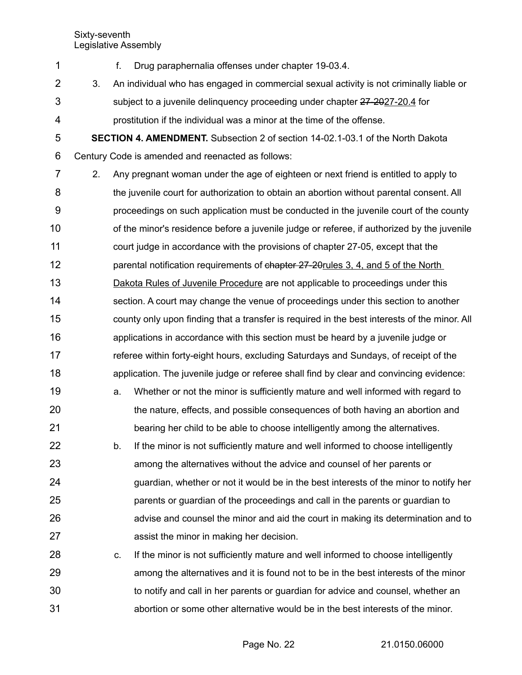- f. Drug paraphernalia offenses under chapter 19-03.4. 3. An individual who has engaged in commercial sexual activity is not criminally liable or subject to a juvenile delinquency proceeding under chapter 27-2027-20.4 for prostitution if the individual was a minor at the time of the offense. **SECTION 4. AMENDMENT.** Subsection 2 of section 14-02.1-03.1 of the North Dakota Century Code is amended and reenacted as follows: 2. Any pregnant woman under the age of eighteen or next friend is entitled to apply to the juvenile court for authorization to obtain an abortion without parental consent. All proceedings on such application must be conducted in the juvenile court of the county of the minor's residence before a juvenile judge or referee, if authorized by the juvenile court judge in accordance with the provisions of chapter 27-05, except that the parental notification requirements of chapter 27-20rules 3, 4, and 5 of the North Dakota Rules of Juvenile Procedure are not applicable to proceedings under this section. A court may change the venue of proceedings under this section to another county only upon finding that a transfer is required in the best interests of the minor. All applications in accordance with this section must be heard by a juvenile judge or referee within forty-eight hours, excluding Saturdays and Sundays, of receipt of the application. The juvenile judge or referee shall find by clear and convincing evidence: a. Whether or not the minor is sufficiently mature and well informed with regard to the nature, effects, and possible consequences of both having an abortion and bearing her child to be able to choose intelligently among the alternatives. b. If the minor is not sufficiently mature and well informed to choose intelligently among the alternatives without the advice and counsel of her parents or guardian, whether or not it would be in the best interests of the minor to notify her parents or guardian of the proceedings and call in the parents or guardian to advise and counsel the minor and aid the court in making its determination and to assist the minor in making her decision. 1 2 3 4 5 6 7 8 9 10 11 12 13 14 15 16 17 18 19 20 21 22 23 24 25 26 27
- c. If the minor is not sufficiently mature and well informed to choose intelligently among the alternatives and it is found not to be in the best interests of the minor to notify and call in her parents or guardian for advice and counsel, whether an abortion or some other alternative would be in the best interests of the minor. 28 29 30 31

Page No. 22 21.0150.06000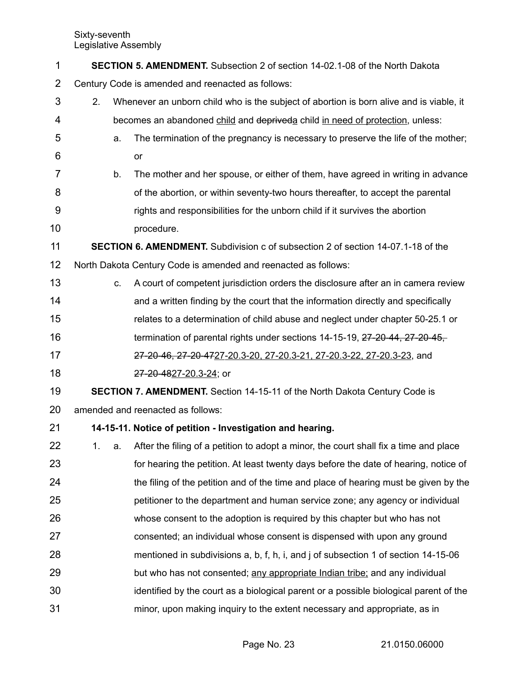| 1              | <b>SECTION 5. AMENDMENT.</b> Subsection 2 of section 14-02.1-08 of the North Dakota |                                                                                         |                                                                                         |  |  |
|----------------|-------------------------------------------------------------------------------------|-----------------------------------------------------------------------------------------|-----------------------------------------------------------------------------------------|--|--|
| $\overline{2}$ | Century Code is amended and reenacted as follows:                                   |                                                                                         |                                                                                         |  |  |
| 3              | 2.                                                                                  | Whenever an unborn child who is the subject of abortion is born alive and is viable, it |                                                                                         |  |  |
| 4              |                                                                                     |                                                                                         | becomes an abandoned child and depriveda child in need of protection, unless:           |  |  |
| 5              |                                                                                     | a.                                                                                      | The termination of the pregnancy is necessary to preserve the life of the mother;       |  |  |
| 6              |                                                                                     |                                                                                         | or                                                                                      |  |  |
| 7              |                                                                                     | b.                                                                                      | The mother and her spouse, or either of them, have agreed in writing in advance         |  |  |
| 8              |                                                                                     |                                                                                         | of the abortion, or within seventy-two hours thereafter, to accept the parental         |  |  |
| 9              |                                                                                     |                                                                                         | rights and responsibilities for the unborn child if it survives the abortion            |  |  |
| 10             |                                                                                     |                                                                                         | procedure.                                                                              |  |  |
| 11             |                                                                                     |                                                                                         | <b>SECTION 6. AMENDMENT.</b> Subdivision c of subsection 2 of section 14-07.1-18 of the |  |  |
| 12             |                                                                                     |                                                                                         | North Dakota Century Code is amended and reenacted as follows:                          |  |  |
| 13             |                                                                                     | C.                                                                                      | A court of competent jurisdiction orders the disclosure after an in camera review       |  |  |
| 14             |                                                                                     |                                                                                         | and a written finding by the court that the information directly and specifically       |  |  |
| 15             |                                                                                     |                                                                                         | relates to a determination of child abuse and neglect under chapter 50-25.1 or          |  |  |
| 16             |                                                                                     |                                                                                         | termination of parental rights under sections 14-15-19, 27-20-44, 27-20-45,             |  |  |
| 17             |                                                                                     |                                                                                         | 27-20-46, 27-20-4727-20.3-20, 27-20.3-21, 27-20.3-22, 27-20.3-23, and                   |  |  |
| 18             |                                                                                     |                                                                                         | 27-20-4827-20.3-24; or                                                                  |  |  |
| 19             |                                                                                     |                                                                                         | <b>SECTION 7. AMENDMENT.</b> Section 14-15-11 of the North Dakota Century Code is       |  |  |
| 20             |                                                                                     |                                                                                         | amended and reenacted as follows:                                                       |  |  |
| 21             |                                                                                     |                                                                                         | 14-15-11. Notice of petition - Investigation and hearing.                               |  |  |
| 22             | 1.                                                                                  | a.                                                                                      | After the filing of a petition to adopt a minor, the court shall fix a time and place   |  |  |
| 23             |                                                                                     |                                                                                         | for hearing the petition. At least twenty days before the date of hearing, notice of    |  |  |
| 24             |                                                                                     |                                                                                         | the filing of the petition and of the time and place of hearing must be given by the    |  |  |
| 25             |                                                                                     |                                                                                         | petitioner to the department and human service zone; any agency or individual           |  |  |
| 26             |                                                                                     |                                                                                         | whose consent to the adoption is required by this chapter but who has not               |  |  |
| 27             |                                                                                     |                                                                                         | consented; an individual whose consent is dispensed with upon any ground                |  |  |
| 28             |                                                                                     |                                                                                         | mentioned in subdivisions a, b, f, h, i, and j of subsection 1 of section 14-15-06      |  |  |
| 29             |                                                                                     |                                                                                         | but who has not consented; any appropriate Indian tribe; and any individual             |  |  |
| 30             |                                                                                     |                                                                                         | identified by the court as a biological parent or a possible biological parent of the   |  |  |
| 31             |                                                                                     |                                                                                         | minor, upon making inquiry to the extent necessary and appropriate, as in               |  |  |
|                |                                                                                     |                                                                                         |                                                                                         |  |  |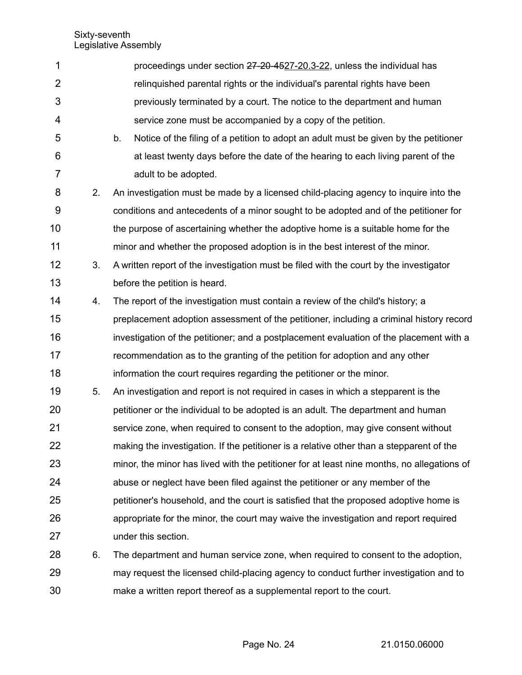| 1              |    | proceedings under section 27-20-4527-20.3-22, unless the individual has                    |
|----------------|----|--------------------------------------------------------------------------------------------|
| $\overline{2}$ |    | relinguished parental rights or the individual's parental rights have been                 |
| 3              |    | previously terminated by a court. The notice to the department and human                   |
| 4              |    | service zone must be accompanied by a copy of the petition.                                |
| 5              |    | Notice of the filing of a petition to adopt an adult must be given by the petitioner<br>b. |
| 6              |    | at least twenty days before the date of the hearing to each living parent of the           |
| $\overline{7}$ |    | adult to be adopted.                                                                       |
| 8              | 2. | An investigation must be made by a licensed child-placing agency to inquire into the       |
| 9              |    | conditions and antecedents of a minor sought to be adopted and of the petitioner for       |
| 10             |    | the purpose of ascertaining whether the adoptive home is a suitable home for the           |
| 11             |    | minor and whether the proposed adoption is in the best interest of the minor.              |
| 12             | 3. | A written report of the investigation must be filed with the court by the investigator     |
| 13             |    | before the petition is heard.                                                              |
| 14             | 4. | The report of the investigation must contain a review of the child's history; a            |
| 15             |    | preplacement adoption assessment of the petitioner, including a criminal history record    |
| 16             |    | investigation of the petitioner; and a postplacement evaluation of the placement with a    |
| 17             |    | recommendation as to the granting of the petition for adoption and any other               |
| 18             |    | information the court requires regarding the petitioner or the minor.                      |
| 19             | 5. | An investigation and report is not required in cases in which a stepparent is the          |
| 20             |    | petitioner or the individual to be adopted is an adult. The department and human           |
| 21             |    | service zone, when required to consent to the adoption, may give consent without           |
| 22             |    | making the investigation. If the petitioner is a relative other than a stepparent of the   |
| 23             |    | minor, the minor has lived with the petitioner for at least nine months, no allegations of |
| 24             |    | abuse or neglect have been filed against the petitioner or any member of the               |
| 25             |    | petitioner's household, and the court is satisfied that the proposed adoptive home is      |
| 26             |    | appropriate for the minor, the court may waive the investigation and report required       |
| 27             |    | under this section.                                                                        |
| 28             | 6. | The department and human service zone, when required to consent to the adoption,           |
| 29             |    | may request the licensed child-placing agency to conduct further investigation and to      |
| 30             |    | make a written report thereof as a supplemental report to the court.                       |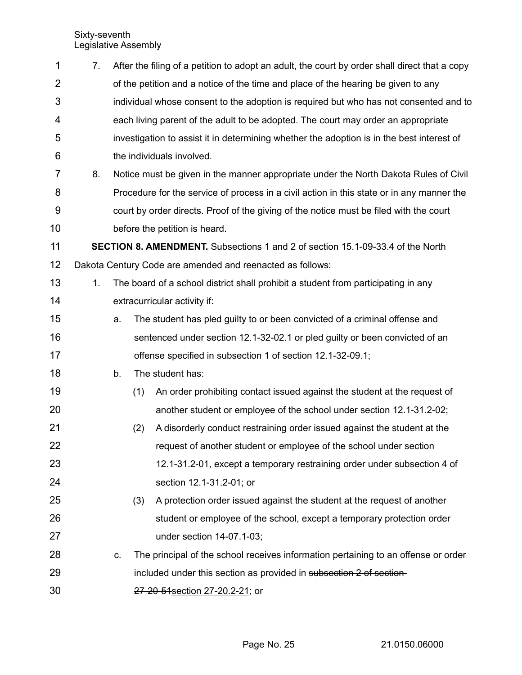| $\mathbf 1$    | 7.             |    |     | After the filing of a petition to adopt an adult, the court by order shall direct that a copy |
|----------------|----------------|----|-----|-----------------------------------------------------------------------------------------------|
| $\overline{2}$ |                |    |     | of the petition and a notice of the time and place of the hearing be given to any             |
| 3              |                |    |     | individual whose consent to the adoption is required but who has not consented and to         |
| 4              |                |    |     | each living parent of the adult to be adopted. The court may order an appropriate             |
| 5              |                |    |     | investigation to assist it in determining whether the adoption is in the best interest of     |
| 6              |                |    |     | the individuals involved.                                                                     |
| 7              | 8.             |    |     | Notice must be given in the manner appropriate under the North Dakota Rules of Civil          |
| 8              |                |    |     | Procedure for the service of process in a civil action in this state or in any manner the     |
| 9              |                |    |     | court by order directs. Proof of the giving of the notice must be filed with the court        |
| 10             |                |    |     | before the petition is heard.                                                                 |
| 11             |                |    |     | <b>SECTION 8. AMENDMENT.</b> Subsections 1 and 2 of section 15.1-09-33.4 of the North         |
| 12             |                |    |     | Dakota Century Code are amended and reenacted as follows:                                     |
| 13             | 1 <sub>1</sub> |    |     | The board of a school district shall prohibit a student from participating in any             |
| 14             |                |    |     | extracurricular activity if:                                                                  |
| 15             |                | a. |     | The student has pled guilty to or been convicted of a criminal offense and                    |
| 16             |                |    |     | sentenced under section 12.1-32-02.1 or pled guilty or been convicted of an                   |
| 17             |                |    |     | offense specified in subsection 1 of section 12.1-32-09.1;                                    |
| 18             |                | b. |     | The student has:                                                                              |
| 19             |                |    | (1) | An order prohibiting contact issued against the student at the request of                     |
| 20             |                |    |     | another student or employee of the school under section 12.1-31.2-02;                         |
| 21             |                |    | (2) | A disorderly conduct restraining order issued against the student at the                      |
| 22             |                |    |     | request of another student or employee of the school under section                            |
| 23             |                |    |     | 12.1-31.2-01, except a temporary restraining order under subsection 4 of                      |
| 24             |                |    |     | section 12.1-31.2-01; or                                                                      |
| 25             |                |    | (3) | A protection order issued against the student at the request of another                       |
| 26             |                |    |     | student or employee of the school, except a temporary protection order                        |
| 27             |                |    |     | under section 14-07.1-03;                                                                     |
| 28             |                | C. |     | The principal of the school receives information pertaining to an offense or order            |
| 29             |                |    |     | included under this section as provided in subsection 2 of section-                           |
| 30             |                |    |     | 27-20-51 section 27-20.2-21; or                                                               |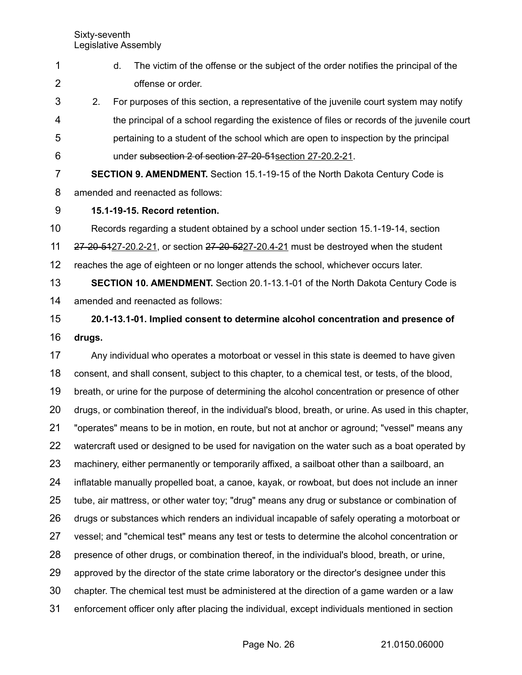Sixty-seventh

|                     |        |    | Legislative Assembly              |                                                                                                      |               |
|---------------------|--------|----|-----------------------------------|------------------------------------------------------------------------------------------------------|---------------|
| 1<br>$\overline{2}$ |        | d. | offense or order.                 | The victim of the offense or the subject of the order notifies the principal of the                  |               |
| 3                   | 2.     |    |                                   | For purposes of this section, a representative of the juvenile court system may notify               |               |
| 4                   |        |    |                                   | the principal of a school regarding the existence of files or records of the juvenile court          |               |
| 5                   |        |    |                                   | pertaining to a student of the school which are open to inspection by the principal                  |               |
| 6                   |        |    |                                   | under subsection 2 of section 27-20-51 section 27-20.2-21.                                           |               |
| 7                   |        |    |                                   | <b>SECTION 9. AMENDMENT.</b> Section 15.1-19-15 of the North Dakota Century Code is                  |               |
| 8                   |        |    | amended and reenacted as follows: |                                                                                                      |               |
| 9                   |        |    | 15.1-19-15. Record retention.     |                                                                                                      |               |
| 10                  |        |    |                                   | Records regarding a student obtained by a school under section 15.1-19-14, section                   |               |
| 11                  |        |    |                                   | 27-20-5427-20.2-21, or section 27-20-5227-20.4-21 must be destroyed when the student                 |               |
| 12                  |        |    |                                   | reaches the age of eighteen or no longer attends the school, whichever occurs later.                 |               |
| 13                  |        |    |                                   | <b>SECTION 10. AMENDMENT.</b> Section 20.1-13.1-01 of the North Dakota Century Code is               |               |
| 14                  |        |    | amended and reenacted as follows: |                                                                                                      |               |
| 15                  |        |    |                                   | 20.1-13.1-01. Implied consent to determine alcohol concentration and presence of                     |               |
| 16                  | drugs. |    |                                   |                                                                                                      |               |
| 17                  |        |    |                                   | Any individual who operates a motorboat or vessel in this state is deemed to have given              |               |
| 18                  |        |    |                                   | consent, and shall consent, subject to this chapter, to a chemical test, or tests, of the blood,     |               |
| 19                  |        |    |                                   | breath, or urine for the purpose of determining the alcohol concentration or presence of other       |               |
| 20                  |        |    |                                   | drugs, or combination thereof, in the individual's blood, breath, or urine. As used in this chapter, |               |
| 21                  |        |    |                                   | "operates" means to be in motion, en route, but not at anchor or aground; "vessel" means any         |               |
| 22                  |        |    |                                   | watercraft used or designed to be used for navigation on the water such as a boat operated by        |               |
| 23                  |        |    |                                   | machinery, either permanently or temporarily affixed, a sailboat other than a sailboard, an          |               |
| 24                  |        |    |                                   | inflatable manually propelled boat, a canoe, kayak, or rowboat, but does not include an inner        |               |
| 25                  |        |    |                                   | tube, air mattress, or other water toy; "drug" means any drug or substance or combination of         |               |
| 26                  |        |    |                                   | drugs or substances which renders an individual incapable of safely operating a motorboat or         |               |
| 27                  |        |    |                                   | vessel; and "chemical test" means any test or tests to determine the alcohol concentration or        |               |
| 28                  |        |    |                                   | presence of other drugs, or combination thereof, in the individual's blood, breath, or urine,        |               |
| 29                  |        |    |                                   | approved by the director of the state crime laboratory or the director's designee under this         |               |
| 30                  |        |    |                                   | chapter. The chemical test must be administered at the direction of a game warden or a law           |               |
| 31                  |        |    |                                   | enforcement officer only after placing the individual, except individuals mentioned in section       |               |
|                     |        |    |                                   | Page No. 26                                                                                          | 21.0150.06000 |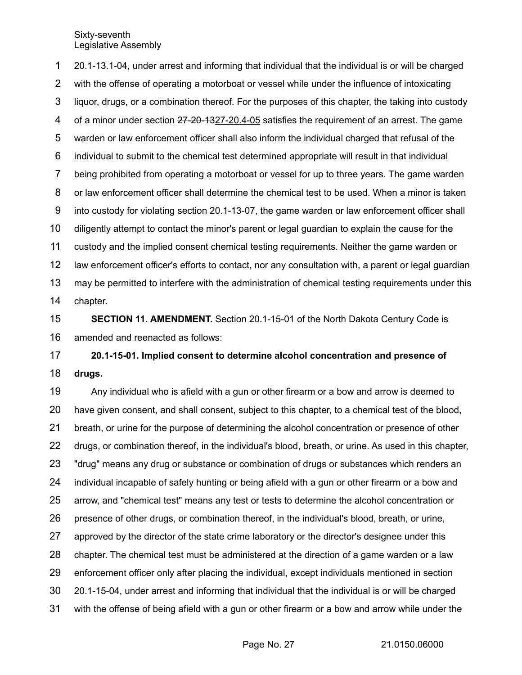20.1-13.1-04, under arrest and informing that individual that the individual is or will be charged with the offense of operating a motorboat or vessel while under the influence of intoxicating liquor, drugs, or a combination thereof. For the purposes of this chapter, the taking into custody of a minor under section 27-20-1327-20.4-05 satisfies the requirement of an arrest. The game warden or law enforcement officer shall also inform the individual charged that refusal of the individual to submit to the chemical test determined appropriate will result in that individual being prohibited from operating a motorboat or vessel for up to three years. The game warden or law enforcement officer shall determine the chemical test to be used. When a minor is taken into custody for violating section 20.1-13-07, the game warden or law enforcement officer shall diligently attempt to contact the minor's parent or legal guardian to explain the cause for the custody and the implied consent chemical testing requirements. Neither the game warden or law enforcement officer's efforts to contact, nor any consultation with, a parent or legal guardian may be permitted to interfere with the administration of chemical testing requirements under this chapter. 1 2 3 4 5 6 7 8 9 10 11 12 13 14

**SECTION 11. AMENDMENT.** Section 20.1-15-01 of the North Dakota Century Code is amended and reenacted as follows: 15 16

**20.1-15-01. Implied consent to determine alcohol concentration and presence of drugs.** 17 18

Any individual who is afield with a gun or other firearm or a bow and arrow is deemed to have given consent, and shall consent, subject to this chapter, to a chemical test of the blood, breath, or urine for the purpose of determining the alcohol concentration or presence of other drugs, or combination thereof, in the individual's blood, breath, or urine. As used in this chapter, "drug" means any drug or substance or combination of drugs or substances which renders an individual incapable of safely hunting or being afield with a gun or other firearm or a bow and arrow, and "chemical test" means any test or tests to determine the alcohol concentration or presence of other drugs, or combination thereof, in the individual's blood, breath, or urine, approved by the director of the state crime laboratory or the director's designee under this chapter. The chemical test must be administered at the direction of a game warden or a law enforcement officer only after placing the individual, except individuals mentioned in section 20.1-15-04, under arrest and informing that individual that the individual is or will be charged with the offense of being afield with a gun or other firearm or a bow and arrow while under the 19 20 21 22 23 24 25 26 27 28 29 30 31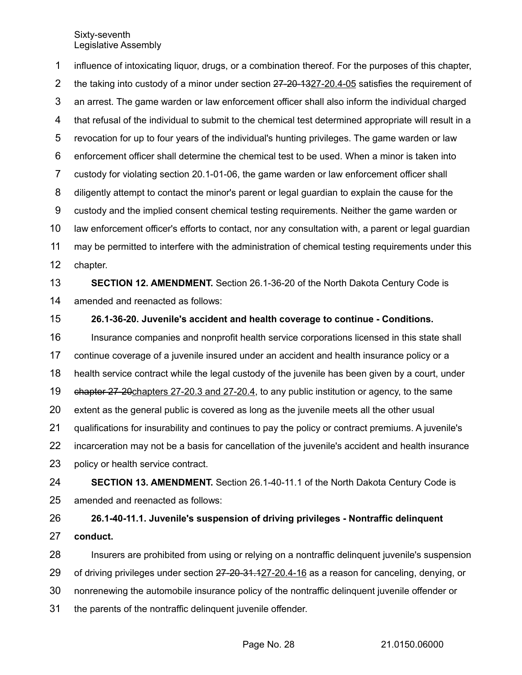influence of intoxicating liquor, drugs, or a combination thereof. For the purposes of this chapter, the taking into custody of a minor under section 27-20-1327-20.4-05 satisfies the requirement of an arrest. The game warden or law enforcement officer shall also inform the individual charged that refusal of the individual to submit to the chemical test determined appropriate will result in a revocation for up to four years of the individual's hunting privileges. The game warden or law enforcement officer shall determine the chemical test to be used. When a minor is taken into custody for violating section 20.1-01-06, the game warden or law enforcement officer shall diligently attempt to contact the minor's parent or legal guardian to explain the cause for the custody and the implied consent chemical testing requirements. Neither the game warden or law enforcement officer's efforts to contact, nor any consultation with, a parent or legal guardian may be permitted to interfere with the administration of chemical testing requirements under this chapter. **SECTION 12. AMENDMENT.** Section 26.1-36-20 of the North Dakota Century Code is amended and reenacted as follows: **26.1-36-20. Juvenile's accident and health coverage to continue - Conditions.** Insurance companies and nonprofit health service corporations licensed in this state shall continue coverage of a juvenile insured under an accident and health insurance policy or a health service contract while the legal custody of the juvenile has been given by a court, under ehapter 27-20 chapters 27-20.3 and 27-20.4, to any public institution or agency, to the same extent as the general public is covered as long as the juvenile meets all the other usual 1 2 3 4 5 6 7 8 9 10 11 12 13 14 15 16 17 18 19 20

qualifications for insurability and continues to pay the policy or contract premiums. A juvenile's 21

incarceration may not be a basis for cancellation of the juvenile's accident and health insurance policy or health service contract. 22 23

**SECTION 13. AMENDMENT.** Section 26.1-40-11.1 of the North Dakota Century Code is amended and reenacted as follows: 24 25

**26.1-40-11.1. Juvenile's suspension of driving privileges - Nontraffic delinquent conduct.** 26 27

Insurers are prohibited from using or relying on a nontraffic delinquent juvenile's suspension 28

of driving privileges under section 27-20-31.127-20.4-16 as a reason for canceling, denying, or 29

nonrenewing the automobile insurance policy of the nontraffic delinquent juvenile offender or 30

the parents of the nontraffic delinquent juvenile offender. 31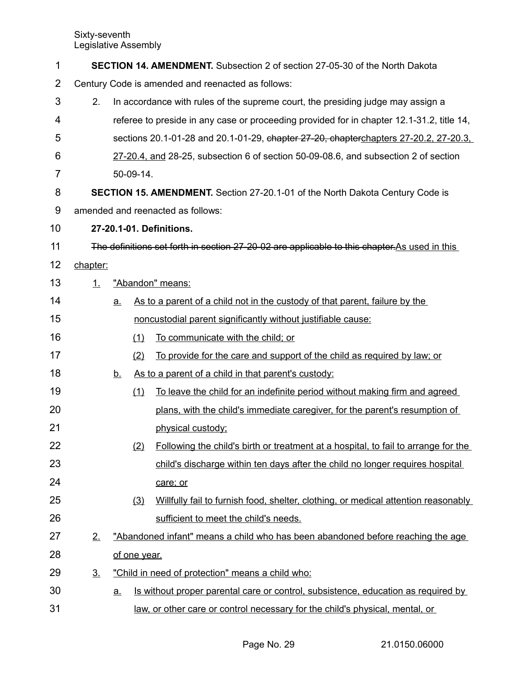| 1              |                                                   |           |              | <b>SECTION 14. AMENDMENT.</b> Subsection 2 of section 27-05-30 of the North Dakota            |  |
|----------------|---------------------------------------------------|-----------|--------------|-----------------------------------------------------------------------------------------------|--|
| $\overline{2}$ | Century Code is amended and reenacted as follows: |           |              |                                                                                               |  |
| 3              | 2.                                                |           |              | In accordance with rules of the supreme court, the presiding judge may assign a               |  |
| 4              |                                                   |           |              | referee to preside in any case or proceeding provided for in chapter 12.1-31.2, title 14,     |  |
| 5              |                                                   |           |              | sections 20.1-01-28 and 20.1-01-29, chapter 27-20, chapterchapters 27-20.2, 27-20.3.          |  |
| 6              |                                                   |           |              | 27-20.4, and 28-25, subsection 6 of section 50-09-08.6, and subsection 2 of section           |  |
| 7              |                                                   |           | 50-09-14.    |                                                                                               |  |
| 8              |                                                   |           |              | <b>SECTION 15. AMENDMENT.</b> Section 27-20.1-01 of the North Dakota Century Code is          |  |
| 9              |                                                   |           |              | amended and reenacted as follows:                                                             |  |
| 10             |                                                   |           |              | 27-20.1-01. Definitions.                                                                      |  |
| 11             |                                                   |           |              | The definitions set forth in section 27-20-02 are applicable to this chapter. As used in this |  |
| 12             | chapter:                                          |           |              |                                                                                               |  |
| 13             | $\perp$                                           |           |              | "Abandon" means:                                                                              |  |
| 14             |                                                   | <u>a.</u> |              | As to a parent of a child not in the custody of that parent, failure by the                   |  |
| 15             |                                                   |           |              | noncustodial parent significantly without justifiable cause:                                  |  |
| 16             |                                                   |           | (1)          | To communicate with the child; or                                                             |  |
| 17             |                                                   |           | (2)          | To provide for the care and support of the child as required by law; or                       |  |
| 18             |                                                   | <u>b.</u> |              | As to a parent of a child in that parent's custody:                                           |  |
| 19             |                                                   |           | (1)          | To leave the child for an indefinite period without making firm and agreed                    |  |
| 20             |                                                   |           |              | plans, with the child's immediate caregiver, for the parent's resumption of                   |  |
| 21             |                                                   |           |              | physical custody;                                                                             |  |
| 22             |                                                   |           | (2)          | Following the child's birth or treatment at a hospital, to fail to arrange for the            |  |
| 23             |                                                   |           |              | child's discharge within ten days after the child no longer requires hospital                 |  |
| 24             |                                                   |           |              | care; or                                                                                      |  |
| 25             |                                                   |           | (3)          | Willfully fail to furnish food, shelter, clothing, or medical attention reasonably            |  |
| 26             |                                                   |           |              | sufficient to meet the child's needs.                                                         |  |
| 27             | 2.                                                |           |              | "Abandoned infant" means a child who has been abandoned before reaching the age               |  |
| 28             |                                                   |           | of one year. |                                                                                               |  |
| 29             | <u>3.</u>                                         |           |              | "Child in need of protection" means a child who:                                              |  |
| 30             |                                                   | <u>a.</u> |              | Is without proper parental care or control, subsistence, education as required by             |  |
| 31             |                                                   |           |              | law, or other care or control necessary for the child's physical, mental, or                  |  |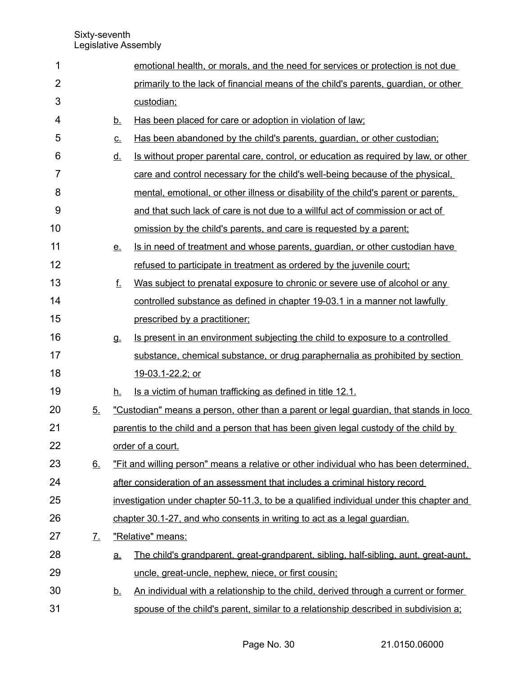| 1              |                   |             | emotional health, or morals, and the need for services or protection is not due          |
|----------------|-------------------|-------------|------------------------------------------------------------------------------------------|
| $\overline{2}$ |                   |             | primarily to the lack of financial means of the child's parents, guardian, or other      |
| 3              |                   |             | custodian;                                                                               |
| 4              |                   | <u>b.</u>   | Has been placed for care or adoption in violation of law;                                |
| 5              |                   | $C_{\cdot}$ | Has been abandoned by the child's parents, quardian, or other custodian;                 |
| 6              |                   | <u>d.</u>   | Is without proper parental care, control, or education as required by law, or other      |
| $\overline{7}$ |                   |             | care and control necessary for the child's well-being because of the physical.           |
| 8              |                   |             | mental, emotional, or other illness or disability of the child's parent or parents,      |
| 9              |                   |             | and that such lack of care is not due to a willful act of commission or act of           |
| 10             |                   |             | omission by the child's parents, and care is requested by a parent;                      |
| 11             |                   | <u>e.</u>   | Is in need of treatment and whose parents, guardian, or other custodian have             |
| 12             |                   |             | refused to participate in treatment as ordered by the juvenile court;                    |
| 13             |                   | f.          | Was subject to prenatal exposure to chronic or severe use of alcohol or any              |
| 14             |                   |             | controlled substance as defined in chapter 19-03.1 in a manner not lawfully              |
| 15             |                   |             | prescribed by a practitioner;                                                            |
| 16             |                   | <b>g.</b>   | Is present in an environment subjecting the child to exposure to a controlled            |
| 17             |                   |             | substance, chemical substance, or drug paraphernalia as prohibited by section            |
| 18             |                   |             | 19-03.1-22.2; or                                                                         |
| 19             |                   | h.          | Is a victim of human trafficking as defined in title 12.1.                               |
| 20             | 5.                |             | "Custodian" means a person, other than a parent or legal guardian, that stands in loco   |
| 21             |                   |             | parentis to the child and a person that has been given legal custody of the child by     |
| 22             |                   |             | order of a court.                                                                        |
| 23             | 6.                |             | "Fit and willing person" means a relative or other individual who has been determined.   |
| 24             |                   |             | after consideration of an assessment that includes a criminal history record             |
| 25             |                   |             | investigation under chapter 50-11.3, to be a qualified individual under this chapter and |
| 26             |                   |             | chapter 30.1-27, and who consents in writing to act as a legal guardian.                 |
| 27             | $\underline{7}$ . |             | "Relative" means:                                                                        |
| 28             |                   | <u>a.</u>   | The child's grandparent, great-grandparent, sibling, half-sibling, aunt, great-aunt,     |
| 29             |                   |             | uncle, great-uncle, nephew, niece, or first cousin;                                      |
| 30             |                   | <u>b.</u>   | An individual with a relationship to the child, derived through a current or former      |
| 31             |                   |             | spouse of the child's parent, similar to a relationship described in subdivision a;      |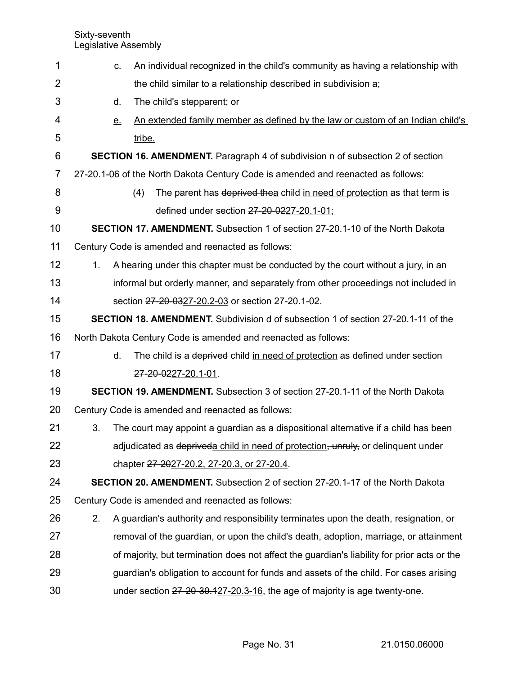| 1  | <u>c.</u> | An individual recognized in the child's community as having a relationship with             |
|----|-----------|---------------------------------------------------------------------------------------------|
| 2  |           | the child similar to a relationship described in subdivision a;                             |
| 3  | <u>d.</u> | The child's stepparent; or                                                                  |
| 4  | <u>e.</u> | An extended family member as defined by the law or custom of an Indian child's              |
| 5  |           | tribe.                                                                                      |
| 6  |           | <b>SECTION 16. AMENDMENT.</b> Paragraph 4 of subdivision n of subsection 2 of section       |
| 7  |           | 27-20.1-06 of the North Dakota Century Code is amended and reenacted as follows:            |
| 8  |           | The parent has deprived thea child in need of protection as that term is<br>(4)             |
| 9  |           | defined under section 27-20-0227-20.1-01;                                                   |
| 10 |           | <b>SECTION 17. AMENDMENT.</b> Subsection 1 of section 27-20.1-10 of the North Dakota        |
| 11 |           | Century Code is amended and reenacted as follows:                                           |
| 12 | 1.        | A hearing under this chapter must be conducted by the court without a jury, in an           |
| 13 |           | informal but orderly manner, and separately from other proceedings not included in          |
| 14 |           | section 27-20-0327-20.2-03 or section 27-20.1-02.                                           |
| 15 |           | <b>SECTION 18. AMENDMENT.</b> Subdivision d of subsection 1 of section 27-20.1-11 of the    |
| 16 |           | North Dakota Century Code is amended and reenacted as follows:                              |
| 17 | d.        | The child is a deprived child in need of protection as defined under section                |
| 18 |           | 27-20-0227-20.1-01.                                                                         |
| 19 |           | <b>SECTION 19. AMENDMENT.</b> Subsection 3 of section 27-20.1-11 of the North Dakota        |
| 20 |           | Century Code is amended and reenacted as follows:                                           |
| 21 | 3.        | The court may appoint a guardian as a dispositional alternative if a child has been         |
| 22 |           | adjudicated as depriveda child in need of protection, unruly, or delinquent under           |
| 23 |           | chapter 27-2027-20.2, 27-20.3, or 27-20.4.                                                  |
| 24 |           | SECTION 20. AMENDMENT. Subsection 2 of section 27-20.1-17 of the North Dakota               |
| 25 |           | Century Code is amended and reenacted as follows:                                           |
| 26 | 2.        | A guardian's authority and responsibility terminates upon the death, resignation, or        |
| 27 |           | removal of the guardian, or upon the child's death, adoption, marriage, or attainment       |
| 28 |           | of majority, but termination does not affect the guardian's liability for prior acts or the |
| 29 |           | guardian's obligation to account for funds and assets of the child. For cases arising       |
| 30 |           | under section 27-20-30.127-20.3-16, the age of majority is age twenty-one.                  |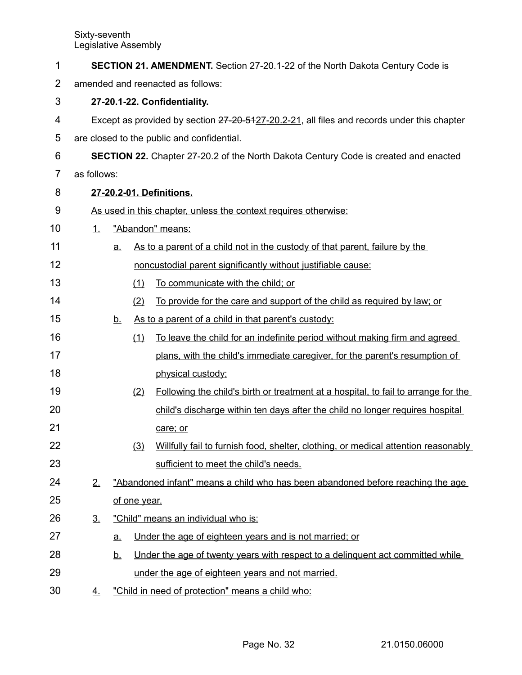| 1              |                                   |           |              | <b>SECTION 21. AMENDMENT.</b> Section 27-20.1-22 of the North Dakota Century Code is       |  |
|----------------|-----------------------------------|-----------|--------------|--------------------------------------------------------------------------------------------|--|
| $\overline{2}$ | amended and reenacted as follows: |           |              |                                                                                            |  |
| 3              |                                   |           |              | 27-20.1-22. Confidentiality.                                                               |  |
| 4              |                                   |           |              | Except as provided by section 27-20-5127-20.2-21, all files and records under this chapter |  |
| 5              |                                   |           |              | are closed to the public and confidential.                                                 |  |
| 6              |                                   |           |              | <b>SECTION 22.</b> Chapter 27-20.2 of the North Dakota Century Code is created and enacted |  |
| 7              | as follows:                       |           |              |                                                                                            |  |
| 8              |                                   |           |              | 27-20.2-01. Definitions.                                                                   |  |
| 9              |                                   |           |              | As used in this chapter, unless the context requires otherwise:                            |  |
| 10             | 1.                                |           |              | "Abandon" means:                                                                           |  |
| 11             |                                   | <u>a.</u> |              | As to a parent of a child not in the custody of that parent, failure by the                |  |
| 12             |                                   |           |              | noncustodial parent significantly without justifiable cause:                               |  |
| 13             |                                   |           | (1)          | To communicate with the child; or                                                          |  |
| 14             |                                   |           | (2)          | To provide for the care and support of the child as required by law; or                    |  |
| 15             |                                   | <u>b.</u> |              | As to a parent of a child in that parent's custody:                                        |  |
| 16             |                                   |           | (1)          | To leave the child for an indefinite period without making firm and agreed                 |  |
| 17             |                                   |           |              | plans, with the child's immediate caregiver, for the parent's resumption of                |  |
| 18             |                                   |           |              | physical custody;                                                                          |  |
| 19             |                                   |           | (2)          | Following the child's birth or treatment at a hospital, to fail to arrange for the         |  |
| 20             |                                   |           |              | child's discharge within ten days after the child no longer requires hospital              |  |
| 21             |                                   |           |              | care; or                                                                                   |  |
| 22             |                                   |           | (3)          | Willfully fail to furnish food, shelter, clothing, or medical attention reasonably         |  |
| 23             |                                   |           |              | sufficient to meet the child's needs.                                                      |  |
| 24             | 2.                                |           |              | "Abandoned infant" means a child who has been abandoned before reaching the age            |  |
| 25             |                                   |           | of one year. |                                                                                            |  |
| 26             | 3 <sub>1</sub>                    |           |              | "Child" means an individual who is:                                                        |  |
| 27             |                                   | <u>a.</u> |              | Under the age of eighteen years and is not married; or                                     |  |
| 28             |                                   | <u>b.</u> |              | Under the age of twenty years with respect to a delinguent act committed while             |  |
| 29             |                                   |           |              | under the age of eighteen years and not married.                                           |  |
| 30             | <u>4.</u>                         |           |              | "Child in need of protection" means a child who:                                           |  |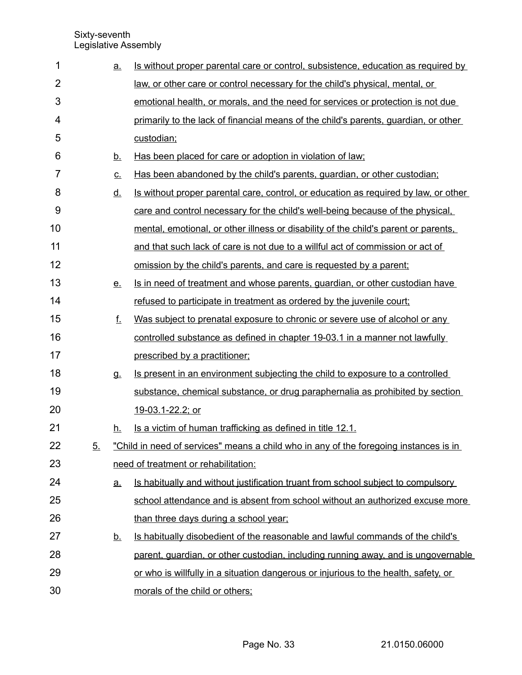| 1              |    | <u>a.</u> | Is without proper parental care or control, subsistence, education as required by       |
|----------------|----|-----------|-----------------------------------------------------------------------------------------|
| $\overline{2}$ |    |           | law, or other care or control necessary for the child's physical, mental, or            |
| 3              |    |           | emotional health, or morals, and the need for services or protection is not due         |
| 4              |    |           | primarily to the lack of financial means of the child's parents, guardian, or other     |
| 5              |    |           | custodian;                                                                              |
| 6              |    | <u>b.</u> | Has been placed for care or adoption in violation of law;                               |
| 7              |    | <u>c.</u> | Has been abandoned by the child's parents, guardian, or other custodian;                |
| 8              |    | <u>d.</u> | Is without proper parental care, control, or education as required by law, or other     |
| 9              |    |           | care and control necessary for the child's well-being because of the physical.          |
| 10             |    |           | mental, emotional, or other illness or disability of the child's parent or parents,     |
| 11             |    |           | and that such lack of care is not due to a willful act of commission or act of          |
| 12             |    |           | omission by the child's parents, and care is requested by a parent;                     |
| 13             |    | <u>e.</u> | Is in need of treatment and whose parents, quardian, or other custodian have            |
| 14             |    |           | refused to participate in treatment as ordered by the juvenile court;                   |
| 15             |    | f.        | Was subject to prenatal exposure to chronic or severe use of alcohol or any             |
| 16             |    |           | controlled substance as defined in chapter 19-03.1 in a manner not lawfully             |
| 17             |    |           | prescribed by a practitioner;                                                           |
| 18             |    | g.        | Is present in an environment subjecting the child to exposure to a controlled           |
| 19             |    |           | substance, chemical substance, or drug paraphernalia as prohibited by section           |
| 20             |    |           | 19-03.1-22.2; or                                                                        |
| 21             |    | <u>h.</u> | Is a victim of human trafficking as defined in title 12.1.                              |
| 22             | 5. |           | "Child in need of services" means a child who in any of the foregoing instances is in   |
| 23             |    |           | need of treatment or rehabilitation:                                                    |
| 24             |    | <u>a.</u> | <u>Is habitually and without justification truant from school subject to compulsory</u> |
| 25             |    |           | school attendance and is absent from school without an authorized excuse more           |
| 26             |    |           | than three days during a school year;                                                   |
| 27             |    | <u>b.</u> | Is habitually disobedient of the reasonable and lawful commands of the child's          |
| 28             |    |           | parent, guardian, or other custodian, including running away, and is ungovernable       |
| 29             |    |           | or who is willfully in a situation dangerous or injurious to the health, safety, or     |
| 30             |    |           | morals of the child or others;                                                          |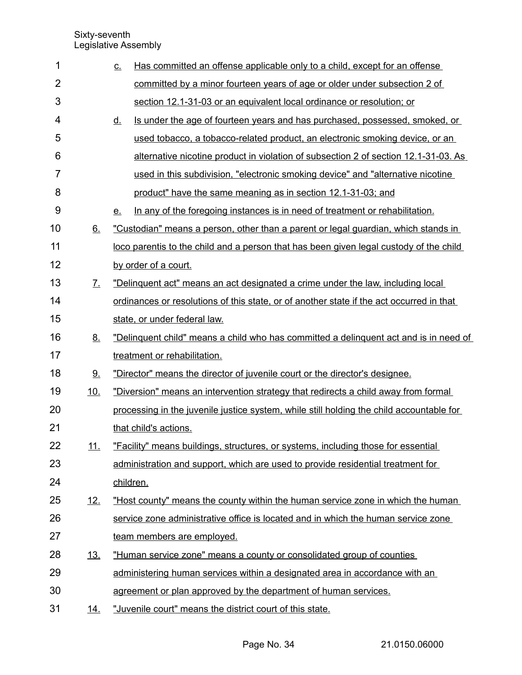| 1              |            | Has committed an offense applicable only to a child, except for an offense<br><u>C.</u>   |
|----------------|------------|-------------------------------------------------------------------------------------------|
| $\overline{2}$ |            | committed by a minor fourteen years of age or older under subsection 2 of                 |
| 3              |            | section 12.1-31-03 or an equivalent local ordinance or resolution; or                     |
| 4              |            | Is under the age of fourteen years and has purchased, possessed, smoked, or<br><u>d.</u>  |
| 5              |            | used tobacco, a tobacco-related product, an electronic smoking device, or an              |
| 6              |            | alternative nicotine product in violation of subsection 2 of section 12.1-31-03. As       |
| 7              |            | used in this subdivision, "electronic smoking device" and "alternative nicotine           |
| 8              |            | product" have the same meaning as in section 12.1-31-03; and                              |
| 9              |            | In any of the foregoing instances is in need of treatment or rehabilitation.<br><u>e.</u> |
| 10             | 6.         | "Custodian" means a person, other than a parent or legal guardian, which stands in        |
| 11             |            | loco parentis to the child and a person that has been given legal custody of the child    |
| 12             |            | by order of a court.                                                                      |
| 13             | <u>Z.</u>  | "Delinguent act" means an act designated a crime under the law, including local           |
| 14             |            | ordinances or resolutions of this state, or of another state if the act occurred in that  |
| 15             |            | state, or under federal law.                                                              |
| 16             | <u>8.</u>  | "Delinguent child" means a child who has committed a delinguent act and is in need of     |
| 17             |            | treatment or rehabilitation.                                                              |
| 18             | 9.         | "Director" means the director of juvenile court or the director's designee.               |
| 19             | 10.        | "Diversion" means an intervention strategy that redirects a child away from formal        |
| 20             |            | processing in the juvenile justice system, while still holding the child accountable for  |
| 21             |            | that child's actions.                                                                     |
| 22             | <u>11.</u> | "Facility" means buildings, structures, or systems, including those for essential         |
| 23             |            | administration and support, which are used to provide residential treatment for           |
| 24             |            | children.                                                                                 |
| 25             | <u>12.</u> | "Host county" means the county within the human service zone in which the human           |
| 26             |            | service zone administrative office is located and in which the human service zone         |
| 27             |            | team members are employed.                                                                |
| 28             | <u>13.</u> | "Human service zone" means a county or consolidated group of counties                     |
| 29             |            | administering human services within a designated area in accordance with an               |
| 30             |            | agreement or plan approved by the department of human services.                           |
| 31             | <u>14.</u> | "Juvenile court" means the district court of this state.                                  |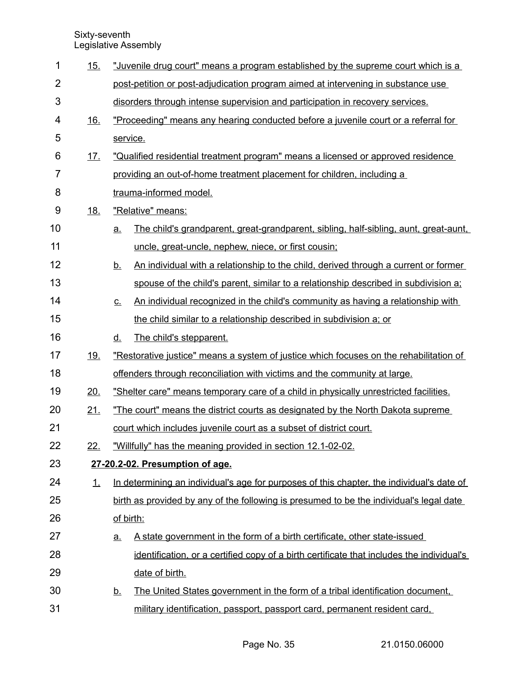| 1              | <u>15.</u> | "Juvenile drug court" means a program established by the supreme court which is a                         |  |  |
|----------------|------------|-----------------------------------------------------------------------------------------------------------|--|--|
| $\overline{2}$ |            | post-petition or post-adjudication program aimed at intervening in substance use                          |  |  |
| 3              |            | disorders through intense supervision and participation in recovery services.                             |  |  |
| 4              | <u>16.</u> | "Proceeding" means any hearing conducted before a juvenile court or a referral for                        |  |  |
| 5              |            | service.                                                                                                  |  |  |
| 6              | <u>17.</u> | "Qualified residential treatment program" means a licensed or approved residence                          |  |  |
| 7              |            | providing an out-of-home treatment placement for children, including a                                    |  |  |
| 8              |            | trauma-informed model.                                                                                    |  |  |
| 9              | <u>18.</u> | "Relative" means:                                                                                         |  |  |
| 10             |            | <u>The child's grandparent, great-grandparent, sibling, half-sibling, aunt, great-aunt, </u><br><u>a.</u> |  |  |
| 11             |            | uncle, great-uncle, nephew, niece, or first cousin;                                                       |  |  |
| 12             |            | An individual with a relationship to the child, derived through a current or former<br><u>b.</u>          |  |  |
| 13             |            | spouse of the child's parent, similar to a relationship described in subdivision a:                       |  |  |
| 14             |            | An individual recognized in the child's community as having a relationship with<br>$C_{-}$                |  |  |
| 15             |            | the child similar to a relationship described in subdivision a; or                                        |  |  |
| 16             |            | The child's stepparent.<br><u>d.</u>                                                                      |  |  |
| 17             | <u>19.</u> | "Restorative justice" means a system of justice which focuses on the rehabilitation of                    |  |  |
| 18             |            | offenders through reconciliation with victims and the community at large.                                 |  |  |
| 19             | 20.        | "Shelter care" means temporary care of a child in physically unrestricted facilities.                     |  |  |
| 20             | 21.        | "The court" means the district courts as designated by the North Dakota supreme                           |  |  |
| 21             |            | court which includes juvenile court as a subset of district court.                                        |  |  |
| 22             | <u>22.</u> | "Willfully" has the meaning provided in section 12.1-02-02.                                               |  |  |
| 23             |            | 27-20.2-02. Presumption of age.                                                                           |  |  |
| 24             | 1.         | In determining an individual's age for purposes of this chapter, the individual's date of                 |  |  |
| 25             |            | birth as provided by any of the following is presumed to be the individual's legal date                   |  |  |
| 26             |            | of birth:                                                                                                 |  |  |
| 27             |            | A state government in the form of a birth certificate, other state-issued<br><u>a.</u>                    |  |  |
| 28             |            | identification, or a certified copy of a birth certificate that includes the individual's                 |  |  |
| 29             |            | date of birth.                                                                                            |  |  |
| 30             |            | The United States government in the form of a tribal identification document,<br><u>b.</u>                |  |  |
| 31             |            | military identification, passport, passport card, permanent resident card,                                |  |  |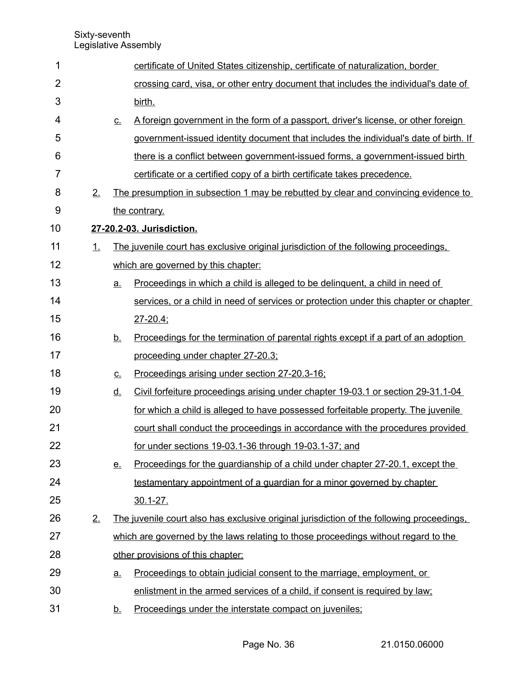| 1              |    |           | certificate of United States citizenship, certificate of naturalization, border           |
|----------------|----|-----------|-------------------------------------------------------------------------------------------|
| $\overline{2}$ |    |           | crossing card, visa, or other entry document that includes the individual's date of       |
| 3              |    |           | birth.                                                                                    |
| 4              |    | <u>C.</u> | A foreign government in the form of a passport, driver's license, or other foreign        |
| 5              |    |           | government-issued identity document that includes the individual's date of birth. If      |
| 6              |    |           | there is a conflict between government-issued forms, a government-issued birth            |
| 7              |    |           | certificate or a certified copy of a birth certificate takes precedence.                  |
| 8              | 2. |           | The presumption in subsection 1 may be rebutted by clear and convincing evidence to       |
| 9              |    |           | the contrary.                                                                             |
| 10             |    |           | 27-20.2-03. Jurisdiction.                                                                 |
| 11             | 1. |           | The juvenile court has exclusive original jurisdiction of the following proceedings,      |
| 12             |    |           | which are governed by this chapter:                                                       |
| 13             |    | <u>a.</u> | Proceedings in which a child is alleged to be delinguent, a child in need of              |
| 14             |    |           | services, or a child in need of services or protection under this chapter or chapter      |
| 15             |    |           | $27 - 20.4$ ;                                                                             |
| 16             |    | <u>b.</u> | <u>Proceedings for the termination of parental rights except if a part of an adoption</u> |
| 17             |    |           | proceeding under chapter 27-20.3;                                                         |
| 18             |    | <u>c.</u> | Proceedings arising under section 27-20.3-16;                                             |
| 19             |    | <u>d.</u> | Civil forfeiture proceedings arising under chapter 19-03.1 or section 29-31.1-04          |
| 20             |    |           | for which a child is alleged to have possessed forfeitable property. The juvenile         |
| 21             |    |           | court shall conduct the proceedings in accordance with the procedures provided            |
| 22             |    |           | for under sections 19-03.1-36 through 19-03.1-37; and                                     |
| 23             |    | <u>e.</u> | Proceedings for the guardianship of a child under chapter 27-20.1, except the             |
| 24             |    |           | testamentary appointment of a guardian for a minor governed by chapter                    |
| 25             |    |           | $30.1 - 27$ .                                                                             |
| 26             | 2. |           | The juvenile court also has exclusive original jurisdiction of the following proceedings. |
| 27             |    |           | which are governed by the laws relating to those proceedings without regard to the        |
| 28             |    |           | other provisions of this chapter:                                                         |
| 29             |    | <u>a.</u> | Proceedings to obtain judicial consent to the marriage, employment, or                    |
| 30             |    |           | enlistment in the armed services of a child, if consent is required by law;               |
| 31             |    | <u>b.</u> | Proceedings under the interstate compact on juveniles;                                    |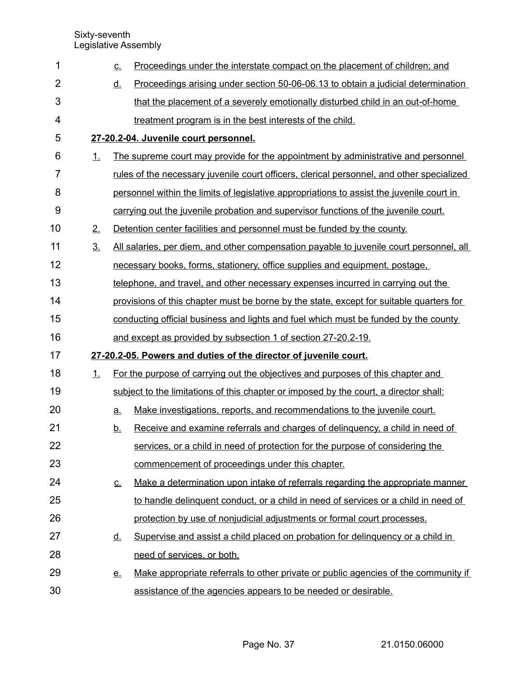| 1              |                | <u>C.</u> | Proceedings under the interstate compact on the placement of children; and                |
|----------------|----------------|-----------|-------------------------------------------------------------------------------------------|
| $\overline{2}$ |                | <u>d.</u> | Proceedings arising under section 50-06-06.13 to obtain a judicial determination          |
| 3              |                |           | that the placement of a severely emotionally disturbed child in an out-of-home            |
| 4              |                |           | treatment program is in the best interests of the child.                                  |
| 5              |                |           | 27-20.2-04. Juvenile court personnel.                                                     |
| 6              | 1.             |           | The supreme court may provide for the appointment by administrative and personnel         |
| 7              |                |           | rules of the necessary juvenile court officers, clerical personnel, and other specialized |
| 8              |                |           | personnel within the limits of legislative appropriations to assist the juvenile court in |
| 9              |                |           | carrying out the juvenile probation and supervisor functions of the juvenile court.       |
| 10             | 2.             |           | Detention center facilities and personnel must be funded by the county.                   |
| 11             | 3 <sub>1</sub> |           | All salaries, per diem, and other compensation payable to juvenile court personnel, all   |
| 12             |                |           | necessary books, forms, stationery, office supplies and equipment, postage,               |
| 13             |                |           | telephone, and travel, and other necessary expenses incurred in carrying out the          |
| 14             |                |           | provisions of this chapter must be borne by the state, except for suitable quarters for   |
| 15             |                |           | conducting official business and lights and fuel which must be funded by the county       |
| 16             |                |           | and except as provided by subsection 1 of section 27-20.2-19.                             |
| 17             |                |           | 27-20.2-05. Powers and duties of the director of juvenile court.                          |
| 18             | 1.             |           | For the purpose of carrying out the objectives and purposes of this chapter and           |
| 19             |                |           | subject to the limitations of this chapter or imposed by the court, a director shall:     |
| 20             |                | a.        | Make investigations, reports, and recommendations to the juvenile court.                  |
| 21             |                | <u>b.</u> | Receive and examine referrals and charges of delinguency, a child in need of              |
| 22             |                |           | services, or a child in need of protection for the purpose of considering the             |
| 23             |                |           | commencement of proceedings under this chapter.                                           |
| 24             |                | <u>c.</u> | Make a determination upon intake of referrals regarding the appropriate manner            |
| 25             |                |           | to handle delinquent conduct, or a child in need of services or a child in need of        |
| 26             |                |           | protection by use of nonjudicial adjustments or formal court processes.                   |
| 27             |                | <u>d.</u> | Supervise and assist a child placed on probation for delinguency or a child in            |
| 28             |                |           | need of services, or both.                                                                |
| 29             |                | <u>e.</u> | Make appropriate referrals to other private or public agencies of the community if        |
| 30             |                |           | assistance of the agencies appears to be needed or desirable.                             |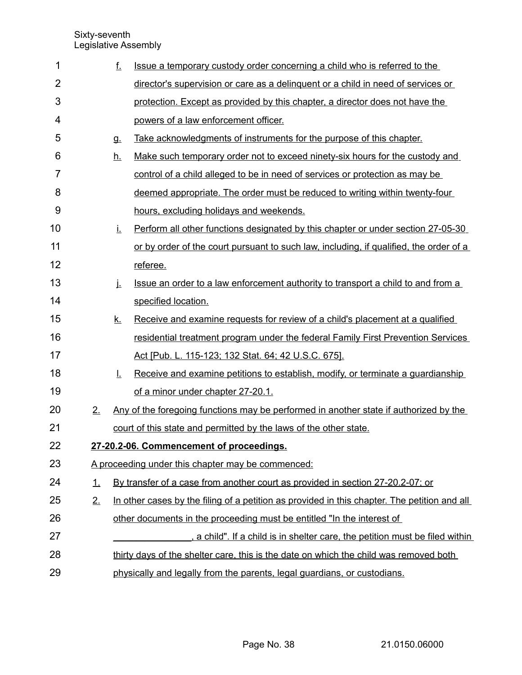| 1              |    | f.                                       | Issue a temporary custody order concerning a child who is referred to the                    |  |  |
|----------------|----|------------------------------------------|----------------------------------------------------------------------------------------------|--|--|
| $\overline{2}$ |    |                                          | director's supervision or care as a delinguent or a child in need of services or             |  |  |
| 3              |    |                                          | protection. Except as provided by this chapter, a director does not have the                 |  |  |
| 4              |    |                                          | powers of a law enforcement officer.                                                         |  |  |
| 5              |    | <b>q</b>                                 | Take acknowledgments of instruments for the purpose of this chapter.                         |  |  |
| 6              |    | <u>h.</u>                                | Make such temporary order not to exceed ninety-six hours for the custody and                 |  |  |
| $\overline{7}$ |    |                                          | control of a child alleged to be in need of services or protection as may be                 |  |  |
| 8              |    |                                          | deemed appropriate. The order must be reduced to writing within twenty-four                  |  |  |
| 9              |    |                                          | hours, excluding holidays and weekends.                                                      |  |  |
| 10             |    | Ĺ.                                       | Perform all other functions designated by this chapter or under section 27-05-30             |  |  |
| 11             |    |                                          | or by order of the court pursuant to such law, including, if qualified, the order of a       |  |  |
| 12             |    |                                          | referee.                                                                                     |  |  |
| 13             |    | j.                                       | Issue an order to a law enforcement authority to transport a child to and from a             |  |  |
| 14             |    |                                          | specified location.                                                                          |  |  |
| 15             |    | <u>k.</u>                                | Receive and examine requests for review of a child's placement at a qualified                |  |  |
| 16             |    |                                          | residential treatment program under the federal Family First Prevention Services             |  |  |
| 17             |    |                                          | Act [Pub. L. 115-123; 132 Stat. 64; 42 U.S.C. 675].                                          |  |  |
| 18             |    | Ŀ.                                       | Receive and examine petitions to establish, modify, or terminate a guardianship              |  |  |
| 19             |    |                                          | of a minor under chapter 27-20.1.                                                            |  |  |
| 20             | 2. |                                          | Any of the foregoing functions may be performed in another state if authorized by the        |  |  |
| 21             |    |                                          | court of this state and permitted by the laws of the other state.                            |  |  |
| 22             |    | 27-20.2-06. Commencement of proceedings. |                                                                                              |  |  |
| 23             |    |                                          | A proceeding under this chapter may be commenced:                                            |  |  |
| 24             | 1. |                                          | By transfer of a case from another court as provided in section 27-20.2-07; or               |  |  |
| 25             | 2. |                                          | In other cases by the filing of a petition as provided in this chapter. The petition and all |  |  |
| 26             |    |                                          | other documents in the proceeding must be entitled "In the interest of                       |  |  |
| 27             |    |                                          | a child". If a child is in shelter care, the petition must be filed within                   |  |  |
| 28             |    |                                          | thirty days of the shelter care, this is the date on which the child was removed both        |  |  |
| 29             |    |                                          | physically and legally from the parents, legal guardians, or custodians.                     |  |  |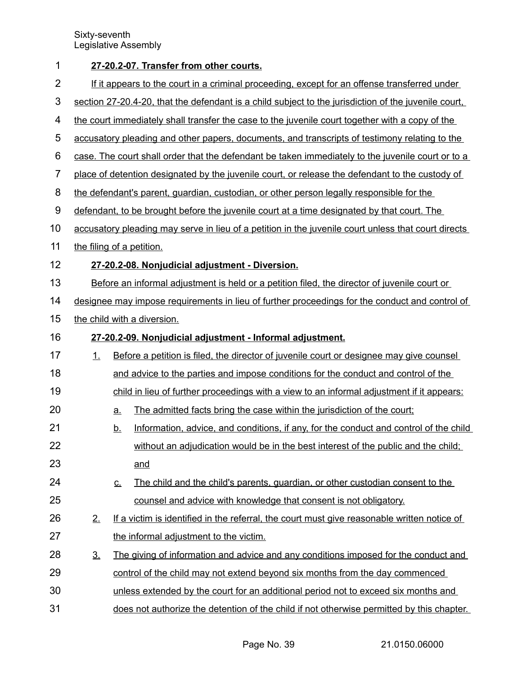| 1                |                                                                                              | 27-20.2-07. Transfer from other courts.                                                              |                                                                                                     |  |  |  |
|------------------|----------------------------------------------------------------------------------------------|------------------------------------------------------------------------------------------------------|-----------------------------------------------------------------------------------------------------|--|--|--|
| $\overline{2}$   | If it appears to the court in a criminal proceeding, except for an offense transferred under |                                                                                                      |                                                                                                     |  |  |  |
| 3                |                                                                                              | section 27-20.4-20, that the defendant is a child subject to the jurisdiction of the juvenile court, |                                                                                                     |  |  |  |
| 4                |                                                                                              |                                                                                                      | the court immediately shall transfer the case to the juvenile court together with a copy of the     |  |  |  |
| 5                |                                                                                              |                                                                                                      | accusatory pleading and other papers, documents, and transcripts of testimony relating to the       |  |  |  |
| 6                |                                                                                              |                                                                                                      | case. The court shall order that the defendant be taken immediately to the juvenile court or to a   |  |  |  |
| $\overline{7}$   |                                                                                              |                                                                                                      | place of detention designated by the juvenile court, or release the defendant to the custody of     |  |  |  |
| 8                |                                                                                              |                                                                                                      | the defendant's parent, guardian, custodian, or other person legally responsible for the            |  |  |  |
| $\boldsymbol{9}$ |                                                                                              |                                                                                                      | defendant, to be brought before the juvenile court at a time designated by that court. The          |  |  |  |
| 10               |                                                                                              |                                                                                                      | accusatory pleading may serve in lieu of a petition in the juvenile court unless that court directs |  |  |  |
| 11               |                                                                                              |                                                                                                      | the filing of a petition.                                                                           |  |  |  |
| 12               |                                                                                              |                                                                                                      | 27-20.2-08. Nonjudicial adjustment - Diversion.                                                     |  |  |  |
| 13               |                                                                                              |                                                                                                      | Before an informal adjustment is held or a petition filed, the director of juvenile court or        |  |  |  |
| 14               |                                                                                              |                                                                                                      | designee may impose requirements in lieu of further proceedings for the conduct and control of      |  |  |  |
| 15               |                                                                                              |                                                                                                      | the child with a diversion.                                                                         |  |  |  |
| 16               |                                                                                              |                                                                                                      | 27-20.2-09. Nonjudicial adjustment - Informal adjustment.                                           |  |  |  |
| 17               | 1.                                                                                           | Before a petition is filed, the director of juvenile court or designee may give counsel              |                                                                                                     |  |  |  |
| 18               |                                                                                              |                                                                                                      | and advice to the parties and impose conditions for the conduct and control of the                  |  |  |  |
| 19               |                                                                                              |                                                                                                      | child in lieu of further proceedings with a view to an informal adjustment if it appears:           |  |  |  |
| 20               |                                                                                              | <u>a</u>                                                                                             | The admitted facts bring the case within the jurisdiction of the court;                             |  |  |  |
| 21               |                                                                                              | <u>b.</u>                                                                                            | Information, advice, and conditions, if any, for the conduct and control of the child               |  |  |  |
| 22               |                                                                                              |                                                                                                      | without an adjudication would be in the best interest of the public and the child;                  |  |  |  |
| 23               |                                                                                              |                                                                                                      | and                                                                                                 |  |  |  |
| 24               |                                                                                              | <u>C.</u>                                                                                            | The child and the child's parents, guardian, or other custodian consent to the                      |  |  |  |
| 25               |                                                                                              |                                                                                                      | counsel and advice with knowledge that consent is not obligatory.                                   |  |  |  |
| 26               | 2.                                                                                           |                                                                                                      | If a victim is identified in the referral, the court must give reasonable written notice of         |  |  |  |
| 27               |                                                                                              |                                                                                                      | the informal adjustment to the victim.                                                              |  |  |  |
| 28               | $\underline{3}$ .                                                                            |                                                                                                      | The giving of information and advice and any conditions imposed for the conduct and                 |  |  |  |
| 29               |                                                                                              |                                                                                                      | control of the child may not extend beyond six months from the day commenced                        |  |  |  |
| 30               |                                                                                              |                                                                                                      | unless extended by the court for an additional period not to exceed six months and                  |  |  |  |
| 31               |                                                                                              |                                                                                                      | does not authorize the detention of the child if not otherwise permitted by this chapter.           |  |  |  |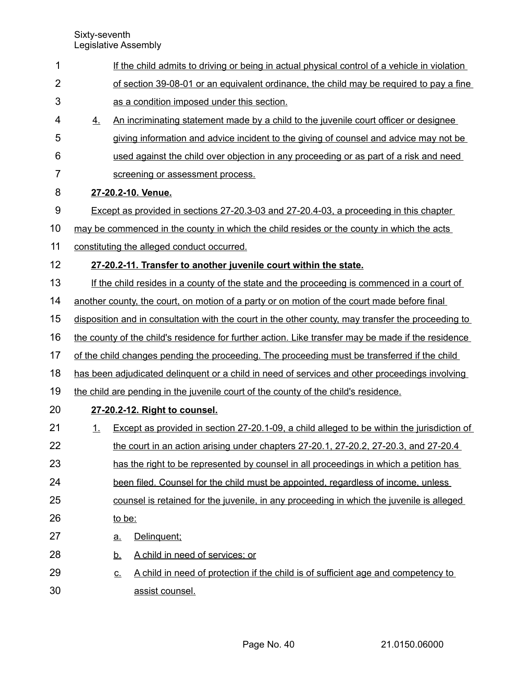| 1              |                                                                                              | If the child admits to driving or being in actual physical control of a vehicle in violation       |  |  |  |
|----------------|----------------------------------------------------------------------------------------------|----------------------------------------------------------------------------------------------------|--|--|--|
| $\overline{2}$ |                                                                                              | of section 39-08-01 or an equivalent ordinance, the child may be required to pay a fine            |  |  |  |
| 3              |                                                                                              | as a condition imposed under this section.                                                         |  |  |  |
| 4              | 4.                                                                                           | An incriminating statement made by a child to the juvenile court officer or designee               |  |  |  |
| 5              |                                                                                              | giving information and advice incident to the giving of counsel and advice may not be              |  |  |  |
| 6              |                                                                                              | used against the child over objection in any proceeding or as part of a risk and need              |  |  |  |
| $\overline{7}$ |                                                                                              | screening or assessment process.                                                                   |  |  |  |
| 8              |                                                                                              | 27-20.2-10. Venue.                                                                                 |  |  |  |
| 9              |                                                                                              | Except as provided in sections 27-20.3-03 and 27-20.4-03, a proceeding in this chapter             |  |  |  |
| 10             |                                                                                              | may be commenced in the county in which the child resides or the county in which the acts          |  |  |  |
| 11             |                                                                                              | constituting the alleged conduct occurred.                                                         |  |  |  |
| 12             |                                                                                              | 27-20.2-11. Transfer to another juvenile court within the state.                                   |  |  |  |
| 13             |                                                                                              | If the child resides in a county of the state and the proceeding is commenced in a court of        |  |  |  |
| 14             |                                                                                              | another county, the court, on motion of a party or on motion of the court made before final        |  |  |  |
| 15             |                                                                                              | disposition and in consultation with the court in the other county, may transfer the proceeding to |  |  |  |
| 16             |                                                                                              | the county of the child's residence for further action. Like transfer may be made if the residence |  |  |  |
| 17             | of the child changes pending the proceeding. The proceeding must be transferred if the child |                                                                                                    |  |  |  |
| 18             |                                                                                              | has been adjudicated delinguent or a child in need of services and other proceedings involving     |  |  |  |
| 19             |                                                                                              | the child are pending in the juvenile court of the county of the child's residence.                |  |  |  |
| 20             |                                                                                              | 27-20.2-12. Right to counsel.                                                                      |  |  |  |
| 21             | 1.                                                                                           | Except as provided in section 27-20.1-09, a child alleged to be within the jurisdiction of         |  |  |  |
| 22             |                                                                                              | the court in an action arising under chapters 27-20.1, 27-20.2, 27-20.3, and 27-20.4               |  |  |  |
| 23             |                                                                                              | has the right to be represented by counsel in all proceedings in which a petition has              |  |  |  |
| 24             |                                                                                              | been filed. Counsel for the child must be appointed, regardless of income, unless                  |  |  |  |
| 25             | counsel is retained for the juvenile, in any proceeding in which the juvenile is alleged     |                                                                                                    |  |  |  |
| 26             |                                                                                              | to be:                                                                                             |  |  |  |
| 27             |                                                                                              | Delinquent;<br><u>a.</u>                                                                           |  |  |  |
| 28             |                                                                                              | A child in need of services; or<br><u>b.</u>                                                       |  |  |  |
| 29             |                                                                                              | A child in need of protection if the child is of sufficient age and competency to<br><u>C.</u>     |  |  |  |
| 30             |                                                                                              | assist counsel.                                                                                    |  |  |  |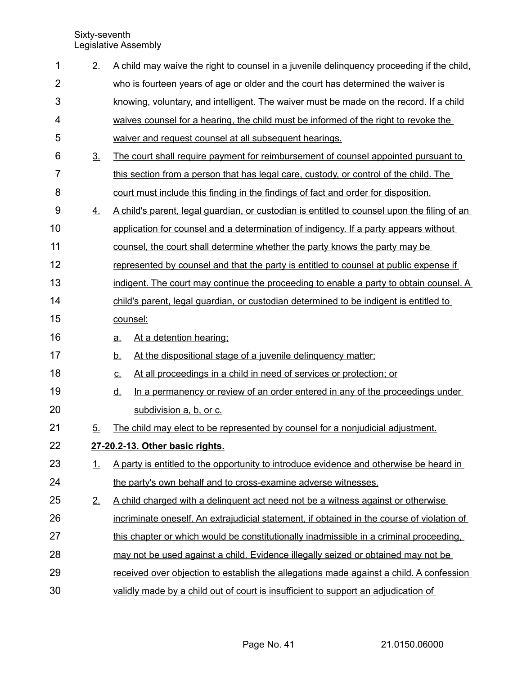| 1              | 2.             | A child may waive the right to counsel in a juvenile delinguency proceeding if the child,   |  |  |  |
|----------------|----------------|---------------------------------------------------------------------------------------------|--|--|--|
| $\overline{2}$ |                | who is fourteen years of age or older and the court has determined the waiver is            |  |  |  |
| 3              |                | knowing, voluntary, and intelligent. The waiver must be made on the record. If a child      |  |  |  |
| 4              |                | waives counsel for a hearing, the child must be informed of the right to revoke the         |  |  |  |
| 5              |                | waiver and request counsel at all subsequent hearings.                                      |  |  |  |
| 6              | 3 <sub>1</sub> | The court shall require payment for reimbursement of counsel appointed pursuant to          |  |  |  |
| 7              |                | this section from a person that has legal care, custody, or control of the child. The       |  |  |  |
| 8              |                | court must include this finding in the findings of fact and order for disposition.          |  |  |  |
| 9              | 4.             | A child's parent, legal guardian, or custodian is entitled to counsel upon the filing of an |  |  |  |
| 10             |                | application for counsel and a determination of indigency. If a party appears without        |  |  |  |
| 11             |                | counsel, the court shall determine whether the party knows the party may be                 |  |  |  |
| 12             |                | represented by counsel and that the party is entitled to counsel at public expense if       |  |  |  |
| 13             |                | indigent. The court may continue the proceeding to enable a party to obtain counsel. A      |  |  |  |
| 14             |                | child's parent, legal guardian, or custodian determined to be indigent is entitled to       |  |  |  |
| 15             |                | counsel:                                                                                    |  |  |  |
| 16             |                | At a detention hearing:<br><u>a.</u>                                                        |  |  |  |
| 17             |                | At the dispositional stage of a juvenile delinquency matter;<br><u>b.</u>                   |  |  |  |
| 18             |                | At all proceedings in a child in need of services or protection; or<br><u>c.</u>            |  |  |  |
| 19             |                | In a permanency or review of an order entered in any of the proceedings under<br><u>d.</u>  |  |  |  |
| 20             |                | subdivision a, b, or c.                                                                     |  |  |  |
| 21             | 5.             | The child may elect to be represented by counsel for a nonjudicial adjustment.              |  |  |  |
| 22             |                | 27-20.2-13. Other basic rights.                                                             |  |  |  |
| 23             | 1.             | A party is entitled to the opportunity to introduce evidence and otherwise be heard in      |  |  |  |
| 24             |                | the party's own behalf and to cross-examine adverse witnesses.                              |  |  |  |
| 25             | 2.             | A child charged with a delinguent act need not be a witness against or otherwise            |  |  |  |
| 26             |                | incriminate oneself. An extrajudicial statement, if obtained in the course of violation of  |  |  |  |
| 27             |                | this chapter or which would be constitutionally inadmissible in a criminal proceeding.      |  |  |  |
| 28             |                | may not be used against a child. Evidence illegally seized or obtained may not be           |  |  |  |
| 29             |                | received over objection to establish the allegations made against a child. A confession     |  |  |  |
| 30             |                | validly made by a child out of court is insufficient to support an adjudication of          |  |  |  |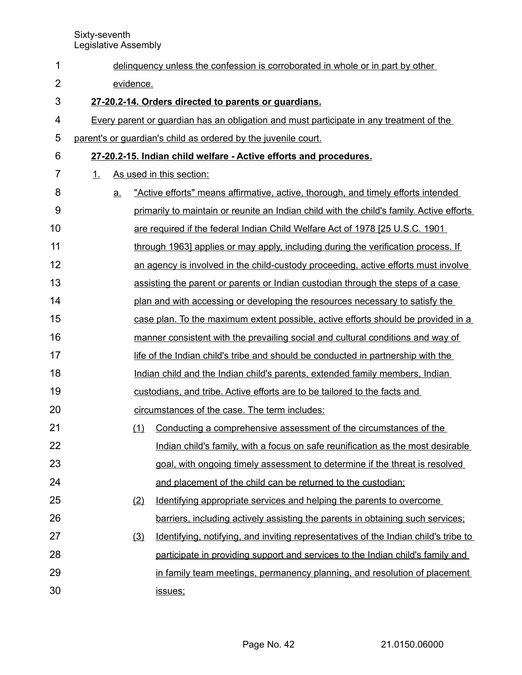| 1              | delinquency unless the confession is corroborated in whole or in part by other |    |     |                                                                                          |  |
|----------------|--------------------------------------------------------------------------------|----|-----|------------------------------------------------------------------------------------------|--|
| $\overline{2}$ | evidence.                                                                      |    |     |                                                                                          |  |
| 3              |                                                                                |    |     | 27-20.2-14. Orders directed to parents or guardians.                                     |  |
| 4              |                                                                                |    |     | Every parent or guardian has an obligation and must participate in any treatment of the  |  |
| 5              |                                                                                |    |     | parent's or guardian's child as ordered by the juvenile court.                           |  |
| 6              |                                                                                |    |     | 27-20.2-15. Indian child welfare - Active efforts and procedures.                        |  |
| 7              | $\mathbf{1}$ .                                                                 |    |     | As used in this section:                                                                 |  |
| 8              |                                                                                | a. |     | "Active efforts" means affirmative, active, thorough, and timely efforts intended        |  |
| 9              |                                                                                |    |     | primarily to maintain or reunite an Indian child with the child's family. Active efforts |  |
| 10             |                                                                                |    |     | are required if the federal Indian Child Welfare Act of 1978 [25 U.S.C. 1901             |  |
| 11             |                                                                                |    |     | through 1963] applies or may apply, including during the verification process. If        |  |
| 12             |                                                                                |    |     | an agency is involved in the child-custody proceeding, active efforts must involve       |  |
| 13             |                                                                                |    |     | assisting the parent or parents or Indian custodian through the steps of a case          |  |
| 14             |                                                                                |    |     | plan and with accessing or developing the resources necessary to satisfy the             |  |
| 15             |                                                                                |    |     | case plan. To the maximum extent possible, active efforts should be provided in a        |  |
| 16             |                                                                                |    |     | manner consistent with the prevailing social and cultural conditions and way of          |  |
| 17             |                                                                                |    |     | life of the Indian child's tribe and should be conducted in partnership with the         |  |
| 18             |                                                                                |    |     | Indian child and the Indian child's parents, extended family members, Indian             |  |
| 19             |                                                                                |    |     | custodians, and tribe. Active efforts are to be tailored to the facts and                |  |
| 20             |                                                                                |    |     | circumstances of the case. The term includes:                                            |  |
| 21             |                                                                                |    | (1) | Conducting a comprehensive assessment of the circumstances of the                        |  |
| 22             |                                                                                |    |     | Indian child's family, with a focus on safe reunification as the most desirable          |  |
| 23             |                                                                                |    |     | goal, with ongoing timely assessment to determine if the threat is resolved              |  |
| 24             |                                                                                |    |     | and placement of the child can be returned to the custodian;                             |  |
| 25             |                                                                                |    | (2) | Identifying appropriate services and helping the parents to overcome                     |  |
| 26             |                                                                                |    |     | barriers, including actively assisting the parents in obtaining such services;           |  |
| 27             |                                                                                |    | (3) | Identifying, notifying, and inviting representatives of the Indian child's tribe to      |  |
| 28             |                                                                                |    |     | participate in providing support and services to the Indian child's family and           |  |
| 29             |                                                                                |    |     | in family team meetings, permanency planning, and resolution of placement                |  |
| 30             |                                                                                |    |     | issues;                                                                                  |  |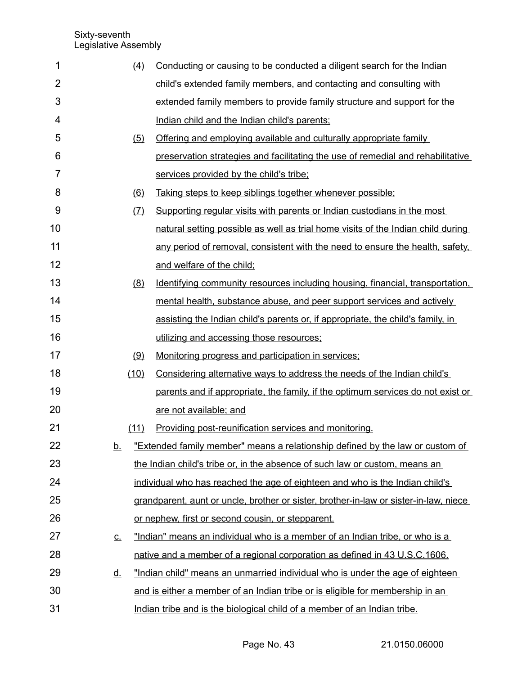| 1              | (4)       | Conducting or causing to be conducted a diligent search for the Indian                |
|----------------|-----------|---------------------------------------------------------------------------------------|
| $\overline{2}$ |           | child's extended family members, and contacting and consulting with                   |
| 3              |           | extended family members to provide family structure and support for the               |
| 4              |           | Indian child and the Indian child's parents;                                          |
| 5              | (5)       | Offering and employing available and culturally appropriate family                    |
| 6              |           | preservation strategies and facilitating the use of remedial and rehabilitative       |
| $\overline{7}$ |           | services provided by the child's tribe;                                               |
| 8              | (6)       | Taking steps to keep siblings together whenever possible;                             |
| 9              | (7)       | Supporting regular visits with parents or Indian custodians in the most               |
| 10             |           | natural setting possible as well as trial home visits of the Indian child during      |
| 11             |           | any period of removal, consistent with the need to ensure the health, safety,         |
| 12             |           | and welfare of the child;                                                             |
| 13             | (8)       | Identifying community resources including housing, financial, transportation,         |
| 14             |           | mental health, substance abuse, and peer support services and actively                |
| 15             |           | assisting the Indian child's parents or, if appropriate, the child's family, in       |
| 16             |           | utilizing and accessing those resources;                                              |
| 17             | (9)       | Monitoring progress and participation in services;                                    |
| 18             | (10)      | Considering alternative ways to address the needs of the Indian child's               |
| 19             |           | parents and if appropriate, the family, if the optimum services do not exist or       |
| 20             |           | are not available; and                                                                |
| 21             | (11)      | Providing post-reunification services and monitoring.                                 |
| 22             | <u>b.</u> | "Extended family member" means a relationship defined by the law or custom of         |
| 23             |           | the Indian child's tribe or, in the absence of such law or custom, means an           |
| 24             |           | individual who has reached the age of eighteen and who is the Indian child's          |
| 25             |           | grandparent, aunt or uncle, brother or sister, brother-in-law or sister-in-law, niece |
| 26             |           | or nephew, first or second cousin, or stepparent.                                     |
| 27             | <u>C.</u> | "Indian" means an individual who is a member of an Indian tribe, or who is a          |
| 28             |           | native and a member of a regional corporation as defined in 43 U.S.C.1606.            |
| 29             | <u>d.</u> | "Indian child" means an unmarried individual who is under the age of eighteen         |
| 30             |           | and is either a member of an Indian tribe or is eligible for membership in an         |
| 31             |           | Indian tribe and is the biological child of a member of an Indian tribe.              |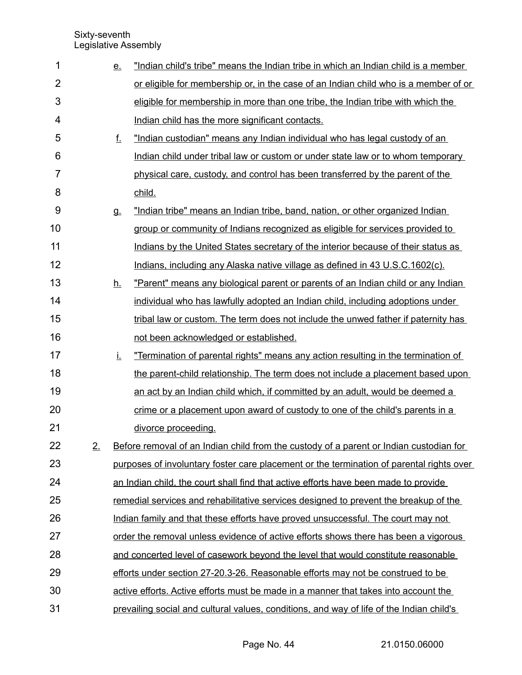| 1              |    | <u>e.</u> | "Indian child's tribe" means the Indian tribe in which an Indian child is a member       |
|----------------|----|-----------|------------------------------------------------------------------------------------------|
| $\overline{2}$ |    |           | or eligible for membership or, in the case of an Indian child who is a member of or      |
| 3              |    |           | eligible for membership in more than one tribe, the Indian tribe with which the          |
| 4              |    |           | Indian child has the more significant contacts.                                          |
| 5              |    | f.        | "Indian custodian" means any Indian individual who has legal custody of an               |
| 6              |    |           | Indian child under tribal law or custom or under state law or to whom temporary          |
| $\overline{7}$ |    |           | physical care, custody, and control has been transferred by the parent of the            |
| 8              |    |           | child.                                                                                   |
| 9              |    | <b>g.</b> | "Indian tribe" means an Indian tribe, band, nation, or other organized Indian            |
| 10             |    |           | group or community of Indians recognized as eligible for services provided to            |
| 11             |    |           | Indians by the United States secretary of the interior because of their status as        |
| 12             |    |           | Indians, including any Alaska native village as defined in 43 U.S.C.1602(c).             |
| 13             |    | <u>h.</u> | "Parent" means any biological parent or parents of an Indian child or any Indian         |
| 14             |    |           | individual who has lawfully adopted an Indian child, including adoptions under           |
| 15             |    |           | tribal law or custom. The term does not include the unwed father if paternity has        |
| 16             |    |           | not been acknowledged or established.                                                    |
| 17             |    | İ.        | "Termination of parental rights" means any action resulting in the termination of        |
| 18             |    |           | the parent-child relationship. The term does not include a placement based upon          |
| 19             |    |           | an act by an Indian child which, if committed by an adult, would be deemed a             |
| 20             |    |           | crime or a placement upon award of custody to one of the child's parents in a            |
| 21             |    |           | divorce proceeding.                                                                      |
| 22             | 2. |           | Before removal of an Indian child from the custody of a parent or Indian custodian for   |
| 23             |    |           | purposes of involuntary foster care placement or the termination of parental rights over |
| 24             |    |           | an Indian child, the court shall find that active efforts have been made to provide      |
| 25             |    |           | remedial services and rehabilitative services designed to prevent the breakup of the     |
| 26             |    |           | Indian family and that these efforts have proved unsuccessful. The court may not         |
| 27             |    |           | order the removal unless evidence of active efforts shows there has been a vigorous      |
| 28             |    |           | and concerted level of casework beyond the level that would constitute reasonable        |
| 29             |    |           | efforts under section 27-20.3-26. Reasonable efforts may not be construed to be          |
| 30             |    |           | active efforts. Active efforts must be made in a manner that takes into account the      |
| 31             |    |           | prevailing social and cultural values, conditions, and way of life of the Indian child's |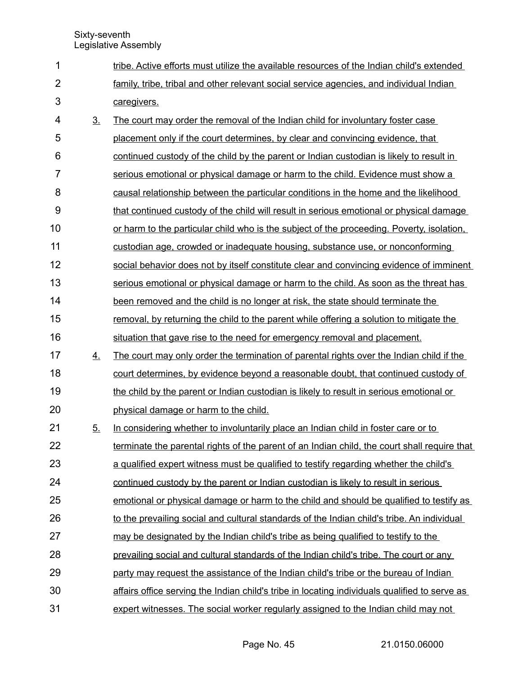| 1              |                   | tribe. Active efforts must utilize the available resources of the Indian child's extended     |
|----------------|-------------------|-----------------------------------------------------------------------------------------------|
| $\overline{2}$ |                   | family, tribe, tribal and other relevant social service agencies, and individual Indian       |
| 3              |                   | caregivers.                                                                                   |
| 4              | $\underline{3}$ . | The court may order the removal of the Indian child for involuntary foster case               |
| 5              |                   | placement only if the court determines, by clear and convincing evidence, that                |
| 6              |                   | continued custody of the child by the parent or Indian custodian is likely to result in       |
| 7              |                   | serious emotional or physical damage or harm to the child. Evidence must show a               |
| 8              |                   | causal relationship between the particular conditions in the home and the likelihood          |
| 9              |                   | that continued custody of the child will result in serious emotional or physical damage       |
| 10             |                   | or harm to the particular child who is the subject of the proceeding. Poverty, isolation,     |
| 11             |                   | custodian age, crowded or inadequate housing, substance use, or nonconforming                 |
| 12             |                   | social behavior does not by itself constitute clear and convincing evidence of imminent       |
| 13             |                   | serious emotional or physical damage or harm to the child. As soon as the threat has          |
| 14             |                   | been removed and the child is no longer at risk, the state should terminate the               |
| 15             |                   | removal, by returning the child to the parent while offering a solution to mitigate the       |
| 16             |                   | situation that gave rise to the need for emergency removal and placement.                     |
| 17             | 4.                | The court may only order the termination of parental rights over the Indian child if the      |
| 18             |                   | court determines, by evidence beyond a reasonable doubt, that continued custody of            |
| 19             |                   | the child by the parent or Indian custodian is likely to result in serious emotional or       |
| 20             |                   | physical damage or harm to the child.                                                         |
| 21             | 5.                | In considering whether to involuntarily place an Indian child in foster care or to            |
| 22             |                   | terminate the parental rights of the parent of an Indian child, the court shall require that  |
| 23             |                   | a qualified expert witness must be qualified to testify regarding whether the child's         |
| 24             |                   | continued custody by the parent or Indian custodian is likely to result in serious            |
| 25             |                   | emotional or physical damage or harm to the child and should be qualified to testify as       |
| 26             |                   | to the prevailing social and cultural standards of the Indian child's tribe. An individual    |
| 27             |                   | may be designated by the Indian child's tribe as being qualified to testify to the            |
| 28             |                   | prevailing social and cultural standards of the Indian child's tribe. The court or any        |
| 29             |                   | party may request the assistance of the Indian child's tribe or the bureau of Indian          |
| 30             |                   | affairs office serving the Indian child's tribe in locating individuals qualified to serve as |
| 31             |                   | expert witnesses. The social worker regularly assigned to the Indian child may not            |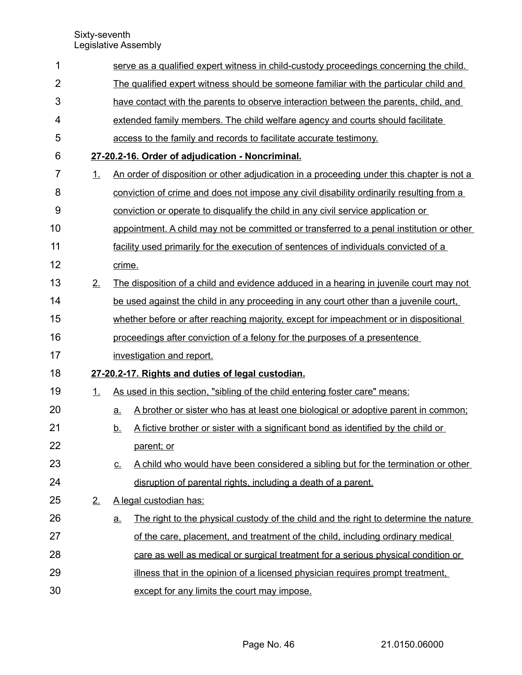| 1              |    | serve as a qualified expert witness in child-custody proceedings concerning the child.            |  |  |  |
|----------------|----|---------------------------------------------------------------------------------------------------|--|--|--|
| $\overline{2}$ |    | The qualified expert witness should be someone familiar with the particular child and             |  |  |  |
|                |    |                                                                                                   |  |  |  |
| 3              |    | have contact with the parents to observe interaction between the parents, child, and              |  |  |  |
| 4              |    | extended family members. The child welfare agency and courts should facilitate                    |  |  |  |
| 5              |    | access to the family and records to facilitate accurate testimony.                                |  |  |  |
| 6              |    | 27-20.2-16. Order of adjudication - Noncriminal.                                                  |  |  |  |
| 7              | 1. | An order of disposition or other adjudication in a proceeding under this chapter is not a         |  |  |  |
| 8              |    | conviction of crime and does not impose any civil disability ordinarily resulting from a          |  |  |  |
| 9              |    | conviction or operate to disqualify the child in any civil service application or                 |  |  |  |
| 10             |    | appointment. A child may not be committed or transferred to a penal institution or other          |  |  |  |
| 11             |    | facility used primarily for the execution of sentences of individuals convicted of a              |  |  |  |
| 12             |    | crime.                                                                                            |  |  |  |
| 13             | 2. | The disposition of a child and evidence adduced in a hearing in juvenile court may not            |  |  |  |
| 14             |    | be used against the child in any proceeding in any court other than a juvenile court,             |  |  |  |
| 15             |    | whether before or after reaching majority, except for impeachment or in dispositional             |  |  |  |
| 16             |    | proceedings after conviction of a felony for the purposes of a presentence                        |  |  |  |
| 17             |    | investigation and report.                                                                         |  |  |  |
| 18             |    | 27-20.2-17. Rights and duties of legal custodian.                                                 |  |  |  |
| 19             | 1. | As used in this section, "sibling of the child entering foster care" means:                       |  |  |  |
| 20             |    | A brother or sister who has at least one biological or adoptive parent in common;<br>a.           |  |  |  |
| 21             |    | A fictive brother or sister with a significant bond as identified by the child or<br><u>b.</u>    |  |  |  |
| 22             |    | parent; or                                                                                        |  |  |  |
| 23             |    | A child who would have been considered a sibling but for the termination or other<br><u>c.</u>    |  |  |  |
| 24             |    | disruption of parental rights, including a death of a parent.                                     |  |  |  |
| 25             | 2. | A legal custodian has:                                                                            |  |  |  |
| 26             |    | The right to the physical custody of the child and the right to determine the nature<br><u>a.</u> |  |  |  |
| 27             |    | of the care, placement, and treatment of the child, including ordinary medical                    |  |  |  |
| 28             |    | care as well as medical or surgical treatment for a serious physical condition or                 |  |  |  |
| 29             |    | illness that in the opinion of a licensed physician requires prompt treatment,                    |  |  |  |
| 30             |    | except for any limits the court may impose.                                                       |  |  |  |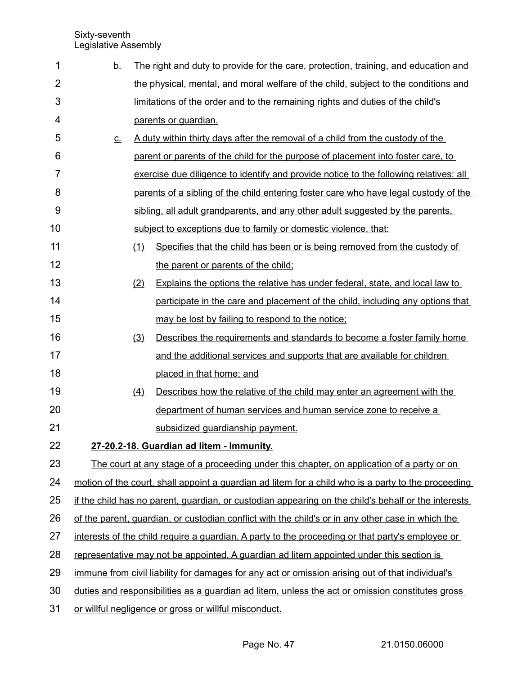| 1              | <u>b.</u>                | The right and duty to provide for the care, protection, training, and education and                 |
|----------------|--------------------------|-----------------------------------------------------------------------------------------------------|
| $\overline{2}$ |                          | the physical, mental, and moral welfare of the child, subject to the conditions and                 |
| 3              |                          | limitations of the order and to the remaining rights and duties of the child's                      |
| 4              |                          | parents or guardian.                                                                                |
| 5              | $\underline{\mathsf{C}}$ | A duty within thirty days after the removal of a child from the custody of the                      |
| 6              |                          | parent or parents of the child for the purpose of placement into foster care, to                    |
| 7              |                          | exercise due diligence to identify and provide notice to the following relatives: all               |
| 8              |                          | parents of a sibling of the child entering foster care who have legal custody of the                |
| 9              |                          | sibling, all adult grandparents, and any other adult suggested by the parents.                      |
| 10             |                          | subject to exceptions due to family or domestic violence, that:                                     |
| 11             | (1)                      | Specifies that the child has been or is being removed from the custody of                           |
| 12             |                          | the parent or parents of the child;                                                                 |
| 13             | (2)                      | Explains the options the relative has under federal, state, and local law to                        |
| 14             |                          | participate in the care and placement of the child, including any options that                      |
| 15             |                          | may be lost by failing to respond to the notice;                                                    |
| 16             | (3)                      | Describes the requirements and standards to become a foster family home                             |
| 17             |                          | and the additional services and supports that are available for children                            |
| 18             |                          | placed in that home; and                                                                            |
| 19             | (4)                      | Describes how the relative of the child may enter an agreement with the                             |
| 20             |                          | department of human services and human service zone to receive a                                    |
| 21             |                          | subsidized guardianship payment.                                                                    |
| 22             |                          | 27-20.2-18. Guardian ad litem - Immunity.                                                           |
| 23             |                          | The court at any stage of a proceeding under this chapter, on application of a party or on          |
| 24             |                          | motion of the court, shall appoint a guardian ad litem for a child who is a party to the proceeding |
| 25             |                          | if the child has no parent, quardian, or custodian appearing on the child's behalf or the interests |
| 26             |                          | of the parent, guardian, or custodian conflict with the child's or in any other case in which the   |
| 27             |                          | interests of the child require a guardian. A party to the proceeding or that party's employee or    |
| 28             |                          | representative may not be appointed. A guardian ad litem appointed under this section is            |
| 29             |                          | immune from civil liability for damages for any act or omission arising out of that individual's    |
| 30             |                          | duties and responsibilities as a quardian ad litem, unless the act or omission constitutes gross    |
| 31             |                          | or willful negligence or gross or willful misconduct.                                               |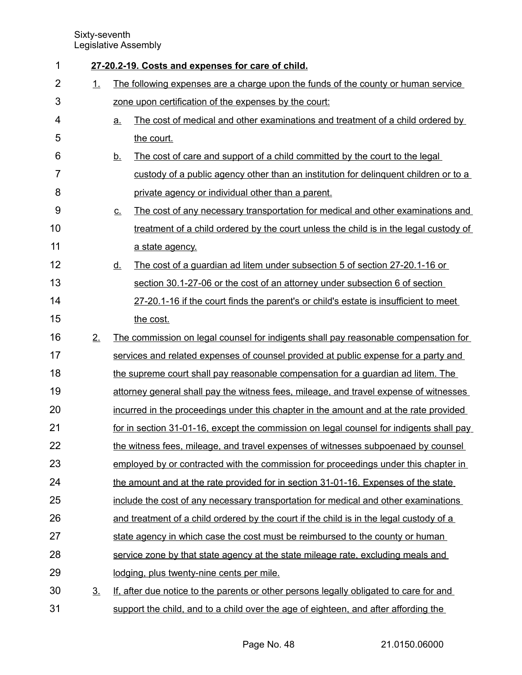| 1              |           | 27-20.2-19. Costs and expenses for care of child.                                                    |  |  |
|----------------|-----------|------------------------------------------------------------------------------------------------------|--|--|
| $\overline{2}$ | 1.        | The following expenses are a charge upon the funds of the county or human service                    |  |  |
| 3              |           | zone upon certification of the expenses by the court:                                                |  |  |
| 4              |           | The cost of medical and other examinations and treatment of a child ordered by<br><u>a.</u>          |  |  |
| 5              |           | the court.                                                                                           |  |  |
| 6              |           | The cost of care and support of a child committed by the court to the legal<br><u>b.</u>             |  |  |
| 7              |           | custody of a public agency other than an institution for delinquent children or to a                 |  |  |
| 8              |           | private agency or individual other than a parent.                                                    |  |  |
| 9              |           | The cost of any necessary transportation for medical and other examinations and<br>$\underline{C}$ . |  |  |
| 10             |           | treatment of a child ordered by the court unless the child is in the legal custody of                |  |  |
| 11             |           | a state agency.                                                                                      |  |  |
| 12             |           | The cost of a guardian ad litem under subsection 5 of section 27-20.1-16 or<br><u>d.</u>             |  |  |
| 13             |           | section 30.1-27-06 or the cost of an attorney under subsection 6 of section                          |  |  |
| 14             |           | 27-20.1-16 if the court finds the parent's or child's estate is insufficient to meet                 |  |  |
| 15             |           | the cost.                                                                                            |  |  |
| 16             | 2.        | The commission on legal counsel for indigents shall pay reasonable compensation for                  |  |  |
| 17             |           | services and related expenses of counsel provided at public expense for a party and                  |  |  |
| 18             |           | the supreme court shall pay reasonable compensation for a guardian ad litem. The                     |  |  |
| 19             |           | attorney general shall pay the witness fees, mileage, and travel expense of witnesses                |  |  |
| 20             |           | incurred in the proceedings under this chapter in the amount and at the rate provided                |  |  |
| 21             |           | for in section 31-01-16, except the commission on legal counsel for indigents shall pay              |  |  |
| 22             |           | the witness fees, mileage, and travel expenses of witnesses subpoenaed by counsel                    |  |  |
| 23             |           | employed by or contracted with the commission for proceedings under this chapter in                  |  |  |
| 24             |           | the amount and at the rate provided for in section 31-01-16. Expenses of the state                   |  |  |
| 25             |           | include the cost of any necessary transportation for medical and other examinations                  |  |  |
| 26             |           | and treatment of a child ordered by the court if the child is in the legal custody of a              |  |  |
| 27             |           | state agency in which case the cost must be reimbursed to the county or human                        |  |  |
| 28             |           | service zone by that state agency at the state mileage rate, excluding meals and                     |  |  |
| 29             |           | lodging, plus twenty-nine cents per mile.                                                            |  |  |
| 30             | <u>3.</u> | If, after due notice to the parents or other persons legally obligated to care for and               |  |  |
| 31             |           | support the child, and to a child over the age of eighteen, and after affording the                  |  |  |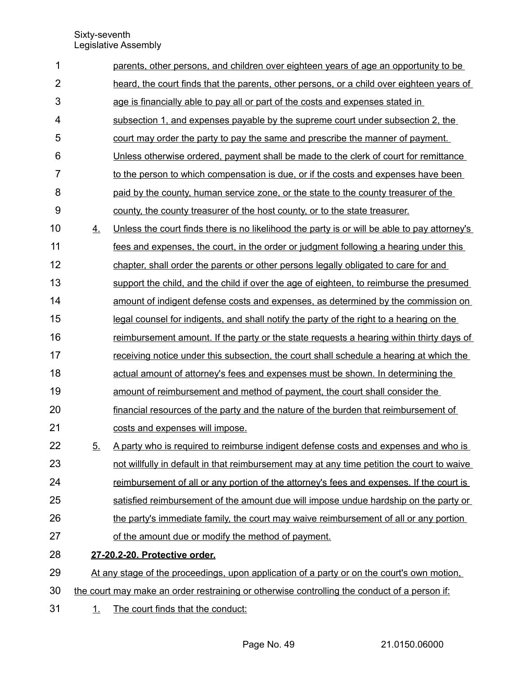| 1              |           | parents, other persons, and children over eighteen years of age an opportunity to be         |
|----------------|-----------|----------------------------------------------------------------------------------------------|
| $\overline{2}$ |           | heard, the court finds that the parents, other persons, or a child over eighteen years of    |
| 3              |           | age is financially able to pay all or part of the costs and expenses stated in               |
| $\overline{4}$ |           | subsection 1, and expenses payable by the supreme court under subsection 2, the              |
| 5              |           | court may order the party to pay the same and prescribe the manner of payment.               |
| 6              |           | Unless otherwise ordered, payment shall be made to the clerk of court for remittance         |
| $\overline{7}$ |           | to the person to which compensation is due, or if the costs and expenses have been           |
| 8              |           | paid by the county, human service zone, or the state to the county treasurer of the          |
| 9              |           | county, the county treasurer of the host county, or to the state treasurer.                  |
| 10             | 4.        | Unless the court finds there is no likelihood the party is or will be able to pay attorney's |
| 11             |           | fees and expenses, the court, in the order or judgment following a hearing under this        |
| 12             |           | chapter, shall order the parents or other persons legally obligated to care for and          |
| 13             |           | support the child, and the child if over the age of eighteen, to reimburse the presumed      |
| 14             |           | amount of indigent defense costs and expenses, as determined by the commission on            |
| 15             |           | legal counsel for indigents, and shall notify the party of the right to a hearing on the     |
| 16             |           | reimbursement amount. If the party or the state requests a hearing within thirty days of     |
| 17             |           | receiving notice under this subsection, the court shall schedule a hearing at which the      |
| 18             |           | actual amount of attorney's fees and expenses must be shown. In determining the              |
| 19             |           | amount of reimbursement and method of payment, the court shall consider the                  |
| 20             |           | financial resources of the party and the nature of the burden that reimbursement of          |
| 21             |           | costs and expenses will impose.                                                              |
| 22             | <u>5.</u> | A party who is required to reimburse indigent defense costs and expenses and who is          |
| 23             |           | not willfully in default in that reimbursement may at any time petition the court to waive   |
| 24             |           | reimbursement of all or any portion of the attorney's fees and expenses. If the court is     |
| 25             |           | satisfied reimbursement of the amount due will impose undue hardship on the party or         |
| 26             |           | the party's immediate family, the court may waive reimbursement of all or any portion        |
| 27             |           | of the amount due or modify the method of payment.                                           |
| 28             |           | 27-20.2-20. Protective order.                                                                |
| 29             |           | At any stage of the proceedings, upon application of a party or on the court's own motion,   |
| 30             |           | the court may make an order restraining or otherwise controlling the conduct of a person if: |
| 31             | <u>1.</u> | The court finds that the conduct:                                                            |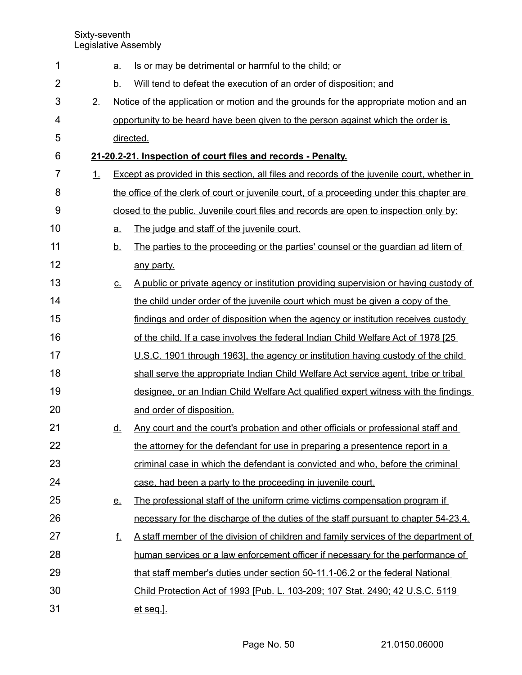| 1              |    | <u>a.</u> | Is or may be detrimental or harmful to the child; or                                        |  |  |  |  |  |
|----------------|----|-----------|---------------------------------------------------------------------------------------------|--|--|--|--|--|
| $\overline{2}$ |    | <u>b.</u> | Will tend to defeat the execution of an order of disposition; and                           |  |  |  |  |  |
| 3              | 2. |           | Notice of the application or motion and the grounds for the appropriate motion and an       |  |  |  |  |  |
| 4              |    |           | opportunity to be heard have been given to the person against which the order is            |  |  |  |  |  |
| 5              |    |           | directed.                                                                                   |  |  |  |  |  |
| 6              |    |           | 21-20.2-21. Inspection of court files and records - Penalty.                                |  |  |  |  |  |
| 7              | 1. |           | Except as provided in this section, all files and records of the juvenile court, whether in |  |  |  |  |  |
| 8              |    |           | the office of the clerk of court or juvenile court, of a proceeding under this chapter are  |  |  |  |  |  |
| 9              |    |           | closed to the public. Juvenile court files and records are open to inspection only by:      |  |  |  |  |  |
| 10             |    | <u>a.</u> | The judge and staff of the juvenile court.                                                  |  |  |  |  |  |
| 11             |    | <u>b.</u> | The parties to the proceeding or the parties' counsel or the quardian ad litem of           |  |  |  |  |  |
| 12             |    |           | any party.                                                                                  |  |  |  |  |  |
| 13             |    | <u>C.</u> | A public or private agency or institution providing supervision or having custody of        |  |  |  |  |  |
| 14             |    |           | the child under order of the juvenile court which must be given a copy of the               |  |  |  |  |  |
| 15             |    |           | findings and order of disposition when the agency or institution receives custody           |  |  |  |  |  |
| 16             |    |           | of the child. If a case involves the federal Indian Child Welfare Act of 1978 [25]          |  |  |  |  |  |
| 17             |    |           | U.S.C. 1901 through 1963], the agency or institution having custody of the child            |  |  |  |  |  |
| 18             |    |           | shall serve the appropriate Indian Child Welfare Act service agent, tribe or tribal         |  |  |  |  |  |
| 19             |    |           | designee, or an Indian Child Welfare Act qualified expert witness with the findings         |  |  |  |  |  |
| 20             |    |           | and order of disposition.                                                                   |  |  |  |  |  |
| 21             |    | <u>d.</u> | Any court and the court's probation and other officials or professional staff and           |  |  |  |  |  |
| 22             |    |           | the attorney for the defendant for use in preparing a presentence report in a               |  |  |  |  |  |
| 23             |    |           | criminal case in which the defendant is convicted and who, before the criminal              |  |  |  |  |  |
| 24             |    |           | case, had been a party to the proceeding in juvenile court.                                 |  |  |  |  |  |
| 25             |    | <u>e.</u> | The professional staff of the uniform crime victims compensation program if                 |  |  |  |  |  |
| 26             |    |           | necessary for the discharge of the duties of the staff pursuant to chapter 54-23.4.         |  |  |  |  |  |
| 27             |    | f.        | A staff member of the division of children and family services of the department of         |  |  |  |  |  |
| 28             |    |           | human services or a law enforcement officer if necessary for the performance of             |  |  |  |  |  |
| 29             |    |           | that staff member's duties under section 50-11.1-06.2 or the federal National               |  |  |  |  |  |
| 30             |    |           | Child Protection Act of 1993 [Pub. L. 103-209; 107 Stat. 2490; 42 U.S.C. 5119               |  |  |  |  |  |
| 31             |    |           | et seq.].                                                                                   |  |  |  |  |  |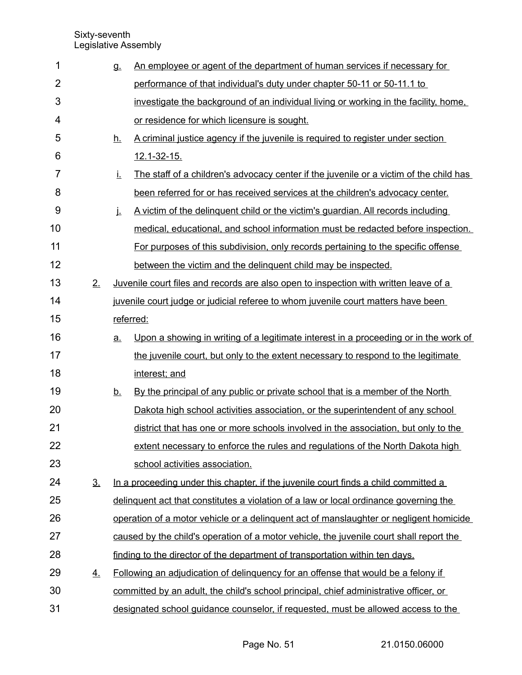| 1              |                   | g.        | An employee or agent of the department of human services if necessary for                   |
|----------------|-------------------|-----------|---------------------------------------------------------------------------------------------|
| $\overline{2}$ |                   |           | performance of that individual's duty under chapter 50-11 or 50-11.1 to                     |
| 3              |                   |           | investigate the background of an individual living or working in the facility, home,        |
| 4              |                   |           | or residence for which licensure is sought.                                                 |
| 5              |                   | <u>h.</u> | A criminal justice agency if the juvenile is required to register under section             |
| 6              |                   |           | 12.1-32-15.                                                                                 |
| 7              |                   | İ.        | The staff of a children's advocacy center if the juvenile or a victim of the child has      |
| 8              |                   |           | been referred for or has received services at the children's advocacy center.               |
| 9              |                   | j.        | A victim of the delinguent child or the victim's guardian. All records including            |
| 10             |                   |           | medical, educational, and school information must be redacted before inspection.            |
| 11             |                   |           | For purposes of this subdivision, only records pertaining to the specific offense           |
| 12             |                   |           | between the victim and the delinguent child may be inspected.                               |
| 13             | 2.                |           | <u>Juvenile court files and records are also open to inspection with written leave of a</u> |
| 14             |                   |           | juvenile court judge or judicial referee to whom juvenile court matters have been           |
| 15             |                   |           | referred:                                                                                   |
| 16             |                   | <u>a.</u> | Upon a showing in writing of a legitimate interest in a proceeding or in the work of        |
| 17             |                   |           | the juvenile court, but only to the extent necessary to respond to the legitimate           |
| 18             |                   |           | interest; and                                                                               |
| 19             |                   | <u>b.</u> | By the principal of any public or private school that is a member of the North              |
| 20             |                   |           | Dakota high school activities association, or the superintendent of any school              |
| 21             |                   |           | district that has one or more schools involved in the association, but only to the          |
| 22             |                   |           | extent necessary to enforce the rules and regulations of the North Dakota high              |
| 23             |                   |           | school activities association.                                                              |
| 24             | $\underline{3}$ . |           | In a proceeding under this chapter, if the juvenile court finds a child committed a         |
| 25             |                   |           | delinguent act that constitutes a violation of a law or local ordinance governing the       |
| 26             |                   |           | operation of a motor vehicle or a delinguent act of manslaughter or negligent homicide      |
| 27             |                   |           | caused by the child's operation of a motor vehicle, the juvenile court shall report the     |
| 28             |                   |           | finding to the director of the department of transportation within ten days.                |
| 29             | <u>4.</u>         |           | Following an adjudication of delinguency for an offense that would be a felony if           |
| 30             |                   |           | committed by an adult, the child's school principal, chief administrative officer, or       |
| 31             |                   |           | designated school guidance counselor, if requested, must be allowed access to the           |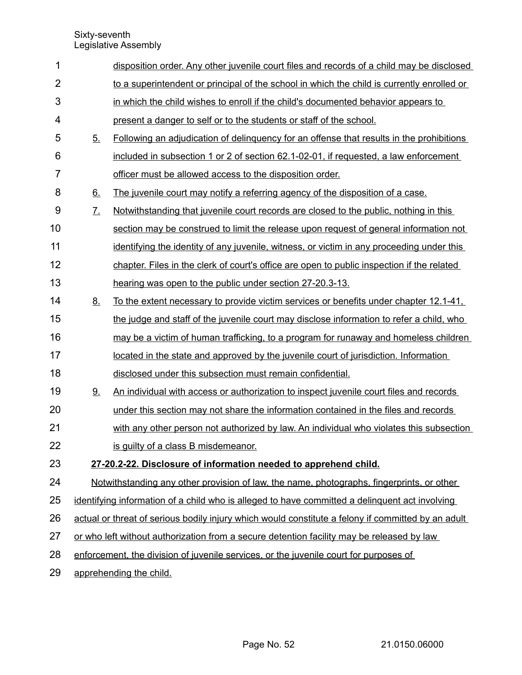| 1              |                   | disposition order. Any other juvenile court files and records of a child may be disclosed          |
|----------------|-------------------|----------------------------------------------------------------------------------------------------|
| $\overline{2}$ |                   | to a superintendent or principal of the school in which the child is currently enrolled or         |
| 3              |                   | in which the child wishes to enroll if the child's documented behavior appears to                  |
| 4              |                   | present a danger to self or to the students or staff of the school.                                |
| 5              | 5 <sub>1</sub>    | Following an adjudication of delinguency for an offense that results in the prohibitions           |
| 6              |                   | included in subsection 1 or 2 of section 62.1-02-01, if requested, a law enforcement               |
| $\overline{7}$ |                   | officer must be allowed access to the disposition order.                                           |
| 8              | 6.                | The juvenile court may notify a referring agency of the disposition of a case.                     |
| $9$            | $\underline{7}$ . | Notwithstanding that juvenile court records are closed to the public, nothing in this              |
| 10             |                   | section may be construed to limit the release upon request of general information not              |
| 11             |                   | identifying the identity of any juvenile, witness, or victim in any proceeding under this          |
| 12             |                   | chapter. Files in the clerk of court's office are open to public inspection if the related         |
| 13             |                   | hearing was open to the public under section 27-20.3-13.                                           |
| 14             | <u>8.</u>         | To the extent necessary to provide victim services or benefits under chapter 12.1-41,              |
| 15             |                   | the judge and staff of the juvenile court may disclose information to refer a child, who           |
| 16             |                   | may be a victim of human trafficking, to a program for runaway and homeless children               |
| 17             |                   | located in the state and approved by the juvenile court of jurisdiction. Information               |
| 18             |                   | disclosed under this subsection must remain confidential.                                          |
| 19             | 9.                | An individual with access or authorization to inspect juvenile court files and records             |
| 20             |                   | under this section may not share the information contained in the files and records                |
| 21             |                   | with any other person not authorized by law. An individual who violates this subsection            |
| 22             |                   | is guilty of a class B misdemeanor.                                                                |
| 23             |                   | 27-20.2-22. Disclosure of information needed to apprehend child.                                   |
| 24             |                   | <u>Notwithstanding any other provision of law, the name, photographs, fingerprints, or other</u>   |
| 25             |                   | identifying information of a child who is alleged to have committed a delinguent act involving     |
| 26             |                   | actual or threat of serious bodily injury which would constitute a felony if committed by an adult |
| 27             |                   | or who left without authorization from a secure detention facility may be released by law          |
| 28             |                   | enforcement, the division of juvenile services, or the juvenile court for purposes of              |
| 29             |                   | apprehending the child.                                                                            |
|                |                   |                                                                                                    |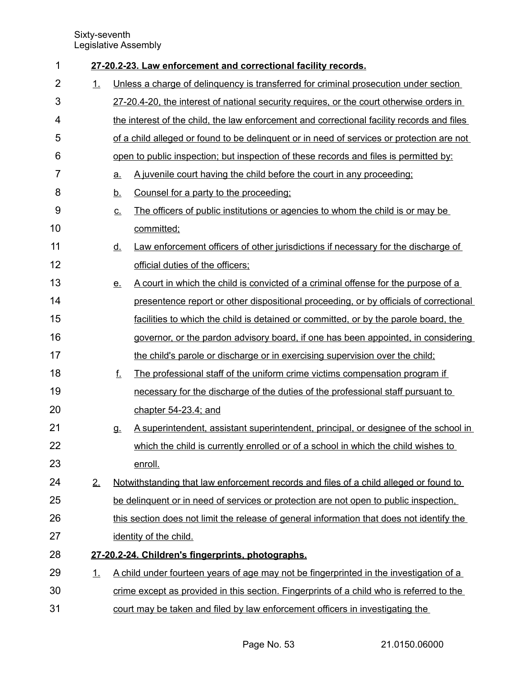| 1              |           | 27-20.2-23. Law enforcement and correctional facility records.                                               |  |  |  |  |  |
|----------------|-----------|--------------------------------------------------------------------------------------------------------------|--|--|--|--|--|
| $\overline{2}$ | 1.        | Unless a charge of delinguency is transferred for criminal prosecution under section                         |  |  |  |  |  |
| 3              |           | 27-20.4-20, the interest of national security requires, or the court otherwise orders in                     |  |  |  |  |  |
| 4              |           | the interest of the child, the law enforcement and correctional facility records and files                   |  |  |  |  |  |
| 5              |           | of a child alleged or found to be delinguent or in need of services or protection are not                    |  |  |  |  |  |
| 6              |           | open to public inspection; but inspection of these records and files is permitted by:                        |  |  |  |  |  |
| 7              |           | A juvenile court having the child before the court in any proceeding;<br><u>a.</u>                           |  |  |  |  |  |
| 8              |           | Counsel for a party to the proceeding:<br><u>b.</u>                                                          |  |  |  |  |  |
| 9              |           | The officers of public institutions or agencies to whom the child is or may be<br>$\underline{\mathbf{C}}$ . |  |  |  |  |  |
| 10             |           | committed;                                                                                                   |  |  |  |  |  |
| 11             |           | Law enforcement officers of other jurisdictions if necessary for the discharge of<br><u>d.</u>               |  |  |  |  |  |
| 12             |           | official duties of the officers;                                                                             |  |  |  |  |  |
| 13             |           | A court in which the child is convicted of a criminal offense for the purpose of a<br><u>e.</u>              |  |  |  |  |  |
| 14             |           | presentence report or other dispositional proceeding, or by officials of correctional                        |  |  |  |  |  |
| 15             |           | facilities to which the child is detained or committed, or by the parole board, the                          |  |  |  |  |  |
| 16             |           | governor, or the pardon advisory board, if one has been appointed, in considering                            |  |  |  |  |  |
| 17             |           | the child's parole or discharge or in exercising supervision over the child;                                 |  |  |  |  |  |
| 18             |           | f.<br>The professional staff of the uniform crime victims compensation program if                            |  |  |  |  |  |
| 19             |           | necessary for the discharge of the duties of the professional staff pursuant to                              |  |  |  |  |  |
| 20             |           | chapter 54-23.4; and                                                                                         |  |  |  |  |  |
| 21             |           | A superintendent, assistant superintendent, principal, or designee of the school in<br>g.                    |  |  |  |  |  |
| 22             |           | which the child is currently enrolled or of a school in which the child wishes to                            |  |  |  |  |  |
| 23             |           | enroll.                                                                                                      |  |  |  |  |  |
| 24             | 2.        | Notwithstanding that law enforcement records and files of a child alleged or found to                        |  |  |  |  |  |
| 25             |           | be delinguent or in need of services or protection are not open to public inspection.                        |  |  |  |  |  |
| 26             |           | this section does not limit the release of general information that does not identify the                    |  |  |  |  |  |
| 27             |           | identity of the child.                                                                                       |  |  |  |  |  |
| 28             |           | 27-20.2-24. Children's fingerprints, photographs.                                                            |  |  |  |  |  |
| 29             | <u>1.</u> | A child under fourteen years of age may not be fingerprinted in the investigation of a                       |  |  |  |  |  |
| 30             |           | crime except as provided in this section. Fingerprints of a child who is referred to the                     |  |  |  |  |  |
| 31             |           | court may be taken and filed by law enforcement officers in investigating the                                |  |  |  |  |  |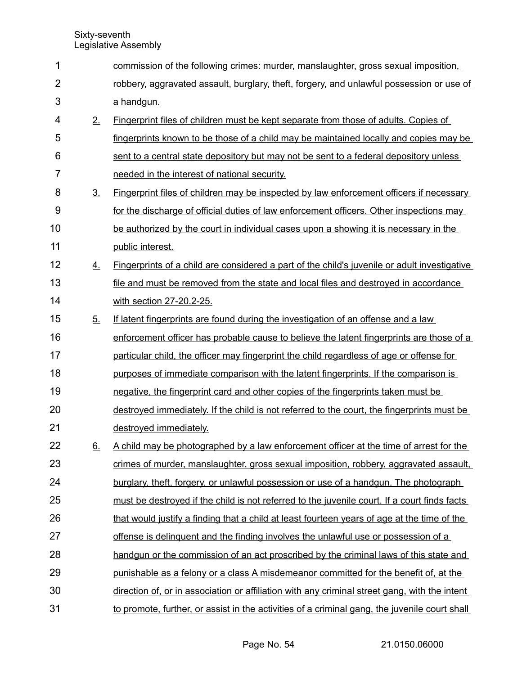| 1              |                  | commission of the following crimes: murder, manslaughter, gross sexual imposition,                  |
|----------------|------------------|-----------------------------------------------------------------------------------------------------|
| $\overline{2}$ |                  | robbery, aggravated assault, burglary, theft, forgery, and unlawful possession or use of            |
| 3              |                  | a handgun.                                                                                          |
| 4              | 2.               | Fingerprint files of children must be kept separate from those of adults. Copies of                 |
| 5              |                  | fingerprints known to be those of a child may be maintained locally and copies may be               |
| 6              |                  | sent to a central state depository but may not be sent to a federal depository unless               |
| $\overline{7}$ |                  | needed in the interest of national security.                                                        |
| 8              | 3 <sub>1</sub>   | <b>Fingerprint files of children may be inspected by law enforcement officers if necessary</b>      |
| 9              |                  | for the discharge of official duties of law enforcement officers. Other inspections may             |
| 10             |                  | be authorized by the court in individual cases upon a showing it is necessary in the                |
| 11             |                  | public interest.                                                                                    |
| 12             | $\overline{4}$ . | <b>Fingerprints of a child are considered a part of the child's juvenile or adult investigative</b> |
| 13             |                  | file and must be removed from the state and local files and destroyed in accordance                 |
| 14             |                  | with section 27-20.2-25.                                                                            |
| 15             | 5.               | If latent fingerprints are found during the investigation of an offense and a law                   |
| 16             |                  | enforcement officer has probable cause to believe the latent fingerprints are those of a            |
| 17             |                  | particular child, the officer may fingerprint the child regardless of age or offense for            |
| 18             |                  | purposes of immediate comparison with the latent fingerprints. If the comparison is                 |
| 19             |                  | negative, the fingerprint card and other copies of the fingerprints taken must be                   |
| 20             |                  | destroyed immediately. If the child is not referred to the court, the fingerprints must be          |
| 21             |                  | destroyed immediately.                                                                              |
| 22             | 6.               | A child may be photographed by a law enforcement officer at the time of arrest for the              |
| 23             |                  | crimes of murder, manslaughter, gross sexual imposition, robbery, aggravated assault,               |
| 24             |                  | burglary, theft, forgery, or unlawful possession or use of a handgun. The photograph                |
| 25             |                  | must be destroyed if the child is not referred to the juvenile court. If a court finds facts        |
| 26             |                  | that would justify a finding that a child at least fourteen years of age at the time of the         |
| 27             |                  | offense is delinguent and the finding involves the unlawful use or possession of a                  |
| 28             |                  | handgun or the commission of an act proscribed by the criminal laws of this state and               |
| 29             |                  | punishable as a felony or a class A misdemeanor committed for the benefit of, at the                |
| 30             |                  | direction of, or in association or affiliation with any criminal street gang, with the intent       |
| 31             |                  | to promote, further, or assist in the activities of a criminal gang, the juvenile court shall       |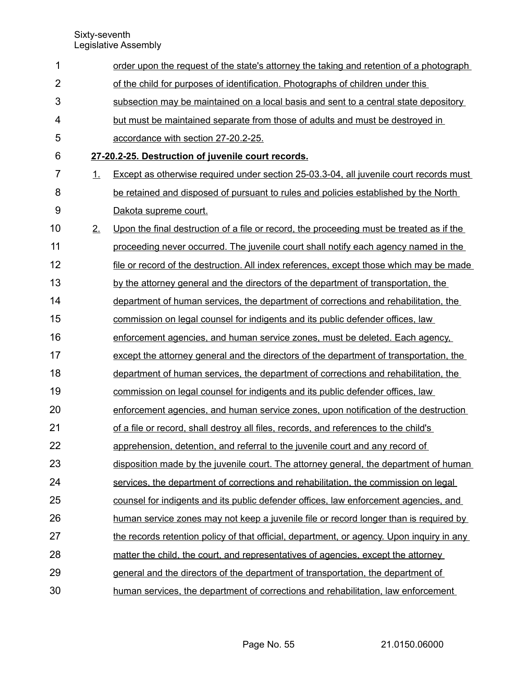| 1              |    | order upon the request of the state's attorney the taking and retention of a photograph   |
|----------------|----|-------------------------------------------------------------------------------------------|
| $\overline{2}$ |    | of the child for purposes of identification. Photographs of children under this           |
| 3              |    | subsection may be maintained on a local basis and sent to a central state depository      |
| 4              |    | but must be maintained separate from those of adults and must be destroyed in             |
| 5              |    | accordance with section 27-20.2-25.                                                       |
| 6              |    | 27-20.2-25. Destruction of juvenile court records.                                        |
| 7              | 1. | Except as otherwise required under section 25-03.3-04, all juvenile court records must    |
| 8              |    | be retained and disposed of pursuant to rules and policies established by the North       |
| 9              |    | Dakota supreme court.                                                                     |
| 10             | 2. | Upon the final destruction of a file or record, the proceeding must be treated as if the  |
| 11             |    | proceeding never occurred. The juvenile court shall notify each agency named in the       |
| 12             |    | file or record of the destruction. All index references, except those which may be made   |
| 13             |    | by the attorney general and the directors of the department of transportation, the        |
| 14             |    | department of human services, the department of corrections and rehabilitation, the       |
| 15             |    | commission on legal counsel for indigents and its public defender offices, law            |
| 16             |    | enforcement agencies, and human service zones, must be deleted. Each agency,              |
| 17             |    | except the attorney general and the directors of the department of transportation, the    |
| 18             |    | department of human services, the department of corrections and rehabilitation, the       |
| 19             |    | commission on legal counsel for indigents and its public defender offices, law            |
| 20             |    | enforcement agencies, and human service zones, upon notification of the destruction       |
| 21             |    | of a file or record, shall destroy all files, records, and references to the child's      |
| 22             |    | apprehension, detention, and referral to the juvenile court and any record of             |
| 23             |    | disposition made by the juvenile court. The attorney general, the department of human     |
| 24             |    | services, the department of corrections and rehabilitation, the commission on legal       |
| 25             |    | counsel for indigents and its public defender offices, law enforcement agencies, and      |
| 26             |    | human service zones may not keep a juvenile file or record longer than is required by     |
| 27             |    | the records retention policy of that official, department, or agency. Upon inquiry in any |
| 28             |    | matter the child, the court, and representatives of agencies, except the attorney         |
| 29             |    | general and the directors of the department of transportation, the department of          |
| 30             |    | human services, the department of corrections and rehabilitation, law enforcement         |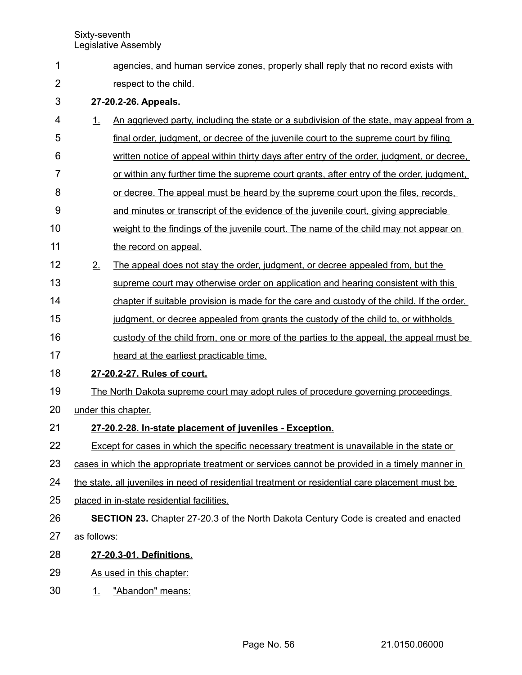agencies, and human service zones, properly shall reply that no record exists with respect to the child.  **27 - 20.2 - 26. Appeals.** 1. An aggrieved party, including the state or a subdivision of the state, may appeal from a final order, judgment, or decree of the juvenile court to the supreme court by filing written notice of appeal within thirty days after entry of the order, judgment, or decree, or within any further time the supreme court grants, after entry of the order, judgment, or decree. The appeal must be heard by the supreme court upon the files, records, and minutes or transcript of the evidence of the juvenile court, giving appreciable weight to the findings of the juvenile court. The name of the child may not appear on the record on appeal. 2. The appeal does not stay the order, judgment, or decree appealed from, but the supreme court may otherwise order on application and hearing consistent with this chapter if suitable provision is made for the care and custody of the child. If the order, judgment, or decree appealed from grants the custody of the child to, or withholds custody of the child from, one or more of the parties to the appeal, the appeal must be heard at the earliest practicable time.  **27 - 20.2 - 27. Rules of court.** The North Dakota supreme court may adopt rules of procedure governing proceedings under this chapter.  **27 - 20.2 - 28. In-state placement of juveniles - Exception.** Except for cases in which the specific necessary treatment is unavailable in the state or cases in which the appropriate treatment or services cannot be provided in a timely manner in the state, all juveniles in need of residential treatment or residential care placement must be placed in in-state residential facilities. **SECTION 23.** Chapter 27-20.3 of the North Dakota Century Code is created and enacted as follows:  **27 - 20.3 - 01. Definitions.** As used in this chapter: 1. "Abandon" means: 1 2 3 4 5 6 7 8 9 10 11 12 13 14 15 16 17 18 19 20 21 22 23 24 25 26 27 28 29 30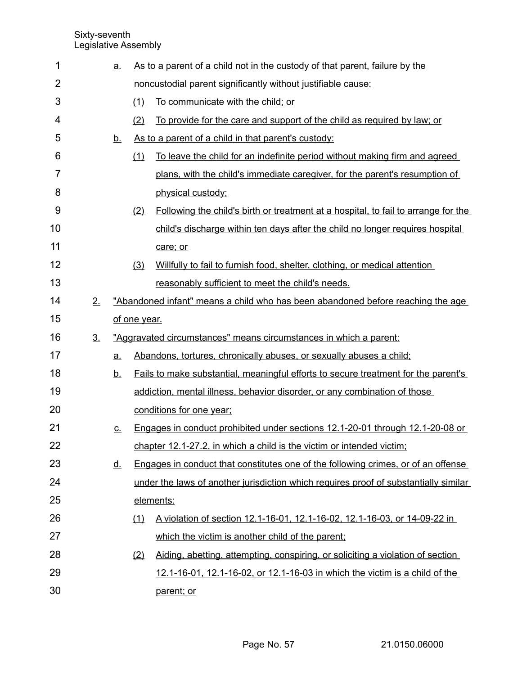| 1              |                | <u>a.</u>         | As to a parent of a child not in the custody of that parent, failure by the |                                                                                           |  |
|----------------|----------------|-------------------|-----------------------------------------------------------------------------|-------------------------------------------------------------------------------------------|--|
| $\overline{2}$ |                |                   |                                                                             | noncustodial parent significantly without justifiable cause:                              |  |
| 3              |                |                   | (1)                                                                         | To communicate with the child; or                                                         |  |
| 4              |                |                   | (2)                                                                         | To provide for the care and support of the child as required by law; or                   |  |
| 5              |                | <u>b.</u>         |                                                                             | As to a parent of a child in that parent's custody:                                       |  |
| 6              |                |                   | (1)                                                                         | To leave the child for an indefinite period without making firm and agreed                |  |
| 7              |                |                   |                                                                             | plans, with the child's immediate caregiver, for the parent's resumption of               |  |
| 8              |                |                   |                                                                             | physical custody;                                                                         |  |
| 9              |                |                   | (2)                                                                         | Following the child's birth or treatment at a hospital, to fail to arrange for the        |  |
| 10             |                |                   |                                                                             | child's discharge within ten days after the child no longer requires hospital             |  |
| 11             |                |                   |                                                                             | care; or                                                                                  |  |
| 12             |                |                   | (3)                                                                         | Willfully to fail to furnish food, shelter, clothing, or medical attention                |  |
| 13             |                |                   |                                                                             | reasonably sufficient to meet the child's needs.                                          |  |
| 14             | 2.             |                   |                                                                             | "Abandoned infant" means a child who has been abandoned before reaching the age           |  |
| 15             |                |                   | of one year.                                                                |                                                                                           |  |
| 16             | 3 <sub>1</sub> |                   |                                                                             | "Aggravated circumstances" means circumstances in which a parent:                         |  |
| 17             |                | <u>a.</u>         |                                                                             | Abandons, tortures, chronically abuses, or sexually abuses a child;                       |  |
| 18             |                | <u>b.</u>         |                                                                             | <u>Fails to make substantial, meaningful efforts to secure treatment for the parent's</u> |  |
| 19             |                |                   |                                                                             |                                                                                           |  |
|                |                |                   |                                                                             | addiction, mental illness, behavior disorder, or any combination of those                 |  |
| 20             |                |                   |                                                                             | conditions for one year;                                                                  |  |
| 21             |                | $\underline{C}$ . |                                                                             | Engages in conduct prohibited under sections 12.1-20-01 through 12.1-20-08 or             |  |
| 22             |                |                   |                                                                             | chapter 12.1-27.2, in which a child is the victim or intended victim;                     |  |
| 23             |                | <u>d.</u>         |                                                                             | Engages in conduct that constitutes one of the following crimes, or of an offense         |  |
| 24             |                |                   |                                                                             | under the laws of another jurisdiction which requires proof of substantially similar      |  |
| 25             |                |                   |                                                                             | elements:                                                                                 |  |
| 26             |                |                   | (1)                                                                         | A violation of section 12.1-16-01, 12.1-16-02, 12.1-16-03, or 14-09-22 in                 |  |
| 27             |                |                   |                                                                             | which the victim is another child of the parent;                                          |  |
| 28             |                |                   | (2)                                                                         | Aiding, abetting, attempting, conspiring, or soliciting a violation of section            |  |
| 29             |                |                   |                                                                             | 12.1-16-01, 12.1-16-02, or 12.1-16-03 in which the victim is a child of the               |  |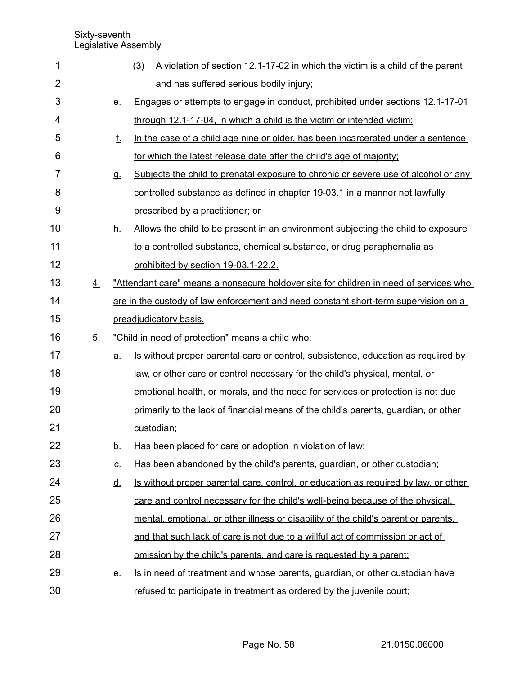| 1              |    |           | (3)        | A violation of section 12.1-17-02 in which the victim is a child of the parent        |
|----------------|----|-----------|------------|---------------------------------------------------------------------------------------|
| $\overline{2}$ |    |           |            | and has suffered serious bodily injury;                                               |
| 3              |    | <u>e.</u> |            | Engages or attempts to engage in conduct, prohibited under sections 12.1-17-01        |
| 4              |    |           |            | through 12.1-17-04, in which a child is the victim or intended victim;                |
| 5              |    | f.        |            | In the case of a child age nine or older, has been incarcerated under a sentence      |
| 6              |    |           |            | for which the latest release date after the child's age of majority;                  |
| 7              |    | <b>g</b>  |            | Subjects the child to prenatal exposure to chronic or severe use of alcohol or any    |
| 8              |    |           |            | controlled substance as defined in chapter 19-03.1 in a manner not lawfully           |
| 9              |    |           |            | prescribed by a practitioner; or                                                      |
| 10             |    | <u>h.</u> |            | Allows the child to be present in an environment subjecting the child to exposure     |
| 11             |    |           |            | to a controlled substance, chemical substance, or drug paraphernalia as               |
| 12             |    |           |            | prohibited by section 19-03.1-22.2.                                                   |
| 13             | 4. |           |            | "Attendant care" means a nonsecure holdover site for children in need of services who |
| 14             |    |           |            | are in the custody of law enforcement and need constant short-term supervision on a   |
| 15             |    |           |            | preadjudicatory basis.                                                                |
|                |    |           |            |                                                                                       |
| 16             | 5. |           |            | "Child in need of protection" means a child who:                                      |
| 17             |    | <u>a.</u> |            | Is without proper parental care or control, subsistence, education as required by     |
| 18             |    |           |            | law, or other care or control necessary for the child's physical, mental, or          |
| 19             |    |           |            | emotional health, or morals, and the need for services or protection is not due       |
| 20             |    |           |            | primarily to the lack of financial means of the child's parents, quardian, or other   |
| 21             |    |           | custodian; |                                                                                       |
| 22             |    | <u>b.</u> |            | Has been placed for care or adoption in violation of law;                             |
| 23             |    | <u>C.</u> |            | Has been abandoned by the child's parents, quardian, or other custodian;              |
| 24             |    | <u>d.</u> |            | Is without proper parental care, control, or education as required by law, or other   |
| 25             |    |           |            | care and control necessary for the child's well-being because of the physical.        |
| 26             |    |           |            | mental, emotional, or other illness or disability of the child's parent or parents,   |
| 27             |    |           |            | and that such lack of care is not due to a willful act of commission or act of        |
| 28             |    |           |            | omission by the child's parents, and care is requested by a parent;                   |
| 29             |    | <u>e.</u> |            | Is in need of treatment and whose parents, guardian, or other custodian have          |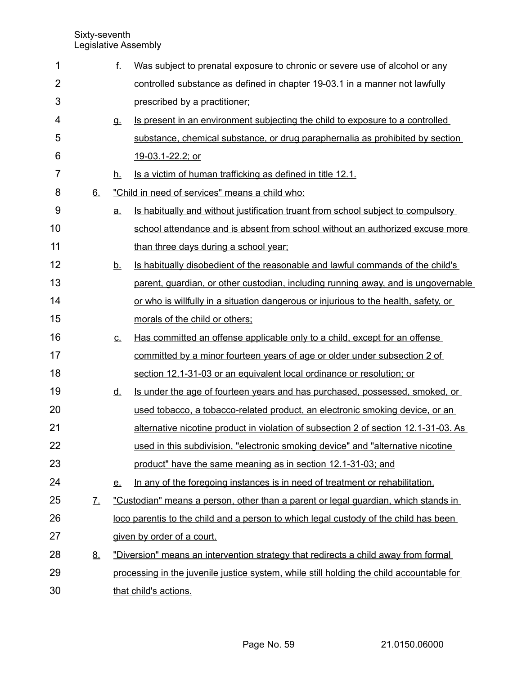| 1              |           | f.        | Was subject to prenatal exposure to chronic or severe use of alcohol or any              |
|----------------|-----------|-----------|------------------------------------------------------------------------------------------|
| $\overline{2}$ |           |           | controlled substance as defined in chapter 19-03.1 in a manner not lawfully              |
| 3              |           |           | prescribed by a practitioner;                                                            |
| 4              |           | <b>g.</b> | Is present in an environment subjecting the child to exposure to a controlled            |
| 5              |           |           | substance, chemical substance, or drug paraphernalia as prohibited by section            |
| 6              |           |           | 19-03.1-22.2; or                                                                         |
| 7              |           | h.        | Is a victim of human trafficking as defined in title 12.1.                               |
| 8              | 6.        |           | "Child in need of services" means a child who:                                           |
| 9              |           | <u>a.</u> | <u>Is habitually and without justification truant from school subject to compulsory</u>  |
| 10             |           |           | school attendance and is absent from school without an authorized excuse more            |
| 11             |           |           | than three days during a school year;                                                    |
| 12             |           | <u>b.</u> | Is habitually disobedient of the reasonable and lawful commands of the child's           |
| 13             |           |           | parent, quardian, or other custodian, including running away, and is ungovernable        |
| 14             |           |           | or who is willfully in a situation dangerous or injurious to the health, safety, or      |
| 15             |           |           | morals of the child or others;                                                           |
| 16             |           | <u>C.</u> | Has committed an offense applicable only to a child, except for an offense               |
| 17             |           |           | committed by a minor fourteen years of age or older under subsection 2 of                |
| 18             |           |           | section 12.1-31-03 or an equivalent local ordinance or resolution; or                    |
| 19             |           | <u>d.</u> | Is under the age of fourteen years and has purchased, possessed, smoked, or              |
| 20             |           |           | used tobacco, a tobacco-related product, an electronic smoking device, or an             |
| 21             |           |           | alternative nicotine product in violation of subsection 2 of section 12.1-31-03. As      |
| 22             |           |           | used in this subdivision, "electronic smoking device" and "alternative nicotine          |
| 23             |           |           | product" have the same meaning as in section 12.1-31-03; and                             |
| 24             |           | <u>e.</u> | In any of the foregoing instances is in need of treatment or rehabilitation.             |
| 25             | <u>Z.</u> |           | "Custodian" means a person, other than a parent or legal guardian, which stands in       |
| 26             |           |           | loco parentis to the child and a person to which legal custody of the child has been     |
| 27             |           |           | given by order of a court.                                                               |
| 28             | 8.        |           | "Diversion" means an intervention strategy that redirects a child away from formal       |
| 29             |           |           | processing in the juvenile justice system, while still holding the child accountable for |
| 30             |           |           | that child's actions.                                                                    |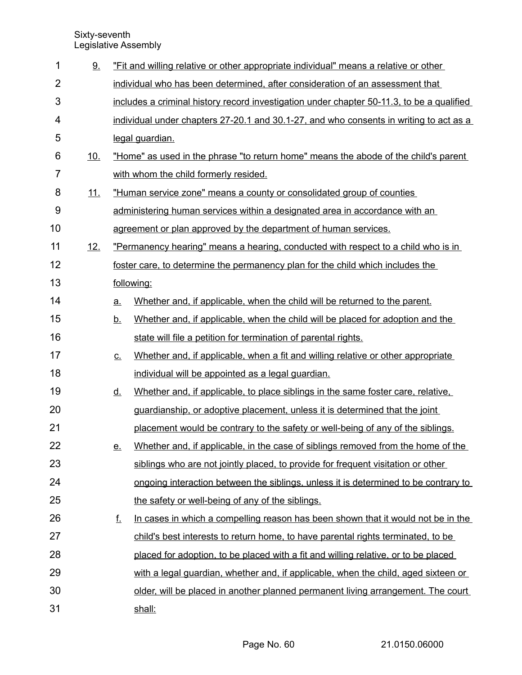| 1              | 9.         |           | "Fit and willing relative or other appropriate individual" means a relative or other      |  |  |  |  |  |
|----------------|------------|-----------|-------------------------------------------------------------------------------------------|--|--|--|--|--|
| $\overline{2}$ |            |           | individual who has been determined, after consideration of an assessment that             |  |  |  |  |  |
| 3              |            |           | includes a criminal history record investigation under chapter 50-11.3, to be a qualified |  |  |  |  |  |
| 4              |            |           | individual under chapters 27-20.1 and 30.1-27, and who consents in writing to act as a    |  |  |  |  |  |
| 5              |            |           | legal guardian.                                                                           |  |  |  |  |  |
| 6              | <u>10.</u> |           | "Home" as used in the phrase "to return home" means the abode of the child's parent       |  |  |  |  |  |
| 7              |            |           | with whom the child formerly resided.                                                     |  |  |  |  |  |
| 8              | <u>11.</u> |           | "Human service zone" means a county or consolidated group of counties                     |  |  |  |  |  |
| 9              |            |           | administering human services within a designated area in accordance with an               |  |  |  |  |  |
| 10             |            |           | agreement or plan approved by the department of human services.                           |  |  |  |  |  |
| 11             | 12.        |           | "Permanency hearing" means a hearing, conducted with respect to a child who is in         |  |  |  |  |  |
| 12             |            |           | foster care, to determine the permanency plan for the child which includes the            |  |  |  |  |  |
| 13             |            |           | following:                                                                                |  |  |  |  |  |
| 14             |            | a.        | Whether and, if applicable, when the child will be returned to the parent.                |  |  |  |  |  |
| 15             |            | <u>b.</u> | Whether and, if applicable, when the child will be placed for adoption and the            |  |  |  |  |  |
| 16             |            |           | state will file a petition for termination of parental rights.                            |  |  |  |  |  |
| 17             |            | <u>C.</u> | Whether and, if applicable, when a fit and willing relative or other appropriate          |  |  |  |  |  |
| 18             |            |           | individual will be appointed as a legal guardian.                                         |  |  |  |  |  |
| 19             |            | <u>d.</u> | Whether and, if applicable, to place siblings in the same foster care, relative,          |  |  |  |  |  |
| 20             |            |           | guardianship, or adoptive placement, unless it is determined that the joint               |  |  |  |  |  |
| 21             |            |           | placement would be contrary to the safety or well-being of any of the siblings.           |  |  |  |  |  |
| 22             |            | <u>e.</u> | Whether and, if applicable, in the case of siblings removed from the home of the          |  |  |  |  |  |
| 23             |            |           | siblings who are not jointly placed, to provide for frequent visitation or other          |  |  |  |  |  |
| 24             |            |           | ongoing interaction between the siblings, unless it is determined to be contrary to       |  |  |  |  |  |
| 25             |            |           | the safety or well-being of any of the siblings.                                          |  |  |  |  |  |
| 26             |            | f.        | In cases in which a compelling reason has been shown that it would not be in the          |  |  |  |  |  |
| 27             |            |           | child's best interests to return home, to have parental rights terminated, to be          |  |  |  |  |  |
| 28             |            |           | placed for adoption, to be placed with a fit and willing relative, or to be placed        |  |  |  |  |  |
| 29             |            |           | with a legal guardian, whether and, if applicable, when the child, aged sixteen or        |  |  |  |  |  |
| 30             |            |           | older, will be placed in another planned permanent living arrangement. The court          |  |  |  |  |  |
| 31             |            |           | shall:                                                                                    |  |  |  |  |  |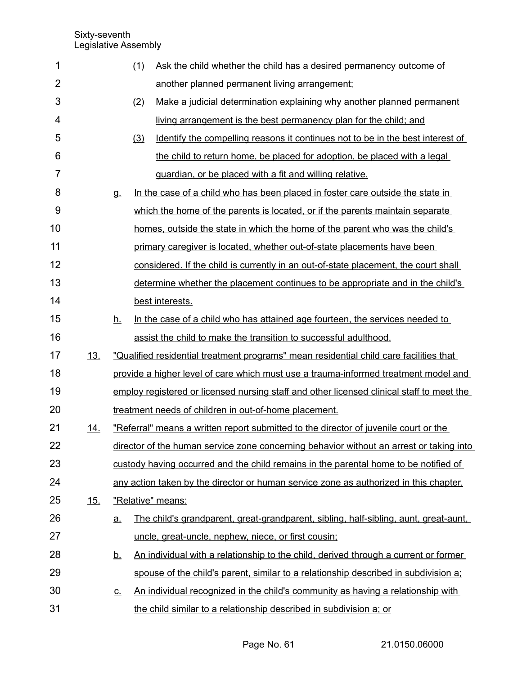| 1              |            |           | (1) | Ask the child whether the child has a desired permanency outcome of                       |
|----------------|------------|-----------|-----|-------------------------------------------------------------------------------------------|
| $\overline{2}$ |            |           |     | another planned permanent living arrangement;                                             |
| 3              |            |           | (2) | Make a judicial determination explaining why another planned permanent                    |
| 4              |            |           |     | living arrangement is the best permanency plan for the child; and                         |
| 5              |            |           | (3) | Identify the compelling reasons it continues not to be in the best interest of            |
| 6              |            |           |     | the child to return home, be placed for adoption, be placed with a legal                  |
| $\overline{7}$ |            |           |     | guardian, or be placed with a fit and willing relative.                                   |
| 8              |            | g.        |     | In the case of a child who has been placed in foster care outside the state in            |
| 9              |            |           |     | which the home of the parents is located, or if the parents maintain separate             |
| 10             |            |           |     | homes, outside the state in which the home of the parent who was the child's              |
| 11             |            |           |     | primary caregiver is located, whether out-of-state placements have been                   |
| 12             |            |           |     | considered. If the child is currently in an out-of-state placement, the court shall       |
| 13             |            |           |     | determine whether the placement continues to be appropriate and in the child's            |
| 14             |            |           |     | best interests.                                                                           |
| 15             |            | <u>h.</u> |     | In the case of a child who has attained age fourteen, the services needed to              |
| 16             |            |           |     | assist the child to make the transition to successful adulthood.                          |
| 17             | <u>13.</u> |           |     | "Qualified residential treatment programs" mean residential child care facilities that    |
| 18             |            |           |     | provide a higher level of care which must use a trauma-informed treatment model and       |
| 19             |            |           |     | employ registered or licensed nursing staff and other licensed clinical staff to meet the |
| 20             |            |           |     | treatment needs of children in out-of-home placement.                                     |
| 21             | <u>14.</u> |           |     | "Referral" means a written report submitted to the director of juvenile court or the      |
| 22             |            |           |     | director of the human service zone concerning behavior without an arrest or taking into   |
| 23             |            |           |     | custody having occurred and the child remains in the parental home to be notified of      |
| 24             |            |           |     | any action taken by the director or human service zone as authorized in this chapter.     |
| 25             | 15.        |           |     | "Relative" means:                                                                         |
| 26             |            | <u>a.</u> |     | The child's grandparent, great-grandparent, sibling, half-sibling, aunt, great-aunt,      |
| 27             |            |           |     | uncle, great-uncle, nephew, niece, or first cousin;                                       |
| 28             |            | <u>b.</u> |     | An individual with a relationship to the child, derived through a current or former       |
| 29             |            |           |     | spouse of the child's parent, similar to a relationship described in subdivision a;       |
| 30             |            | <u>c.</u> |     | An individual recognized in the child's community as having a relationship with           |
| 31             |            |           |     | the child similar to a relationship described in subdivision a; or                        |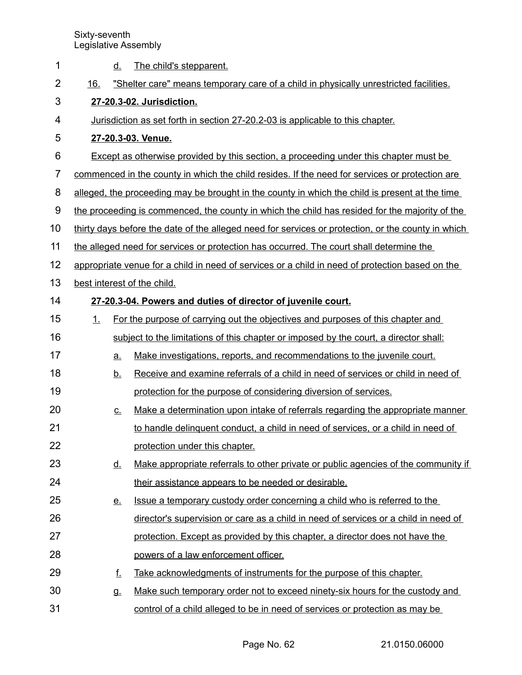| 1              | The child's stepparent.<br><u>d.</u>                                                               |  |  |  |  |  |
|----------------|----------------------------------------------------------------------------------------------------|--|--|--|--|--|
| $\overline{2}$ | "Shelter care" means temporary care of a child in physically unrestricted facilities.<br>16.       |  |  |  |  |  |
| 3              | 27-20.3-02. Jurisdiction.                                                                          |  |  |  |  |  |
| 4              | Jurisdiction as set forth in section 27-20.2-03 is applicable to this chapter.                     |  |  |  |  |  |
| 5              | 27-20.3-03. Venue.                                                                                 |  |  |  |  |  |
| 6              | Except as otherwise provided by this section, a proceeding under this chapter must be              |  |  |  |  |  |
| 7              | commenced in the county in which the child resides. If the need for services or protection are     |  |  |  |  |  |
| 8              | alleged, the proceeding may be brought in the county in which the child is present at the time     |  |  |  |  |  |
| 9              | the proceeding is commenced, the county in which the child has resided for the majority of the     |  |  |  |  |  |
| 10             | thirty days before the date of the alleged need for services or protection, or the county in which |  |  |  |  |  |
| 11             | the alleged need for services or protection has occurred. The court shall determine the            |  |  |  |  |  |
| 12             | appropriate venue for a child in need of services or a child in need of protection based on the    |  |  |  |  |  |
| 13             | best interest of the child.                                                                        |  |  |  |  |  |
| 14             | 27-20.3-04. Powers and duties of director of juvenile court.                                       |  |  |  |  |  |
| 15             | For the purpose of carrying out the objectives and purposes of this chapter and<br>1.              |  |  |  |  |  |
| 16             | subject to the limitations of this chapter or imposed by the court, a director shall:              |  |  |  |  |  |
| 17             | Make investigations, reports, and recommendations to the juvenile court.<br><u>a.</u>              |  |  |  |  |  |
| 18             | Receive and examine referrals of a child in need of services or child in need of<br><u>b.</u>      |  |  |  |  |  |
| 19             | protection for the purpose of considering diversion of services.                                   |  |  |  |  |  |
| 20             | Make a determination upon intake of referrals regarding the appropriate manner<br><u>C.</u>        |  |  |  |  |  |
| 21             | to handle delinguent conduct, a child in need of services, or a child in need of                   |  |  |  |  |  |
| 22             | protection under this chapter.                                                                     |  |  |  |  |  |
| 23             | Make appropriate referrals to other private or public agencies of the community if<br><u>d.</u>    |  |  |  |  |  |
| 24             | their assistance appears to be needed or desirable.                                                |  |  |  |  |  |
| 25             | Issue a temporary custody order concerning a child who is referred to the<br><u>e.</u>             |  |  |  |  |  |
| 26             | director's supervision or care as a child in need of services or a child in need of                |  |  |  |  |  |
| 27             | protection. Except as provided by this chapter, a director does not have the                       |  |  |  |  |  |
| 28             | powers of a law enforcement officer.                                                               |  |  |  |  |  |
| 29             | f.<br>Take acknowledgments of instruments for the purpose of this chapter.                         |  |  |  |  |  |
| 30             | Make such temporary order not to exceed ninety-six hours for the custody and<br>g.                 |  |  |  |  |  |
| 31             | control of a child alleged to be in need of services or protection as may be                       |  |  |  |  |  |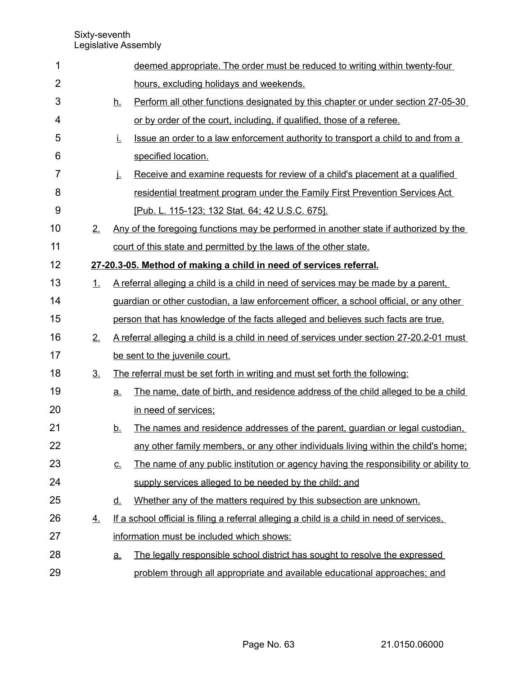| 1              |                   |                            | deemed appropriate. The order must be reduced to writing within twenty-four                |
|----------------|-------------------|----------------------------|--------------------------------------------------------------------------------------------|
| $\overline{2}$ |                   |                            | hours, excluding holidays and weekends.                                                    |
| 3              |                   | <u>h.</u>                  | Perform all other functions designated by this chapter or under section 27-05-30           |
| 4              |                   |                            | or by order of the court, including, if qualified, those of a referee.                     |
| 5              |                   | Ĺ.                         | Issue an order to a law enforcement authority to transport a child to and from a           |
| 6              |                   |                            | specified location.                                                                        |
| 7              |                   | į.                         | Receive and examine requests for review of a child's placement at a qualified              |
| 8              |                   |                            | residential treatment program under the Family First Prevention Services Act               |
| 9              |                   |                            | [Pub. L. 115-123; 132 Stat. 64; 42 U.S.C. 675].                                            |
| 10             | 2.                |                            | Any of the foregoing functions may be performed in another state if authorized by the      |
| 11             |                   |                            | court of this state and permitted by the laws of the other state.                          |
| 12             |                   |                            | 27-20.3-05. Method of making a child in need of services referral.                         |
| 13             | 1.                |                            | A referral alleging a child is a child in need of services may be made by a parent,        |
| 14             |                   |                            | guardian or other custodian, a law enforcement officer, a school official, or any other    |
| 15             |                   |                            | person that has knowledge of the facts alleged and believes such facts are true.           |
| 16             | 2.                |                            | A referral alleging a child is a child in need of services under section 27-20.2-01 must   |
| 17             |                   |                            | be sent to the juvenile court.                                                             |
| 18             | $\underline{3}$ . |                            | The referral must be set forth in writing and must set forth the following:                |
| 19             |                   | <u>a.</u>                  | The name, date of birth, and residence address of the child alleged to be a child          |
| 20             |                   |                            | in need of services;                                                                       |
| 21             |                   | <u>b.</u>                  | The names and residence addresses of the parent, guardian or legal custodian,              |
| 22             |                   |                            | any other family members, or any other individuals living within the child's home;         |
| 23             |                   | $\underline{\mathsf{C}}$ . | The name of any public institution or agency having the responsibility or ability to       |
| 24             |                   |                            | supply services alleged to be needed by the child; and                                     |
| 25             |                   | <u>d.</u>                  | Whether any of the matters required by this subsection are unknown.                        |
| 26             | 4.                |                            | If a school official is filing a referral alleging a child is a child in need of services, |
| 27             |                   |                            | information must be included which shows:                                                  |
| 28             |                   | <u>a.</u>                  | The legally responsible school district has sought to resolve the expressed                |
| 29             |                   |                            | problem through all appropriate and available educational approaches; and                  |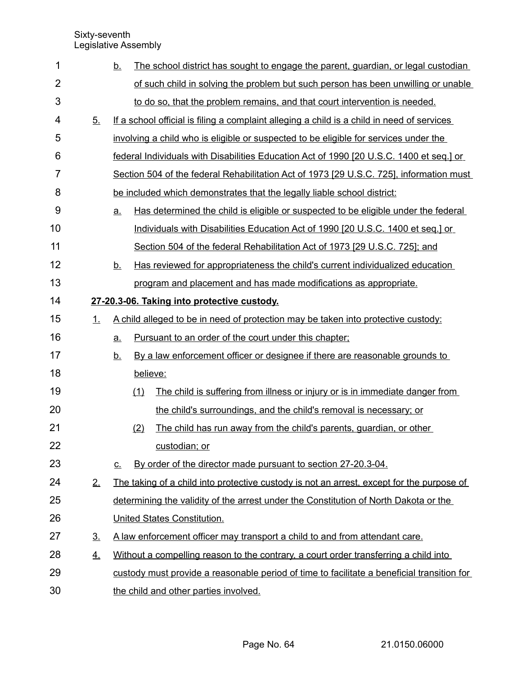| 1              |                | <u>b.</u> | The school district has sought to engage the parent, guardian, or legal custodian          |
|----------------|----------------|-----------|--------------------------------------------------------------------------------------------|
| $\overline{2}$ |                |           | of such child in solving the problem but such person has been unwilling or unable          |
| 3              |                |           | to do so, that the problem remains, and that court intervention is needed.                 |
| 4              | 5 <sub>1</sub> |           | If a school official is filing a complaint alleging a child is a child in need of services |
| 5              |                |           | involving a child who is eligible or suspected to be eligible for services under the       |
| 6              |                |           | federal Individuals with Disabilities Education Act of 1990 [20 U.S.C. 1400 et seq.] or    |
| $\overline{7}$ |                |           | Section 504 of the federal Rehabilitation Act of 1973 [29 U.S.C. 725], information must    |
| 8              |                |           | be included which demonstrates that the legally liable school district:                    |
| $9$            |                | <u>a.</u> | Has determined the child is eligible or suspected to be eligible under the federal         |
| 10             |                |           | Individuals with Disabilities Education Act of 1990 [20 U.S.C. 1400 et seq.] or            |
| 11             |                |           | Section 504 of the federal Rehabilitation Act of 1973 [29 U.S.C. 725]; and                 |
| 12             |                | <u>b.</u> | Has reviewed for appropriateness the child's current individualized education              |
| 13             |                |           | program and placement and has made modifications as appropriate.                           |
| 14             |                |           | 27-20.3-06. Taking into protective custody.                                                |
| 15             | 1.             |           | A child alleged to be in need of protection may be taken into protective custody:          |
| 16             |                | a.        | Pursuant to an order of the court under this chapter;                                      |
| 17             |                | <u>b.</u> | By a law enforcement officer or designee if there are reasonable grounds to                |
| 18             |                |           | believe:                                                                                   |
| 19             |                |           | (1)<br>The child is suffering from illness or injury or is in immediate danger from        |
| 20             |                |           | the child's surroundings, and the child's removal is necessary; or                         |
| 21             |                |           | The child has run away from the child's parents, guardian, or other<br>(2)                 |
| 22             |                |           | custodian; or                                                                              |
| 23             |                | <u>c.</u> | By order of the director made pursuant to section 27-20.3-04.                              |
| 24             | 2.             |           | The taking of a child into protective custody is not an arrest, except for the purpose of  |
| 25             |                |           | determining the validity of the arrest under the Constitution of North Dakota or the       |
| 26             |                |           | United States Constitution.                                                                |
| 27             | 3 <sub>1</sub> |           | A law enforcement officer may transport a child to and from attendant care.                |
| 28             | 4.             |           | Without a compelling reason to the contrary, a court order transferring a child into       |
| 29             |                |           | custody must provide a reasonable period of time to facilitate a beneficial transition for |
| 30             |                |           | the child and other parties involved.                                                      |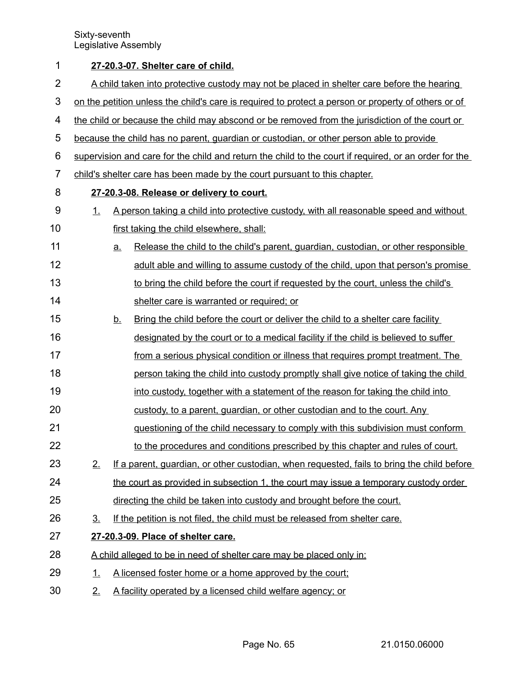| 1              | 27-20.3-07. Shelter care of child.                                                                  |           |                                                                                                       |  |  |
|----------------|-----------------------------------------------------------------------------------------------------|-----------|-------------------------------------------------------------------------------------------------------|--|--|
| $\overline{2}$ | A child taken into protective custody may not be placed in shelter care before the hearing          |           |                                                                                                       |  |  |
| $\mathfrak{S}$ | on the petition unless the child's care is required to protect a person or property of others or of |           |                                                                                                       |  |  |
| 4              |                                                                                                     |           | the child or because the child may abscond or be removed from the jurisdiction of the court or        |  |  |
| 5              |                                                                                                     |           | because the child has no parent, guardian or custodian, or other person able to provide               |  |  |
| 6              |                                                                                                     |           | supervision and care for the child and return the child to the court if required, or an order for the |  |  |
| 7              |                                                                                                     |           | child's shelter care has been made by the court pursuant to this chapter.                             |  |  |
| 8              |                                                                                                     |           | 27-20.3-08. Release or delivery to court.                                                             |  |  |
| 9              | 1.                                                                                                  |           | A person taking a child into protective custody, with all reasonable speed and without                |  |  |
| 10             |                                                                                                     |           | first taking the child elsewhere, shall:                                                              |  |  |
| 11             |                                                                                                     | <u>a.</u> | Release the child to the child's parent, guardian, custodian, or other responsible                    |  |  |
| 12             |                                                                                                     |           | adult able and willing to assume custody of the child, upon that person's promise                     |  |  |
| 13             |                                                                                                     |           | to bring the child before the court if requested by the court, unless the child's                     |  |  |
| 14             |                                                                                                     |           | shelter care is warranted or required; or                                                             |  |  |
| 15             |                                                                                                     | <u>b.</u> | Bring the child before the court or deliver the child to a shelter care facility                      |  |  |
| 16             |                                                                                                     |           | designated by the court or to a medical facility if the child is believed to suffer                   |  |  |
| 17             |                                                                                                     |           | from a serious physical condition or illness that requires prompt treatment. The                      |  |  |
| 18             |                                                                                                     |           | person taking the child into custody promptly shall give notice of taking the child                   |  |  |
| 19             |                                                                                                     |           | into custody, together with a statement of the reason for taking the child into                       |  |  |
| 20             |                                                                                                     |           | custody, to a parent, guardian, or other custodian and to the court. Any                              |  |  |
| 21             |                                                                                                     |           | questioning of the child necessary to comply with this subdivision must conform                       |  |  |
| 22             |                                                                                                     |           | to the procedures and conditions prescribed by this chapter and rules of court.                       |  |  |
| 23             | 2.                                                                                                  |           | If a parent, quardian, or other custodian, when requested, fails to bring the child before            |  |  |
| 24             |                                                                                                     |           | the court as provided in subsection 1, the court may issue a temporary custody order                  |  |  |
| 25             |                                                                                                     |           | directing the child be taken into custody and brought before the court.                               |  |  |
| 26             | 3.                                                                                                  |           | If the petition is not filed, the child must be released from shelter care.                           |  |  |
| 27             |                                                                                                     |           | 27-20.3-09. Place of shelter care.                                                                    |  |  |
| 28             |                                                                                                     |           | A child alleged to be in need of shelter care may be placed only in:                                  |  |  |
| 29             | 1.                                                                                                  |           | A licensed foster home or a home approved by the court;                                               |  |  |
| 30             | 2.                                                                                                  |           | A facility operated by a licensed child welfare agency; or                                            |  |  |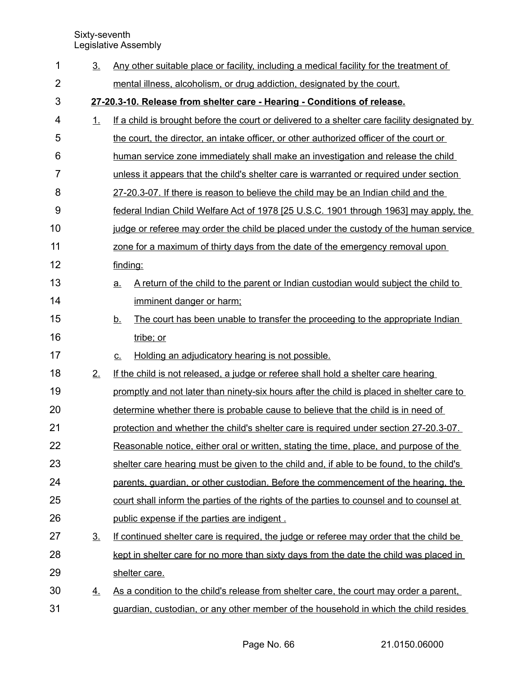| 1              | 3 <sub>1</sub> | Any other suitable place or facility, including a medical facility for the treatment of         |
|----------------|----------------|-------------------------------------------------------------------------------------------------|
| $\overline{2}$ |                | mental illness, alcoholism, or drug addiction, designated by the court.                         |
| 3              |                | 27-20.3-10. Release from shelter care - Hearing - Conditions of release.                        |
| 4              | 1.             | If a child is brought before the court or delivered to a shelter care facility designated by    |
| 5              |                | the court, the director, an intake officer, or other authorized officer of the court or         |
| 6              |                | human service zone immediately shall make an investigation and release the child                |
| $\overline{7}$ |                | unless it appears that the child's shelter care is warranted or required under section          |
| 8              |                | 27-20.3-07. If there is reason to believe the child may be an Indian child and the              |
| 9              |                | federal Indian Child Welfare Act of 1978 [25 U.S.C. 1901 through 1963] may apply, the           |
| 10             |                | judge or referee may order the child be placed under the custody of the human service           |
| 11             |                | zone for a maximum of thirty days from the date of the emergency removal upon                   |
| 12             |                | finding:                                                                                        |
| 13             |                | A return of the child to the parent or Indian custodian would subject the child to<br><u>a.</u> |
| 14             |                | imminent danger or harm;                                                                        |
| 15             |                | The court has been unable to transfer the proceeding to the appropriate Indian<br><u>b.</u>     |
| 16             |                | tribe; or                                                                                       |
| 17             |                | Holding an adjudicatory hearing is not possible.<br>$C_{-}$                                     |
| 18             | 2.             | If the child is not released, a judge or referee shall hold a shelter care hearing              |
| 19             |                | promptly and not later than ninety-six hours after the child is placed in shelter care to       |
| 20             |                | determine whether there is probable cause to believe that the child is in need of               |
| 21             |                | protection and whether the child's shelter care is required under section 27-20.3-07.           |
| 22             |                | Reasonable notice, either oral or written, stating the time, place, and purpose of the          |
| 23             |                | shelter care hearing must be given to the child and, if able to be found, to the child's        |
| 24             |                | parents, quardian, or other custodian. Before the commencement of the hearing, the              |
| 25             |                | court shall inform the parties of the rights of the parties to counsel and to counsel at        |
| 26             |                | public expense if the parties are indigent.                                                     |
| 27             | <u>3.</u>      | If continued shelter care is required, the judge or referee may order that the child be         |
| 28             |                | kept in shelter care for no more than sixty days from the date the child was placed in          |
| 29             |                | shelter care.                                                                                   |
| 30             | <u>4.</u>      | As a condition to the child's release from shelter care, the court may order a parent,          |
| 31             |                | guardian, custodian, or any other member of the household in which the child resides            |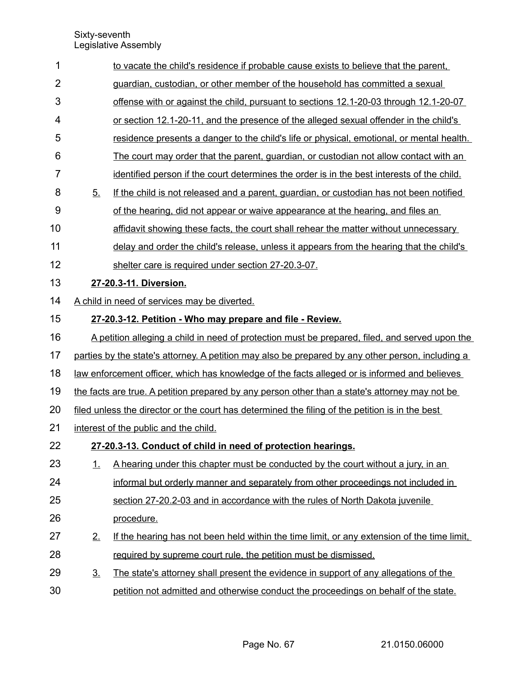| 1              |                                                                                                   | to vacate the child's residence if probable cause exists to believe that the parent,        |  |  |  |  |  |
|----------------|---------------------------------------------------------------------------------------------------|---------------------------------------------------------------------------------------------|--|--|--|--|--|
| $\overline{2}$ |                                                                                                   | guardian, custodian, or other member of the household has committed a sexual                |  |  |  |  |  |
| 3              | offense with or against the child, pursuant to sections 12.1-20-03 through 12.1-20-07             |                                                                                             |  |  |  |  |  |
| 4              | or section 12.1-20-11, and the presence of the alleged sexual offender in the child's             |                                                                                             |  |  |  |  |  |
| 5              |                                                                                                   | residence presents a danger to the child's life or physical, emotional, or mental health.   |  |  |  |  |  |
| 6              |                                                                                                   | The court may order that the parent, guardian, or custodian not allow contact with an       |  |  |  |  |  |
| $\overline{7}$ |                                                                                                   | identified person if the court determines the order is in the best interests of the child.  |  |  |  |  |  |
| 8              | 5.                                                                                                | If the child is not released and a parent, guardian, or custodian has not been notified     |  |  |  |  |  |
| 9              |                                                                                                   | of the hearing, did not appear or waive appearance at the hearing, and files an             |  |  |  |  |  |
| 10             |                                                                                                   | affidavit showing these facts, the court shall rehear the matter without unnecessary        |  |  |  |  |  |
| 11             |                                                                                                   | delay and order the child's release, unless it appears from the hearing that the child's    |  |  |  |  |  |
| 12             |                                                                                                   | shelter care is required under section 27-20.3-07.                                          |  |  |  |  |  |
| 13             |                                                                                                   | 27-20.3-11. Diversion.                                                                      |  |  |  |  |  |
| 14             |                                                                                                   | A child in need of services may be diverted.                                                |  |  |  |  |  |
| 15             |                                                                                                   | 27-20.3-12. Petition - Who may prepare and file - Review.                                   |  |  |  |  |  |
| 16             | A petition alleging a child in need of protection must be prepared, filed, and served upon the    |                                                                                             |  |  |  |  |  |
| 17             | parties by the state's attorney. A petition may also be prepared by any other person, including a |                                                                                             |  |  |  |  |  |
| 18             | law enforcement officer, which has knowledge of the facts alleged or is informed and believes     |                                                                                             |  |  |  |  |  |
| 19             | the facts are true. A petition prepared by any person other than a state's attorney may not be    |                                                                                             |  |  |  |  |  |
| 20             | filed unless the director or the court has determined the filing of the petition is in the best   |                                                                                             |  |  |  |  |  |
| 21             |                                                                                                   | interest of the public and the child.                                                       |  |  |  |  |  |
| 22             |                                                                                                   | 27-20.3-13. Conduct of child in need of protection hearings.                                |  |  |  |  |  |
| 23             | 1.                                                                                                | A hearing under this chapter must be conducted by the court without a jury, in an           |  |  |  |  |  |
| 24             |                                                                                                   | informal but orderly manner and separately from other proceedings not included in           |  |  |  |  |  |
| 25             |                                                                                                   | section 27-20.2-03 and in accordance with the rules of North Dakota juvenile                |  |  |  |  |  |
| 26             |                                                                                                   | procedure.                                                                                  |  |  |  |  |  |
| 27             | 2.                                                                                                | If the hearing has not been held within the time limit, or any extension of the time limit, |  |  |  |  |  |
| 28             |                                                                                                   | required by supreme court rule, the petition must be dismissed.                             |  |  |  |  |  |
| 29             | <u>3.</u>                                                                                         | The state's attorney shall present the evidence in support of any allegations of the        |  |  |  |  |  |
| 30             |                                                                                                   | petition not admitted and otherwise conduct the proceedings on behalf of the state.         |  |  |  |  |  |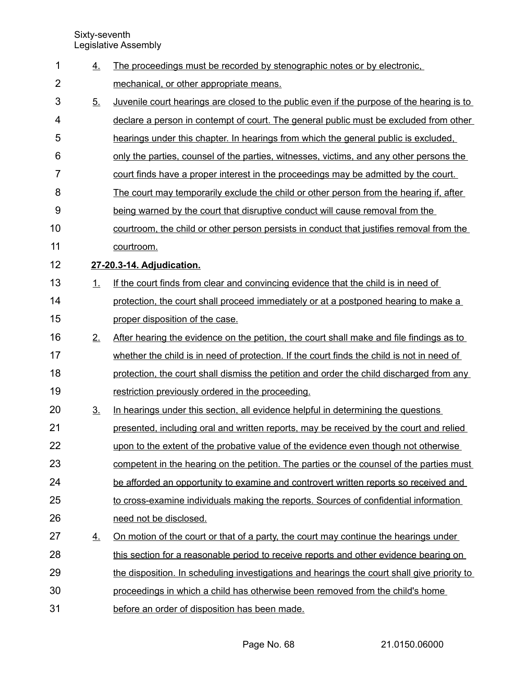| 1              | <u>4.</u>      | The proceedings must be recorded by stenographic notes or by electronic.                         |
|----------------|----------------|--------------------------------------------------------------------------------------------------|
| $\overline{2}$ |                | mechanical, or other appropriate means.                                                          |
| 3              | 5.             | <u>Juvenile court hearings are closed to the public even if the purpose of the hearing is to</u> |
| 4              |                | declare a person in contempt of court. The general public must be excluded from other            |
| 5              |                | hearings under this chapter. In hearings from which the general public is excluded,              |
| 6              |                | only the parties, counsel of the parties, witnesses, victims, and any other persons the          |
| $\overline{7}$ |                | court finds have a proper interest in the proceedings may be admitted by the court.              |
| 8              |                | The court may temporarily exclude the child or other person from the hearing if, after           |
| 9              |                | being warned by the court that disruptive conduct will cause removal from the                    |
| 10             |                | courtroom, the child or other person persists in conduct that justifies removal from the         |
| 11             |                | courtroom.                                                                                       |
| 12             |                | 27-20.3-14. Adjudication.                                                                        |
| 13             | 1.             | If the court finds from clear and convincing evidence that the child is in need of               |
| 14             |                | protection, the court shall proceed immediately or at a postponed hearing to make a              |
| 15             |                | proper disposition of the case.                                                                  |
| 16             | 2.             | After hearing the evidence on the petition, the court shall make and file findings as to         |
| 17             |                | whether the child is in need of protection. If the court finds the child is not in need of       |
| 18             |                | protection, the court shall dismiss the petition and order the child discharged from any         |
| 19             |                | restriction previously ordered in the proceeding.                                                |
| 20             | 3 <sub>1</sub> | In hearings under this section, all evidence helpful in determining the questions                |
| 21             |                | presented, including oral and written reports, may be received by the court and relied           |
| 22             |                | upon to the extent of the probative value of the evidence even though not otherwise              |
| 23             |                | competent in the hearing on the petition. The parties or the counsel of the parties must         |
| 24             |                | be afforded an opportunity to examine and controvert written reports so received and             |
| 25             |                | to cross-examine individuals making the reports. Sources of confidential information             |
| 26             |                | need not be disclosed.                                                                           |
| 27             | <u>4.</u>      | <u>On motion of the court or that of a party, the court may continue the hearings under</u>      |
| 28             |                | this section for a reasonable period to receive reports and other evidence bearing on            |
| 29             |                | the disposition. In scheduling investigations and hearings the court shall give priority to      |
| 30             |                | proceedings in which a child has otherwise been removed from the child's home                    |
| 31             |                | before an order of disposition has been made.                                                    |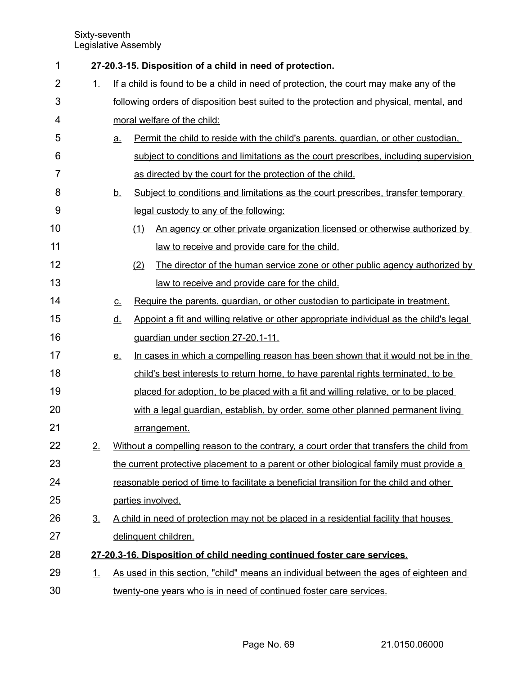| 1              |                |                                                                                         | 27-20.3-15. Disposition of a child in need of protection.                                |  |  |
|----------------|----------------|-----------------------------------------------------------------------------------------|------------------------------------------------------------------------------------------|--|--|
| $\overline{2}$ | 1.             | If a child is found to be a child in need of protection, the court may make any of the  |                                                                                          |  |  |
| 3              |                | following orders of disposition best suited to the protection and physical, mental, and |                                                                                          |  |  |
| 4              |                |                                                                                         | moral welfare of the child:                                                              |  |  |
| 5              |                | а.                                                                                      | Permit the child to reside with the child's parents, guardian, or other custodian,       |  |  |
| 6              |                |                                                                                         | subject to conditions and limitations as the court prescribes, including supervision     |  |  |
| 7              |                |                                                                                         | as directed by the court for the protection of the child.                                |  |  |
| 8              |                | <u>b.</u>                                                                               | Subject to conditions and limitations as the court prescribes, transfer temporary        |  |  |
| 9              |                |                                                                                         | legal custody to any of the following:                                                   |  |  |
| 10             |                |                                                                                         | An agency or other private organization licensed or otherwise authorized by<br>(1)       |  |  |
| 11             |                |                                                                                         | law to receive and provide care for the child.                                           |  |  |
| 12             |                |                                                                                         | (2)<br>The director of the human service zone or other public agency authorized by       |  |  |
| 13             |                |                                                                                         | law to receive and provide care for the child.                                           |  |  |
| 14             |                | $C_{\cdot}$                                                                             | Require the parents, guardian, or other custodian to participate in treatment.           |  |  |
| 15             |                | <u>d.</u>                                                                               | Appoint a fit and willing relative or other appropriate individual as the child's legal  |  |  |
| 16             |                |                                                                                         | guardian under section 27-20.1-11.                                                       |  |  |
| 17             |                | <u>e.</u>                                                                               | In cases in which a compelling reason has been shown that it would not be in the         |  |  |
| 18             |                |                                                                                         | child's best interests to return home, to have parental rights terminated, to be         |  |  |
| 19             |                |                                                                                         | placed for adoption, to be placed with a fit and willing relative, or to be placed       |  |  |
| 20             |                |                                                                                         | with a legal guardian, establish, by order, some other planned permanent living          |  |  |
| 21             |                |                                                                                         | arrangement.                                                                             |  |  |
| 22             | 2.             |                                                                                         | Without a compelling reason to the contrary, a court order that transfers the child from |  |  |
| 23             |                |                                                                                         | the current protective placement to a parent or other biological family must provide a   |  |  |
| 24             |                |                                                                                         | reasonable period of time to facilitate a beneficial transition for the child and other  |  |  |
| 25             |                |                                                                                         | parties involved.                                                                        |  |  |
| 26             | 3 <sub>1</sub> |                                                                                         | A child in need of protection may not be placed in a residential facility that houses    |  |  |
| 27             |                |                                                                                         | delinquent children.                                                                     |  |  |
| 28             |                |                                                                                         | 27-20.3-16. Disposition of child needing continued foster care services.                 |  |  |
| 29             | <u>1.</u>      |                                                                                         | As used in this section, "child" means an individual between the ages of eighteen and    |  |  |
| 30             |                |                                                                                         | twenty-one years who is in need of continued foster care services.                       |  |  |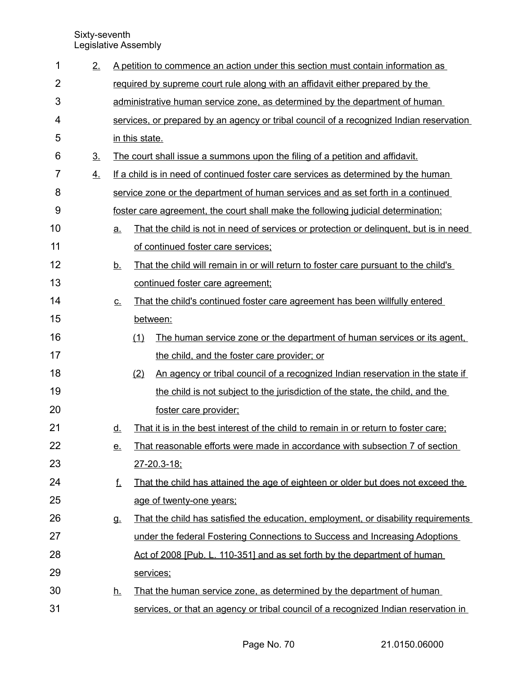| 1  | 2.             |                          |                | A petition to commence an action under this section must contain information as          |
|----|----------------|--------------------------|----------------|------------------------------------------------------------------------------------------|
| 2  |                |                          |                | required by supreme court rule along with an affidavit either prepared by the            |
| 3  |                |                          |                | administrative human service zone, as determined by the department of human              |
| 4  |                |                          |                | services, or prepared by an agency or tribal council of a recognized Indian reservation  |
| 5  |                |                          | in this state. |                                                                                          |
| 6  | 3 <sub>1</sub> |                          |                | The court shall issue a summons upon the filing of a petition and affidavit.             |
| 7  | 4.             |                          |                | If a child is in need of continued foster care services as determined by the human       |
| 8  |                |                          |                | service zone or the department of human services and as set forth in a continued         |
| 9  |                |                          |                | <u>foster care agreement, the court shall make the following judicial determination:</u> |
| 10 |                | a.                       |                | That the child is not in need of services or protection or delinguent, but is in need    |
| 11 |                |                          |                | of continued foster care services;                                                       |
| 12 |                | <u>b.</u>                |                | That the child will remain in or will return to foster care pursuant to the child's      |
| 13 |                |                          |                | continued foster care agreement;                                                         |
| 14 |                | $\underline{\mathsf{C}}$ |                | That the child's continued foster care agreement has been willfully entered              |
| 15 |                |                          |                | between:                                                                                 |
| 16 |                |                          | (1)            | The human service zone or the department of human services or its agent,                 |
| 17 |                |                          |                | the child, and the foster care provider; or                                              |
| 18 |                |                          | (2)            | An agency or tribal council of a recognized Indian reservation in the state if           |
| 19 |                |                          |                | the child is not subject to the jurisdiction of the state, the child, and the            |
| 20 |                |                          |                | foster care provider:                                                                    |
| 21 |                | <u>d.</u>                |                | That it is in the best interest of the child to remain in or return to foster care;      |
| 22 |                | <u>e.</u>                |                | That reasonable efforts were made in accordance with subsection 7 of section             |
| 23 |                |                          |                | $27 - 20.3 - 18$ ;                                                                       |
| 24 |                | <u>f.</u>                |                | That the child has attained the age of eighteen or older but does not exceed the         |
| 25 |                |                          |                | age of twenty-one years;                                                                 |
| 26 |                | g.                       |                | That the child has satisfied the education, employment, or disability requirements       |
| 27 |                |                          |                | under the federal Fostering Connections to Success and Increasing Adoptions              |
| 28 |                |                          |                | Act of 2008 [Pub. L. 110-351] and as set forth by the department of human                |
| 29 |                |                          |                | services;                                                                                |
| 30 |                | <u>h.</u>                |                | That the human service zone, as determined by the department of human                    |
| 31 |                |                          |                | services, or that an agency or tribal council of a recognized Indian reservation in      |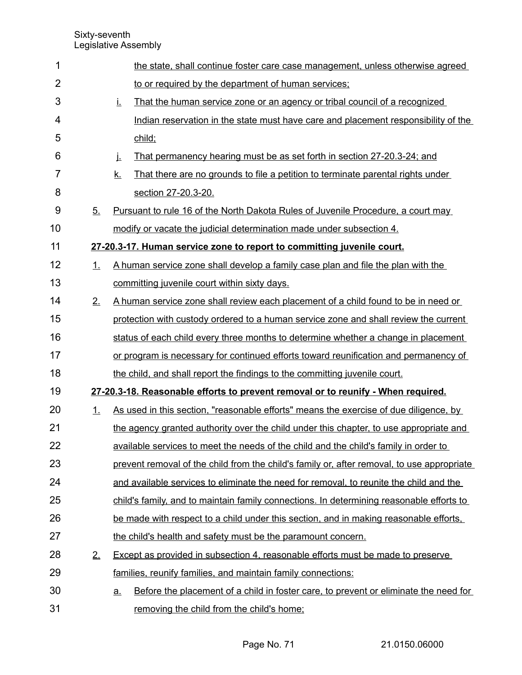| 1              |    | the state, shall continue foster care case management, unless otherwise agreed                    |
|----------------|----|---------------------------------------------------------------------------------------------------|
| $\overline{2}$ |    | to or required by the department of human services;                                               |
| 3              |    | Ţ.<br>That the human service zone or an agency or tribal council of a recognized                  |
| 4              |    | Indian reservation in the state must have care and placement responsibility of the                |
| 5              |    | child:                                                                                            |
| 6              |    | <u>That permanency hearing must be as set forth in section 27-20.3-24; and</u><br>j.              |
| $\overline{7}$ |    | <u>k.</u><br>That there are no grounds to file a petition to terminate parental rights under      |
| 8              |    | section 27-20.3-20.                                                                               |
| 9              | 5. | Pursuant to rule 16 of the North Dakota Rules of Juvenile Procedure, a court may                  |
| 10             |    | modify or vacate the judicial determination made under subsection 4.                              |
| 11             |    | 27-20.3-17. Human service zone to report to committing juvenile court.                            |
| 12             | 1. | A human service zone shall develop a family case plan and file the plan with the                  |
| 13             |    | committing juvenile court within sixty days.                                                      |
| 14             | 2. | A human service zone shall review each placement of a child found to be in need or                |
| 15             |    | protection with custody ordered to a human service zone and shall review the current              |
| 16             |    | status of each child every three months to determine whether a change in placement                |
| 17             |    | or program is necessary for continued efforts toward reunification and permanency of              |
| 18             |    | the child, and shall report the findings to the committing juvenile court.                        |
| 19             |    | 27-20.3-18. Reasonable efforts to prevent removal or to reunify - When required.                  |
| 20             | 1. | As used in this section, "reasonable efforts" means the exercise of due diligence, by             |
| 21             |    | the agency granted authority over the child under this chapter, to use appropriate and            |
| 22             |    | available services to meet the needs of the child and the child's family in order to              |
| 23             |    | prevent removal of the child from the child's family or, after removal, to use appropriate        |
| 24             |    | and available services to eliminate the need for removal, to reunite the child and the            |
| 25             |    | child's family, and to maintain family connections. In determining reasonable efforts to          |
| 26             |    | be made with respect to a child under this section, and in making reasonable efforts.             |
| 27             |    | the child's health and safety must be the paramount concern.                                      |
| 28             | 2. | <b>Except as provided in subsection 4, reasonable efforts must be made to preserve</b>            |
| 29             |    | families, reunify families, and maintain family connections:                                      |
| 30             |    | Before the placement of a child in foster care, to prevent or eliminate the need for<br><u>a.</u> |
| 31             |    | removing the child from the child's home:                                                         |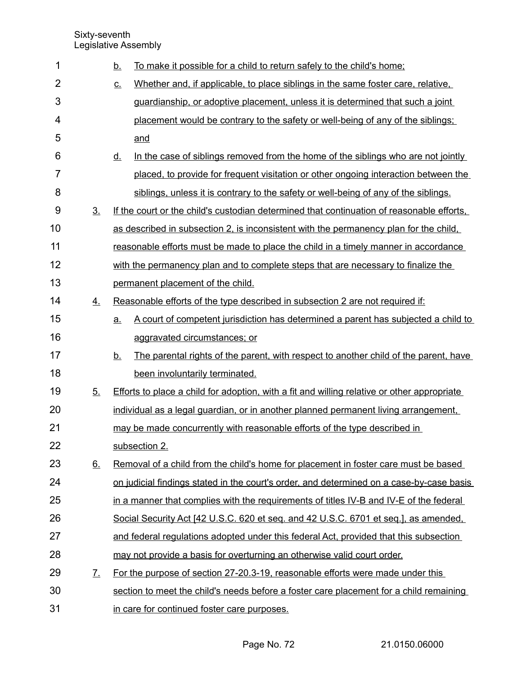| 1              |                   | <u>b.</u>                  | To make it possible for a child to return safely to the child's home;                       |
|----------------|-------------------|----------------------------|---------------------------------------------------------------------------------------------|
| $\overline{2}$ |                   | $\underline{\mathsf{C}}$ . | Whether and, if applicable, to place siblings in the same foster care, relative,            |
| 3              |                   |                            | guardianship, or adoptive placement, unless it is determined that such a joint              |
| 4              |                   |                            | placement would be contrary to the safety or well-being of any of the siblings;             |
| 5              |                   |                            | and                                                                                         |
| 6              |                   | <u>d.</u>                  | In the case of siblings removed from the home of the siblings who are not jointly           |
| $\overline{7}$ |                   |                            | placed, to provide for frequent visitation or other ongoing interaction between the         |
| 8              |                   |                            | siblings, unless it is contrary to the safety or well-being of any of the siblings.         |
| 9              | 3 <sub>1</sub>    |                            | If the court or the child's custodian determined that continuation of reasonable efforts.   |
| 10             |                   |                            | as described in subsection 2, is inconsistent with the permanency plan for the child,       |
| 11             |                   |                            | reasonable efforts must be made to place the child in a timely manner in accordance         |
| 12             |                   |                            | with the permanency plan and to complete steps that are necessary to finalize the           |
| 13             |                   |                            | permanent placement of the child.                                                           |
| 14             | 4.                |                            | Reasonable efforts of the type described in subsection 2 are not required if:               |
| 15             |                   | a.                         | A court of competent jurisdiction has determined a parent has subjected a child to          |
| 16             |                   |                            | aggravated circumstances; or                                                                |
| 17             |                   | <u>b.</u>                  | The parental rights of the parent, with respect to another child of the parent, have        |
| 18             |                   |                            | been involuntarily terminated.                                                              |
| 19             | 5.                |                            | Efforts to place a child for adoption, with a fit and willing relative or other appropriate |
| 20             |                   |                            | individual as a legal guardian, or in another planned permanent living arrangement,         |
| 21             |                   |                            | may be made concurrently with reasonable efforts of the type described in                   |
| 22             |                   |                            | subsection 2.                                                                               |
| 23             | 6.                |                            | Removal of a child from the child's home for placement in foster care must be based         |
| 24             |                   |                            | on judicial findings stated in the court's order, and determined on a case-by-case basis    |
| 25             |                   |                            | in a manner that complies with the requirements of titles IV-B and IV-E of the federal      |
| 26             |                   |                            | Social Security Act [42 U.S.C. 620 et seq. and 42 U.S.C. 6701 et seq.], as amended,         |
| 27             |                   |                            | and federal regulations adopted under this federal Act, provided that this subsection       |
| 28             |                   |                            | may not provide a basis for overturning an otherwise valid court order.                     |
| 29             | $\mathcal{I}_{-}$ |                            | For the purpose of section 27-20.3-19, reasonable efforts were made under this              |
| 30             |                   |                            | section to meet the child's needs before a foster care placement for a child remaining      |
| 31             |                   |                            | in care for continued foster care purposes.                                                 |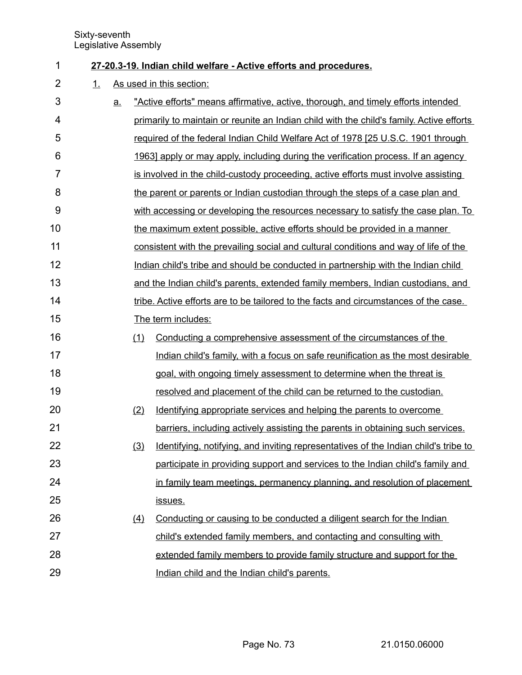- **27 20.3 19. Indian child welfare Active efforts and procedures.** 1
- 1. As used in this section: 2

| 3  | <u>a.</u> |     | "Active efforts" means affirmative, active, thorough, and timely efforts intended        |
|----|-----------|-----|------------------------------------------------------------------------------------------|
| 4  |           |     | primarily to maintain or reunite an Indian child with the child's family. Active efforts |
| 5  |           |     | required of the federal Indian Child Welfare Act of 1978 [25 U.S.C. 1901 through         |
| 6  |           |     | <u>1963] apply or may apply, including during the verification process. If an agency</u> |
| 7  |           |     | is involved in the child-custody proceeding, active efforts must involve assisting       |
| 8  |           |     | the parent or parents or Indian custodian through the steps of a case plan and           |
| 9  |           |     | with accessing or developing the resources necessary to satisfy the case plan. To        |
| 10 |           |     | the maximum extent possible, active efforts should be provided in a manner               |
| 11 |           |     | consistent with the prevailing social and cultural conditions and way of life of the     |
| 12 |           |     | Indian child's tribe and should be conducted in partnership with the Indian child        |
| 13 |           |     | and the Indian child's parents, extended family members, Indian custodians, and          |
| 14 |           |     | tribe. Active efforts are to be tailored to the facts and circumstances of the case.     |
| 15 |           |     | The term includes:                                                                       |
| 16 |           | (1) | Conducting a comprehensive assessment of the circumstances of the                        |
| 17 |           |     | Indian child's family, with a focus on safe reunification as the most desirable          |
| 18 |           |     | goal, with ongoing timely assessment to determine when the threat is                     |
| 19 |           |     | resolved and placement of the child can be returned to the custodian.                    |
| 20 |           | (2) | Identifying appropriate services and helping the parents to overcome                     |
| 21 |           |     | barriers, including actively assisting the parents in obtaining such services.           |
| 22 |           | (3) | Identifying, notifying, and inviting representatives of the Indian child's tribe to      |
| 23 |           |     | participate in providing support and services to the Indian child's family and           |
| 24 |           |     | in family team meetings, permanency planning, and resolution of placement                |
| 25 |           |     | issues.                                                                                  |
| 26 |           | (4) | Conducting or causing to be conducted a diligent search for the Indian                   |
| 27 |           |     | child's extended family members, and contacting and consulting with                      |
| 28 |           |     | extended family members to provide family structure and support for the                  |
| 29 |           |     | Indian child and the Indian child's parents.                                             |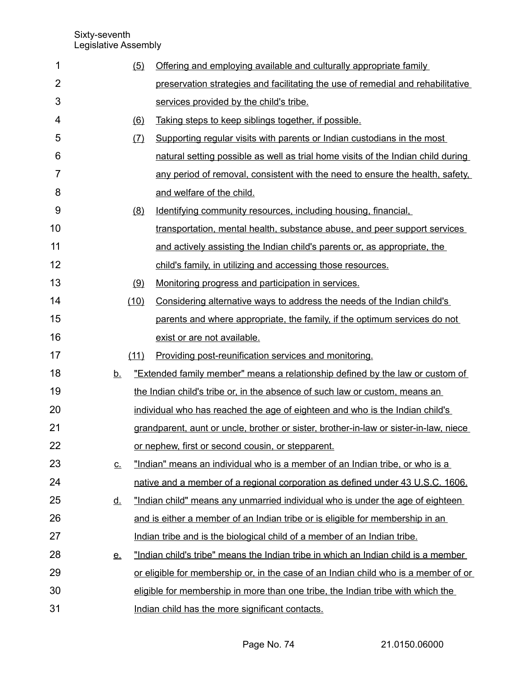| 1              |                            | (5)  | Offering and employing available and culturally appropriate family                    |
|----------------|----------------------------|------|---------------------------------------------------------------------------------------|
| $\overline{2}$ |                            |      | preservation strategies and facilitating the use of remedial and rehabilitative       |
| 3              |                            |      | services provided by the child's tribe.                                               |
| 4              |                            | (6)  | Taking steps to keep siblings together, if possible.                                  |
| 5              |                            | (7)  | Supporting regular visits with parents or Indian custodians in the most               |
| 6              |                            |      | natural setting possible as well as trial home visits of the Indian child during      |
| 7              |                            |      | any period of removal, consistent with the need to ensure the health, safety,         |
| 8              |                            |      | and welfare of the child.                                                             |
| 9              |                            | (8)  | Identifying community resources, including housing, financial,                        |
| 10             |                            |      | transportation, mental health, substance abuse, and peer support services             |
| 11             |                            |      | and actively assisting the Indian child's parents or, as appropriate, the             |
| 12             |                            |      | child's family, in utilizing and accessing those resources.                           |
| 13             |                            | (9)  | Monitoring progress and participation in services.                                    |
| 14             |                            | (10) | Considering alternative ways to address the needs of the Indian child's               |
| 15             |                            |      | parents and where appropriate, the family, if the optimum services do not             |
| 16             |                            |      | exist or are not available.                                                           |
| 17             |                            | (11) | Providing post-reunification services and monitoring.                                 |
| 18             | <u>b.</u>                  |      | "Extended family member" means a relationship defined by the law or custom of         |
| 19             |                            |      | the Indian child's tribe or, in the absence of such law or custom, means an           |
| 20             |                            |      | individual who has reached the age of eighteen and who is the Indian child's          |
| 21             |                            |      | grandparent, aunt or uncle, brother or sister, brother-in-law or sister-in-law, niece |
| 22             |                            |      | or nephew, first or second cousin, or stepparent.                                     |
| 23             | $\underline{\mathsf{C}}$ . |      | "Indian" means an individual who is a member of an Indian tribe, or who is a          |
| 24             |                            |      | native and a member of a regional corporation as defined under 43 U.S.C. 1606.        |
| 25             | <u>d.</u>                  |      | "Indian child" means any unmarried individual who is under the age of eighteen        |
| 26             |                            |      | and is either a member of an Indian tribe or is eligible for membership in an         |
| 27             |                            |      | Indian tribe and is the biological child of a member of an Indian tribe.              |
| 28             | <u>e.</u>                  |      | "Indian child's tribe" means the Indian tribe in which an Indian child is a member    |
| 29             |                            |      | or eligible for membership or, in the case of an Indian child who is a member of or   |
| 30             |                            |      | eligible for membership in more than one tribe, the Indian tribe with which the       |
| 31             |                            |      | Indian child has the more significant contacts.                                       |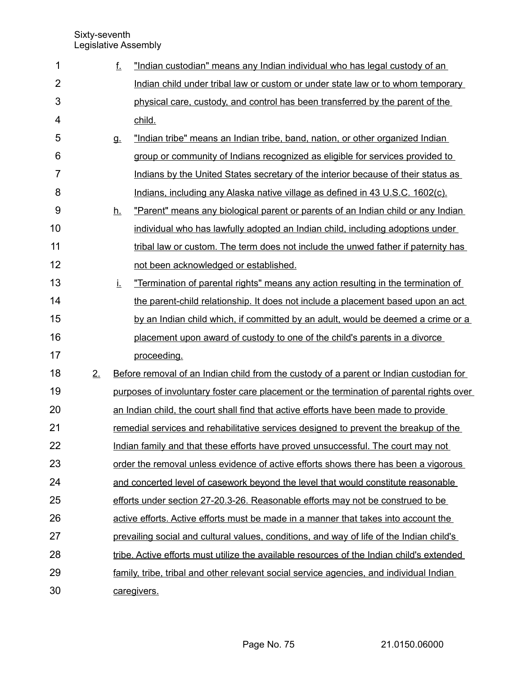| 1              |    | f.        | "Indian custodian" means any Indian individual who has legal custody of an                |
|----------------|----|-----------|-------------------------------------------------------------------------------------------|
| $\overline{2}$ |    |           | Indian child under tribal law or custom or under state law or to whom temporary           |
| 3              |    |           | physical care, custody, and control has been transferred by the parent of the             |
| 4              |    |           | child.                                                                                    |
| 5              |    | <b>g.</b> | "Indian tribe" means an Indian tribe, band, nation, or other organized Indian             |
| 6              |    |           | group or community of Indians recognized as eligible for services provided to             |
| $\overline{7}$ |    |           | Indians by the United States secretary of the interior because of their status as         |
| 8              |    |           | Indians, including any Alaska native village as defined in 43 U.S.C. 1602(c).             |
| 9              |    | <u>h.</u> | "Parent" means any biological parent or parents of an Indian child or any Indian          |
| 10             |    |           | individual who has lawfully adopted an Indian child, including adoptions under            |
| 11             |    |           | tribal law or custom. The term does not include the unwed father if paternity has         |
| 12             |    |           | not been acknowledged or established.                                                     |
| 13             |    | İ.        | "Termination of parental rights" means any action resulting in the termination of         |
| 14             |    |           | the parent-child relationship. It does not include a placement based upon an act          |
| 15             |    |           | by an Indian child which, if committed by an adult, would be deemed a crime or a          |
| 16             |    |           | placement upon award of custody to one of the child's parents in a divorce                |
| 17             |    |           | proceeding.                                                                               |
| 18             | 2. |           | Before removal of an Indian child from the custody of a parent or Indian custodian for    |
| 19             |    |           | purposes of involuntary foster care placement or the termination of parental rights over  |
| 20             |    |           | an Indian child, the court shall find that active efforts have been made to provide       |
| 21             |    |           | remedial services and rehabilitative services designed to prevent the breakup of the      |
| 22             |    |           | Indian family and that these efforts have proved unsuccessful. The court may not          |
| 23             |    |           | order the removal unless evidence of active efforts shows there has been a vigorous       |
| 24             |    |           | and concerted level of casework beyond the level that would constitute reasonable         |
| 25             |    |           | efforts under section 27-20.3-26. Reasonable efforts may not be construed to be           |
| 26             |    |           | active efforts. Active efforts must be made in a manner that takes into account the       |
| 27             |    |           | prevailing social and cultural values, conditions, and way of life of the Indian child's  |
| 28             |    |           | tribe. Active efforts must utilize the available resources of the Indian child's extended |
| 29             |    |           | family, tribe, tribal and other relevant social service agencies, and individual Indian   |
| 30             |    |           | caregivers.                                                                               |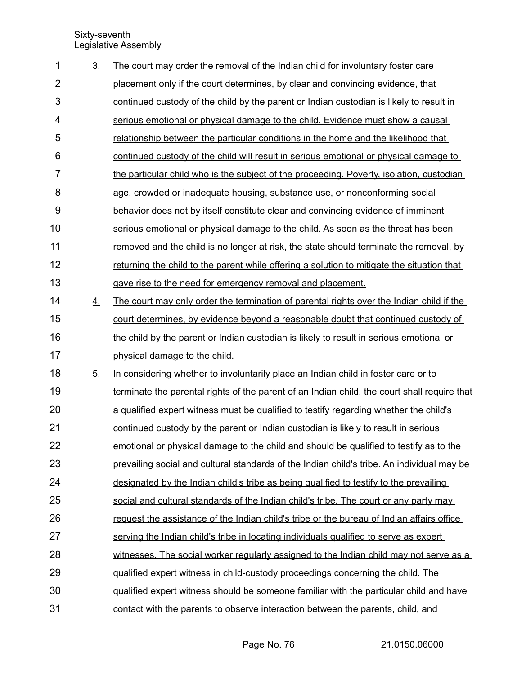| 1              | 3 <sub>1</sub> | The court may order the removal of the Indian child for involuntary foster care              |
|----------------|----------------|----------------------------------------------------------------------------------------------|
| $\overline{2}$ |                | placement only if the court determines, by clear and convincing evidence, that               |
| 3              |                | continued custody of the child by the parent or Indian custodian is likely to result in      |
| 4              |                | serious emotional or physical damage to the child. Evidence must show a causal               |
| 5              |                | relationship between the particular conditions in the home and the likelihood that           |
| 6              |                | continued custody of the child will result in serious emotional or physical damage to        |
| $\overline{7}$ |                | the particular child who is the subject of the proceeding. Poverty, isolation, custodian     |
| 8              |                | age, crowded or inadequate housing, substance use, or nonconforming social                   |
| 9              |                | behavior does not by itself constitute clear and convincing evidence of imminent             |
| 10             |                | serious emotional or physical damage to the child. As soon as the threat has been            |
| 11             |                | removed and the child is no longer at risk, the state should terminate the removal, by       |
| 12             |                | returning the child to the parent while offering a solution to mitigate the situation that   |
| 13             |                | gave rise to the need for emergency removal and placement.                                   |
| 14             | 4.             | The court may only order the termination of parental rights over the Indian child if the     |
| 15             |                | court determines, by evidence beyond a reasonable doubt that continued custody of            |
| 16             |                | the child by the parent or Indian custodian is likely to result in serious emotional or      |
| 17             |                | physical damage to the child.                                                                |
| 18             | 5.             | In considering whether to involuntarily place an Indian child in foster care or to           |
| 19             |                | terminate the parental rights of the parent of an Indian child, the court shall require that |
| 20             |                | a qualified expert witness must be qualified to testify regarding whether the child's        |
| 21             |                | continued custody by the parent or Indian custodian is likely to result in serious           |
| 22             |                | emotional or physical damage to the child and should be qualified to testify as to the       |
| 23             |                | prevailing social and cultural standards of the Indian child's tribe. An individual may be   |
| 24             |                | designated by the Indian child's tribe as being qualified to testify to the prevailing       |
| 25             |                | social and cultural standards of the Indian child's tribe. The court or any party may        |
| 26             |                | request the assistance of the Indian child's tribe or the bureau of Indian affairs office    |
| 27             |                | serving the Indian child's tribe in locating individuals qualified to serve as expert        |
| 28             |                | witnesses. The social worker regularly assigned to the Indian child may not serve as a       |
| 29             |                | qualified expert witness in child-custody proceedings concerning the child. The              |
| 30             |                | gualified expert witness should be someone familiar with the particular child and have       |
| 31             |                | contact with the parents to observe interaction between the parents, child, and              |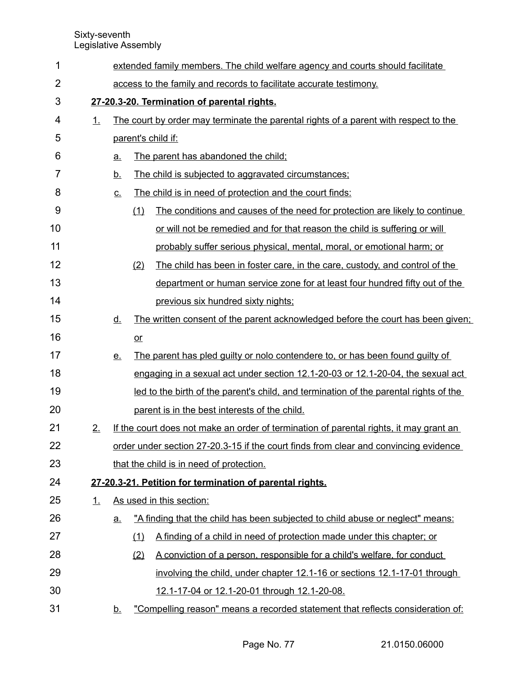| 1              |           |                                             |      | extended family members. The child welfare agency and courts should facilitate         |  |  |  |  |  |
|----------------|-----------|---------------------------------------------|------|----------------------------------------------------------------------------------------|--|--|--|--|--|
| $\overline{2}$ |           |                                             |      | access to the family and records to facilitate accurate testimony.                     |  |  |  |  |  |
| 3              |           | 27-20.3-20. Termination of parental rights. |      |                                                                                        |  |  |  |  |  |
| 4              | 1.        |                                             |      | The court by order may terminate the parental rights of a parent with respect to the   |  |  |  |  |  |
| 5              |           |                                             |      | parent's child if:                                                                     |  |  |  |  |  |
| 6              |           | a.                                          |      | The parent has abandoned the child;                                                    |  |  |  |  |  |
| 7              |           | <u>b.</u>                                   |      | The child is subjected to aggravated circumstances;                                    |  |  |  |  |  |
| 8              |           | $\underline{\mathbf{C}}$ .                  |      | The child is in need of protection and the court finds:                                |  |  |  |  |  |
| 9              |           |                                             | (1)  | The conditions and causes of the need for protection are likely to continue            |  |  |  |  |  |
| 10             |           |                                             |      | or will not be remedied and for that reason the child is suffering or will             |  |  |  |  |  |
| 11             |           |                                             |      | probably suffer serious physical, mental, moral, or emotional harm; or                 |  |  |  |  |  |
| 12             |           |                                             | (2)  | The child has been in foster care, in the care, custody, and control of the            |  |  |  |  |  |
| 13             |           |                                             |      | department or human service zone for at least four hundred fifty out of the            |  |  |  |  |  |
| 14             |           |                                             |      | previous six hundred sixty nights;                                                     |  |  |  |  |  |
| 15             |           | <u>d.</u>                                   |      | The written consent of the parent acknowledged before the court has been given;        |  |  |  |  |  |
| 16             |           |                                             | $or$ |                                                                                        |  |  |  |  |  |
| 17             |           | <u>e.</u>                                   |      | The parent has pled guilty or nolo contendere to, or has been found guilty of          |  |  |  |  |  |
| 18             |           |                                             |      | engaging in a sexual act under section 12.1-20-03 or 12.1-20-04, the sexual act        |  |  |  |  |  |
| 19             |           |                                             |      | led to the birth of the parent's child, and termination of the parental rights of the  |  |  |  |  |  |
| 20             |           |                                             |      | parent is in the best interests of the child.                                          |  |  |  |  |  |
| 21             | 2.        |                                             |      | If the court does not make an order of termination of parental rights, it may grant an |  |  |  |  |  |
| 22             |           |                                             |      | order under section 27-20.3-15 if the court finds from clear and convincing evidence   |  |  |  |  |  |
| 23             |           |                                             |      | that the child is in need of protection.                                               |  |  |  |  |  |
| 24             |           |                                             |      | 27-20.3-21. Petition for termination of parental rights.                               |  |  |  |  |  |
| 25             | <u>1.</u> |                                             |      | As used in this section:                                                               |  |  |  |  |  |
| 26             |           | <u>a.</u>                                   |      | "A finding that the child has been subjected to child abuse or neglect" means:         |  |  |  |  |  |
| 27             |           |                                             | (1)  | A finding of a child in need of protection made under this chapter; or                 |  |  |  |  |  |
| 28             |           |                                             | (2)  | A conviction of a person, responsible for a child's welfare, for conduct               |  |  |  |  |  |
| 29             |           |                                             |      | involving the child, under chapter 12.1-16 or sections 12.1-17-01 through              |  |  |  |  |  |
| 30             |           |                                             |      | 12.1-17-04 or 12.1-20-01 through 12.1-20-08.                                           |  |  |  |  |  |
| 31             |           | <u>b.</u>                                   |      | "Compelling reason" means a recorded statement that reflects consideration of:         |  |  |  |  |  |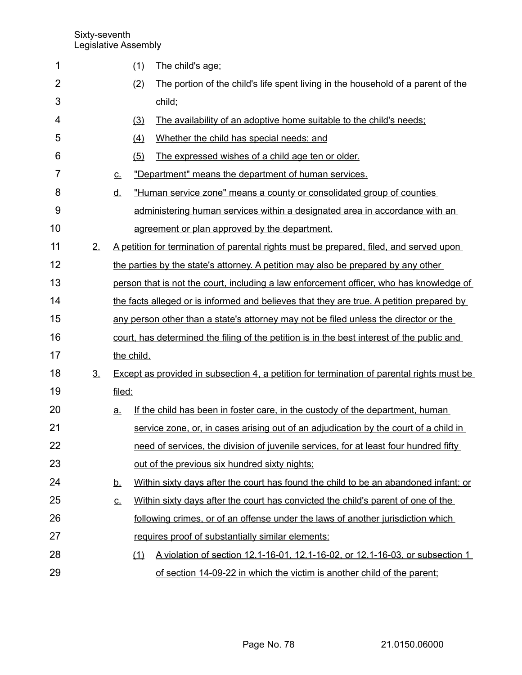| 1              |                   |           | (1)        | The child's age:                                                                           |
|----------------|-------------------|-----------|------------|--------------------------------------------------------------------------------------------|
| $\overline{2}$ |                   |           | (2)        | The portion of the child's life spent living in the household of a parent of the           |
| 3              |                   |           |            | child;                                                                                     |
| 4              |                   |           | (3)        | The availability of an adoptive home suitable to the child's needs;                        |
| 5              |                   |           | (4)        | Whether the child has special needs; and                                                   |
| 6              |                   |           | (5)        | The expressed wishes of a child age ten or older.                                          |
| $\overline{7}$ |                   | <u>C.</u> |            | "Department" means the department of human services.                                       |
| 8              |                   | <u>d.</u> |            | "Human service zone" means a county or consolidated group of counties                      |
| 9              |                   |           |            | administering human services within a designated area in accordance with an                |
| 10             |                   |           |            | agreement or plan approved by the department.                                              |
| 11             | 2.                |           |            | A petition for termination of parental rights must be prepared, filed, and served upon     |
| 12             |                   |           |            | the parties by the state's attorney. A petition may also be prepared by any other          |
| 13             |                   |           |            | person that is not the court, including a law enforcement officer, who has knowledge of    |
| 14             |                   |           |            | the facts alleged or is informed and believes that they are true. A petition prepared by   |
| 15             |                   |           |            | any person other than a state's attorney may not be filed unless the director or the       |
| 16             |                   |           |            | court, has determined the filing of the petition is in the best interest of the public and |
| 17             |                   |           | the child. |                                                                                            |
| 18             | $\underline{3}$ . |           |            | Except as provided in subsection 4, a petition for termination of parental rights must be  |
| 19             |                   | filed:    |            |                                                                                            |
| 20             |                   | <u>a</u>  |            | If the child has been in foster care, in the custody of the department, human              |
| 21             |                   |           |            | service zone, or, in cases arising out of an adjudication by the court of a child in       |
| 22             |                   |           |            | need of services, the division of juvenile services, for at least four hundred fifty       |
| 23             |                   |           |            | out of the previous six hundred sixty nights;                                              |
| 24             |                   | <u>b.</u> |            | Within sixty days after the court has found the child to be an abandoned infant; or        |
| 25             |                   | <u>c.</u> |            | Within sixty days after the court has convicted the child's parent of one of the           |
| 26             |                   |           |            | following crimes, or of an offense under the laws of another jurisdiction which            |
| 27             |                   |           |            | requires proof of substantially similar elements:                                          |
| 28             |                   |           | (1)        | A violation of section 12.1-16-01, 12.1-16-02, or 12.1-16-03, or subsection 1              |
| 29             |                   |           |            | of section 14-09-22 in which the victim is another child of the parent;                    |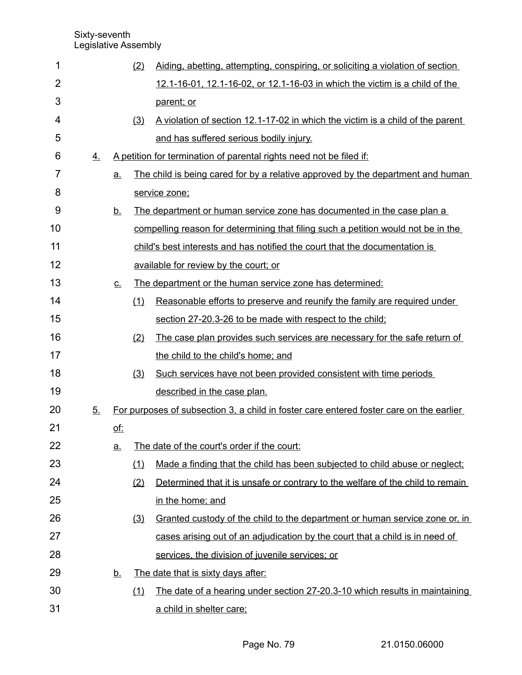| 1              |                  |            | (2) | Aiding, abetting, attempting, conspiring, or soliciting a violation of section          |
|----------------|------------------|------------|-----|-----------------------------------------------------------------------------------------|
| $\overline{2}$ |                  |            |     | 12.1-16-01, 12.1-16-02, or 12.1-16-03 in which the victim is a child of the             |
| 3              |                  |            |     | parent; or                                                                              |
| 4              |                  |            | (3) | A violation of section 12.1-17-02 in which the victim is a child of the parent          |
| 5              |                  |            |     | and has suffered serious bodily injury.                                                 |
| 6              | $\overline{4}$ . |            |     | A petition for termination of parental rights need not be filed if:                     |
| 7              |                  | a.         |     | The child is being cared for by a relative approved by the department and human         |
| 8              |                  |            |     | service zone;                                                                           |
| 9              |                  | <u>b.</u>  |     | The department or human service zone has documented in the case plan a                  |
| 10             |                  |            |     | compelling reason for determining that filing such a petition would not be in the       |
| 11             |                  |            |     | child's best interests and has notified the court that the documentation is             |
| 12             |                  |            |     | available for review by the court; or                                                   |
| 13             |                  | <u>C.</u>  |     | The department or the human service zone has determined:                                |
| 14             |                  |            | (1) | Reasonable efforts to preserve and reunify the family are required under                |
| 15             |                  |            |     | section 27-20.3-26 to be made with respect to the child;                                |
| 16             |                  |            | (2) | The case plan provides such services are necessary for the safe return of               |
| 17             |                  |            |     | the child to the child's home; and                                                      |
| 18             |                  |            | (3) | Such services have not been provided consistent with time periods                       |
| 19             |                  |            |     | described in the case plan.                                                             |
| 20             | 5.               |            |     | For purposes of subsection 3, a child in foster care entered foster care on the earlier |
| 21             |                  | <u>of:</u> |     |                                                                                         |
| 22             |                  | <u>a.</u>  |     | The date of the court's order if the court:                                             |
| 23             |                  |            | (1) | Made a finding that the child has been subjected to child abuse or neglect;             |
| 24             |                  |            | (2) | Determined that it is unsafe or contrary to the welfare of the child to remain          |
| 25             |                  |            |     | in the home; and                                                                        |
| 26             |                  |            | (3) | <u>Granted custody of the child to the department or human service zone or, in</u>      |
| 27             |                  |            |     | cases arising out of an adjudication by the court that a child is in need of            |
| 28             |                  |            |     | services, the division of juvenile services; or                                         |
| 29             |                  | <u>b.</u>  |     | The date that is sixty days after:                                                      |
| 30             |                  |            | (1) | The date of a hearing under section 27-20.3-10 which results in maintaining             |
| 31             |                  |            |     | a child in shelter care;                                                                |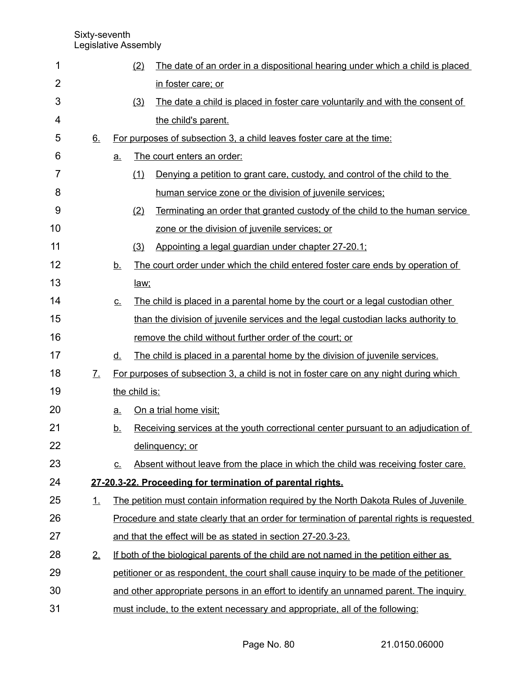| 1  |                   |             | (2)           | The date of an order in a dispositional hearing under which a child is placed             |
|----|-------------------|-------------|---------------|-------------------------------------------------------------------------------------------|
| 2  |                   |             |               | in foster care; or                                                                        |
| 3  |                   |             | (3)           | The date a child is placed in foster care voluntarily and with the consent of             |
| 4  |                   |             |               | the child's parent.                                                                       |
| 5  | 6.                |             |               | For purposes of subsection 3, a child leaves foster care at the time:                     |
| 6  |                   | <u>a.</u>   |               | The court enters an order:                                                                |
| 7  |                   |             | (1)           | Denying a petition to grant care, custody, and control of the child to the                |
| 8  |                   |             |               | human service zone or the division of juvenile services;                                  |
| 9  |                   |             | (2)           | <u>Terminating an order that granted custody of the child to the human service</u>        |
| 10 |                   |             |               | zone or the division of juvenile services; or                                             |
| 11 |                   |             | (3)           | Appointing a legal guardian under chapter 27-20.1;                                        |
| 12 |                   | <u>b.</u>   |               | The court order under which the child entered foster care ends by operation of            |
| 13 |                   |             | law;          |                                                                                           |
| 14 |                   | <u>c.</u>   |               | The child is placed in a parental home by the court or a legal custodian other            |
| 15 |                   |             |               | than the division of juvenile services and the legal custodian lacks authority to         |
| 16 |                   |             |               | remove the child without further order of the court; or                                   |
| 17 |                   | <u>d.</u>   |               | The child is placed in a parental home by the division of juvenile services.              |
| 18 | $\underline{7}$ . |             |               | For purposes of subsection 3, a child is not in foster care on any night during which     |
| 19 |                   |             | the child is: |                                                                                           |
| 20 |                   | <u>a.</u>   |               | On a trial home visit;                                                                    |
| 21 |                   | <u>b.</u>   |               | Receiving services at the youth correctional center pursuant to an adjudication of        |
| 22 |                   |             |               | delinquency; or                                                                           |
| 23 |                   | $C_{\cdot}$ |               | Absent without leave from the place in which the child was receiving foster care.         |
| 24 |                   |             |               | 27-20.3-22. Proceeding for termination of parental rights.                                |
| 25 | 1.                |             |               | The petition must contain information required by the North Dakota Rules of Juvenile      |
| 26 |                   |             |               | Procedure and state clearly that an order for termination of parental rights is requested |
| 27 |                   |             |               | and that the effect will be as stated in section 27-20.3-23.                              |
| 28 | 2.                |             |               | If both of the biological parents of the child are not named in the petition either as    |
| 29 |                   |             |               | petitioner or as respondent, the court shall cause inquiry to be made of the petitioner   |
| 30 |                   |             |               | and other appropriate persons in an effort to identify an unnamed parent. The inquiry     |
| 31 |                   |             |               | must include, to the extent necessary and appropriate, all of the following:              |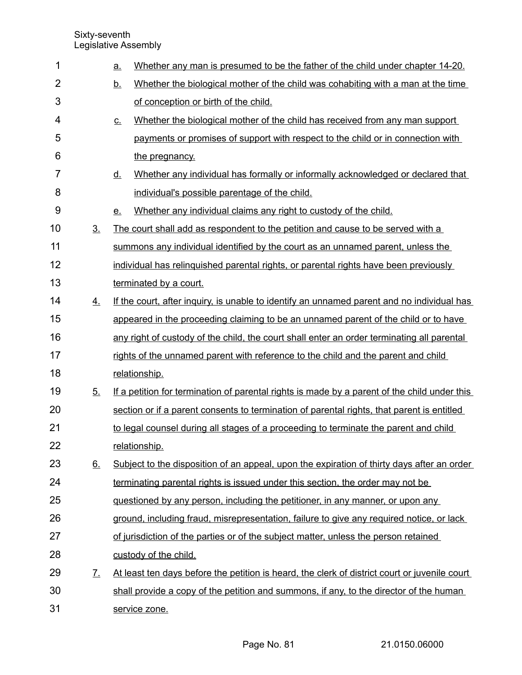| 1  |                   | <u>a.</u> | Whether any man is presumed to be the father of the child under chapter 14-20.                |
|----|-------------------|-----------|-----------------------------------------------------------------------------------------------|
| 2  |                   | <u>b.</u> | Whether the biological mother of the child was cohabiting with a man at the time              |
| 3  |                   |           | of conception or birth of the child.                                                          |
| 4  |                   | <u>C.</u> | Whether the biological mother of the child has received from any man support                  |
| 5  |                   |           | payments or promises of support with respect to the child or in connection with               |
| 6  |                   |           | the pregnancy.                                                                                |
| 7  |                   | <u>d.</u> | Whether any individual has formally or informally acknowledged or declared that               |
| 8  |                   |           | individual's possible parentage of the child.                                                 |
| 9  |                   | <u>e.</u> | Whether any individual claims any right to custody of the child.                              |
| 10 | 3 <sub>1</sub>    |           | The court shall add as respondent to the petition and cause to be served with a               |
| 11 |                   |           | summons any individual identified by the court as an unnamed parent, unless the               |
| 12 |                   |           | individual has relinquished parental rights, or parental rights have been previously          |
| 13 |                   |           | terminated by a court.                                                                        |
| 14 | 4.                |           | If the court, after inguiry, is unable to identify an unnamed parent and no individual has    |
| 15 |                   |           | appeared in the proceeding claiming to be an unnamed parent of the child or to have           |
| 16 |                   |           | any right of custody of the child, the court shall enter an order terminating all parental    |
| 17 |                   |           | rights of the unnamed parent with reference to the child and the parent and child             |
| 18 |                   |           | relationship.                                                                                 |
| 19 | 5 <sub>1</sub>    |           | If a petition for termination of parental rights is made by a parent of the child under this  |
| 20 |                   |           | section or if a parent consents to termination of parental rights, that parent is entitled    |
| 21 |                   |           | to legal counsel during all stages of a proceeding to terminate the parent and child          |
| 22 |                   |           | relationship.                                                                                 |
| 23 | 6.                |           | Subject to the disposition of an appeal, upon the expiration of thirty days after an order    |
| 24 |                   |           | terminating parental rights is issued under this section, the order may not be                |
| 25 |                   |           | <u>questioned by any person, including the petitioner, in any manner, or upon any</u>         |
| 26 |                   |           | ground, including fraud, misrepresentation, failure to give any required notice, or lack      |
| 27 |                   |           | of jurisdiction of the parties or of the subject matter, unless the person retained           |
| 28 |                   |           | custody of the child.                                                                         |
| 29 | $\mathcal{I}_{-}$ |           | At least ten days before the petition is heard, the clerk of district court or juvenile court |
| 30 |                   |           | shall provide a copy of the petition and summons, if any, to the director of the human        |
| 31 |                   |           | service zone.                                                                                 |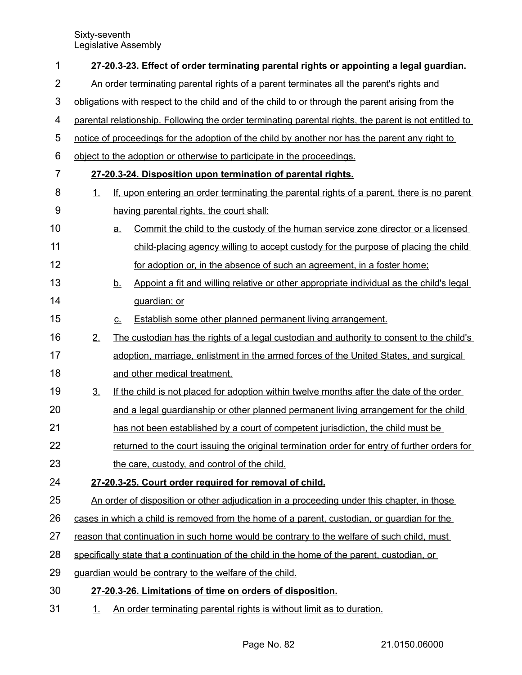| 1              | 27-20.3-23. Effect of order terminating parental rights or appointing a legal guardian.               |           |                                                                                                |  |  |  |  |  |
|----------------|-------------------------------------------------------------------------------------------------------|-----------|------------------------------------------------------------------------------------------------|--|--|--|--|--|
| $\overline{2}$ | An order terminating parental rights of a parent terminates all the parent's rights and               |           |                                                                                                |  |  |  |  |  |
| 3              | obligations with respect to the child and of the child to or through the parent arising from the      |           |                                                                                                |  |  |  |  |  |
| 4              | parental relationship. Following the order terminating parental rights, the parent is not entitled to |           |                                                                                                |  |  |  |  |  |
| 5              |                                                                                                       |           | notice of proceedings for the adoption of the child by another nor has the parent any right to |  |  |  |  |  |
| 6              |                                                                                                       |           | object to the adoption or otherwise to participate in the proceedings.                         |  |  |  |  |  |
| $\overline{7}$ |                                                                                                       |           | 27-20.3-24. Disposition upon termination of parental rights.                                   |  |  |  |  |  |
| 8              | 1.                                                                                                    |           | If, upon entering an order terminating the parental rights of a parent, there is no parent     |  |  |  |  |  |
| 9              |                                                                                                       |           | having parental rights, the court shall:                                                       |  |  |  |  |  |
| 10             |                                                                                                       | a.        | Commit the child to the custody of the human service zone director or a licensed               |  |  |  |  |  |
| 11             |                                                                                                       |           | child-placing agency willing to accept custody for the purpose of placing the child            |  |  |  |  |  |
| 12             |                                                                                                       |           | for adoption or, in the absence of such an agreement, in a foster home;                        |  |  |  |  |  |
| 13             |                                                                                                       | <u>b.</u> | Appoint a fit and willing relative or other appropriate individual as the child's legal        |  |  |  |  |  |
| 14             |                                                                                                       |           | guardian; or                                                                                   |  |  |  |  |  |
| 15             |                                                                                                       | $C_{-}$   | <b>Establish some other planned permanent living arrangement.</b>                              |  |  |  |  |  |
| 16             | 2.                                                                                                    |           | The custodian has the rights of a legal custodian and authority to consent to the child's      |  |  |  |  |  |
| 17             |                                                                                                       |           | adoption, marriage, enlistment in the armed forces of the United States, and surgical          |  |  |  |  |  |
| 18             |                                                                                                       |           | and other medical treatment.                                                                   |  |  |  |  |  |
| 19             | 3 <sub>1</sub>                                                                                        |           | If the child is not placed for adoption within twelve months after the date of the order       |  |  |  |  |  |
| 20             |                                                                                                       |           | and a legal guardianship or other planned permanent living arrangement for the child           |  |  |  |  |  |
| 21             |                                                                                                       |           | has not been established by a court of competent jurisdiction, the child must be               |  |  |  |  |  |
| 22             |                                                                                                       |           | returned to the court issuing the original termination order for entry of further orders for   |  |  |  |  |  |
| 23             |                                                                                                       |           | the care, custody, and control of the child.                                                   |  |  |  |  |  |
| 24             |                                                                                                       |           | 27-20.3-25. Court order required for removal of child.                                         |  |  |  |  |  |
| 25             |                                                                                                       |           | An order of disposition or other adjudication in a proceeding under this chapter, in those     |  |  |  |  |  |
| 26             |                                                                                                       |           | cases in which a child is removed from the home of a parent, custodian, or quardian for the    |  |  |  |  |  |
| 27             |                                                                                                       |           | reason that continuation in such home would be contrary to the welfare of such child, must     |  |  |  |  |  |
| 28             |                                                                                                       |           | specifically state that a continuation of the child in the home of the parent, custodian, or   |  |  |  |  |  |
| 29             |                                                                                                       |           | guardian would be contrary to the welfare of the child.                                        |  |  |  |  |  |
| 30             |                                                                                                       |           | 27-20.3-26. Limitations of time on orders of disposition.                                      |  |  |  |  |  |
| 31             | <u>1.</u>                                                                                             |           | An order terminating parental rights is without limit as to duration.                          |  |  |  |  |  |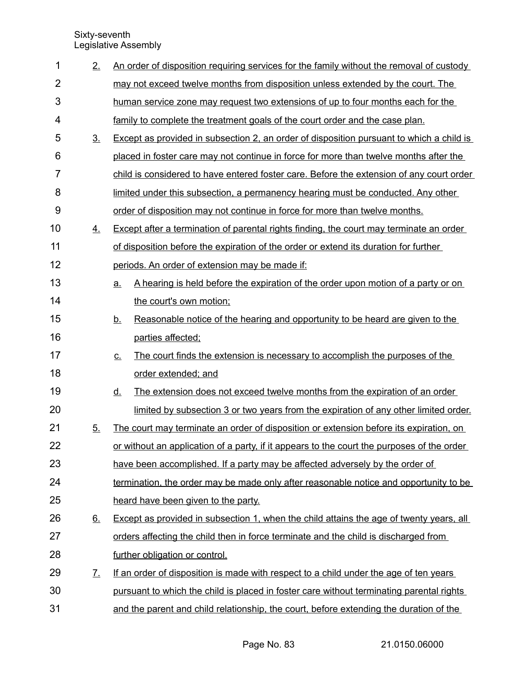| 1              | 2.                    | An order of disposition requiring services for the family without the removal of custody       |  |  |  |  |  |
|----------------|-----------------------|------------------------------------------------------------------------------------------------|--|--|--|--|--|
| $\overline{2}$ |                       | may not exceed twelve months from disposition unless extended by the court. The                |  |  |  |  |  |
| 3              |                       | human service zone may request two extensions of up to four months each for the                |  |  |  |  |  |
| 4              |                       | family to complete the treatment goals of the court order and the case plan.                   |  |  |  |  |  |
| 5              | 3 <sub>1</sub>        | Except as provided in subsection 2, an order of disposition pursuant to which a child is       |  |  |  |  |  |
| 6              |                       | placed in foster care may not continue in force for more than twelve months after the          |  |  |  |  |  |
| $\overline{7}$ |                       | child is considered to have entered foster care. Before the extension of any court order       |  |  |  |  |  |
| 8              |                       | limited under this subsection, a permanency hearing must be conducted. Any other               |  |  |  |  |  |
| 9              |                       | order of disposition may not continue in force for more than twelve months.                    |  |  |  |  |  |
| 10             | 4.                    | Except after a termination of parental rights finding, the court may terminate an order        |  |  |  |  |  |
| 11             |                       | of disposition before the expiration of the order or extend its duration for further           |  |  |  |  |  |
| 12             |                       | periods. An order of extension may be made if:                                                 |  |  |  |  |  |
| 13             |                       | A hearing is held before the expiration of the order upon motion of a party or on<br><u>a.</u> |  |  |  |  |  |
| 14             |                       | the court's own motion:                                                                        |  |  |  |  |  |
| 15             |                       | Reasonable notice of the hearing and opportunity to be heard are given to the<br><u>b.</u>     |  |  |  |  |  |
| 16             |                       | parties affected;                                                                              |  |  |  |  |  |
| 17             |                       | The court finds the extension is necessary to accomplish the purposes of the<br><u>C.</u>      |  |  |  |  |  |
| 18             |                       | order extended; and                                                                            |  |  |  |  |  |
| 19             |                       | The extension does not exceed twelve months from the expiration of an order<br><u>d.</u>       |  |  |  |  |  |
| 20             |                       | limited by subsection 3 or two years from the expiration of any other limited order.           |  |  |  |  |  |
| 21             | 5.                    | The court may terminate an order of disposition or extension before its expiration, on         |  |  |  |  |  |
| 22             |                       | or without an application of a party, if it appears to the court the purposes of the order     |  |  |  |  |  |
| 23             |                       | have been accomplished. If a party may be affected adversely by the order of                   |  |  |  |  |  |
| 24             |                       | termination, the order may be made only after reasonable notice and opportunity to be          |  |  |  |  |  |
| 25             |                       | heard have been given to the party.                                                            |  |  |  |  |  |
| 26             | 6.                    | Except as provided in subsection 1, when the child attains the age of twenty years, all        |  |  |  |  |  |
| 27             |                       | orders affecting the child then in force terminate and the child is discharged from            |  |  |  |  |  |
| 28             |                       | further obligation or control.                                                                 |  |  |  |  |  |
| 29             | $\mathcal{I}_{\cdot}$ | If an order of disposition is made with respect to a child under the age of ten years          |  |  |  |  |  |
| 30             |                       | pursuant to which the child is placed in foster care without terminating parental rights       |  |  |  |  |  |
| 31             |                       | and the parent and child relationship, the court, before extending the duration of the         |  |  |  |  |  |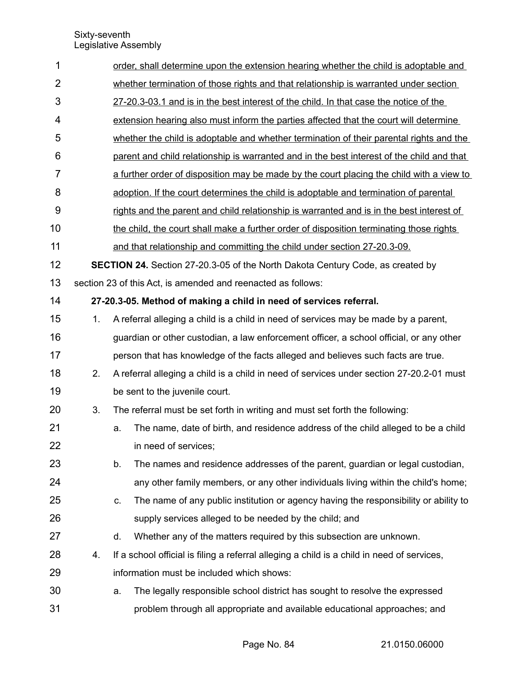| 1              |                                                                                         |                                                                                       | order, shall determine upon the extension hearing whether the child is adoptable and       |  |  |  |  |  |  |  |
|----------------|-----------------------------------------------------------------------------------------|---------------------------------------------------------------------------------------|--------------------------------------------------------------------------------------------|--|--|--|--|--|--|--|
| $\overline{2}$ |                                                                                         | whether termination of those rights and that relationship is warranted under section  |                                                                                            |  |  |  |  |  |  |  |
| 3              |                                                                                         | 27-20.3-03.1 and is in the best interest of the child. In that case the notice of the |                                                                                            |  |  |  |  |  |  |  |
| 4              | extension hearing also must inform the parties affected that the court will determine   |                                                                                       |                                                                                            |  |  |  |  |  |  |  |
| 5              | whether the child is adoptable and whether termination of their parental rights and the |                                                                                       |                                                                                            |  |  |  |  |  |  |  |
| 6              |                                                                                         |                                                                                       | parent and child relationship is warranted and in the best interest of the child and that  |  |  |  |  |  |  |  |
| $\overline{7}$ |                                                                                         |                                                                                       | a further order of disposition may be made by the court placing the child with a view to   |  |  |  |  |  |  |  |
| 8              |                                                                                         |                                                                                       | adoption. If the court determines the child is adoptable and termination of parental       |  |  |  |  |  |  |  |
| 9              |                                                                                         |                                                                                       | rights and the parent and child relationship is warranted and is in the best interest of   |  |  |  |  |  |  |  |
| 10             |                                                                                         |                                                                                       | the child, the court shall make a further order of disposition terminating those rights    |  |  |  |  |  |  |  |
| 11             |                                                                                         |                                                                                       | and that relationship and committing the child under section 27-20.3-09.                   |  |  |  |  |  |  |  |
| 12             |                                                                                         |                                                                                       | <b>SECTION 24.</b> Section 27-20.3-05 of the North Dakota Century Code, as created by      |  |  |  |  |  |  |  |
| 13             |                                                                                         |                                                                                       | section 23 of this Act, is amended and reenacted as follows:                               |  |  |  |  |  |  |  |
| 14             |                                                                                         |                                                                                       | 27-20.3-05. Method of making a child in need of services referral.                         |  |  |  |  |  |  |  |
| 15             | 1.                                                                                      |                                                                                       | A referral alleging a child is a child in need of services may be made by a parent,        |  |  |  |  |  |  |  |
| 16             |                                                                                         |                                                                                       | guardian or other custodian, a law enforcement officer, a school official, or any other    |  |  |  |  |  |  |  |
| 17             |                                                                                         |                                                                                       | person that has knowledge of the facts alleged and believes such facts are true.           |  |  |  |  |  |  |  |
| 18             | 2.                                                                                      |                                                                                       | A referral alleging a child is a child in need of services under section 27-20.2-01 must   |  |  |  |  |  |  |  |
| 19             |                                                                                         |                                                                                       | be sent to the juvenile court.                                                             |  |  |  |  |  |  |  |
| 20             | 3.                                                                                      |                                                                                       | The referral must be set forth in writing and must set forth the following:                |  |  |  |  |  |  |  |
| 21             |                                                                                         | a.                                                                                    | The name, date of birth, and residence address of the child alleged to be a child          |  |  |  |  |  |  |  |
| 22             |                                                                                         |                                                                                       | in need of services;                                                                       |  |  |  |  |  |  |  |
| 23             |                                                                                         | b.                                                                                    | The names and residence addresses of the parent, guardian or legal custodian,              |  |  |  |  |  |  |  |
| 24             |                                                                                         |                                                                                       | any other family members, or any other individuals living within the child's home;         |  |  |  |  |  |  |  |
| 25             |                                                                                         | C.                                                                                    | The name of any public institution or agency having the responsibility or ability to       |  |  |  |  |  |  |  |
| 26             |                                                                                         |                                                                                       | supply services alleged to be needed by the child; and                                     |  |  |  |  |  |  |  |
| 27             |                                                                                         | d.                                                                                    | Whether any of the matters required by this subsection are unknown.                        |  |  |  |  |  |  |  |
| 28             | 4.                                                                                      |                                                                                       | If a school official is filing a referral alleging a child is a child in need of services, |  |  |  |  |  |  |  |
| 29             |                                                                                         |                                                                                       | information must be included which shows:                                                  |  |  |  |  |  |  |  |
| 30             |                                                                                         | a.                                                                                    | The legally responsible school district has sought to resolve the expressed                |  |  |  |  |  |  |  |
| 31             |                                                                                         |                                                                                       | problem through all appropriate and available educational approaches; and                  |  |  |  |  |  |  |  |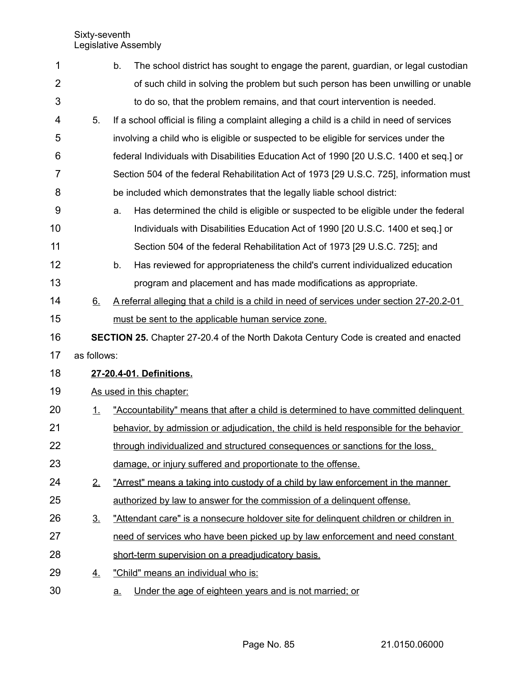| 1              |             | The school district has sought to engage the parent, guardian, or legal custodian<br>b.    |
|----------------|-------------|--------------------------------------------------------------------------------------------|
| $\overline{2}$ |             | of such child in solving the problem but such person has been unwilling or unable          |
| 3              |             | to do so, that the problem remains, and that court intervention is needed.                 |
| 4              | 5.          | If a school official is filing a complaint alleging a child is a child in need of services |
| 5              |             | involving a child who is eligible or suspected to be eligible for services under the       |
| 6              |             | federal Individuals with Disabilities Education Act of 1990 [20 U.S.C. 1400 et seq.] or    |
| 7              |             | Section 504 of the federal Rehabilitation Act of 1973 [29 U.S.C. 725], information must    |
| 8              |             | be included which demonstrates that the legally liable school district:                    |
| 9              |             | Has determined the child is eligible or suspected to be eligible under the federal<br>a.   |
| 10             |             | Individuals with Disabilities Education Act of 1990 [20 U.S.C. 1400 et seq.] or            |
| 11             |             | Section 504 of the federal Rehabilitation Act of 1973 [29 U.S.C. 725]; and                 |
| 12             |             | Has reviewed for appropriateness the child's current individualized education<br>b.        |
| 13             |             | program and placement and has made modifications as appropriate.                           |
| 14             | 6.          | A referral alleging that a child is a child in need of services under section 27-20.2-01   |
| 15             |             | must be sent to the applicable human service zone.                                         |
| 16             |             | <b>SECTION 25.</b> Chapter 27-20.4 of the North Dakota Century Code is created and enacted |
| 17             | as follows: |                                                                                            |
| 18             |             | 27-20.4-01. Definitions.                                                                   |
| 19             |             | As used in this chapter:                                                                   |
| 20             | <u>1.</u>   | "Accountability" means that after a child is determined to have committed delinguent       |
| 21             |             | behavior, by admission or adjudication, the child is held responsible for the behavior     |
| 22             |             | through individualized and structured consequences or sanctions for the loss,              |
| 23             |             | damage, or injury suffered and proportionate to the offense.                               |
| 24             | 2.          | "Arrest" means a taking into custody of a child by law enforcement in the manner           |
| 25             |             | authorized by law to answer for the commission of a delinguent offense.                    |
| 26             | <u>3.</u>   | "Attendant care" is a nonsecure holdover site for delinguent children or children in       |
| 27             |             | need of services who have been picked up by law enforcement and need constant              |
| 28             |             | short-term supervision on a preadjudicatory basis.                                         |
| 29             | 4.          | "Child" means an individual who is:                                                        |
| 30             |             | Under the age of eighteen years and is not married; or<br><u>a.</u>                        |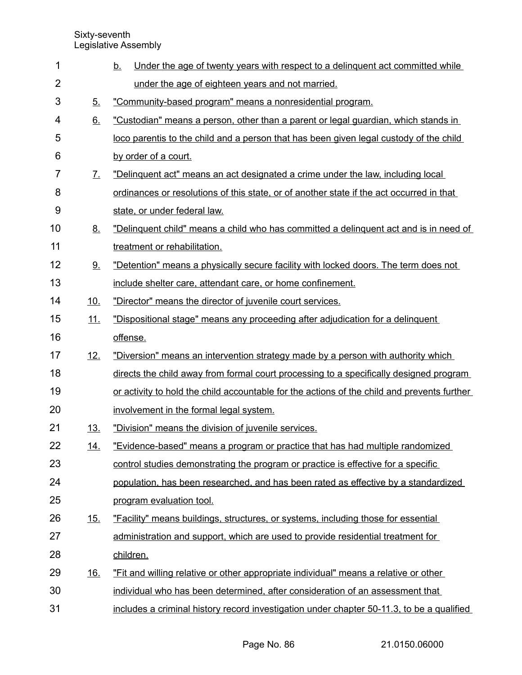| 1              |                             | <u>b.</u><br>Under the age of twenty years with respect to a delinguent act committed while |
|----------------|-----------------------------|---------------------------------------------------------------------------------------------|
| $\overline{2}$ |                             | under the age of eighteen years and not married.                                            |
| 3              | 5.                          | "Community-based program" means a nonresidential program.                                   |
| 4              | 6.                          | "Custodian" means a person, other than a parent or legal guardian, which stands in          |
| 5              |                             | loco parentis to the child and a person that has been given legal custody of the child      |
| 6              |                             | by order of a court.                                                                        |
| 7              | $\mathcal{I}_{\mathcal{L}}$ | "Delinquent act" means an act designated a crime under the law, including local             |
| 8              |                             | ordinances or resolutions of this state, or of another state if the act occurred in that    |
| 9              |                             | state, or under federal law.                                                                |
| 10             | <u>8.</u>                   | "Delinquent child" means a child who has committed a delinquent act and is in need of       |
| 11             |                             | treatment or rehabilitation.                                                                |
| 12             | 9.                          | "Detention" means a physically secure facility with locked doors. The term does not         |
| 13             |                             | include shelter care, attendant care, or home confinement.                                  |
| 14             | 10.                         | "Director" means the director of juvenile court services.                                   |
| 15             | 11.                         | "Dispositional stage" means any proceeding after adjudication for a delinquent              |
| 16             |                             | offense.                                                                                    |
| 17             | <u>12.</u>                  | "Diversion" means an intervention strategy made by a person with authority which            |
| 18             |                             | directs the child away from formal court processing to a specifically designed program      |
| 19             |                             | or activity to hold the child accountable for the actions of the child and prevents further |
| 20             |                             | involvement in the formal legal system.                                                     |
| 21             | 13.                         | "Division" means the division of juvenile services.                                         |
| 22             | <u>14.</u>                  | "Evidence-based" means a program or practice that has had multiple randomized               |
| 23             |                             | control studies demonstrating the program or practice is effective for a specific           |
| 24             |                             | population, has been researched, and has been rated as effective by a standardized          |
| 25             |                             | program evaluation tool.                                                                    |
| 26             | <u>15.</u>                  | "Facility" means buildings, structures, or systems, including those for essential           |
| 27             |                             | administration and support, which are used to provide residential treatment for             |
| 28             |                             | children.                                                                                   |
| 29             | <u>16.</u>                  | "Fit and willing relative or other appropriate individual" means a relative or other        |
| 30             |                             | individual who has been determined, after consideration of an assessment that               |
| 31             |                             | includes a criminal history record investigation under chapter 50-11.3, to be a qualified   |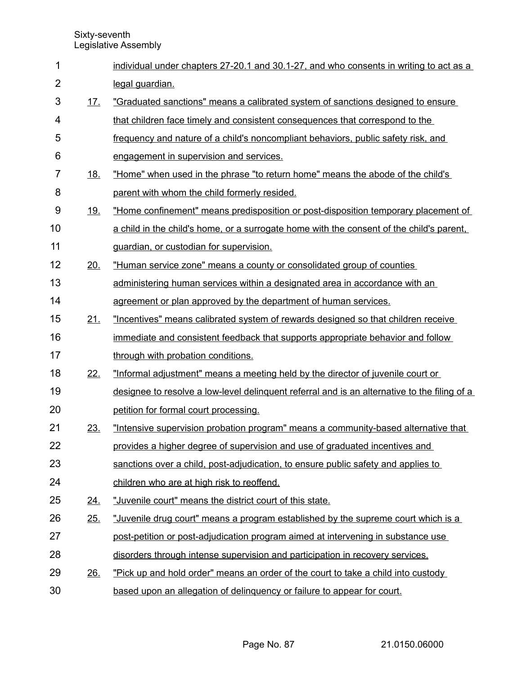| 1              |            | individual under chapters 27-20.1 and 30.1-27, and who consents in writing to act as a       |
|----------------|------------|----------------------------------------------------------------------------------------------|
| $\overline{2}$ |            | legal guardian.                                                                              |
| 3              | <u>17.</u> | "Graduated sanctions" means a calibrated system of sanctions designed to ensure              |
| 4              |            | that children face timely and consistent consequences that correspond to the                 |
| 5              |            | frequency and nature of a child's noncompliant behaviors, public safety risk, and            |
| 6              |            | engagement in supervision and services.                                                      |
| $\overline{7}$ | <u>18.</u> | "Home" when used in the phrase "to return home" means the abode of the child's               |
| 8              |            | parent with whom the child formerly resided.                                                 |
| 9              | <u>19.</u> | "Home confinement" means predisposition or post-disposition temporary placement of           |
| 10             |            | a child in the child's home, or a surrogate home with the consent of the child's parent.     |
| 11             |            | guardian, or custodian for supervision.                                                      |
| 12             | 20.        | "Human service zone" means a county or consolidated group of counties                        |
| 13             |            | administering human services within a designated area in accordance with an                  |
| 14             |            | agreement or plan approved by the department of human services.                              |
| 15             | 21.        | "Incentives" means calibrated system of rewards designed so that children receive            |
| 16             |            | immediate and consistent feedback that supports appropriate behavior and follow              |
| 17             |            | through with probation conditions.                                                           |
| 18             | 22.        | "Informal adjustment" means a meeting held by the director of juvenile court or              |
| 19             |            | designee to resolve a low-level delinguent referral and is an alternative to the filing of a |
| 20             |            | petition for formal court processing.                                                        |
| 21             | 23.        | "Intensive supervision probation program" means a community-based alternative that           |
| 22             |            | provides a higher degree of supervision and use of graduated incentives and                  |
| 23             |            | sanctions over a child, post-adjudication, to ensure public safety and applies to            |
| 24             |            | children who are at high risk to reoffend.                                                   |
| 25             | 24.        | "Juvenile court" means the district court of this state.                                     |
| 26             | 25.        | "Juvenile drug court" means a program established by the supreme court which is a            |
| 27             |            | post-petition or post-adjudication program aimed at intervening in substance use             |
| 28             |            | disorders through intense supervision and participation in recovery services.                |
| 29             | 26.        | "Pick up and hold order" means an order of the court to take a child into custody            |
|                |            |                                                                                              |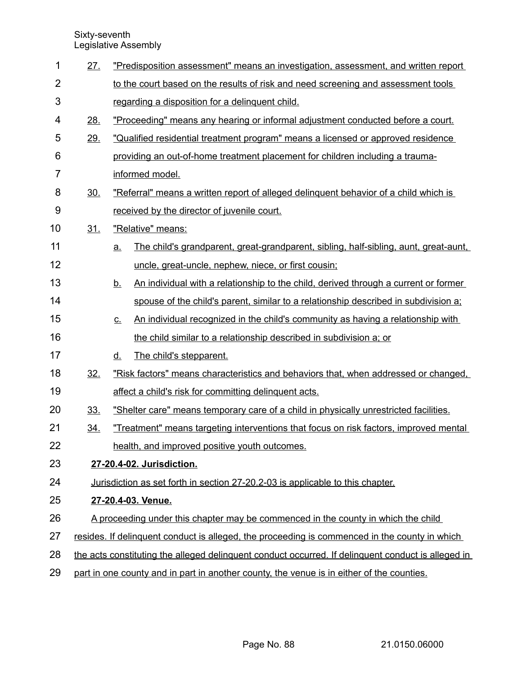| 1              | 27.                                                                                                | "Predisposition assessment" means an investigation, assessment, and written report |                                                                                       |  |  |  |
|----------------|----------------------------------------------------------------------------------------------------|------------------------------------------------------------------------------------|---------------------------------------------------------------------------------------|--|--|--|
| $\overline{2}$ |                                                                                                    |                                                                                    | to the court based on the results of risk and need screening and assessment tools     |  |  |  |
| 3              |                                                                                                    | regarding a disposition for a delinquent child.                                    |                                                                                       |  |  |  |
| 4              | 28.                                                                                                |                                                                                    | "Proceeding" means any hearing or informal adjustment conducted before a court.       |  |  |  |
| 5              | 29.                                                                                                |                                                                                    | "Qualified residential treatment program" means a licensed or approved residence      |  |  |  |
| 6              |                                                                                                    |                                                                                    | providing an out-of-home treatment placement for children including a trauma-         |  |  |  |
| $\overline{7}$ |                                                                                                    |                                                                                    | informed model.                                                                       |  |  |  |
| 8              | 30.                                                                                                |                                                                                    | "Referral" means a written report of alleged delinguent behavior of a child which is  |  |  |  |
| 9              |                                                                                                    |                                                                                    | received by the director of juvenile court.                                           |  |  |  |
| 10             | <u>31.</u>                                                                                         |                                                                                    | "Relative" means:                                                                     |  |  |  |
| 11             |                                                                                                    | <u>a.</u>                                                                          | The child's grandparent, great-grandparent, sibling, half-sibling, aunt, great-aunt,  |  |  |  |
| 12             |                                                                                                    |                                                                                    | uncle, great-uncle, nephew, niece, or first cousin;                                   |  |  |  |
| 13             |                                                                                                    | <u>b.</u>                                                                          | An individual with a relationship to the child, derived through a current or former   |  |  |  |
| 14             |                                                                                                    |                                                                                    | spouse of the child's parent, similar to a relationship described in subdivision a;   |  |  |  |
| 15             |                                                                                                    | <u>c.</u>                                                                          | An individual recognized in the child's community as having a relationship with       |  |  |  |
| 16             |                                                                                                    |                                                                                    | the child similar to a relationship described in subdivision a; or                    |  |  |  |
| 17             |                                                                                                    | <u>d.</u>                                                                          | The child's stepparent.                                                               |  |  |  |
| 18             | 32.                                                                                                |                                                                                    | "Risk factors" means characteristics and behaviors that, when addressed or changed,   |  |  |  |
| 19             |                                                                                                    |                                                                                    | affect a child's risk for committing delinquent acts.                                 |  |  |  |
| 20             | 33.                                                                                                |                                                                                    | "Shelter care" means temporary care of a child in physically unrestricted facilities. |  |  |  |
| 21             | 34.                                                                                                |                                                                                    | "Treatment" means targeting interventions that focus on risk factors, improved mental |  |  |  |
| 22             |                                                                                                    |                                                                                    | health, and improved positive youth outcomes.                                         |  |  |  |
| 23             | 27-20.4-02. Jurisdiction.                                                                          |                                                                                    |                                                                                       |  |  |  |
| 24             |                                                                                                    |                                                                                    | Jurisdiction as set forth in section 27-20.2-03 is applicable to this chapter.        |  |  |  |
| 25             |                                                                                                    |                                                                                    | 27-20.4-03. Venue.                                                                    |  |  |  |
| 26             |                                                                                                    |                                                                                    | A proceeding under this chapter may be commenced in the county in which the child     |  |  |  |
| 27             | resides. If delinguent conduct is alleged, the proceeding is commenced in the county in which      |                                                                                    |                                                                                       |  |  |  |
| 28             | the acts constituting the alleged delinguent conduct occurred. If delinguent conduct is alleged in |                                                                                    |                                                                                       |  |  |  |
| 29             | part in one county and in part in another county, the venue is in either of the counties.          |                                                                                    |                                                                                       |  |  |  |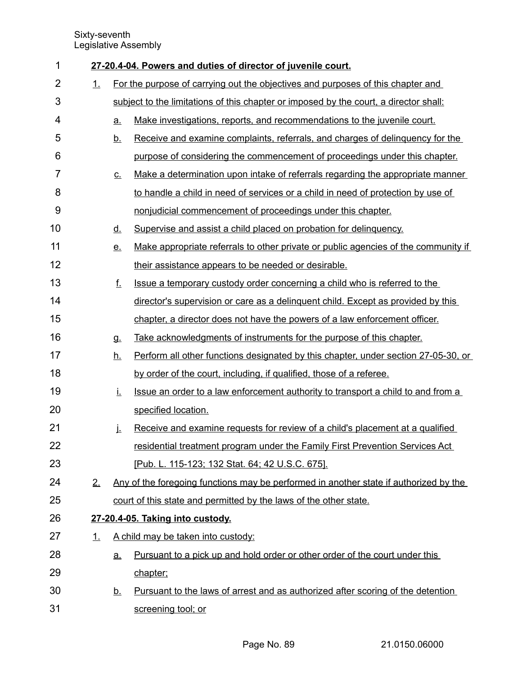| 1              |    |           | 27-20.4-04. Powers and duties of director of juvenile court.                           |
|----------------|----|-----------|----------------------------------------------------------------------------------------|
| $\overline{2}$ | 1. |           | For the purpose of carrying out the objectives and purposes of this chapter and        |
| 3              |    |           | subject to the limitations of this chapter or imposed by the court, a director shall:  |
| 4              |    | <u>a.</u> | Make investigations, reports, and recommendations to the juvenile court.               |
| 5              |    | <u>b.</u> | Receive and examine complaints, referrals, and charges of delinguency for the          |
| 6              |    |           | purpose of considering the commencement of proceedings under this chapter.             |
| 7              |    | <u>C.</u> | Make a determination upon intake of referrals regarding the appropriate manner         |
| 8              |    |           | to handle a child in need of services or a child in need of protection by use of       |
| 9              |    |           | nonjudicial commencement of proceedings under this chapter.                            |
| 10             |    | <u>d.</u> | Supervise and assist a child placed on probation for delinquency.                      |
| 11             |    | <u>e.</u> | Make appropriate referrals to other private or public agencies of the community if     |
| 12             |    |           | their assistance appears to be needed or desirable.                                    |
| 13             |    | f.        | Issue a temporary custody order concerning a child who is referred to the              |
| 14             |    |           | director's supervision or care as a delinguent child. Except as provided by this       |
| 15             |    |           | chapter, a director does not have the powers of a law enforcement officer.             |
| 16             |    | <b>g.</b> | Take acknowledgments of instruments for the purpose of this chapter.                   |
| 17             |    | <u>h.</u> | Perform all other functions designated by this chapter, under section 27-05-30, or     |
| 18             |    |           | by order of the court, including, if qualified, those of a referee.                    |
| 19             |    | İ.        | Issue an order to a law enforcement authority to transport a child to and from a       |
| 20             |    |           | specified location.                                                                    |
| 21             |    | j.        | Receive and examine requests for review of a child's placement at a qualified          |
| 22             |    |           | residential treatment program under the Family First Prevention Services Act           |
| 23             |    |           | [Pub. L. 115-123; 132 Stat. 64; 42 U.S.C. 675].                                        |
| 24             | 2. |           | Any of the foregoing functions may be performed in another state if authorized by the  |
| 25             |    |           | court of this state and permitted by the laws of the other state.                      |
| 26             |    |           | 27-20.4-05. Taking into custody.                                                       |
| 27             | 1. |           | A child may be taken into custody:                                                     |
| 28             |    | <u>a.</u> | Pursuant to a pick up and hold order or other order of the court under this            |
| 29             |    |           | chapter;                                                                               |
| 30             |    | <u>b.</u> | <u>Pursuant to the laws of arrest and as authorized after scoring of the detention</u> |
| 31             |    |           | screening tool; or                                                                     |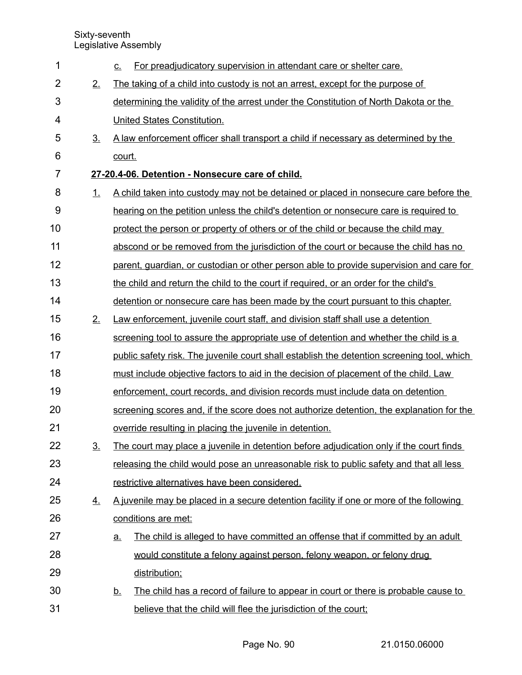|                   | For preadjudicatory supervision in attendant care or shelter care.<br><u>C.</u>                 |  |  |  |  |
|-------------------|-------------------------------------------------------------------------------------------------|--|--|--|--|
| 2.                | The taking of a child into custody is not an arrest, except for the purpose of                  |  |  |  |  |
|                   | determining the validity of the arrest under the Constitution of North Dakota or the            |  |  |  |  |
|                   | United States Constitution.                                                                     |  |  |  |  |
| 3.                | A law enforcement officer shall transport a child if necessary as determined by the             |  |  |  |  |
|                   | court.                                                                                          |  |  |  |  |
|                   | 27-20.4-06. Detention - Nonsecure care of child.                                                |  |  |  |  |
| 1.                | A child taken into custody may not be detained or placed in nonsecure care before the           |  |  |  |  |
|                   | hearing on the petition unless the child's detention or nonsecure care is required to           |  |  |  |  |
|                   | protect the person or property of others or of the child or because the child may               |  |  |  |  |
|                   | abscond or be removed from the jurisdiction of the court or because the child has no            |  |  |  |  |
|                   | parent, quardian, or custodian or other person able to provide supervision and care for         |  |  |  |  |
|                   | the child and return the child to the court if required, or an order for the child's            |  |  |  |  |
|                   | detention or nonsecure care has been made by the court pursuant to this chapter.                |  |  |  |  |
| 2.                | Law enforcement, juvenile court staff, and division staff shall use a detention                 |  |  |  |  |
|                   | screening tool to assure the appropriate use of detention and whether the child is a            |  |  |  |  |
|                   | public safety risk. The juvenile court shall establish the detention screening tool, which      |  |  |  |  |
|                   | must include objective factors to aid in the decision of placement of the child. Law            |  |  |  |  |
|                   | enforcement, court records, and division records must include data on detention                 |  |  |  |  |
|                   | screening scores and, if the score does not authorize detention, the explanation for the        |  |  |  |  |
|                   | override resulting in placing the juvenile in detention.                                        |  |  |  |  |
| $\underline{3}$ . | The court may place a juvenile in detention before adjudication only if the court finds         |  |  |  |  |
|                   | releasing the child would pose an unreasonable risk to public safety and that all less          |  |  |  |  |
|                   | restrictive alternatives have been considered.                                                  |  |  |  |  |
| <u>4.</u>         | A juvenile may be placed in a secure detention facility if one or more of the following         |  |  |  |  |
|                   | conditions are met:                                                                             |  |  |  |  |
|                   | The child is alleged to have committed an offense that if committed by an adult<br><u>a.</u>    |  |  |  |  |
|                   | would constitute a felony against person, felony weapon, or felony drug                         |  |  |  |  |
|                   | distribution;                                                                                   |  |  |  |  |
|                   | The child has a record of failure to appear in court or there is probable cause to<br><u>b.</u> |  |  |  |  |
|                   |                                                                                                 |  |  |  |  |
|                   |                                                                                                 |  |  |  |  |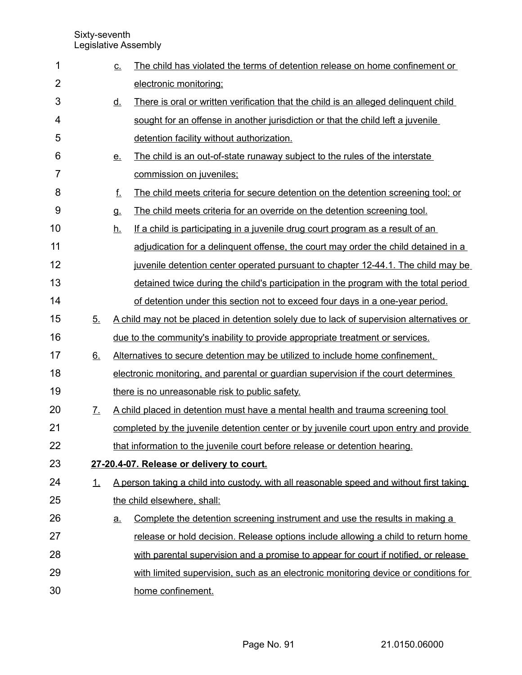| 1              |           | <u>c.</u> | The child has violated the terms of detention release on home confinement or             |
|----------------|-----------|-----------|------------------------------------------------------------------------------------------|
| $\overline{2}$ |           |           | electronic monitoring;                                                                   |
| 3              |           | <u>d.</u> | There is oral or written verification that the child is an alleged delinguent child      |
| 4              |           |           | sought for an offense in another jurisdiction or that the child left a juvenile          |
| 5              |           |           | detention facility without authorization.                                                |
| 6              |           | <u>e.</u> | The child is an out-of-state runaway subject to the rules of the interstate              |
| 7              |           |           | commission on juveniles;                                                                 |
| 8              |           | f.        | The child meets criteria for secure detention on the detention screening tool; or        |
| 9              |           | <b>g.</b> | The child meets criteria for an override on the detention screening tool.                |
| 10             |           | <u>h.</u> | If a child is participating in a juvenile drug court program as a result of an           |
| 11             |           |           | adjudication for a delinguent offense, the court may order the child detained in a       |
| 12             |           |           | juvenile detention center operated pursuant to chapter 12-44.1. The child may be         |
| 13             |           |           | detained twice during the child's participation in the program with the total period     |
| 14             |           |           | of detention under this section not to exceed four days in a one-year period.            |
| 15             | 5.        |           | A child may not be placed in detention solely due to lack of supervision alternatives or |
| 16             |           |           | due to the community's inability to provide appropriate treatment or services.           |
| 17             | 6.        |           | Alternatives to secure detention may be utilized to include home confinement.            |
| 18             |           |           | electronic monitoring, and parental or guardian supervision if the court determines      |
| 19             |           |           | there is no unreasonable risk to public safety.                                          |
| 20             | 7.        |           | A child placed in detention must have a mental health and trauma screening tool          |
| 21             |           |           | completed by the juvenile detention center or by juvenile court upon entry and provide   |
| 22             |           |           | that information to the juvenile court before release or detention hearing.              |
| 23             |           |           | 27-20.4-07. Release or delivery to court.                                                |
| 24             | <u>1.</u> |           | A person taking a child into custody, with all reasonable speed and without first taking |
| 25             |           |           | the child elsewhere, shall:                                                              |
| 26             |           | <u>a</u>  | Complete the detention screening instrument and use the results in making a              |
| 27             |           |           | release or hold decision. Release options include allowing a child to return home        |
| 28             |           |           | with parental supervision and a promise to appear for court if notified, or release      |
| 29             |           |           | with limited supervision, such as an electronic monitoring device or conditions for      |
| 30             |           |           | home confinement.                                                                        |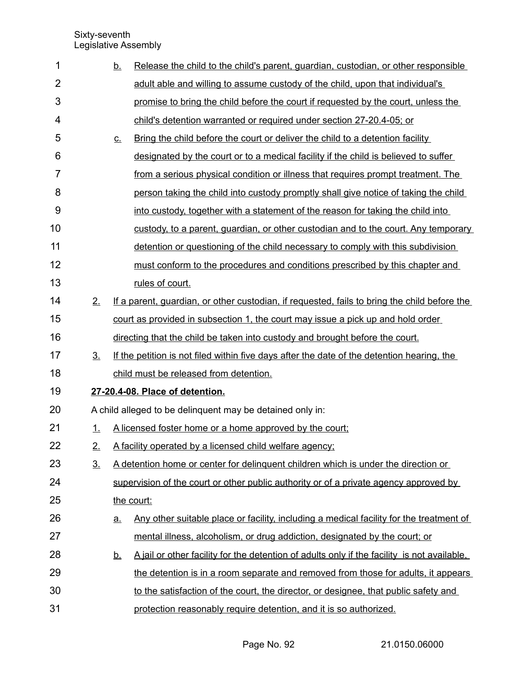| 1              |                | <u>b.</u>                       | Release the child to the child's parent, guardian, custodian, or other responsible           |  |  |
|----------------|----------------|---------------------------------|----------------------------------------------------------------------------------------------|--|--|
| $\overline{2}$ |                |                                 | adult able and willing to assume custody of the child, upon that individual's                |  |  |
| 3              |                |                                 | promise to bring the child before the court if requested by the court, unless the            |  |  |
| 4              |                |                                 | child's detention warranted or required under section 27-20.4-05; or                         |  |  |
| 5              |                | $C_{\cdot}$                     | Bring the child before the court or deliver the child to a detention facility                |  |  |
| 6              |                |                                 | designated by the court or to a medical facility if the child is believed to suffer          |  |  |
| $\overline{7}$ |                |                                 | from a serious physical condition or illness that requires prompt treatment. The             |  |  |
| 8              |                |                                 | person taking the child into custody promptly shall give notice of taking the child          |  |  |
| 9              |                |                                 | into custody, together with a statement of the reason for taking the child into              |  |  |
| 10             |                |                                 | custody, to a parent, guardian, or other custodian and to the court. Any temporary           |  |  |
| 11             |                |                                 | detention or questioning of the child necessary to comply with this subdivision              |  |  |
| 12             |                |                                 | must conform to the procedures and conditions prescribed by this chapter and                 |  |  |
| 13             |                |                                 | rules of court.                                                                              |  |  |
| 14             | 2.             |                                 | If a parent, guardian, or other custodian, if requested, fails to bring the child before the |  |  |
| 15             |                |                                 | court as provided in subsection 1, the court may issue a pick up and hold order              |  |  |
| 16             |                |                                 | directing that the child be taken into custody and brought before the court.                 |  |  |
| 17             | 3 <sub>1</sub> |                                 | If the petition is not filed within five days after the date of the detention hearing, the   |  |  |
| 18             |                |                                 | child must be released from detention.                                                       |  |  |
| 19             |                | 27-20.4-08. Place of detention. |                                                                                              |  |  |
| 20             |                |                                 | A child alleged to be delinquent may be detained only in:                                    |  |  |
| 21             | 1.             |                                 | A licensed foster home or a home approved by the court;                                      |  |  |
| 22             | 2.             |                                 | A facility operated by a licensed child welfare agency;                                      |  |  |
| 23             | 3.             |                                 | A detention home or center for delinguent children which is under the direction or           |  |  |
| 24             |                |                                 | supervision of the court or other public authority or of a private agency approved by        |  |  |
| 25             |                |                                 | the court:                                                                                   |  |  |
| 26             |                | <u>a.</u>                       | Any other suitable place or facility, including a medical facility for the treatment of      |  |  |
| 27             |                |                                 | mental illness, alcoholism, or drug addiction, designated by the court; or                   |  |  |
| 28             |                | <u>b.</u>                       | A jail or other facility for the detention of adults only if the facility is not available.  |  |  |
| 29             |                |                                 | the detention is in a room separate and removed from those for adults, it appears            |  |  |
| 30             |                |                                 | to the satisfaction of the court, the director, or designee, that public safety and          |  |  |
| 31             |                |                                 | protection reasonably require detention, and it is so authorized.                            |  |  |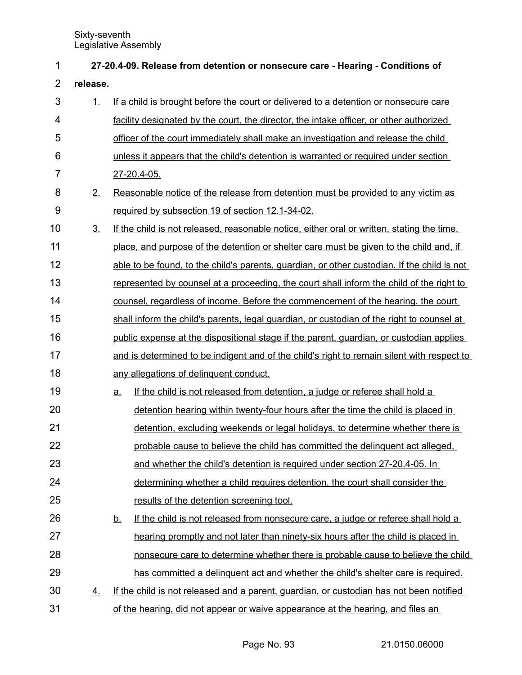| 1              | 27-20.4-09. Release from detention or nonsecure care - Hearing - Conditions of |                                                                                                |  |  |  |  |
|----------------|--------------------------------------------------------------------------------|------------------------------------------------------------------------------------------------|--|--|--|--|
| $\overline{2}$ | release.                                                                       |                                                                                                |  |  |  |  |
| 3              | 1.                                                                             | If a child is brought before the court or delivered to a detention or nonsecure care           |  |  |  |  |
| 4              |                                                                                | facility designated by the court, the director, the intake officer, or other authorized        |  |  |  |  |
| 5              |                                                                                | officer of the court immediately shall make an investigation and release the child             |  |  |  |  |
| 6              |                                                                                | unless it appears that the child's detention is warranted or required under section            |  |  |  |  |
| 7              |                                                                                | 27-20.4-05.                                                                                    |  |  |  |  |
| 8              | 2.                                                                             | Reasonable notice of the release from detention must be provided to any victim as              |  |  |  |  |
| 9              |                                                                                | required by subsection 19 of section 12.1-34-02.                                               |  |  |  |  |
| 10             | $\underline{3}$ .                                                              | If the child is not released, reasonable notice, either oral or written, stating the time,     |  |  |  |  |
| 11             |                                                                                | place, and purpose of the detention or shelter care must be given to the child and, if         |  |  |  |  |
| 12             |                                                                                | able to be found, to the child's parents, guardian, or other custodian. If the child is not    |  |  |  |  |
| 13             |                                                                                | represented by counsel at a proceeding, the court shall inform the child of the right to       |  |  |  |  |
| 14             |                                                                                | counsel, regardless of income. Before the commencement of the hearing, the court               |  |  |  |  |
| 15             |                                                                                | shall inform the child's parents, legal guardian, or custodian of the right to counsel at      |  |  |  |  |
| 16             |                                                                                | public expense at the dispositional stage if the parent, guardian, or custodian applies        |  |  |  |  |
| 17             |                                                                                | and is determined to be indigent and of the child's right to remain silent with respect to     |  |  |  |  |
| 18             |                                                                                | any allegations of delinquent conduct.                                                         |  |  |  |  |
| 19             |                                                                                | If the child is not released from detention, a judge or referee shall hold a<br><u>a.</u>      |  |  |  |  |
| 20             |                                                                                | detention hearing within twenty-four hours after the time the child is placed in               |  |  |  |  |
| 21             |                                                                                | detention, excluding weekends or legal holidays, to determine whether there is                 |  |  |  |  |
| 22             |                                                                                | probable cause to believe the child has committed the delinguent act alleged.                  |  |  |  |  |
| 23             |                                                                                | and whether the child's detention is required under section 27-20.4-05. In                     |  |  |  |  |
| 24             |                                                                                | determining whether a child requires detention, the court shall consider the                   |  |  |  |  |
| 25             |                                                                                | results of the detention screening tool.                                                       |  |  |  |  |
| 26             |                                                                                | If the child is not released from nonsecure care, a judge or referee shall hold a<br><u>b.</u> |  |  |  |  |
| 27             |                                                                                | hearing promptly and not later than ninety-six hours after the child is placed in              |  |  |  |  |
| 28             |                                                                                | nonsecure care to determine whether there is probable cause to believe the child               |  |  |  |  |
| 29             |                                                                                | has committed a delinguent act and whether the child's shelter care is required.               |  |  |  |  |
| 30             | <u>4.</u>                                                                      | If the child is not released and a parent, guardian, or custodian has not been notified        |  |  |  |  |
| 31             |                                                                                | of the hearing, did not appear or waive appearance at the hearing, and files an                |  |  |  |  |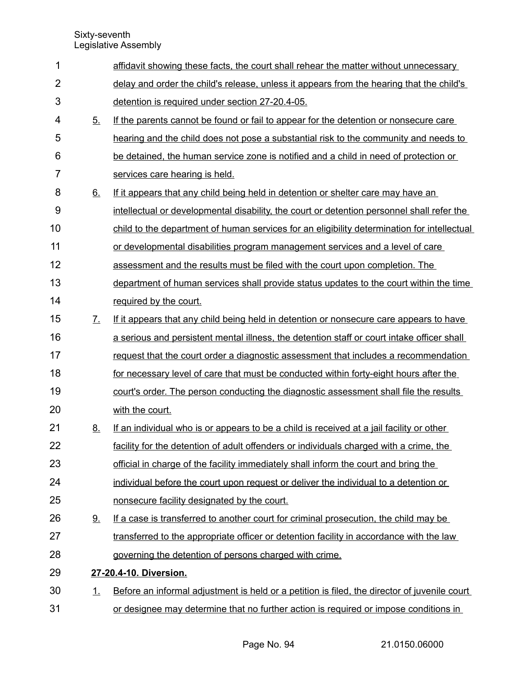| 1              |                   | affidavit showing these facts, the court shall rehear the matter without unnecessary         |
|----------------|-------------------|----------------------------------------------------------------------------------------------|
| $\overline{2}$ |                   | delay and order the child's release, unless it appears from the hearing that the child's     |
| 3              |                   | detention is required under section 27-20.4-05.                                              |
| 4              | 5.                | If the parents cannot be found or fail to appear for the detention or nonsecure care         |
| 5              |                   | hearing and the child does not pose a substantial risk to the community and needs to         |
| 6              |                   | be detained, the human service zone is notified and a child in need of protection or         |
| $\overline{7}$ |                   | services care hearing is held.                                                               |
| 8              | 6.                | If it appears that any child being held in detention or shelter care may have an             |
| 9              |                   | intellectual or developmental disability, the court or detention personnel shall refer the   |
| 10             |                   | child to the department of human services for an eligibility determination for intellectual  |
| 11             |                   | or developmental disabilities program management services and a level of care                |
| 12             |                   | assessment and the results must be filed with the court upon completion. The                 |
| 13             |                   | department of human services shall provide status updates to the court within the time       |
| 14             |                   | required by the court.                                                                       |
| 15             | $\underline{7}$ . | If it appears that any child being held in detention or nonsecure care appears to have       |
| 16             |                   | a serious and persistent mental illness, the detention staff or court intake officer shall   |
| 17             |                   | request that the court order a diagnostic assessment that includes a recommendation          |
| 18             |                   | for necessary level of care that must be conducted within forty-eight hours after the        |
| 19             |                   | court's order. The person conducting the diagnostic assessment shall file the results        |
| 20             |                   | with the court.                                                                              |
| 21             | 8.                | If an individual who is or appears to be a child is received at a jail facility or other     |
| 22             |                   | facility for the detention of adult offenders or individuals charged with a crime, the       |
| 23             |                   | official in charge of the facility immediately shall inform the court and bring the          |
| 24             |                   | individual before the court upon request or deliver the individual to a detention or         |
| 25             |                   | nonsecure facility designated by the court.                                                  |
| 26             | <u>9.</u>         | If a case is transferred to another court for criminal prosecution, the child may be         |
| 27             |                   | transferred to the appropriate officer or detention facility in accordance with the law      |
| 28             |                   | governing the detention of persons charged with crime.                                       |
| 29             |                   | 27-20.4-10. Diversion.                                                                       |
| 30             | <u>1.</u>         | Before an informal adjustment is held or a petition is filed, the director of juvenile court |
| 31             |                   | or designee may determine that no further action is required or impose conditions in         |
|                |                   |                                                                                              |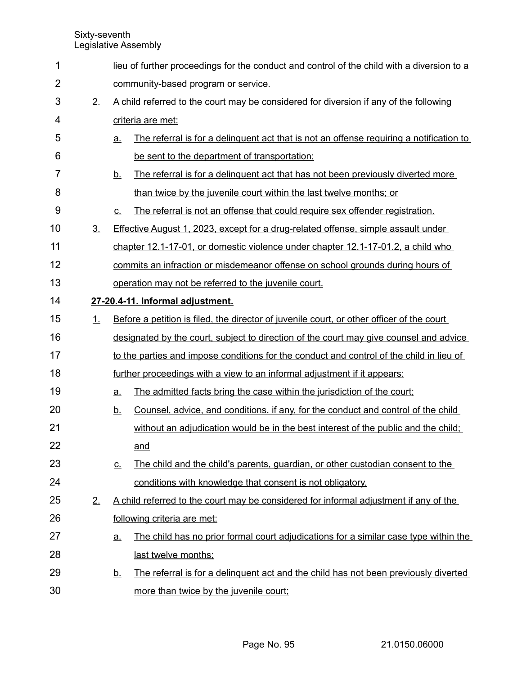| 1              |                |                                     | lieu of further proceedings for the conduct and control of the child with a diversion to a |  |  |  |
|----------------|----------------|-------------------------------------|--------------------------------------------------------------------------------------------|--|--|--|
| $\overline{2}$ |                | community-based program or service. |                                                                                            |  |  |  |
| $\mathbf{3}$   | 2.             |                                     | A child referred to the court may be considered for diversion if any of the following      |  |  |  |
| 4              |                |                                     | criteria are met:                                                                          |  |  |  |
| 5              |                | <u>a.</u>                           | The referral is for a delinguent act that is not an offense requiring a notification to    |  |  |  |
| 6              |                |                                     | be sent to the department of transportation;                                               |  |  |  |
| 7              |                | <u>b.</u>                           | The referral is for a delinguent act that has not been previously diverted more            |  |  |  |
| 8              |                |                                     | than twice by the juvenile court within the last twelve months; or                         |  |  |  |
| 9              |                | <u>c.</u>                           | The referral is not an offense that could require sex offender registration.               |  |  |  |
| 10             | 3 <sub>1</sub> |                                     | <b>Effective August 1, 2023, except for a drug-related offense, simple assault under</b>   |  |  |  |
| 11             |                |                                     | chapter 12.1-17-01, or domestic violence under chapter 12.1-17-01.2, a child who           |  |  |  |
| 12             |                |                                     | commits an infraction or misdemeanor offense on school grounds during hours of             |  |  |  |
| 13             |                |                                     | operation may not be referred to the juvenile court.                                       |  |  |  |
| 14             |                |                                     | 27-20.4-11. Informal adjustment.                                                           |  |  |  |
| 15             | 1.             |                                     | Before a petition is filed, the director of juvenile court, or other officer of the court  |  |  |  |
| 16             |                |                                     | designated by the court, subject to direction of the court may give counsel and advice     |  |  |  |
| 17             |                |                                     | to the parties and impose conditions for the conduct and control of the child in lieu of   |  |  |  |
| 18             |                |                                     | further proceedings with a view to an informal adjustment if it appears:                   |  |  |  |
| 19             |                | a.                                  | The admitted facts bring the case within the jurisdiction of the court;                    |  |  |  |
| 20             |                | <u>b.</u>                           | Counsel, advice, and conditions, if any, for the conduct and control of the child          |  |  |  |
| 21             |                |                                     | without an adjudication would be in the best interest of the public and the child;         |  |  |  |
| 22             |                |                                     | and                                                                                        |  |  |  |
| 23             |                | <u>c.</u>                           | The child and the child's parents, guardian, or other custodian consent to the             |  |  |  |
| 24             |                |                                     | conditions with knowledge that consent is not obligatory.                                  |  |  |  |
| 25             | 2.             |                                     | A child referred to the court may be considered for informal adjustment if any of the      |  |  |  |
| 26             |                |                                     | following criteria are met:                                                                |  |  |  |
| 27             |                | <u>a.</u>                           | The child has no prior formal court adjudications for a similar case type within the       |  |  |  |
| 28             |                |                                     | last twelve months;                                                                        |  |  |  |
| 29             |                | <u>b.</u>                           | The referral is for a delinguent act and the child has not been previously diverted        |  |  |  |
| 30             |                |                                     | more than twice by the juvenile court;                                                     |  |  |  |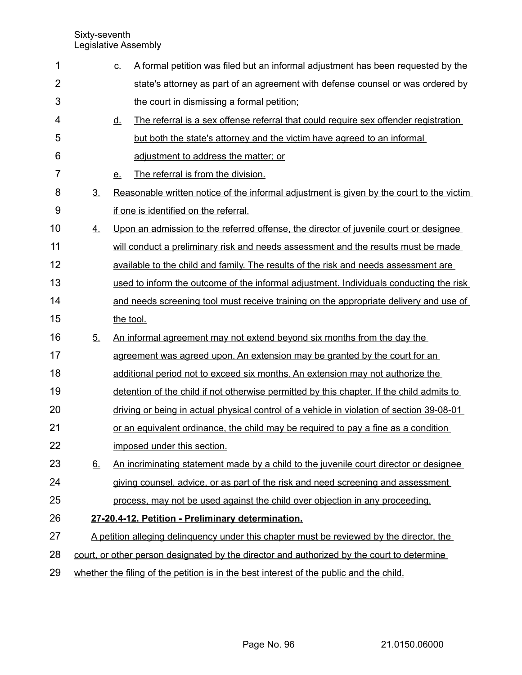| 1              |                | <u>c.</u> | A formal petition was filed but an informal adjustment has been requested by the           |
|----------------|----------------|-----------|--------------------------------------------------------------------------------------------|
| $\overline{2}$ |                |           | state's attorney as part of an agreement with defense counsel or was ordered by            |
| 3              |                |           | the court in dismissing a formal petition;                                                 |
| 4              |                | <u>d.</u> | The referral is a sex offense referral that could require sex offender registration        |
| 5              |                |           | but both the state's attorney and the victim have agreed to an informal                    |
| 6              |                |           | adjustment to address the matter; or                                                       |
| 7              |                | <u>e.</u> | The referral is from the division.                                                         |
| 8              | 3 <sub>1</sub> |           | Reasonable written notice of the informal adjustment is given by the court to the victim   |
| 9              |                |           | if one is identified on the referral.                                                      |
| 10             | 4.             |           | Upon an admission to the referred offense, the director of juvenile court or designee      |
| 11             |                |           | will conduct a preliminary risk and needs assessment and the results must be made          |
| 12             |                |           | available to the child and family. The results of the risk and needs assessment are        |
| 13             |                |           | used to inform the outcome of the informal adjustment. Individuals conducting the risk     |
| 14             |                |           | and needs screening tool must receive training on the appropriate delivery and use of      |
| 15             |                | the tool. |                                                                                            |
| 16             | 5 <sub>1</sub> |           | An informal agreement may not extend beyond six months from the day the                    |
| 17             |                |           | agreement was agreed upon. An extension may be granted by the court for an                 |
| 18             |                |           | additional period not to exceed six months. An extension may not authorize the             |
| 19             |                |           | detention of the child if not otherwise permitted by this chapter. If the child admits to  |
| 20             |                |           | driving or being in actual physical control of a vehicle in violation of section 39-08-01  |
| 21             |                |           | or an equivalent ordinance, the child may be required to pay a fine as a condition         |
| 22             |                |           | imposed under this section.                                                                |
| 23             | 6.             |           | An incriminating statement made by a child to the juvenile court director or designee      |
| 24             |                |           | giving counsel, advice, or as part of the risk and need screening and assessment           |
| 25             |                |           | process, may not be used against the child over objection in any proceeding.               |
| 26             |                |           | 27-20.4-12. Petition - Preliminary determination.                                          |
| 27             |                |           | A petition alleging delinguency under this chapter must be reviewed by the director, the   |
| 28             |                |           | court, or other person designated by the director and authorized by the court to determine |
| 29             |                |           | whether the filing of the petition is in the best interest of the public and the child.    |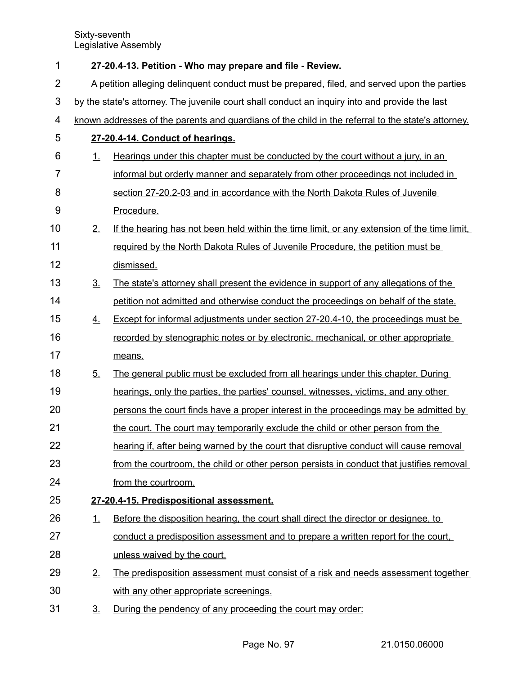| 1              | 27-20.4-13. Petition - Who may prepare and file - Review.                                   |                                                                                                    |  |  |
|----------------|---------------------------------------------------------------------------------------------|----------------------------------------------------------------------------------------------------|--|--|
| $\overline{2}$ | A petition alleging delinquent conduct must be prepared, filed, and served upon the parties |                                                                                                    |  |  |
| 3              |                                                                                             | by the state's attorney. The juvenile court shall conduct an inquiry into and provide the last     |  |  |
| 4              |                                                                                             | known addresses of the parents and guardians of the child in the referral to the state's attorney. |  |  |
| 5              |                                                                                             | 27-20.4-14. Conduct of hearings.                                                                   |  |  |
| 6              | <u>1.</u>                                                                                   | Hearings under this chapter must be conducted by the court without a jury, in an                   |  |  |
| $\overline{7}$ |                                                                                             | informal but orderly manner and separately from other proceedings not included in                  |  |  |
| 8              |                                                                                             | section 27-20.2-03 and in accordance with the North Dakota Rules of Juvenile                       |  |  |
| 9              |                                                                                             | Procedure.                                                                                         |  |  |
| 10             | 2.                                                                                          | If the hearing has not been held within the time limit, or any extension of the time limit,        |  |  |
| 11             |                                                                                             | required by the North Dakota Rules of Juvenile Procedure, the petition must be                     |  |  |
| 12             |                                                                                             | dismissed.                                                                                         |  |  |
| 13             | 3 <sub>1</sub>                                                                              | The state's attorney shall present the evidence in support of any allegations of the               |  |  |
| 14             |                                                                                             | petition not admitted and otherwise conduct the proceedings on behalf of the state.                |  |  |
| 15             | 4.                                                                                          | <b>Except for informal adjustments under section 27-20.4-10, the proceedings must be</b>           |  |  |
| 16             |                                                                                             | recorded by stenographic notes or by electronic, mechanical, or other appropriate                  |  |  |
| 17             |                                                                                             | means.                                                                                             |  |  |
| 18             | 5.                                                                                          | The general public must be excluded from all hearings under this chapter. During                   |  |  |
| 19             |                                                                                             | hearings, only the parties, the parties' counsel, witnesses, victims, and any other                |  |  |
| 20             |                                                                                             | persons the court finds have a proper interest in the proceedings may be admitted by               |  |  |
| 21             |                                                                                             | the court. The court may temporarily exclude the child or other person from the                    |  |  |
| 22             |                                                                                             | hearing if, after being warned by the court that disruptive conduct will cause removal             |  |  |
| 23             |                                                                                             | from the courtroom, the child or other person persists in conduct that justifies removal           |  |  |
| 24             |                                                                                             | from the courtroom.                                                                                |  |  |
| 25             |                                                                                             | 27-20.4-15. Predispositional assessment.                                                           |  |  |
| 26             | <u>1.</u>                                                                                   | Before the disposition hearing, the court shall direct the director or designee, to                |  |  |
| 27             |                                                                                             | conduct a predisposition assessment and to prepare a written report for the court,                 |  |  |
| 28             |                                                                                             | unless waived by the court.                                                                        |  |  |
| 29             | 2.                                                                                          | The predisposition assessment must consist of a risk and needs assessment together                 |  |  |
| 30             |                                                                                             | with any other appropriate screenings.                                                             |  |  |
| 31             | <u>3.</u>                                                                                   | During the pendency of any proceeding the court may order:                                         |  |  |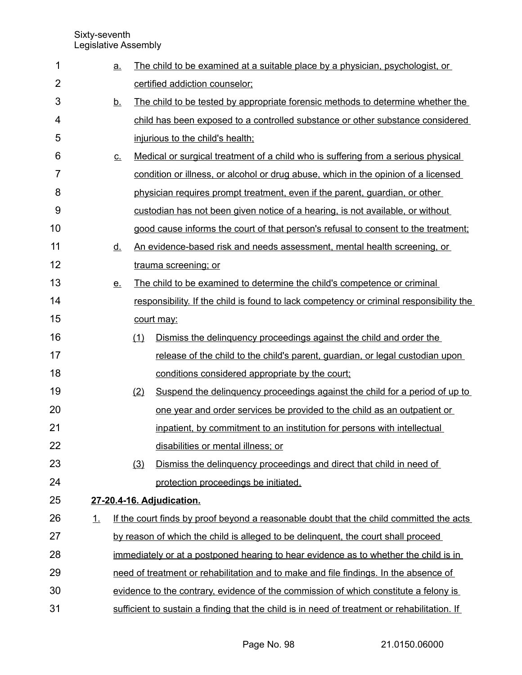| 1              |    | <u>a.</u>   |     | The child to be examined at a suitable place by a physician, psychologist, or                |
|----------------|----|-------------|-----|----------------------------------------------------------------------------------------------|
| $\overline{2}$ |    |             |     | certified addiction counselor;                                                               |
| 3              |    | <u>b.</u>   |     | The child to be tested by appropriate forensic methods to determine whether the              |
| 4              |    |             |     | child has been exposed to a controlled substance or other substance considered               |
| 5              |    |             |     | injurious to the child's health;                                                             |
| 6              |    | $C_{\cdot}$ |     | Medical or surgical treatment of a child who is suffering from a serious physical            |
| 7              |    |             |     | condition or illness, or alcohol or drug abuse, which in the opinion of a licensed           |
| 8              |    |             |     | physician requires prompt treatment, even if the parent, guardian, or other                  |
| 9              |    |             |     | custodian has not been given notice of a hearing, is not available, or without               |
| 10             |    |             |     | good cause informs the court of that person's refusal to consent to the treatment;           |
| 11             |    | <u>d.</u>   |     | An evidence-based risk and needs assessment, mental health screening, or                     |
| 12             |    |             |     | trauma screening; or                                                                         |
| 13             |    | <u>e.</u>   |     | The child to be examined to determine the child's competence or criminal                     |
| 14             |    |             |     | responsibility. If the child is found to lack competency or criminal responsibility the      |
| 15             |    |             |     | court may:                                                                                   |
| 16             |    |             | (1) | Dismiss the delinguency proceedings against the child and order the                          |
| 17             |    |             |     | release of the child to the child's parent, guardian, or legal custodian upon                |
| 18             |    |             |     | conditions considered appropriate by the court;                                              |
| 19             |    |             | (2) | Suspend the delinguency proceedings against the child for a period of up to                  |
| 20             |    |             |     | one year and order services be provided to the child as an outpatient or                     |
| 21             |    |             |     | inpatient, by commitment to an institution for persons with intellectual                     |
| 22             |    |             |     | disabilities or mental illness; or                                                           |
| 23             |    |             | (3) | Dismiss the delinguency proceedings and direct that child in need of                         |
| 24             |    |             |     | protection proceedings be initiated.                                                         |
| 25             |    |             |     | 27-20.4-16. Adjudication.                                                                    |
| 26             | 1. |             |     | If the court finds by proof beyond a reasonable doubt that the child committed the acts      |
| 27             |    |             |     | by reason of which the child is alleged to be delinguent, the court shall proceed            |
| 28             |    |             |     | immediately or at a postponed hearing to hear evidence as to whether the child is in         |
| 29             |    |             |     | need of treatment or rehabilitation and to make and file findings. In the absence of         |
| 30             |    |             |     | evidence to the contrary, evidence of the commission of which constitute a felony is         |
| 31             |    |             |     | sufficient to sustain a finding that the child is in need of treatment or rehabilitation. If |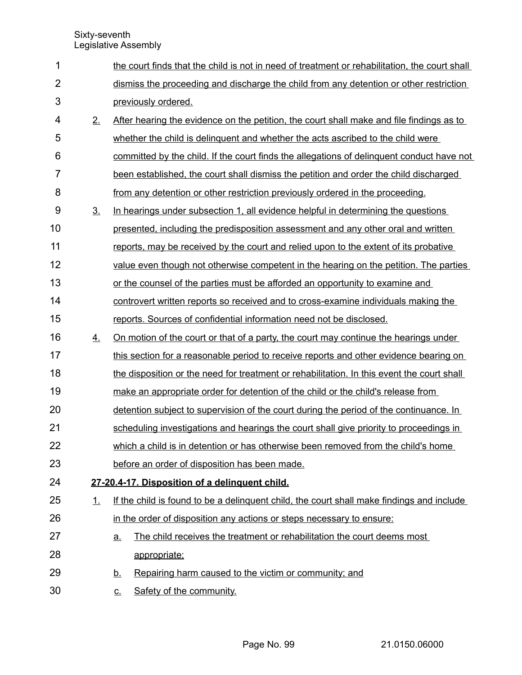| 1              |                | the court finds that the child is not in need of treatment or rehabilitation, the court shall |  |
|----------------|----------------|-----------------------------------------------------------------------------------------------|--|
| $\overline{2}$ |                | dismiss the proceeding and discharge the child from any detention or other restriction        |  |
| 3              |                | previously ordered.                                                                           |  |
| 4              | 2.             | After hearing the evidence on the petition, the court shall make and file findings as to      |  |
| 5              |                | whether the child is delinguent and whether the acts ascribed to the child were               |  |
| 6              |                | committed by the child. If the court finds the allegations of delinguent conduct have not     |  |
| $\overline{7}$ |                | been established, the court shall dismiss the petition and order the child discharged         |  |
| 8              |                | from any detention or other restriction previously ordered in the proceeding.                 |  |
| 9              | 3 <sub>1</sub> | In hearings under subsection 1, all evidence helpful in determining the questions             |  |
| 10             |                | presented, including the predisposition assessment and any other oral and written             |  |
| 11             |                | reports, may be received by the court and relied upon to the extent of its probative          |  |
| 12             |                | value even though not otherwise competent in the hearing on the petition. The parties         |  |
| 13             |                | or the counsel of the parties must be afforded an opportunity to examine and                  |  |
| 14             |                | controvert written reports so received and to cross-examine individuals making the            |  |
| 15             |                | reports. Sources of confidential information need not be disclosed.                           |  |
| 16             | <u>4.</u>      | <u>On motion of the court or that of a party, the court may continue the hearings under</u>   |  |
| 17             |                | this section for a reasonable period to receive reports and other evidence bearing on         |  |
| 18             |                | the disposition or the need for treatment or rehabilitation. In this event the court shall    |  |
| 19             |                | make an appropriate order for detention of the child or the child's release from              |  |
| 20             |                | detention subject to supervision of the court during the period of the continuance. In        |  |
| 21             |                | scheduling investigations and hearings the court shall give priority to proceedings in        |  |
| 22             |                | which a child is in detention or has otherwise been removed from the child's home             |  |
| 23             |                | before an order of disposition has been made.                                                 |  |
| 24             |                | 27-20.4-17. Disposition of a delinquent child.                                                |  |
| 25             | 1.             | If the child is found to be a delinguent child, the court shall make findings and include     |  |
| 26             |                | in the order of disposition any actions or steps necessary to ensure:                         |  |
| 27             |                | The child receives the treatment or rehabilitation the court deems most<br><u>a.</u>          |  |
| 28             |                | appropriate;                                                                                  |  |
| 29             |                | Repairing harm caused to the victim or community; and<br><u>b.</u>                            |  |
| 30             |                | Safety of the community.<br><u>c.</u>                                                         |  |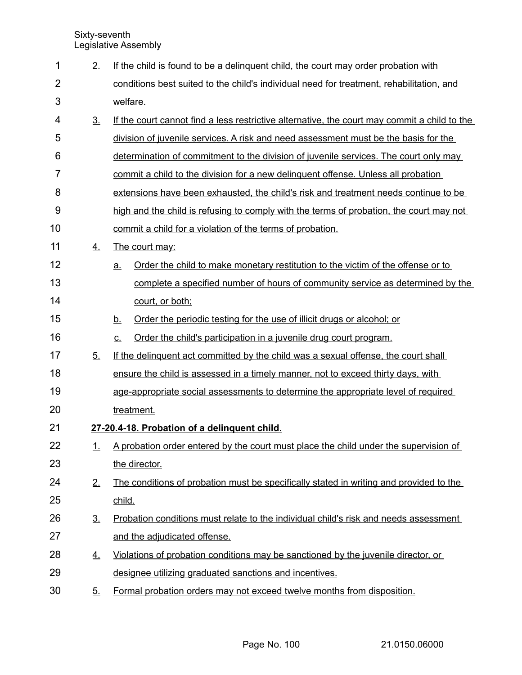| 1              | 2.             | If the child is found to be a delinguent child, the court may order probation with           |
|----------------|----------------|----------------------------------------------------------------------------------------------|
| $\overline{2}$ |                | conditions best suited to the child's individual need for treatment, rehabilitation, and     |
| 3              |                | welfare.                                                                                     |
| 4              | 3 <sub>1</sub> | If the court cannot find a less restrictive alternative, the court may commit a child to the |
| 5              |                | division of juvenile services. A risk and need assessment must be the basis for the          |
| 6              |                | determination of commitment to the division of juvenile services. The court only may         |
| 7              |                | commit a child to the division for a new delinguent offense. Unless all probation            |
| 8              |                | extensions have been exhausted, the child's risk and treatment needs continue to be          |
| 9              |                | high and the child is refusing to comply with the terms of probation, the court may not      |
| 10             |                | commit a child for a violation of the terms of probation.                                    |
| 11             | 4.             | The court may:                                                                               |
| 12             |                | Order the child to make monetary restitution to the victim of the offense or to<br>a.        |
| 13             |                | complete a specified number of hours of community service as determined by the               |
| 14             |                | court, or both;                                                                              |
| 15             |                | Order the periodic testing for the use of illicit drugs or alcohol; or<br><u>b.</u>          |
| 16             |                | Order the child's participation in a juvenile drug court program.<br>$\underline{C}$ .       |
| 17             | 5 <sub>1</sub> | If the delinguent act committed by the child was a sexual offense, the court shall           |
| 18             |                | ensure the child is assessed in a timely manner, not to exceed thirty days, with             |
| 19             |                | age-appropriate social assessments to determine the appropriate level of required            |
| 20             |                | treatment.                                                                                   |
| 21             |                | 27-20.4-18. Probation of a delinguent child.                                                 |
| 22             | 1.             | A probation order entered by the court must place the child under the supervision of         |
| 23             |                | the director.                                                                                |
| 24             | 2.             | The conditions of probation must be specifically stated in writing and provided to the       |
| 25             |                | child.                                                                                       |
| 26             | 3 <sub>1</sub> | Probation conditions must relate to the individual child's risk and needs assessment         |
| 27             |                | and the adjudicated offense.                                                                 |
| 28             | <u>4.</u>      | Violations of probation conditions may be sanctioned by the juvenile director, or            |
| 29             |                | designee utilizing graduated sanctions and incentives.                                       |
| 30             | <u>5.</u>      | Formal probation orders may not exceed twelve months from disposition.                       |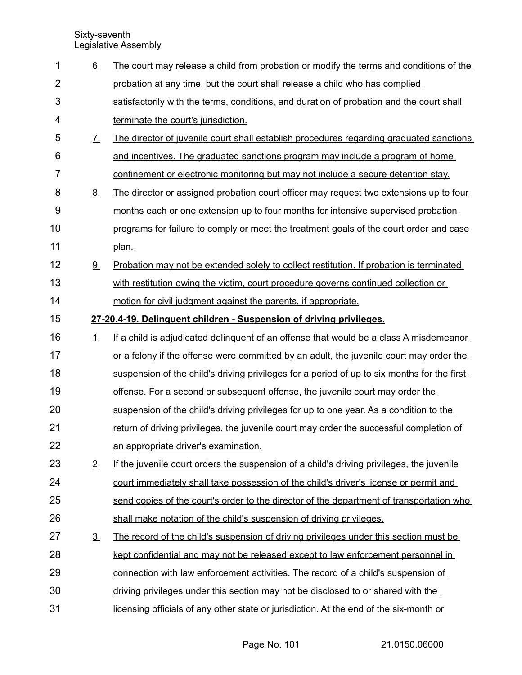| 1              | 6.                | The court may release a child from probation or modify the terms and conditions of the      |
|----------------|-------------------|---------------------------------------------------------------------------------------------|
| $\overline{2}$ |                   | probation at any time, but the court shall release a child who has complied                 |
| 3              |                   | satisfactorily with the terms, conditions, and duration of probation and the court shall    |
| 4              |                   | terminate the court's jurisdiction.                                                         |
| 5              | $\underline{7}$ . | The director of juvenile court shall establish procedures regarding graduated sanctions     |
| 6              |                   | and incentives. The graduated sanctions program may include a program of home               |
| 7              |                   | confinement or electronic monitoring but may not include a secure detention stay.           |
| 8              | <u>8.</u>         | The director or assigned probation court officer may request two extensions up to four      |
| 9              |                   | months each or one extension up to four months for intensive supervised probation           |
| 10             |                   | programs for failure to comply or meet the treatment goals of the court order and case      |
| 11             |                   | plan.                                                                                       |
| 12             | 9.                | Probation may not be extended solely to collect restitution. If probation is terminated     |
| 13             |                   | with restitution owing the victim, court procedure governs continued collection or          |
| 14             |                   | motion for civil judgment against the parents, if appropriate.                              |
| 15             |                   | 27-20.4-19. Delinquent children - Suspension of driving privileges.                         |
| 16             | 1.                | If a child is adjudicated delinguent of an offense that would be a class A misdemeanor      |
| 17             |                   | or a felony if the offense were committed by an adult, the juvenile court may order the     |
| 18             |                   | suspension of the child's driving privileges for a period of up to six months for the first |
| 19             |                   | offense. For a second or subsequent offense, the juvenile court may order the               |
| 20             |                   | suspension of the child's driving privileges for up to one year. As a condition to the      |
| 21             |                   | return of driving privileges, the juvenile court may order the successful completion of     |
| 22             |                   | an appropriate driver's examination.                                                        |
| 23             | 2.                | If the juvenile court orders the suspension of a child's driving privileges, the juvenile   |
| 24             |                   | court immediately shall take possession of the child's driver's license or permit and       |
| 25             |                   | send copies of the court's order to the director of the department of transportation who    |
| 26             |                   | shall make notation of the child's suspension of driving privileges.                        |
| 27             | $\underline{3}$ . | The record of the child's suspension of driving privileges under this section must be       |
| 28             |                   | kept confidential and may not be released except to law enforcement personnel in            |
| 29             |                   | connection with law enforcement activities. The record of a child's suspension of           |
| 30             |                   | driving privileges under this section may not be disclosed to or shared with the            |
| 31             |                   | licensing officials of any other state or jurisdiction. At the end of the six-month or      |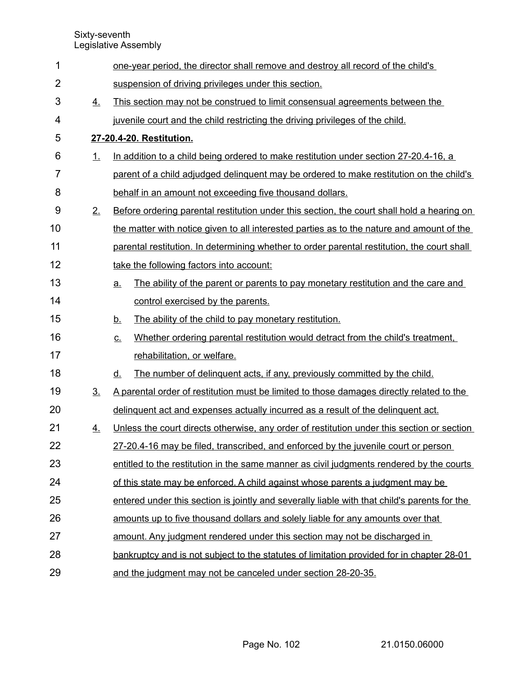| $\mathbf 1$    |                | one-year period, the director shall remove and destroy all record of the child's             |
|----------------|----------------|----------------------------------------------------------------------------------------------|
| $\overline{2}$ |                | suspension of driving privileges under this section.                                         |
| 3              | 4.             | This section may not be construed to limit consensual agreements between the                 |
| 4              |                | juvenile court and the child restricting the driving privileges of the child.                |
| 5              |                | 27-20.4-20. Restitution.                                                                     |
| 6              | 1.             | In addition to a child being ordered to make restitution under section 27-20.4-16, a         |
| 7              |                | parent of a child adjudged delinguent may be ordered to make restitution on the child's      |
| 8              |                | behalf in an amount not exceeding five thousand dollars.                                     |
| 9              | 2.             | Before ordering parental restitution under this section, the court shall hold a hearing on   |
| 10             |                | the matter with notice given to all interested parties as to the nature and amount of the    |
| 11             |                | parental restitution. In determining whether to order parental restitution, the court shall  |
| 12             |                | take the following factors into account:                                                     |
| 13             |                | The ability of the parent or parents to pay monetary restitution and the care and<br>a.      |
| 14             |                | control exercised by the parents.                                                            |
| 15             |                | The ability of the child to pay monetary restitution.<br><u>b.</u>                           |
| 16             |                | Whether ordering parental restitution would detract from the child's treatment.<br><u>c.</u> |
| 17             |                | rehabilitation, or welfare.                                                                  |
| 18             |                | The number of delinguent acts, if any, previously committed by the child.<br><u>d.</u>       |
| 19             | 3 <sub>1</sub> | A parental order of restitution must be limited to those damages directly related to the     |
| 20             |                | delinquent act and expenses actually incurred as a result of the delinquent act.             |
| 21             | 4.             | Unless the court directs otherwise, any order of restitution under this section or section   |
| 22             |                | 27-20.4-16 may be filed, transcribed, and enforced by the juvenile court or person           |
| 23             |                | entitled to the restitution in the same manner as civil judgments rendered by the courts     |
| 24             |                | of this state may be enforced. A child against whose parents a judgment may be               |
| 25             |                | entered under this section is jointly and severally liable with that child's parents for the |
| 26             |                | amounts up to five thousand dollars and solely liable for any amounts over that              |
| 27             |                | amount. Any judgment rendered under this section may not be discharged in                    |
| 28             |                | bankruptcy and is not subject to the statutes of limitation provided for in chapter 28-01    |
| 29             |                | and the judgment may not be canceled under section 28-20-35.                                 |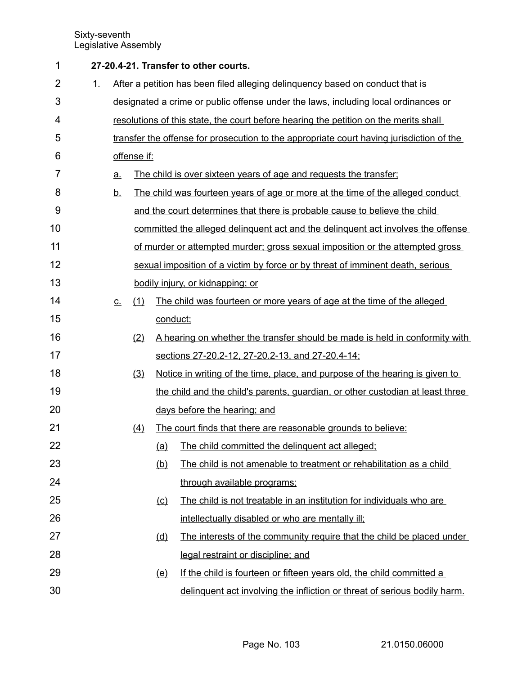| 1              |    |           |             |            | 27-20.4-21. Transfer to other courts.                                                    |
|----------------|----|-----------|-------------|------------|------------------------------------------------------------------------------------------|
| $\overline{2}$ | 1. |           |             |            | After a petition has been filed alleging delinguency based on conduct that is            |
| 3              |    |           |             |            | designated a crime or public offense under the laws, including local ordinances or       |
| 4              |    |           |             |            | resolutions of this state, the court before hearing the petition on the merits shall     |
| 5              |    |           |             |            | transfer the offense for prosecution to the appropriate court having jurisdiction of the |
| 6              |    |           | offense if: |            |                                                                                          |
| 7              |    | <u>a.</u> |             |            | The child is over sixteen years of age and requests the transfer;                        |
| 8              |    | <u>b.</u> |             |            | The child was fourteen years of age or more at the time of the alleged conduct           |
| 9              |    |           |             |            | and the court determines that there is probable cause to believe the child               |
| 10             |    |           |             |            | committed the alleged delinguent act and the delinguent act involves the offense         |
| 11             |    |           |             |            | of murder or attempted murder; gross sexual imposition or the attempted gross            |
| 12             |    |           |             |            | sexual imposition of a victim by force or by threat of imminent death, serious           |
| 13             |    |           |             |            | bodily injury, or kidnapping; or                                                         |
| 14             |    | $C_{-}$   | (1)         |            | The child was fourteen or more years of age at the time of the alleged                   |
| 15             |    |           |             | conduct;   |                                                                                          |
| 16             |    |           | (2)         |            | A hearing on whether the transfer should be made is held in conformity with              |
| 17             |    |           |             |            | sections 27-20.2-12, 27-20.2-13, and 27-20.4-14;                                         |
| 18             |    |           | (3)         |            | Notice in writing of the time, place, and purpose of the hearing is given to             |
| 19             |    |           |             |            | the child and the child's parents, guardian, or other custodian at least three           |
| 20             |    |           |             |            | days before the hearing; and                                                             |
| 21             |    |           | (4)         |            | The court finds that there are reasonable grounds to believe:                            |
| 22             |    |           |             | (a)        | The child committed the delinquent act alleged;                                          |
| 23             |    |           |             | (b)        | The child is not amenable to treatment or rehabilitation as a child                      |
| 24             |    |           |             |            | through available programs;                                                              |
| 25             |    |           |             | $\circ$    | The child is not treatable in an institution for individuals who are                     |
| 26             |    |           |             |            | intellectually disabled or who are mentally ill;                                         |
| 27             |    |           |             | <u>(d)</u> | The interests of the community require that the child be placed under                    |
| 28             |    |           |             |            | legal restraint or discipline; and                                                       |
| 29             |    |           |             | (e)        | If the child is fourteen or fifteen years old, the child committed a                     |
| 30             |    |           |             |            | delinguent act involving the infliction or threat of serious bodily harm.                |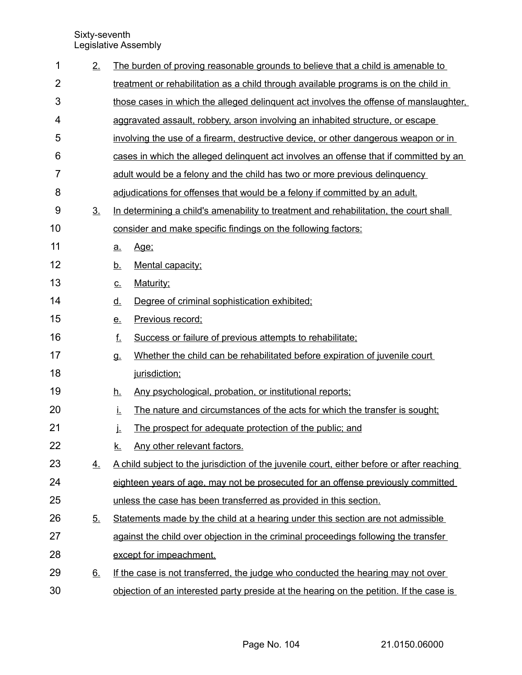| 1              | 2.        | The burden of proving reasonable grounds to believe that a child is amenable to            |
|----------------|-----------|--------------------------------------------------------------------------------------------|
| $\overline{2}$ |           | treatment or rehabilitation as a child through available programs is on the child in       |
| 3              |           | those cases in which the alleged delinguent act involves the offense of manslaughter,      |
| 4              |           | aggravated assault, robbery, arson involving an inhabited structure, or escape             |
| 5              |           | involving the use of a firearm, destructive device, or other dangerous weapon or in        |
| 6              |           | cases in which the alleged delinguent act involves an offense that if committed by an      |
| $\overline{7}$ |           | adult would be a felony and the child has two or more previous delinguency                 |
| 8              |           | adjudications for offenses that would be a felony if committed by an adult.                |
| 9              | <u>3.</u> | In determining a child's amenability to treatment and rehabilitation, the court shall      |
| 10             |           | consider and make specific findings on the following factors:                              |
| 11             |           | Age:<br>a.                                                                                 |
| 12             |           | Mental capacity;<br><u>b.</u>                                                              |
| 13             |           | Maturity;<br><u>c.</u>                                                                     |
| 14             |           | <u>d.</u><br>Degree of criminal sophistication exhibited;                                  |
| 15             |           | Previous record;<br>e.                                                                     |
| 16             |           | f.<br>Success or failure of previous attempts to rehabilitate;                             |
| 17             |           | Whether the child can be rehabilitated before expiration of juvenile court<br>g.           |
| 18             |           | jurisdiction;                                                                              |
| 19             |           | Any psychological, probation, or institutional reports;<br><u>h.</u>                       |
| 20             |           | İ.<br>The nature and circumstances of the acts for which the transfer is sought;           |
| 21             |           | The prospect for adequate protection of the public; and<br>j.                              |
| 22             |           | Any other relevant factors.<br><u>k.</u>                                                   |
| 23             | <u>4.</u> | A child subject to the jurisdiction of the juvenile court, either before or after reaching |
| 24             |           | eighteen years of age, may not be prosecuted for an offense previously committed           |
| 25             |           | unless the case has been transferred as provided in this section.                          |
| 26             | <u>5.</u> | Statements made by the child at a hearing under this section are not admissible            |
| 27             |           | against the child over objection in the criminal proceedings following the transfer        |
| 28             |           | except for impeachment.                                                                    |
| 29             | <u>6.</u> | If the case is not transferred, the judge who conducted the hearing may not over           |
| 30             |           | objection of an interested party preside at the hearing on the petition. If the case is    |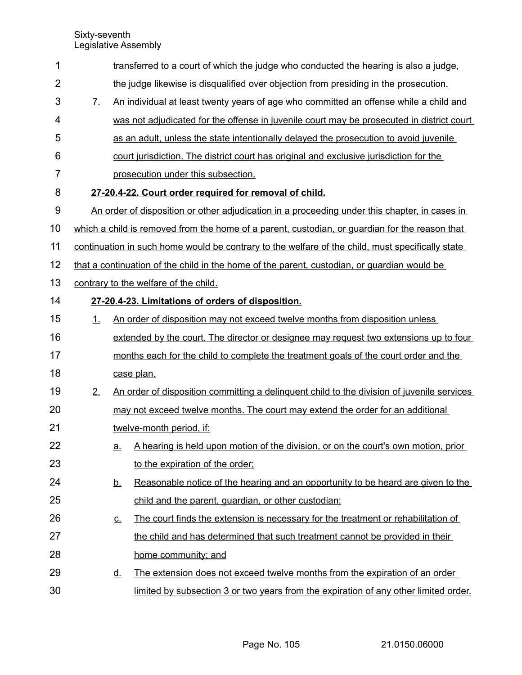| $\mathbf 1$    |                       |           | transferred to a court of which the judge who conducted the hearing is also a judge.             |
|----------------|-----------------------|-----------|--------------------------------------------------------------------------------------------------|
| $\overline{2}$ |                       |           | the judge likewise is disqualified over objection from presiding in the prosecution.             |
| 3              | $\mathcal{I}_{\cdot}$ |           | An individual at least twenty years of age who committed an offense while a child and            |
| 4              |                       |           | was not adjudicated for the offense in juvenile court may be prosecuted in district court        |
| 5              |                       |           | as an adult, unless the state intentionally delayed the prosecution to avoid juvenile            |
| 6              |                       |           | court jurisdiction. The district court has original and exclusive jurisdiction for the           |
| 7              |                       |           | prosecution under this subsection.                                                               |
| 8              |                       |           | 27-20.4-22. Court order required for removal of child.                                           |
| 9              |                       |           | An order of disposition or other adjudication in a proceeding under this chapter, in cases in    |
| 10             |                       |           | which a child is removed from the home of a parent, custodian, or guardian for the reason that   |
| 11             |                       |           | continuation in such home would be contrary to the welfare of the child, must specifically state |
| 12             |                       |           | that a continuation of the child in the home of the parent, custodian, or guardian would be      |
| 13             |                       |           | contrary to the welfare of the child.                                                            |
| 14             |                       |           | 27-20.4-23. Limitations of orders of disposition.                                                |
| 15             | 1 <sub>1</sub>        |           | An order of disposition may not exceed twelve months from disposition unless                     |
| 16             |                       |           | extended by the court. The director or designee may request two extensions up to four            |
| 17             |                       |           | months each for the child to complete the treatment goals of the court order and the             |
| 18             |                       |           | case plan.                                                                                       |
| 19             | 2.                    |           | An order of disposition committing a delinguent child to the division of juvenile services       |
| 20             |                       |           | may not exceed twelve months. The court may extend the order for an additional                   |
| 21             |                       |           | twelve-month period, if:                                                                         |
| 22             |                       | <u>a.</u> | A hearing is held upon motion of the division, or on the court's own motion, prior               |
| 23             |                       |           | to the expiration of the order:                                                                  |
| 24             |                       | <u>b.</u> | Reasonable notice of the hearing and an opportunity to be heard are given to the                 |
| 25             |                       |           | child and the parent, guardian, or other custodian;                                              |
| 26             |                       | <u>C.</u> | The court finds the extension is necessary for the treatment or rehabilitation of                |
| 27             |                       |           | the child and has determined that such treatment cannot be provided in their                     |
| 28             |                       |           | home community; and                                                                              |
| 29             |                       | <u>d.</u> | The extension does not exceed twelve months from the expiration of an order                      |
| 30             |                       |           | limited by subsection 3 or two years from the expiration of any other limited order.             |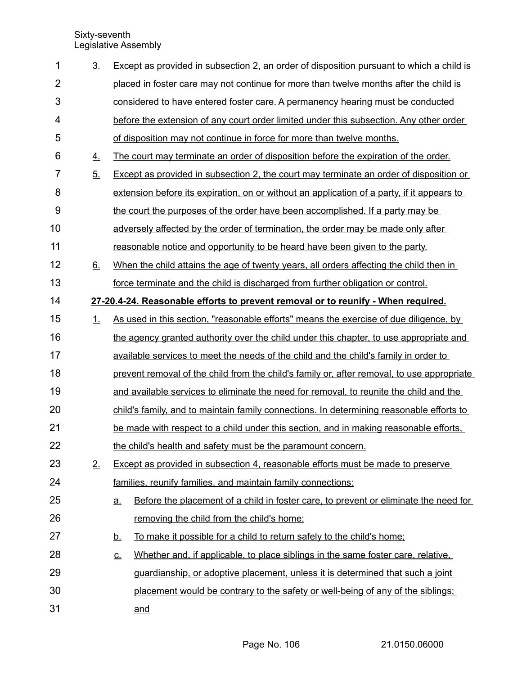| 1              | 3 <sub>1</sub> | Except as provided in subsection 2, an order of disposition pursuant to which a child is          |
|----------------|----------------|---------------------------------------------------------------------------------------------------|
| $\overline{2}$ |                | placed in foster care may not continue for more than twelve months after the child is             |
| 3              |                | considered to have entered foster care. A permanency hearing must be conducted                    |
| 4              |                | before the extension of any court order limited under this subsection. Any other order            |
| 5              |                | of disposition may not continue in force for more than twelve months.                             |
| 6              | 4.             | The court may terminate an order of disposition before the expiration of the order.               |
| $\overline{7}$ | 5.             | Except as provided in subsection 2, the court may terminate an order of disposition or            |
| 8              |                | extension before its expiration, on or without an application of a party, if it appears to        |
| $9\,$          |                | the court the purposes of the order have been accomplished. If a party may be                     |
| 10             |                | adversely affected by the order of termination, the order may be made only after                  |
| 11             |                | reasonable notice and opportunity to be heard have been given to the party.                       |
| 12             | 6.             | When the child attains the age of twenty years, all orders affecting the child then in            |
| 13             |                | force terminate and the child is discharged from further obligation or control.                   |
| 14             |                | 27-20.4-24. Reasonable efforts to prevent removal or to reunify - When required.                  |
| 15             | 1.             | As used in this section, "reasonable efforts" means the exercise of due diligence, by             |
| 16             |                | the agency granted authority over the child under this chapter, to use appropriate and            |
| 17             |                | available services to meet the needs of the child and the child's family in order to              |
| 18             |                | prevent removal of the child from the child's family or, after removal, to use appropriate        |
| 19             |                | and available services to eliminate the need for removal, to reunite the child and the            |
| 20             |                | child's family, and to maintain family connections. In determining reasonable efforts to          |
| 21             |                | be made with respect to a child under this section, and in making reasonable efforts.             |
| 22             |                | the child's health and safety must be the paramount concern.                                      |
| 23             | 2.             | Except as provided in subsection 4, reasonable efforts must be made to preserve                   |
| 24             |                | families, reunify families, and maintain family connections:                                      |
| 25             |                | Before the placement of a child in foster care, to prevent or eliminate the need for<br><u>a.</u> |
| 26             |                | removing the child from the child's home;                                                         |
| 27             |                | To make it possible for a child to return safely to the child's home;<br><u>b.</u>                |
| 28             |                | Whether and, if applicable, to place siblings in the same foster care, relative,<br><u>c.</u>     |
| 29             |                | guardianship, or adoptive placement, unless it is determined that such a joint                    |
| 30             |                | placement would be contrary to the safety or well-being of any of the siblings;                   |
| 31             |                | and                                                                                               |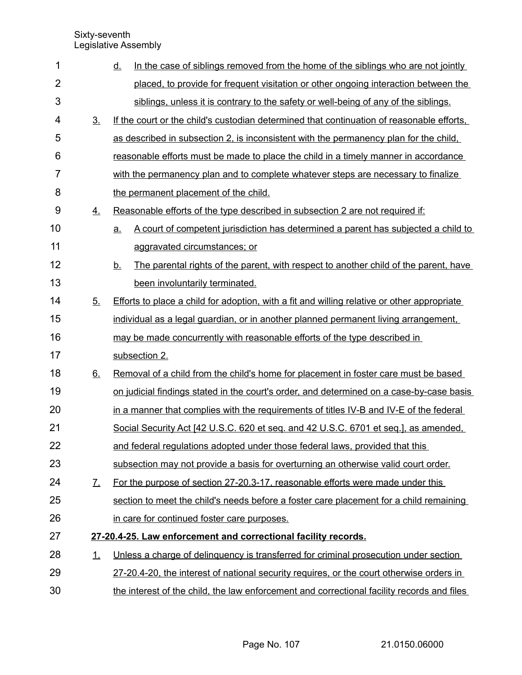| 1              |                | In the case of siblings removed from the home of the siblings who are not jointly<br><u>d.</u>    |
|----------------|----------------|---------------------------------------------------------------------------------------------------|
| $\overline{2}$ |                | placed, to provide for frequent visitation or other ongoing interaction between the               |
| 3              |                | siblings, unless it is contrary to the safety or well-being of any of the siblings.               |
| 4              | 3 <sub>1</sub> | If the court or the child's custodian determined that continuation of reasonable efforts.         |
| 5              |                | as described in subsection 2, is inconsistent with the permanency plan for the child,             |
| 6              |                | reasonable efforts must be made to place the child in a timely manner in accordance               |
| 7              |                | with the permanency plan and to complete whatever steps are necessary to finalize                 |
| 8              |                | the permanent placement of the child.                                                             |
| 9              | 4.             | Reasonable efforts of the type described in subsection 2 are not required if:                     |
| 10             |                | A court of competent jurisdiction has determined a parent has subjected a child to<br><u>a.</u>   |
| 11             |                | aggravated circumstances; or                                                                      |
| 12             |                | The parental rights of the parent, with respect to another child of the parent, have<br><u>b.</u> |
| 13             |                | been involuntarily terminated.                                                                    |
| 14             | 5 <sub>1</sub> | Efforts to place a child for adoption, with a fit and willing relative or other appropriate       |
| 15             |                | individual as a legal guardian, or in another planned permanent living arrangement,               |
| 16             |                | may be made concurrently with reasonable efforts of the type described in                         |
| 17             |                | subsection 2.                                                                                     |
| 18             | <u>6.</u>      | Removal of a child from the child's home for placement in foster care must be based               |
| 19             |                | on judicial findings stated in the court's order, and determined on a case-by-case basis          |
| 20             |                | in a manner that complies with the requirements of titles IV-B and IV-E of the federal            |
| 21             |                | Social Security Act [42 U.S.C. 620 et seq. and 42 U.S.C. 6701 et seq.], as amended.               |
| 22             |                | and federal regulations adopted under those federal laws, provided that this                      |
| 23             |                | subsection may not provide a basis for overturning an otherwise valid court order.                |
| 24             | <u>Z.</u>      | For the purpose of section 27-20.3-17, reasonable efforts were made under this                    |
| 25             |                | section to meet the child's needs before a foster care placement for a child remaining            |
| 26             |                | in care for continued foster care purposes.                                                       |
| 27             |                | 27-20.4-25. Law enforcement and correctional facility records.                                    |
| 28             | 1.             | Unless a charge of delinguency is transferred for criminal prosecution under section              |
| 29             |                | 27-20.4-20, the interest of national security requires, or the court otherwise orders in          |
| 30             |                | the interest of the child, the law enforcement and correctional facility records and files        |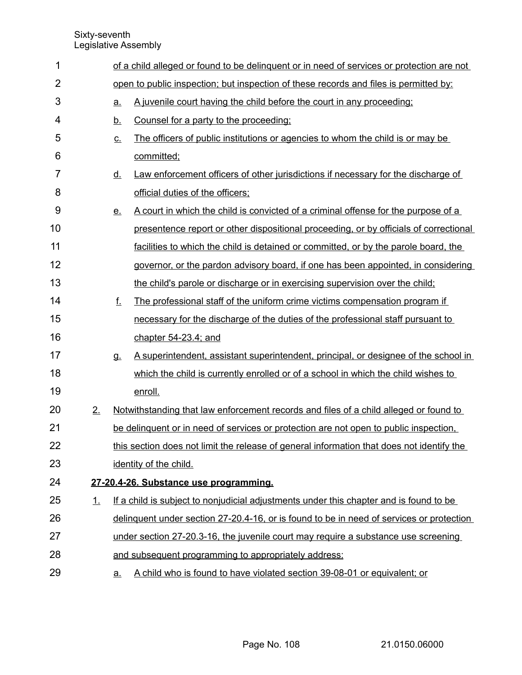| 1              |           |                            | of a child alleged or found to be delinguent or in need of services or protection are not |  |  |  |  |
|----------------|-----------|----------------------------|-------------------------------------------------------------------------------------------|--|--|--|--|
| $\overline{2}$ |           |                            | open to public inspection; but inspection of these records and files is permitted by:     |  |  |  |  |
| 3              |           | a.                         | A juvenile court having the child before the court in any proceeding;                     |  |  |  |  |
| 4              |           | <u>b.</u>                  | Counsel for a party to the proceeding:                                                    |  |  |  |  |
| 5              |           | $\underline{\mathsf{C}}$ . | The officers of public institutions or agencies to whom the child is or may be            |  |  |  |  |
| 6              |           |                            | committed;                                                                                |  |  |  |  |
| 7              |           | <u>d.</u>                  | Law enforcement officers of other jurisdictions if necessary for the discharge of         |  |  |  |  |
| 8              |           |                            | official duties of the officers;                                                          |  |  |  |  |
| 9              |           | <u>e.</u>                  | A court in which the child is convicted of a criminal offense for the purpose of a        |  |  |  |  |
| 10             |           |                            | presentence report or other dispositional proceeding, or by officials of correctional     |  |  |  |  |
| 11             |           |                            | facilities to which the child is detained or committed, or by the parole board, the       |  |  |  |  |
| 12             |           |                            | governor, or the pardon advisory board, if one has been appointed, in considering         |  |  |  |  |
| 13             |           |                            | the child's parole or discharge or in exercising supervision over the child;              |  |  |  |  |
| 14             |           | $f_{-}$                    | The professional staff of the uniform crime victims compensation program if               |  |  |  |  |
| 15             |           |                            | necessary for the discharge of the duties of the professional staff pursuant to           |  |  |  |  |
| 16             |           |                            | chapter $54-23.4$ ; and                                                                   |  |  |  |  |
| 17             |           | <b>g.</b>                  | A superintendent, assistant superintendent, principal, or designee of the school in       |  |  |  |  |
| 18             |           |                            | which the child is currently enrolled or of a school in which the child wishes to         |  |  |  |  |
| 19             |           |                            | enroll.                                                                                   |  |  |  |  |
| 20             | 2.        |                            | Notwithstanding that law enforcement records and files of a child alleged or found to     |  |  |  |  |
| 21             |           |                            | be delinguent or in need of services or protection are not open to public inspection.     |  |  |  |  |
| 22             |           |                            | this section does not limit the release of general information that does not identify the |  |  |  |  |
| 23             |           |                            | identity of the child.                                                                    |  |  |  |  |
| 24             |           |                            | 27-20.4-26. Substance use programming.                                                    |  |  |  |  |
| 25             | <u>1.</u> |                            | If a child is subject to nonjudicial adjustments under this chapter and is found to be    |  |  |  |  |
| 26             |           |                            | delinguent under section 27-20.4-16, or is found to be in need of services or protection  |  |  |  |  |
| 27             |           |                            | under section 27-20.3-16, the juvenile court may require a substance use screening        |  |  |  |  |
| 28             |           |                            | and subsequent programming to appropriately address:                                      |  |  |  |  |
| 29             |           | <u>a.</u>                  | A child who is found to have violated section 39-08-01 or equivalent; or                  |  |  |  |  |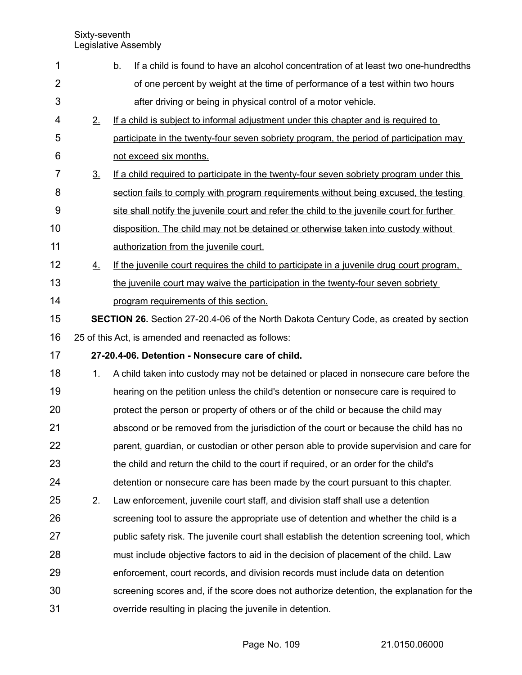| 1              |                | If a child is found to have an alcohol concentration of at least two one-hundredths<br><u>b.</u> |
|----------------|----------------|--------------------------------------------------------------------------------------------------|
| $\overline{2}$ |                | of one percent by weight at the time of performance of a test within two hours                   |
| 3              |                | after driving or being in physical control of a motor vehicle.                                   |
| 4              | 2.             | If a child is subject to informal adjustment under this chapter and is required to               |
| 5              |                | participate in the twenty-four seven sobriety program, the period of participation may           |
| 6              |                | not exceed six months.                                                                           |
| $\overline{7}$ | 3 <sub>1</sub> | If a child required to participate in the twenty-four seven sobriety program under this          |
| 8              |                | section fails to comply with program requirements without being excused, the testing             |
| 9              |                | site shall notify the juvenile court and refer the child to the juvenile court for further       |
| 10             |                | disposition. The child may not be detained or otherwise taken into custody without               |
| 11             |                | authorization from the juvenile court.                                                           |
| 12             | <u>4.</u>      | If the juvenile court requires the child to participate in a juvenile drug court program.        |
| 13             |                | the juvenile court may waive the participation in the twenty-four seven sobriety                 |
| 14             |                | program requirements of this section.                                                            |
| 15             |                | <b>SECTION 26.</b> Section 27-20.4-06 of the North Dakota Century Code, as created by section    |
| 16             |                | 25 of this Act, is amended and reenacted as follows:                                             |
| 17             |                | 27-20.4-06. Detention - Nonsecure care of child.                                                 |
| 18             | 1.             | A child taken into custody may not be detained or placed in nonsecure care before the            |
| 19             |                | hearing on the petition unless the child's detention or nonsecure care is required to            |
| 20             |                | protect the person or property of others or of the child or because the child may                |
| 21             |                | abscond or be removed from the jurisdiction of the court or because the child has no             |
| 22             |                | parent, guardian, or custodian or other person able to provide supervision and care for          |
| 23             |                | the child and return the child to the court if required, or an order for the child's             |
| 24             |                | detention or nonsecure care has been made by the court pursuant to this chapter.                 |
| 25             | 2.             | Law enforcement, juvenile court staff, and division staff shall use a detention                  |
| 26             |                | screening tool to assure the appropriate use of detention and whether the child is a             |
| 27             |                | public safety risk. The juvenile court shall establish the detention screening tool, which       |
| 28             |                | must include objective factors to aid in the decision of placement of the child. Law             |
| 29             |                | enforcement, court records, and division records must include data on detention                  |
| 30             |                | screening scores and, if the score does not authorize detention, the explanation for the         |
| 31             |                | override resulting in placing the juvenile in detention.                                         |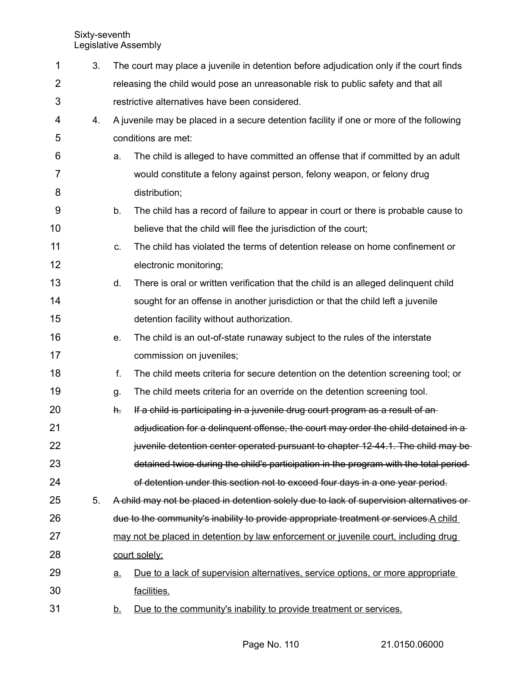| 1              | 3. |           | The court may place a juvenile in detention before adjudication only if the court finds  |  |  |
|----------------|----|-----------|------------------------------------------------------------------------------------------|--|--|
| $\overline{2}$ |    |           | releasing the child would pose an unreasonable risk to public safety and that all        |  |  |
| 3              |    |           | restrictive alternatives have been considered.                                           |  |  |
| 4              | 4. |           | A juvenile may be placed in a secure detention facility if one or more of the following  |  |  |
| 5              |    |           | conditions are met:                                                                      |  |  |
| 6              |    | a.        | The child is alleged to have committed an offense that if committed by an adult          |  |  |
| 7              |    |           | would constitute a felony against person, felony weapon, or felony drug                  |  |  |
| 8              |    |           | distribution;                                                                            |  |  |
| 9              |    | b.        | The child has a record of failure to appear in court or there is probable cause to       |  |  |
| 10             |    |           | believe that the child will flee the jurisdiction of the court;                          |  |  |
| 11             |    | C.        | The child has violated the terms of detention release on home confinement or             |  |  |
| 12             |    |           | electronic monitoring;                                                                   |  |  |
| 13             |    | d.        | There is oral or written verification that the child is an alleged delinguent child      |  |  |
| 14             |    |           | sought for an offense in another jurisdiction or that the child left a juvenile          |  |  |
| 15             |    |           | detention facility without authorization.                                                |  |  |
| 16             |    | е.        | The child is an out-of-state runaway subject to the rules of the interstate              |  |  |
| 17             |    |           | commission on juveniles;                                                                 |  |  |
| 18             |    | f.        | The child meets criteria for secure detention on the detention screening tool; or        |  |  |
| 19             |    | g.        | The child meets criteria for an override on the detention screening tool.                |  |  |
| 20             |    | h.        | If a child is participating in a juvenile drug court program as a result of an-          |  |  |
| 21             |    |           | adjudication for a delinguent offense, the court may order the child detained in a       |  |  |
| 22             |    |           | juvenile detention center operated pursuant to chapter 12-44.1. The child may be         |  |  |
| 23             |    |           | detained twice during the child's participation in the program with the total period-    |  |  |
| 24             |    |           | of detention under this section not to exceed four days in a one year period.            |  |  |
| 25             | 5. |           | A child may not be placed in detention solely due to lack of supervision alternatives or |  |  |
| 26             |    |           | due to the community's inability to provide appropriate treatment or services. A child   |  |  |
| 27             |    |           | may not be placed in detention by law enforcement or juvenile court, including drug      |  |  |
| 28             |    |           | court solely:                                                                            |  |  |
| 29             |    | <u>a.</u> | Due to a lack of supervision alternatives, service options, or more appropriate          |  |  |
| 30             |    |           | facilities.                                                                              |  |  |
| 31             |    | <u>b.</u> | Due to the community's inability to provide treatment or services.                       |  |  |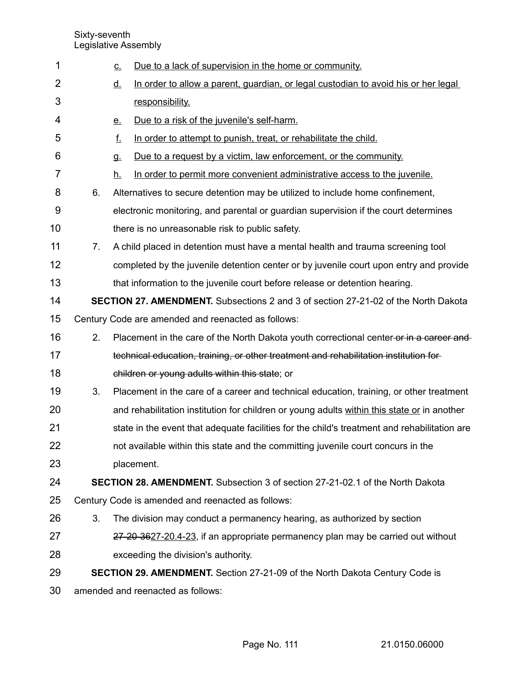| 1              |                | Due to a lack of supervision in the home or community.<br><u>c.</u>                             |
|----------------|----------------|-------------------------------------------------------------------------------------------------|
| $\overline{2}$ |                | In order to allow a parent, guardian, or legal custodian to avoid his or her legal<br><u>d.</u> |
| 3              |                | responsibility.                                                                                 |
| 4              |                | Due to a risk of the juvenile's self-harm.<br><u>e.</u>                                         |
| 5              |                | f.<br>In order to attempt to punish, treat, or rehabilitate the child.                          |
| 6              |                | Due to a request by a victim, law enforcement, or the community.<br><b>g.</b>                   |
| $\overline{7}$ |                | <u>h.</u><br>In order to permit more convenient administrative access to the juvenile.          |
| 8              | 6.             | Alternatives to secure detention may be utilized to include home confinement,                   |
| 9              |                | electronic monitoring, and parental or guardian supervision if the court determines             |
| 10             |                | there is no unreasonable risk to public safety.                                                 |
| 11             | 7 <sub>1</sub> | A child placed in detention must have a mental health and trauma screening tool                 |
| 12             |                | completed by the juvenile detention center or by juvenile court upon entry and provide          |
| 13             |                | that information to the juvenile court before release or detention hearing.                     |
| 14             |                | <b>SECTION 27. AMENDMENT.</b> Subsections 2 and 3 of section 27-21-02 of the North Dakota       |
| 15             |                | Century Code are amended and reenacted as follows:                                              |
| 16             | 2.             | Placement in the care of the North Dakota youth correctional center or in a career and-         |
| 17             |                | technical education, training, or other treatment and rehabilitation institution for            |
| 18             |                | children or young adults within this state; or                                                  |
| 19             | 3.             | Placement in the care of a career and technical education, training, or other treatment         |
| 20             |                | and rehabilitation institution for children or young adults within this state or in another     |
| 21             |                | state in the event that adequate facilities for the child's treatment and rehabilitation are    |
| 22             |                | not available within this state and the committing juvenile court concurs in the                |
| 23             |                | placement.                                                                                      |
| 24             |                | SECTION 28. AMENDMENT. Subsection 3 of section 27-21-02.1 of the North Dakota                   |
| 25             |                | Century Code is amended and reenacted as follows:                                               |
| 26             | 3.             | The division may conduct a permanency hearing, as authorized by section                         |
| 27             |                | 27-20-3627-20.4-23, if an appropriate permanency plan may be carried out without                |
| 28             |                | exceeding the division's authority.                                                             |
| 29             |                | SECTION 29. AMENDMENT. Section 27-21-09 of the North Dakota Century Code is                     |
| 30             |                | amended and reenacted as follows:                                                               |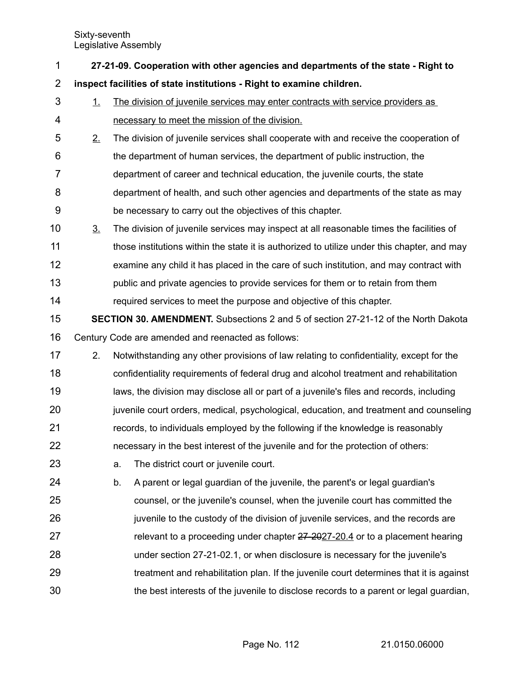| 1              | 27-21-09. Cooperation with other agencies and departments of the state - Right to |    |                                                                                             |  |
|----------------|-----------------------------------------------------------------------------------|----|---------------------------------------------------------------------------------------------|--|
| $\overline{2}$ |                                                                                   |    | inspect facilities of state institutions - Right to examine children.                       |  |
| 3              | $\perp$                                                                           |    | The division of juvenile services may enter contracts with service providers as             |  |
| 4              |                                                                                   |    | necessary to meet the mission of the division.                                              |  |
| 5              | 2.                                                                                |    | The division of juvenile services shall cooperate with and receive the cooperation of       |  |
| 6              |                                                                                   |    | the department of human services, the department of public instruction, the                 |  |
| 7              |                                                                                   |    | department of career and technical education, the juvenile courts, the state                |  |
| 8              |                                                                                   |    | department of health, and such other agencies and departments of the state as may           |  |
| 9              |                                                                                   |    | be necessary to carry out the objectives of this chapter.                                   |  |
| 10             | $\underline{3}$ .                                                                 |    | The division of juvenile services may inspect at all reasonable times the facilities of     |  |
| 11             |                                                                                   |    | those institutions within the state it is authorized to utilize under this chapter, and may |  |
| 12             |                                                                                   |    | examine any child it has placed in the care of such institution, and may contract with      |  |
| 13             |                                                                                   |    | public and private agencies to provide services for them or to retain from them             |  |
| 14             |                                                                                   |    | required services to meet the purpose and objective of this chapter.                        |  |
| 15             |                                                                                   |    | <b>SECTION 30. AMENDMENT.</b> Subsections 2 and 5 of section 27-21-12 of the North Dakota   |  |
| 16             |                                                                                   |    | Century Code are amended and reenacted as follows:                                          |  |
| 17             | 2.                                                                                |    | Notwithstanding any other provisions of law relating to confidentiality, except for the     |  |
| 18             |                                                                                   |    | confidentiality requirements of federal drug and alcohol treatment and rehabilitation       |  |
| 19             |                                                                                   |    | laws, the division may disclose all or part of a juvenile's files and records, including    |  |
| 20             |                                                                                   |    | juvenile court orders, medical, psychological, education, and treatment and counseling      |  |
| 21             |                                                                                   |    | records, to individuals employed by the following if the knowledge is reasonably            |  |
| 22             |                                                                                   |    | necessary in the best interest of the juvenile and for the protection of others:            |  |
| 23             |                                                                                   | a. | The district court or juvenile court.                                                       |  |
| 24             |                                                                                   | b. | A parent or legal guardian of the juvenile, the parent's or legal guardian's                |  |
| 25             |                                                                                   |    | counsel, or the juvenile's counsel, when the juvenile court has committed the               |  |
| 26             |                                                                                   |    | juvenile to the custody of the division of juvenile services, and the records are           |  |
| 27             |                                                                                   |    | relevant to a proceeding under chapter 27-2027-20.4 or to a placement hearing               |  |
| 28             |                                                                                   |    | under section 27-21-02.1, or when disclosure is necessary for the juvenile's                |  |
| 29             |                                                                                   |    | treatment and rehabilitation plan. If the juvenile court determines that it is against      |  |
| 30             |                                                                                   |    | the best interests of the juvenile to disclose records to a parent or legal guardian,       |  |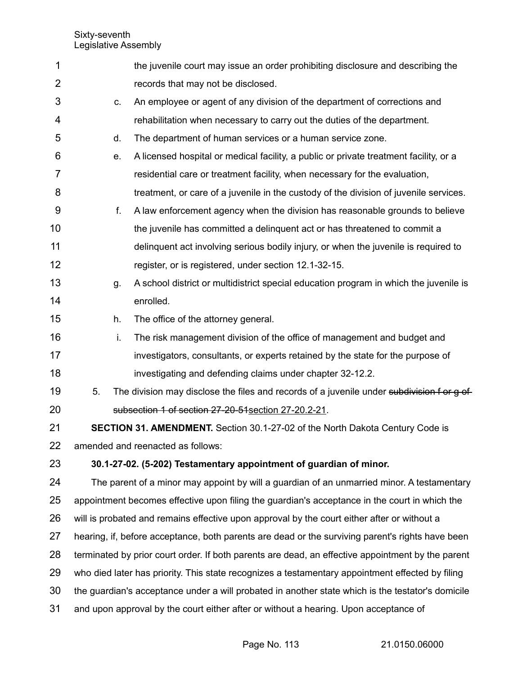| 1              |    | the juvenile court may issue an order prohibiting disclosure and describing the                   |
|----------------|----|---------------------------------------------------------------------------------------------------|
| $\overline{2}$ |    | records that may not be disclosed.                                                                |
| 3              | C. | An employee or agent of any division of the department of corrections and                         |
| 4              |    | rehabilitation when necessary to carry out the duties of the department.                          |
| 5              | d. | The department of human services or a human service zone.                                         |
| 6              | e. | A licensed hospital or medical facility, a public or private treatment facility, or a             |
| 7              |    | residential care or treatment facility, when necessary for the evaluation,                        |
| 8              |    | treatment, or care of a juvenile in the custody of the division of juvenile services.             |
| 9              | f. | A law enforcement agency when the division has reasonable grounds to believe                      |
| 10             |    | the juvenile has committed a delinquent act or has threatened to commit a                         |
| 11             |    | delinquent act involving serious bodily injury, or when the juvenile is required to               |
| 12             |    | register, or is registered, under section 12.1-32-15.                                             |
| 13             | g. | A school district or multidistrict special education program in which the juvenile is             |
| 14             |    | enrolled.                                                                                         |
| 15             | h. | The office of the attorney general.                                                               |
| 16             | i. | The risk management division of the office of management and budget and                           |
| 17             |    | investigators, consultants, or experts retained by the state for the purpose of                   |
| 18             |    | investigating and defending claims under chapter 32-12.2.                                         |
| 19             | 5. | The division may disclose the files and records of a juvenile under subdivision f or g of         |
| 20             |    | subsection 1 of section 27-20-51 section 27-20.2-21.                                              |
| 21             |    | <b>SECTION 31. AMENDMENT.</b> Section 30.1-27-02 of the North Dakota Century Code is              |
| 22             |    | amended and reenacted as follows:                                                                 |
| 23             |    | 30.1-27-02. (5-202) Testamentary appointment of guardian of minor.                                |
| 24             |    | The parent of a minor may appoint by will a guardian of an unmarried minor. A testamentary        |
| 25             |    | appointment becomes effective upon filing the guardian's acceptance in the court in which the     |
| 26             |    | will is probated and remains effective upon approval by the court either after or without a       |
| 27             |    | hearing, if, before acceptance, both parents are dead or the surviving parent's rights have been  |
| 28             |    | terminated by prior court order. If both parents are dead, an effective appointment by the parent |
| 29             |    | who died later has priority. This state recognizes a testamentary appointment effected by filing  |
| 30             |    | the guardian's acceptance under a will probated in another state which is the testator's domicile |
| 31             |    | and upon approval by the court either after or without a hearing. Upon acceptance of              |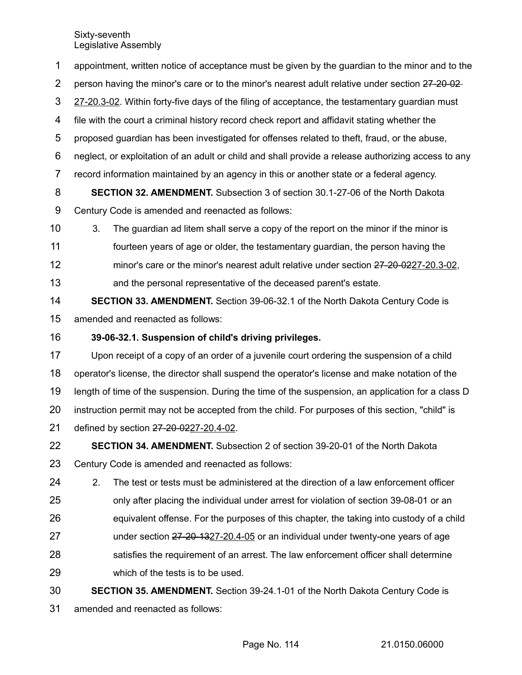appointment, written notice of acceptance must be given by the guardian to the minor and to the person having the minor's care or to the minor's nearest adult relative under section 27-20-02 27-20.3-02. Within forty-five days of the filing of acceptance, the testamentary guardian must file with the court a criminal history record check report and affidavit stating whether the proposed guardian has been investigated for offenses related to theft, fraud, or the abuse, neglect, or exploitation of an adult or child and shall provide a release authorizing access to any record information maintained by an agency in this or another state or a federal agency. **SECTION 32. AMENDMENT.** Subsection 3 of section 30.1-27-06 of the North Dakota Century Code is amended and reenacted as follows: 3. The guardian ad litem shall serve a copy of the report on the minor if the minor is fourteen years of age or older, the testamentary guardian, the person having the minor's care or the minor's nearest adult relative under section 27-20-0227-20.3-02, and the personal representative of the deceased parent's estate. **SECTION 33. AMENDMENT.** Section 39-06-32.1 of the North Dakota Century Code is 1 2 3 4 5 6 7 8 9 10 11 12 13 14

amended and reenacted as follows: 15

## **39-06-32.1. Suspension of child's driving privileges.** 16

Upon receipt of a copy of an order of a juvenile court ordering the suspension of a child operator's license, the director shall suspend the operator's license and make notation of the length of time of the suspension. During the time of the suspension, an application for a class D instruction permit may not be accepted from the child. For purposes of this section, "child" is defined by section 27-20-0227-20.4-02. 17 18 19 20 21

**SECTION 34. AMENDMENT.** Subsection 2 of section 39-20-01 of the North Dakota Century Code is amended and reenacted as follows: 22 23

2. The test or tests must be administered at the direction of a law enforcement officer only after placing the individual under arrest for violation of section 39-08-01 or an equivalent offense. For the purposes of this chapter, the taking into custody of a child under section 27-20-1327-20.4-05 or an individual under twenty-one years of age satisfies the requirement of an arrest. The law enforcement officer shall determine which of the tests is to be used. 24 25 26 27 28 29

**SECTION 35. AMENDMENT.** Section 39-24.1-01 of the North Dakota Century Code is amended and reenacted as follows: 30 31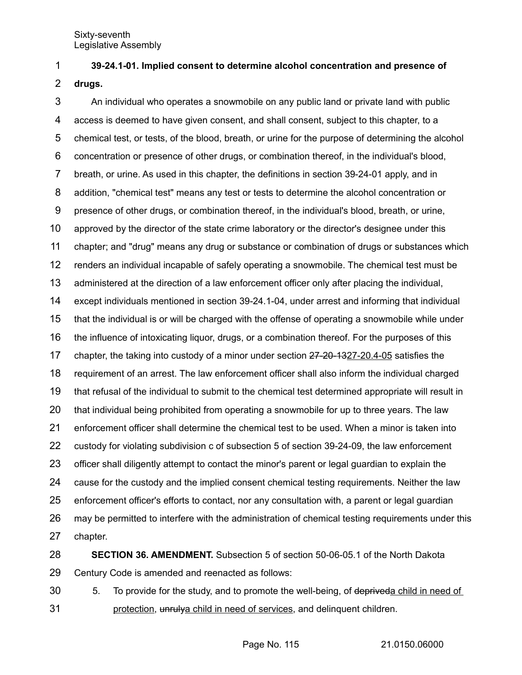## **39-24.1-01. Implied consent to determine alcohol concentration and presence of** 1

**drugs.** 2

An individual who operates a snowmobile on any public land or private land with public access is deemed to have given consent, and shall consent, subject to this chapter, to a chemical test, or tests, of the blood, breath, or urine for the purpose of determining the alcohol concentration or presence of other drugs, or combination thereof, in the individual's blood, breath, or urine. As used in this chapter, the definitions in section 39-24-01 apply, and in addition, "chemical test" means any test or tests to determine the alcohol concentration or presence of other drugs, or combination thereof, in the individual's blood, breath, or urine, approved by the director of the state crime laboratory or the director's designee under this chapter; and "drug" means any drug or substance or combination of drugs or substances which renders an individual incapable of safely operating a snowmobile. The chemical test must be administered at the direction of a law enforcement officer only after placing the individual, except individuals mentioned in section 39-24.1-04, under arrest and informing that individual that the individual is or will be charged with the offense of operating a snowmobile while under the influence of intoxicating liquor, drugs, or a combination thereof. For the purposes of this chapter, the taking into custody of a minor under section  $27-20-1327-20.4-05$  satisfies the requirement of an arrest. The law enforcement officer shall also inform the individual charged that refusal of the individual to submit to the chemical test determined appropriate will result in that individual being prohibited from operating a snowmobile for up to three years. The law enforcement officer shall determine the chemical test to be used. When a minor is taken into custody for violating subdivision c of subsection 5 of section 39-24-09, the law enforcement officer shall diligently attempt to contact the minor's parent or legal guardian to explain the cause for the custody and the implied consent chemical testing requirements. Neither the law enforcement officer's efforts to contact, nor any consultation with, a parent or legal guardian may be permitted to interfere with the administration of chemical testing requirements under this chapter. 3 4 5 6 7 8 9 10 11 12 13 14 15 16 17 18 19 20 21 22 23 24 25 26 27

**SECTION 36. AMENDMENT.** Subsection 5 of section 50-06-05.1 of the North Dakota Century Code is amended and reenacted as follows: 28 29

5. To provide for the study, and to promote the well-being, of deprived a child in need of protection, unrulya child in need of services, and delinquent children. 30 31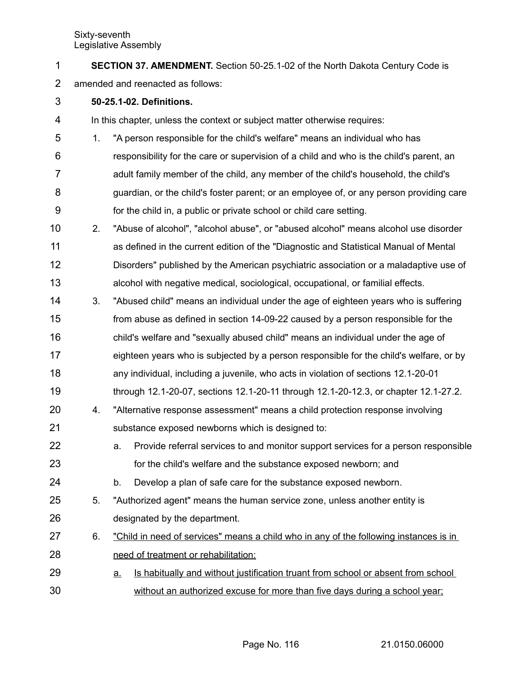| <b>SECTION 37. AMENDMENT.</b> Section 50-25.1-02 of the North Dakota Century Code is |
|--------------------------------------------------------------------------------------|
| $\bullet$ . If $\bullet$ is the set of $\bullet$ is the set of $\bullet$             |

- amended and reenacted as follows: 2
- **50-25.1-02. Definitions.** 3

In this chapter, unless the context or subject matter otherwise requires: 4

- 1. "A person responsible for the child's welfare" means an individual who has responsibility for the care or supervision of a child and who is the child's parent, an adult family member of the child, any member of the child's household, the child's guardian, or the child's foster parent; or an employee of, or any person providing care for the child in, a public or private school or child care setting. 5 6 7 8 9
- 2. "Abuse of alcohol", "alcohol abuse", or "abused alcohol" means alcohol use disorder as defined in the current edition of the "Diagnostic and Statistical Manual of Mental Disorders" published by the American psychiatric association or a maladaptive use of alcohol with negative medical, sociological, occupational, or familial effects. 10 11 12 13
- 3. "Abused child" means an individual under the age of eighteen years who is suffering from abuse as defined in section 14-09-22 caused by a person responsible for the child's welfare and "sexually abused child" means an individual under the age of eighteen years who is subjected by a person responsible for the child's welfare, or by any individual, including a juvenile, who acts in violation of sections 12.1-20-01 through 12.1-20-07, sections 12.1-20-11 through 12.1-20-12.3, or chapter 12.1-27.2. 14 15 16 17 18 19
- 4. "Alternative response assessment" means a child protection response involving substance exposed newborns which is designed to: 20 21
- a. Provide referral services to and monitor support services for a person responsible for the child's welfare and the substance exposed newborn; and 22 23
- b. Develop a plan of safe care for the substance exposed newborn. 24
- 5. "Authorized agent" means the human service zone, unless another entity is designated by the department. 25 26
- 6. "Child in need of services" means a child who in any of the following instances is in need of treatment or rehabilitation: 27 28
- a. Is habitually and without justification truant from school or absent from school without an authorized excuse for more than five days during a school year; 29 30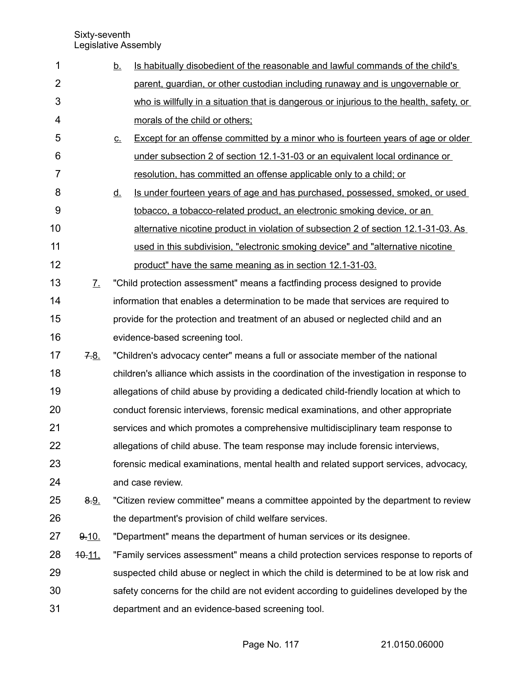| 1              |                       | <u>b.</u>                  | Is habitually disobedient of the reasonable and lawful commands of the child's            |
|----------------|-----------------------|----------------------------|-------------------------------------------------------------------------------------------|
| $\overline{2}$ |                       |                            | parent, guardian, or other custodian including runaway and is ungovernable or             |
| 3              |                       |                            | who is willfully in a situation that is dangerous or injurious to the health, safety, or  |
| 4              |                       |                            | morals of the child or others;                                                            |
| 5              |                       | $\underline{\mathsf{C}}$ . | Except for an offense committed by a minor who is fourteen years of age or older          |
| 6              |                       |                            | under subsection 2 of section 12.1-31-03 or an equivalent local ordinance or              |
| $\overline{7}$ |                       |                            | resolution, has committed an offense applicable only to a child; or                       |
| 8              |                       | <u>d.</u>                  | Is under fourteen years of age and has purchased, possessed, smoked, or used              |
| 9              |                       |                            | tobacco, a tobacco-related product, an electronic smoking device, or an                   |
| 10             |                       |                            | alternative nicotine product in violation of subsection 2 of section 12.1-31-03. As       |
| 11             |                       |                            | used in this subdivision, "electronic smoking device" and "alternative nicotine           |
| 12             |                       |                            | product" have the same meaning as in section 12.1-31-03.                                  |
| 13             | $\mathcal{I}_{\cdot}$ |                            | "Child protection assessment" means a factfinding process designed to provide             |
| 14             |                       |                            | information that enables a determination to be made that services are required to         |
| 15             |                       |                            | provide for the protection and treatment of an abused or neglected child and an           |
| 16             |                       |                            | evidence-based screening tool.                                                            |
| 17             | 7.8.                  |                            | "Children's advocacy center" means a full or associate member of the national             |
| 18             |                       |                            | children's alliance which assists in the coordination of the investigation in response to |
| 19             |                       |                            | allegations of child abuse by providing a dedicated child-friendly location at which to   |
| 20             |                       |                            | conduct forensic interviews, forensic medical examinations, and other appropriate         |
| 21             |                       |                            | services and which promotes a comprehensive multidisciplinary team response to            |
| 22             |                       |                            | allegations of child abuse. The team response may include forensic interviews,            |
| 23             |                       |                            | forensic medical examinations, mental health and related support services, advocacy,      |
| 24             |                       |                            | and case review.                                                                          |
| 25             | 8.9.                  |                            | "Citizen review committee" means a committee appointed by the department to review        |
| 26             |                       |                            | the department's provision of child welfare services.                                     |
| 27             | 9.10.                 |                            | "Department" means the department of human services or its designee.                      |
| 28             | $40 - 11$ .           |                            | "Family services assessment" means a child protection services response to reports of     |
| 29             |                       |                            | suspected child abuse or neglect in which the child is determined to be at low risk and   |
| 30             |                       |                            | safety concerns for the child are not evident according to guidelines developed by the    |
| 31             |                       |                            | department and an evidence-based screening tool.                                          |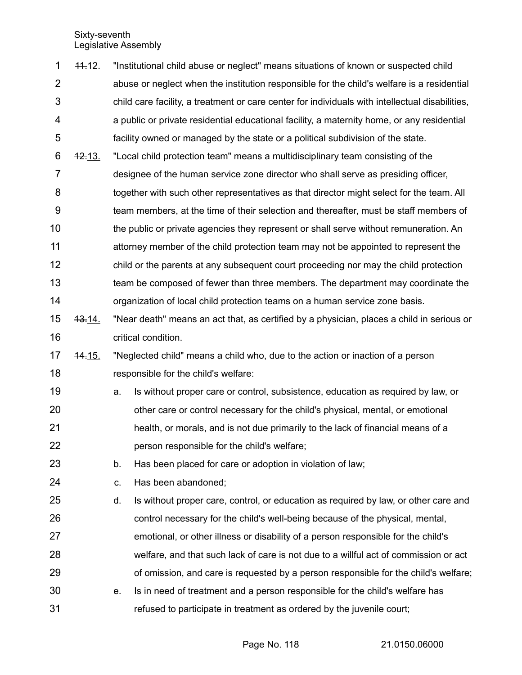11.12. "Institutional child abuse or neglect" means situations of known or suspected child abuse or neglect when the institution responsible for the child's welfare is a residential child care facility, a treatment or care center for individuals with intellectual disabilities, a public or private residential educational facility, a maternity home, or any residential facility owned or managed by the state or a political subdivision of the state. 12.13. "Local child protection team" means a multidisciplinary team consisting of the designee of the human service zone director who shall serve as presiding officer, together with such other representatives as that director might select for the team. All team members, at the time of their selection and thereafter, must be staff members of the public or private agencies they represent or shall serve without remuneration. An attorney member of the child protection team may not be appointed to represent the child or the parents at any subsequent court proceeding nor may the child protection team be composed of fewer than three members. The department may coordinate the organization of local child protection teams on a human service zone basis. 13.14. "Near death" means an act that, as certified by a physician, places a child in serious or critical condition. 14.15. "Neglected child" means a child who, due to the action or inaction of a person responsible for the child's welfare: a. Is without proper care or control, subsistence, education as required by law, or other care or control necessary for the child's physical, mental, or emotional health, or morals, and is not due primarily to the lack of financial means of a person responsible for the child's welfare; b. Has been placed for care or adoption in violation of law; c. Has been abandoned; d. Is without proper care, control, or education as required by law, or other care and control necessary for the child's well-being because of the physical, mental, emotional, or other illness or disability of a person responsible for the child's welfare, and that such lack of care is not due to a willful act of commission or act of omission, and care is requested by a person responsible for the child's welfare; e. Is in need of treatment and a person responsible for the child's welfare has refused to participate in treatment as ordered by the juvenile court; 1 2 3 4 5 6 7 8 9 10 11 12 13 14 15 16 17 18 19 20 21 22 23 24 25 26 27 28 29 30 31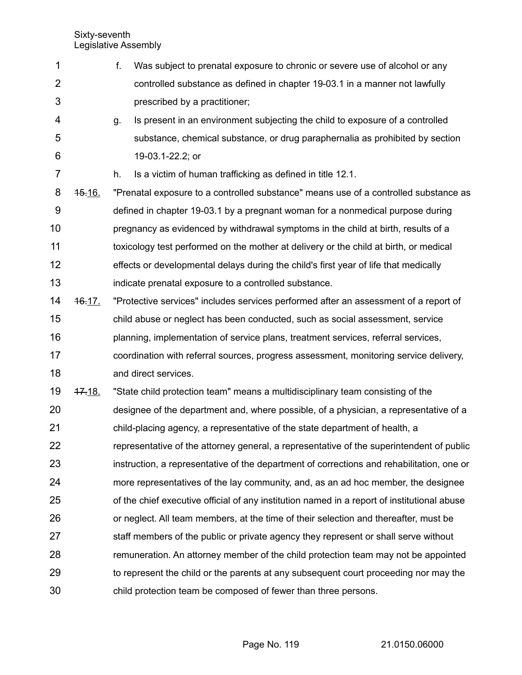7

- f. Was subject to prenatal exposure to chronic or severe use of alcohol or any controlled substance as defined in chapter 19-03.1 in a manner not lawfully prescribed by a practitioner; 1 2 3
- g. Is present in an environment subjecting the child to exposure of a controlled substance, chemical substance, or drug paraphernalia as prohibited by section 19-03.1-22.2; or 4 5 6

h. Is a victim of human trafficking as defined in title 12.1.

15.16. "Prenatal exposure to a controlled substance" means use of a controlled substance as defined in chapter 19-03.1 by a pregnant woman for a nonmedical purpose during pregnancy as evidenced by withdrawal symptoms in the child at birth, results of a toxicology test performed on the mother at delivery or the child at birth, or medical effects or developmental delays during the child's first year of life that medically indicate prenatal exposure to a controlled substance. 8 9 10 11 12 13

16.17. "Protective services" includes services performed after an assessment of a report of child abuse or neglect has been conducted, such as social assessment, service planning, implementation of service plans, treatment services, referral services, coordination with referral sources, progress assessment, monitoring service delivery, and direct services. 14 15 16 17 18

17.18. "State child protection team" means a multidisciplinary team consisting of the 19

designee of the department and, where possible, of a physician, a representative of a child-placing agency, a representative of the state department of health, a representative of the attorney general, a representative of the superintendent of public instruction, a representative of the department of corrections and rehabilitation, one or more representatives of the lay community, and, as an ad hoc member, the designee of the chief executive official of any institution named in a report of institutional abuse or neglect. All team members, at the time of their selection and thereafter, must be staff members of the public or private agency they represent or shall serve without remuneration. An attorney member of the child protection team may not be appointed to represent the child or the parents at any subsequent court proceeding nor may the child protection team be composed of fewer than three persons. 20 21 22 23 24 25 26 27 28 29 30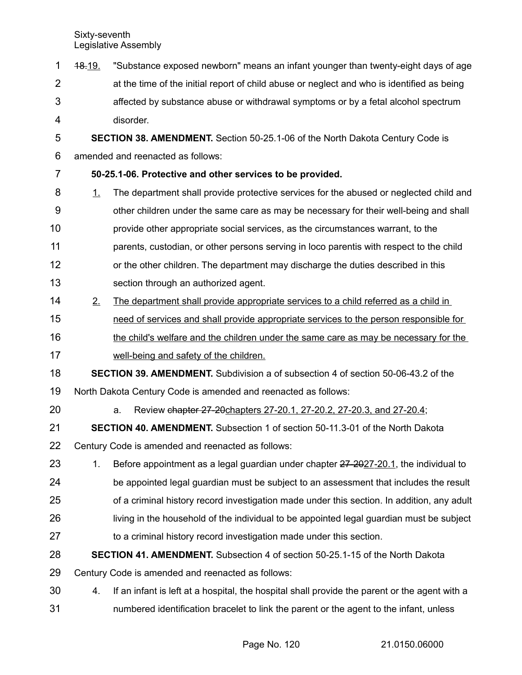18.19. "Substance exposed newborn" means an infant younger than twenty-eight days of age at the time of the initial report of child abuse or neglect and who is identified as being affected by substance abuse or withdrawal symptoms or by a fetal alcohol spectrum disorder. **SECTION 38. AMENDMENT.** Section 50-25.1-06 of the North Dakota Century Code is amended and reenacted as follows: **50-25.1-06. Protective and other services to be provided.** 1. The department shall provide protective services for the abused or neglected child and other children under the same care as may be necessary for their well-being and shall provide other appropriate social services, as the circumstances warrant, to the parents, custodian, or other persons serving in loco parentis with respect to the child or the other children. The department may discharge the duties described in this section through an authorized agent. 2. The department shall provide appropriate services to a child referred as a child in need of services and shall provide appropriate services to the person responsible for the child's welfare and the children under the same care as may be necessary for the well-being and safety of the children. **SECTION 39. AMENDMENT.** Subdivision a of subsection 4 of section 50-06-43.2 of the North Dakota Century Code is amended and reenacted as follows: a. Review chapter 27-20 chapters 27-20.1, 27-20.2, 27-20.3, and 27-20.4; **SECTION 40. AMENDMENT.** Subsection 1 of section 50-11.3-01 of the North Dakota Century Code is amended and reenacted as follows: 1. Before appointment as a legal guardian under chapter  $27-2027-20.1$ , the individual to be appointed legal guardian must be subject to an assessment that includes the result of a criminal history record investigation made under this section. In addition, any adult living in the household of the individual to be appointed legal guardian must be subject to a criminal history record investigation made under this section. **SECTION 41. AMENDMENT.** Subsection 4 of section 50-25.1-15 of the North Dakota Century Code is amended and reenacted as follows: 4. If an infant is left at a hospital, the hospital shall provide the parent or the agent with a numbered identification bracelet to link the parent or the agent to the infant, unless 1 2 3 4 5 6 7 8 9 10 11 12 13 14 15 16 17 18 19 20 21 22 23 24 25 26 27 28 29 30 31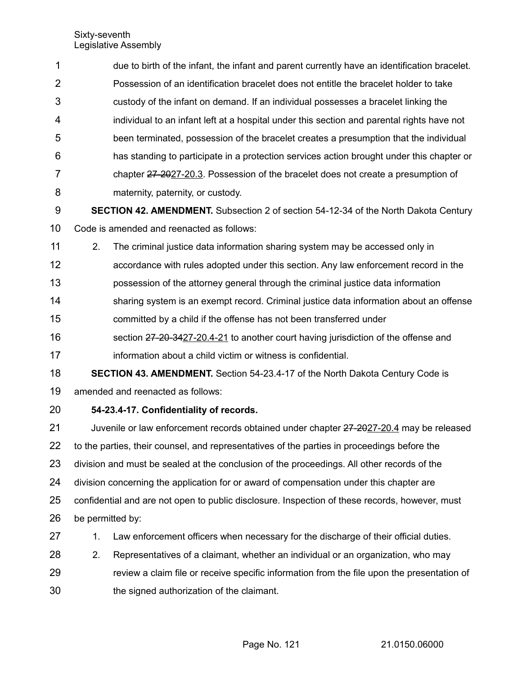| $\sim$         |                                                                                              |
|----------------|----------------------------------------------------------------------------------------------|
| 8              | maternity, paternity, or custody.                                                            |
| 7              | chapter 27-2027-20.3. Possession of the bracelet does not create a presumption of            |
| 6              | has standing to participate in a protection services action brought under this chapter or    |
| 5              | been terminated, possession of the bracelet creates a presumption that the individual        |
| $\overline{4}$ | individual to an infant left at a hospital under this section and parental rights have not   |
| 3              | custody of the infant on demand. If an individual possesses a bracelet linking the           |
| 2              | Possession of an identification bracelet does not entitle the bracelet holder to take        |
| $\mathbf{1}$   | due to birth of the infant, the infant and parent currently have an identification bracelet. |

- **SECTION 42. AMENDMENT.** Subsection 2 of section 54-12-34 of the North Dakota Century Code is amended and reenacted as follows: 9 10
- 2. The criminal justice data information sharing system may be accessed only in 11
- accordance with rules adopted under this section. Any law enforcement record in the 12
- possession of the attorney general through the criminal justice data information 13
- sharing system is an exempt record. Criminal justice data information about an offense 14
- committed by a child if the offense has not been transferred under 15
- section 27-20-3427-20.4-21 to another court having jurisdiction of the offense and information about a child victim or witness is confidential. 16 17
- **SECTION 43. AMENDMENT.** Section 54-23.4-17 of the North Dakota Century Code is amended and reenacted as follows: 18 19
- **54-23.4-17. Confidentiality of records.** 20

Juvenile or law enforcement records obtained under chapter 27-2027-20.4 may be released to the parties, their counsel, and representatives of the parties in proceedings before the division and must be sealed at the conclusion of the proceedings. All other records of the division concerning the application for or award of compensation under this chapter are confidential and are not open to public disclosure. Inspection of these records, however, must be permitted by: 1. Law enforcement officers when necessary for the discharge of their official duties. 21 22 23 24 25 26 27

- 28
- 2. Representatives of a claimant, whether an individual or an organization, who may review a claim file or receive specific information from the file upon the presentation of the signed authorization of the claimant. 29 30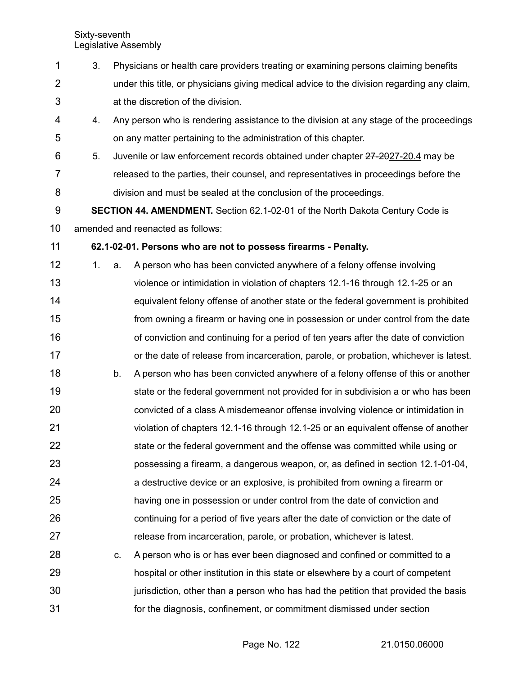25

26

27

3. Physicians or health care providers treating or examining persons claiming benefits under this title, or physicians giving medical advice to the division regarding any claim, at the discretion of the division. 4. Any person who is rendering assistance to the division at any stage of the proceedings on any matter pertaining to the administration of this chapter. 5. Juvenile or law enforcement records obtained under chapter 27-2027-20.4 may be released to the parties, their counsel, and representatives in proceedings before the division and must be sealed at the conclusion of the proceedings. **SECTION 44. AMENDMENT.** Section 62.1-02-01 of the North Dakota Century Code is amended and reenacted as follows: 1 2 3 4 5 6 7 8 9 10

## **62.1-02-01. Persons who are not to possess firearms - Penalty.** 11

- 1. a. A person who has been convicted anywhere of a felony offense involving violence or intimidation in violation of chapters 12.1-16 through 12.1-25 or an equivalent felony offense of another state or the federal government is prohibited from owning a firearm or having one in possession or under control from the date of conviction and continuing for a period of ten years after the date of conviction or the date of release from incarceration, parole, or probation, whichever is latest. b. A person who has been convicted anywhere of a felony offense of this or another state or the federal government not provided for in subdivision a or who has been convicted of a class A misdemeanor offense involving violence or intimidation in violation of chapters 12.1-16 through 12.1-25 or an equivalent offense of another state or the federal government and the offense was committed while using or possessing a firearm, a dangerous weapon, or, as defined in section 12.1-01-04, a destructive device or an explosive, is prohibited from owning a firearm or 12 13 14 15 16 17 18 19 20 21 22 23 24
	- having one in possession or under control from the date of conviction and continuing for a period of five years after the date of conviction or the date of release from incarceration, parole, or probation, whichever is latest.
- c. A person who is or has ever been diagnosed and confined or committed to a hospital or other institution in this state or elsewhere by a court of competent jurisdiction, other than a person who has had the petition that provided the basis for the diagnosis, confinement, or commitment dismissed under section 28 29 30 31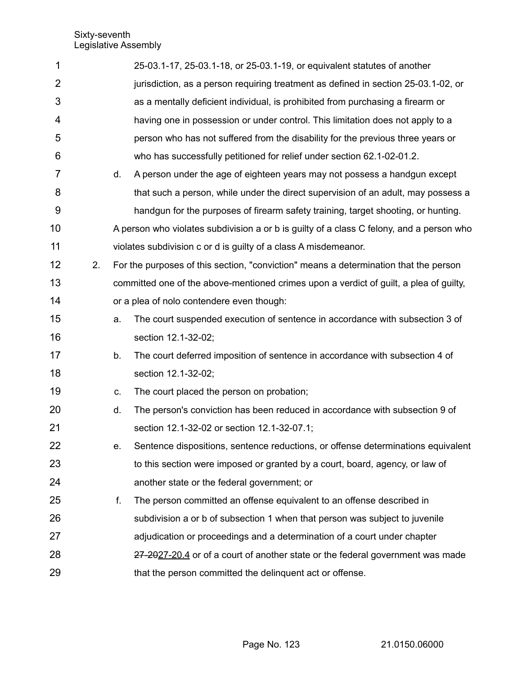| 1              |    |    | 25-03.1-17, 25-03.1-18, or 25-03.1-19, or equivalent statutes of another                 |
|----------------|----|----|------------------------------------------------------------------------------------------|
| $\overline{2}$ |    |    | jurisdiction, as a person requiring treatment as defined in section 25-03.1-02, or       |
| 3              |    |    | as a mentally deficient individual, is prohibited from purchasing a firearm or           |
| 4              |    |    | having one in possession or under control. This limitation does not apply to a           |
| 5              |    |    | person who has not suffered from the disability for the previous three years or          |
| 6              |    |    | who has successfully petitioned for relief under section 62.1-02-01.2.                   |
| 7              |    | d. | A person under the age of eighteen years may not possess a handgun except                |
| 8              |    |    | that such a person, while under the direct supervision of an adult, may possess a        |
| 9              |    |    | handgun for the purposes of firearm safety training, target shooting, or hunting.        |
| 10             |    |    | A person who violates subdivision a or b is guilty of a class C felony, and a person who |
| 11             |    |    | violates subdivision c or d is guilty of a class A misdemeanor.                          |
| 12             | 2. |    | For the purposes of this section, "conviction" means a determination that the person     |
| 13             |    |    | committed one of the above-mentioned crimes upon a verdict of guilt, a plea of guilty,   |
| 14             |    |    | or a plea of nolo contendere even though:                                                |
| 15             |    | a. | The court suspended execution of sentence in accordance with subsection 3 of             |
| 16             |    |    | section 12.1-32-02;                                                                      |
| 17             |    | b. | The court deferred imposition of sentence in accordance with subsection 4 of             |
| 18             |    |    | section 12.1-32-02;                                                                      |
| 19             |    | C. | The court placed the person on probation;                                                |
| 20             |    | d. | The person's conviction has been reduced in accordance with subsection 9 of              |
| 21             |    |    | section 12.1-32-02 or section 12.1-32-07.1;                                              |
| 22             |    | е. | Sentence dispositions, sentence reductions, or offense determinations equivalent         |
| 23             |    |    | to this section were imposed or granted by a court, board, agency, or law of             |
| 24             |    |    | another state or the federal government; or                                              |
| 25             |    | f. | The person committed an offense equivalent to an offense described in                    |
| 26             |    |    | subdivision a or b of subsection 1 when that person was subject to juvenile              |
| 27             |    |    | adjudication or proceedings and a determination of a court under chapter                 |
| 28             |    |    | 27-2027-20.4 or of a court of another state or the federal government was made           |
| 29             |    |    | that the person committed the delinquent act or offense.                                 |